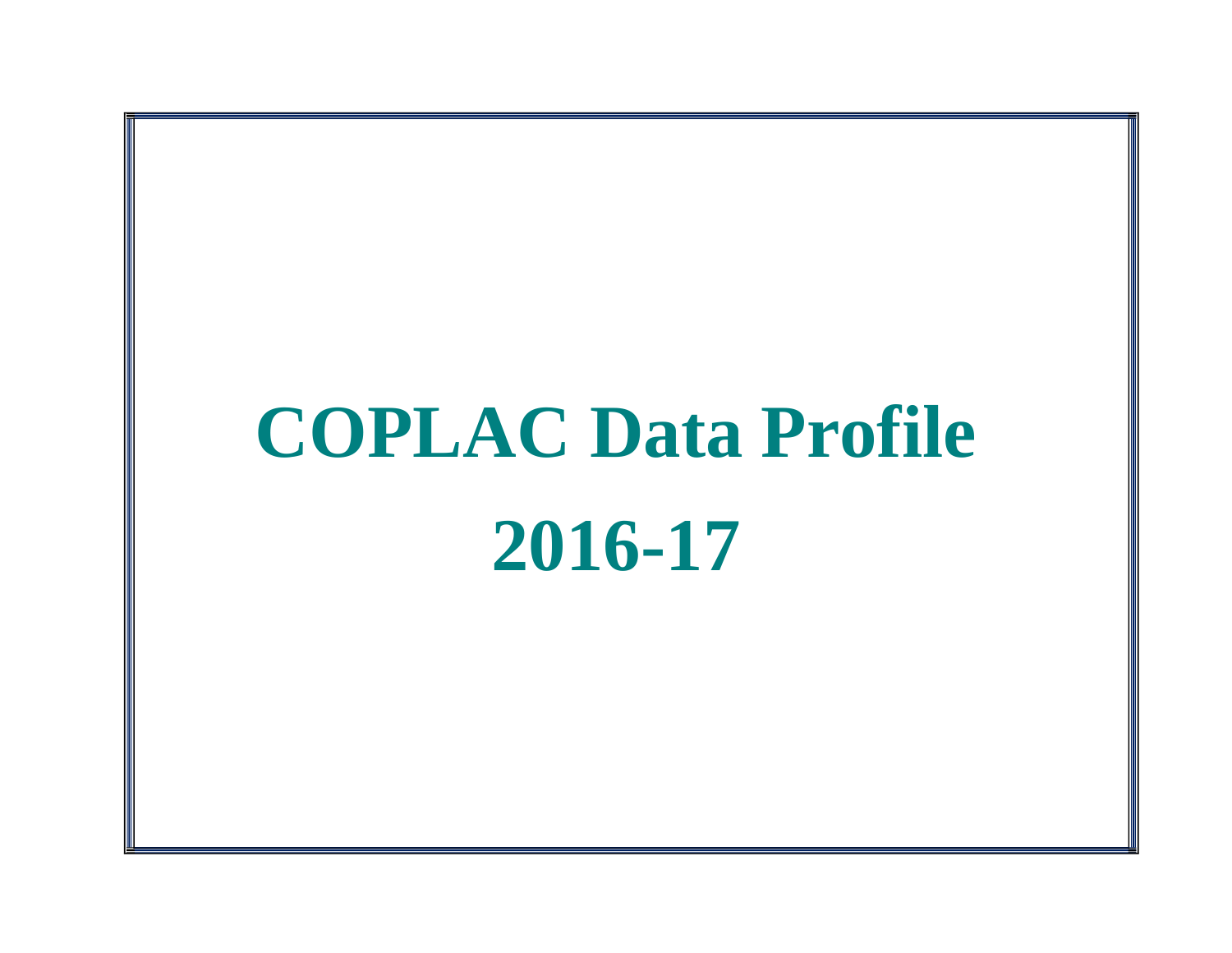## **COPLAC Data Profile 2016-17**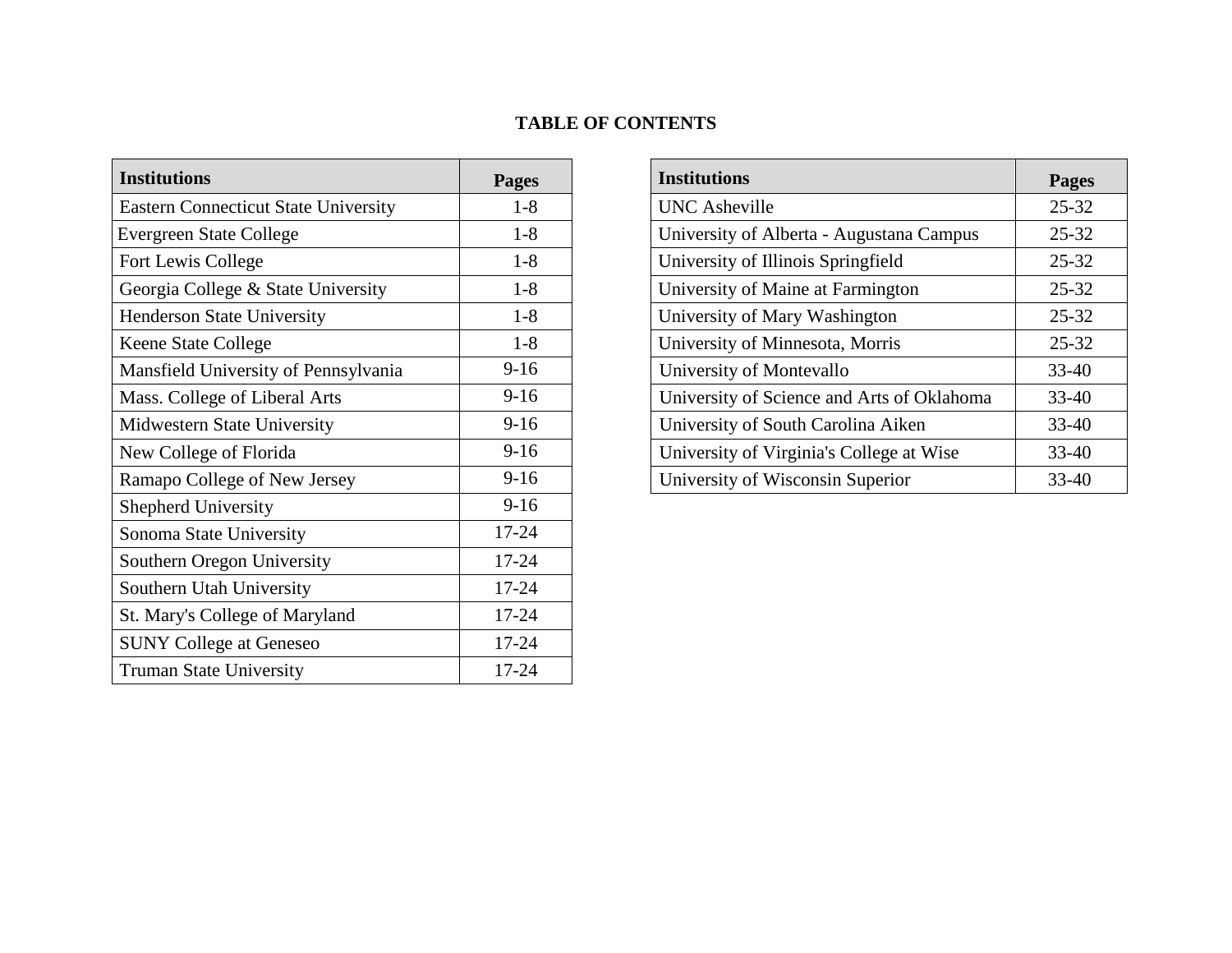## **TABLE OF CONTENTS**

| <b>Institutions</b>                         | <b>Pages</b> | <b>Institutions</b>                        | Pages     |
|---------------------------------------------|--------------|--------------------------------------------|-----------|
| <b>Eastern Connecticut State University</b> | $1 - 8$      | <b>UNC</b> Asheville                       | $25 - 32$ |
| <b>Evergreen State College</b>              | $1-8$        | University of Alberta - Augustana Campus   | $25 - 32$ |
| Fort Lewis College                          | $1 - 8$      | University of Illinois Springfield         | $25 - 32$ |
| Georgia College & State University          | $1-8$        | University of Maine at Farmington          | $25 - 32$ |
| <b>Henderson State University</b>           | $1 - 8$      | University of Mary Washington              | 25-32     |
| <b>Keene State College</b>                  | $1-8$        | University of Minnesota, Morris            | $25 - 32$ |
| Mansfield University of Pennsylvania        | $9-16$       | University of Montevallo                   | 33-40     |
| Mass. College of Liberal Arts               | $9-16$       | University of Science and Arts of Oklahoma | 33-40     |
| Midwestern State University                 | $9-16$       | University of South Carolina Aiken         | 33-40     |
| New College of Florida                      | $9-16$       | University of Virginia's College at Wise   | 33-40     |
| Ramapo College of New Jersey                | $9-16$       | University of Wisconsin Superior           | 33-40     |
| Shepherd University                         | $9-16$       |                                            |           |
| Sonoma State University                     | $17 - 24$    |                                            |           |
| Southern Oregon University                  | $17 - 24$    |                                            |           |
| Southern Utah University                    | $17 - 24$    |                                            |           |
| St. Mary's College of Maryland              | $17 - 24$    |                                            |           |
| <b>SUNY College at Geneseo</b>              | $17 - 24$    |                                            |           |
| <b>Truman State University</b>              | $17 - 24$    |                                            |           |

| <b>Institutions</b>                        | <b>Pages</b> |
|--------------------------------------------|--------------|
| <b>UNC</b> Asheville                       | $25 - 32$    |
| University of Alberta - Augustana Campus   | $25 - 32$    |
| University of Illinois Springfield         | $25 - 32$    |
| University of Maine at Farmington          | $25 - 32$    |
| University of Mary Washington              | $25 - 32$    |
| University of Minnesota, Morris            | $25 - 32$    |
| University of Montevallo                   | $33 - 40$    |
| University of Science and Arts of Oklahoma | $33 - 40$    |
| University of South Carolina Aiken         | $33 - 40$    |
| University of Virginia's College at Wise   | $33 - 40$    |
| University of Wisconsin Superior           | 33-40        |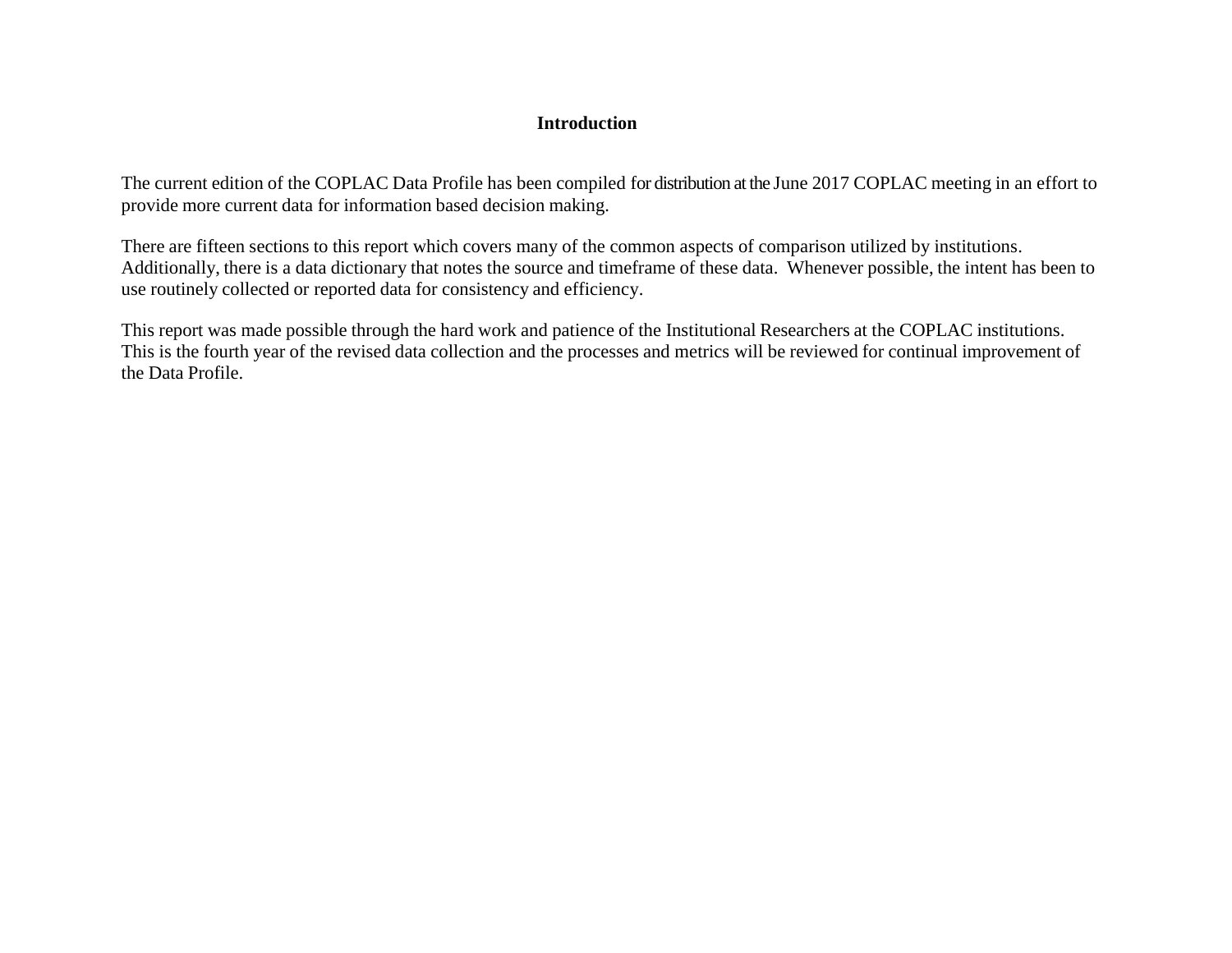## **Introduction**

The current edition of the COPLAC Data Profile has been compiled for distribution at the June 2017 COPLAC meeting in an effort to provide more current data for information based decision making.

There are fifteen sections to this report which covers many of the common aspects of comparison utilized by institutions. Additionally, there is a data dictionary that notes the source and timeframe of these data. Whenever possible, the intent has been to use routinely collected or reported data for consistency and efficiency.

This report was made possible through the hard work and patience of the Institutional Researchers at the COPLAC institutions. This is the fourth year of the revised data collection and the processes and metrics will be reviewed for continual improvement of the Data Profile.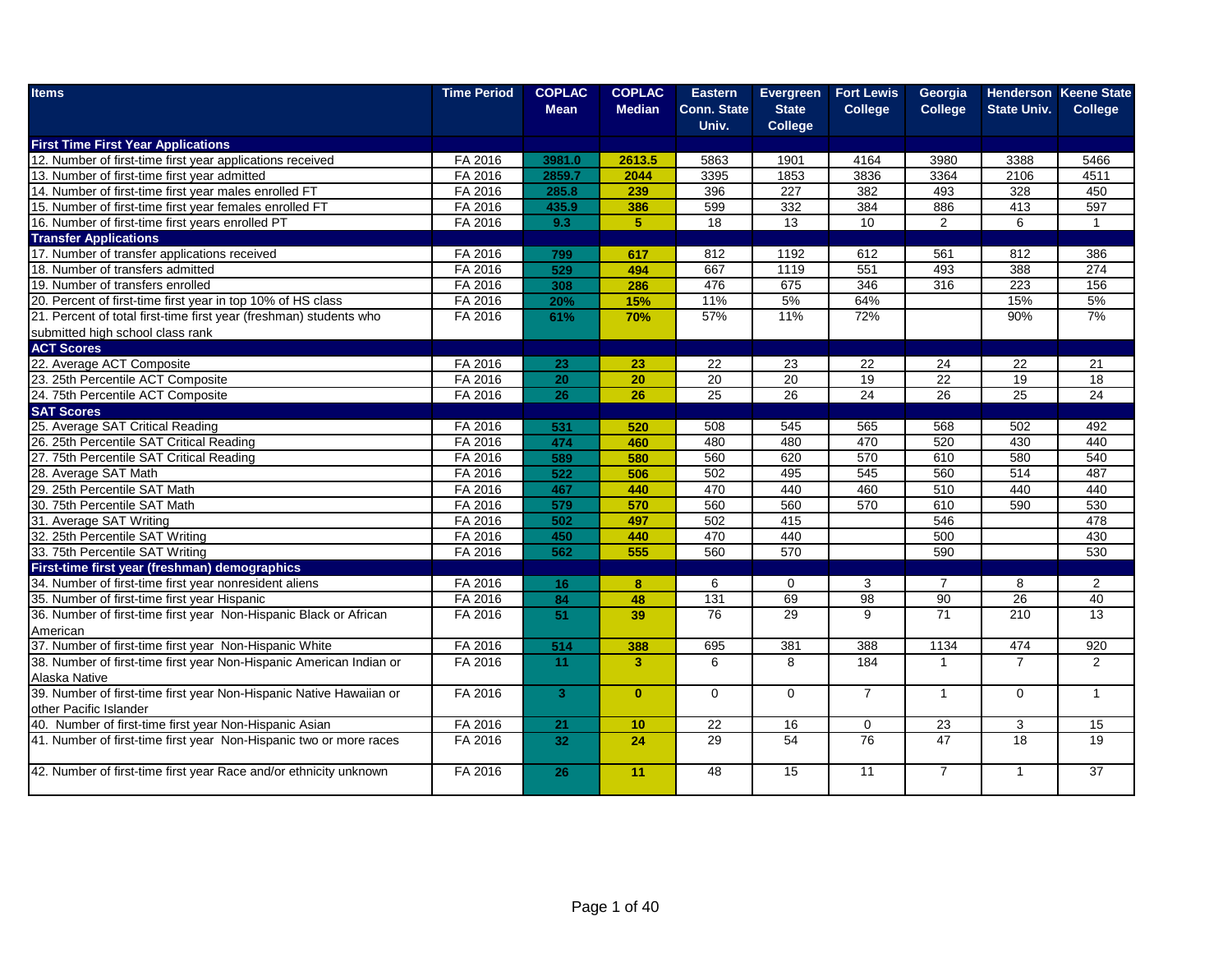| <b>Items</b>                                                        | <b>Time Period</b> | <b>COPLAC</b>   | <b>COPLAC</b>           | <b>Eastern</b>     | Evergreen      | <b>Fort Lewis</b> | Georgia         |                    | <b>Henderson Keene State</b> |
|---------------------------------------------------------------------|--------------------|-----------------|-------------------------|--------------------|----------------|-------------------|-----------------|--------------------|------------------------------|
|                                                                     |                    | <b>Mean</b>     | <b>Median</b>           | <b>Conn. State</b> | <b>State</b>   | <b>College</b>    | <b>College</b>  | <b>State Univ.</b> | <b>College</b>               |
|                                                                     |                    |                 |                         | Univ.              | <b>College</b> |                   |                 |                    |                              |
| <b>First Time First Year Applications</b>                           |                    |                 |                         |                    |                |                   |                 |                    |                              |
| 12. Number of first-time first year applications received           | FA 2016            | 3981.0          | 2613.5                  | 5863               | 1901           | $416\overline{4}$ | 3980            | 3388               | 5466                         |
| 13. Number of first-time first year admitted                        | FA 2016            | 2859.7          | 2044                    | 3395               | 1853           | 3836              | 3364            | 2106               | 4511                         |
| 14. Number of first-time first year males enrolled FT               | FA 2016            | 285.8           | 239                     | 396                | 227            | 382               | 493             | 328                | 450                          |
| 15. Number of first-time first year females enrolled FT             | FA 2016            | 435.9           | 386                     | 599                | 332            | 384               | 886             | 413                | 597                          |
| 16. Number of first-time first years enrolled PT                    | FA 2016            | 9.3             | 5 <sup>1</sup>          | 18                 | 13             | 10                | $\overline{2}$  | 6                  | $\mathbf{1}$                 |
| <b>Transfer Applications</b>                                        |                    |                 |                         |                    |                |                   |                 |                    |                              |
| 17. Number of transfer applications received                        | FA 2016            | 799             | 617                     | 812                | 1192           | 612               | 561             | 812                | 386                          |
| 18. Number of transfers admitted                                    | FA 2016            | 529             | 494                     | 667                | 1119           | 551               | 493             | 388                | 274                          |
| 19. Number of transfers enrolled                                    | FA 2016            | 308             | 286                     | 476                | 675            | 346               | 316             | 223                | 156                          |
| 20. Percent of first-time first year in top 10% of HS class         | FA 2016            | 20%             | 15%                     | 11%                | 5%             | 64%               |                 | 15%                | 5%                           |
| 21. Percent of total first-time first year (freshman) students who  | FA 2016            | 61%             | 70%                     | 57%                | 11%            | 72%               |                 | 90%                | 7%                           |
| submitted high school class rank                                    |                    |                 |                         |                    |                |                   |                 |                    |                              |
| <b>ACT Scores</b>                                                   |                    |                 |                         |                    |                |                   |                 |                    |                              |
| 22. Average ACT Composite                                           | FA 2016            | 23              | 23                      | 22                 | 23             | 22                | 24              | 22                 | 21                           |
| 23. 25th Percentile ACT Composite                                   | FA 2016            | $\overline{20}$ | 20                      | $\overline{20}$    | 20             | 19                | 22              | 19                 | 18                           |
| 24. 75th Percentile ACT Composite                                   | FA 2016            | 26              | $\overline{26}$         | 25                 | 26             | 24                | 26              | 25                 | 24                           |
| <b>SAT Scores</b>                                                   |                    |                 |                         |                    |                |                   |                 |                    |                              |
| 25. Average SAT Critical Reading                                    | FA 2016            | 531             | 520                     | 508                | 545            | 565               | 568             | 502                | 492                          |
| 26. 25th Percentile SAT Critical Reading                            | FA 2016            | 474             | 460                     | 480                | 480            | 470               | 520             | 430                | 440                          |
| 27. 75th Percentile SAT Critical Reading                            | FA 2016            | 589             | 580                     | 560                | 620            | 570               | 610             | 580                | 540                          |
| 28. Average SAT Math                                                | FA 2016            | 522             | 506                     | 502                | 495            | 545               | 560             | 514                | 487                          |
| 29. 25th Percentile SAT Math                                        | FA 2016            | 467             | 440                     | 470                | 440            | 460               | 510             | 440                | 440                          |
| 30. 75th Percentile SAT Math                                        | FA 2016            | 579             | 570                     | 560                | 560            | 570               | 610             | 590                | 530                          |
| 31. Average SAT Writing                                             | FA 2016            | 502             | 497                     | 502                | 415            |                   | 546             |                    | 478                          |
| 32. 25th Percentile SAT Writing                                     | FA 2016            | 450             | 440                     | 470                | 440            |                   | 500             |                    | 430                          |
| 33. 75th Percentile SAT Writing                                     | FA 2016            | 562             | 555                     | 560                | 570            |                   | 590             |                    | 530                          |
| First-time first year (freshman) demographics                       |                    |                 |                         |                    |                |                   |                 |                    |                              |
| 34. Number of first-time first year nonresident aliens              | FA 2016            | 16              | $\bf{8}$                | 6                  | 0              | 3                 | $\overline{7}$  | 8                  | $\overline{2}$               |
| 35. Number of first-time first year Hispanic                        | FA 2016            | 84              | 48                      | 131                | 69             | 98                | 90              | 26                 | 40                           |
| 36. Number of first-time first year Non-Hispanic Black or African   | FA 2016            | 51              | 39                      | $\overline{76}$    | 29             | 9                 | $\overline{71}$ | 210                | 13                           |
| American                                                            |                    |                 |                         |                    |                |                   |                 |                    |                              |
| 37. Number of first-time first year Non-Hispanic White              | FA 2016            | 514             | 388                     | 695                | 381            | 388               | 1134            | 474                | 920                          |
| 38. Number of first-time first year Non-Hispanic American Indian or | FA 2016            | 11              | $\overline{\mathbf{3}}$ | 6                  | 8              | 184               | $\overline{1}$  | $\overline{7}$     | $\overline{2}$               |
| Alaska Native                                                       |                    |                 |                         |                    |                |                   |                 |                    |                              |
| 39. Number of first-time first year Non-Hispanic Native Hawaiian or | FA 2016            | 3 <sup>1</sup>  | $\mathbf{0}$            | $\mathbf 0$        | $\mathbf 0$    | $\overline{7}$    | $\overline{1}$  | $\mathbf 0$        | $\mathbf{1}$                 |
| other Pacific Islander                                              |                    |                 |                         |                    |                |                   |                 |                    |                              |
| 40. Number of first-time first year Non-Hispanic Asian              | FA 2016            | 21              | 10                      | 22                 | 16             | $\mathbf 0$       | $\overline{23}$ | 3                  | 15                           |
| 41. Number of first-time first year Non-Hispanic two or more races  | FA 2016            | 32              | 24                      | 29                 | 54             | 76                | 47              | 18                 | 19                           |
|                                                                     |                    |                 |                         |                    |                |                   |                 |                    |                              |
| 42. Number of first-time first year Race and/or ethnicity unknown   | FA 2016            | 26              | 11                      | 48                 | 15             | $\overline{11}$   | $\overline{7}$  | $\mathbf{1}$       | $\overline{37}$              |
|                                                                     |                    |                 |                         |                    |                |                   |                 |                    |                              |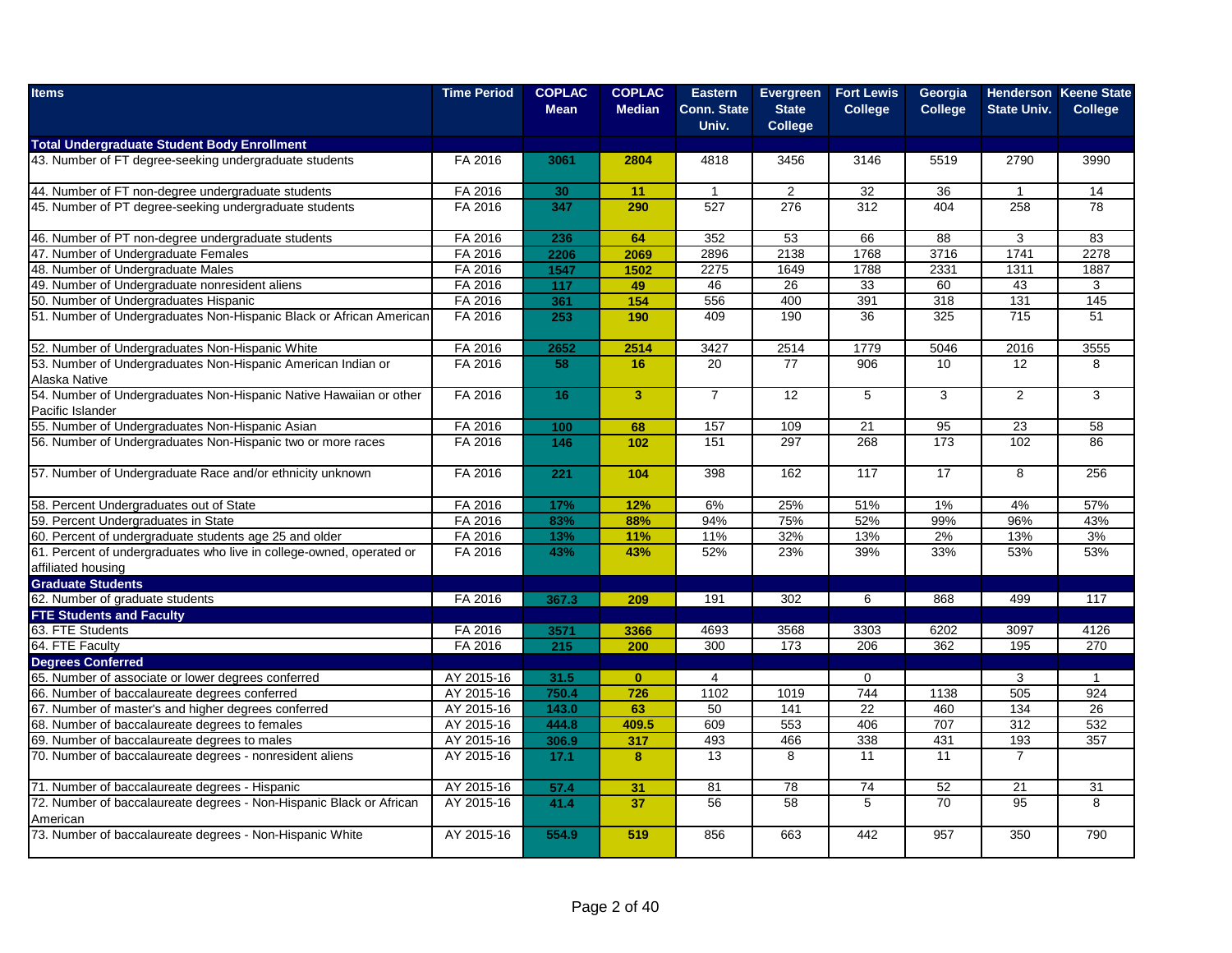| <b>Items</b>                                                                               | <b>Time Period</b> | <b>COPLAC</b><br><b>Mean</b> | <b>COPLAC</b><br><b>Median</b> | <b>Eastern</b><br><b>Conn. State</b><br>Univ. | Evergreen<br><b>State</b><br><b>College</b> | <b>Fort Lewis</b><br><b>College</b> | Georgia<br><b>College</b> | <b>State Univ.</b> | <b>Henderson Keene State</b><br>College |
|--------------------------------------------------------------------------------------------|--------------------|------------------------------|--------------------------------|-----------------------------------------------|---------------------------------------------|-------------------------------------|---------------------------|--------------------|-----------------------------------------|
| <b>Total Undergraduate Student Body Enrollment</b>                                         |                    |                              |                                |                                               |                                             |                                     |                           |                    |                                         |
| 43. Number of FT degree-seeking undergraduate students                                     | FA 2016            | 3061                         | 2804                           | 4818                                          | 3456                                        | 3146                                | 5519                      | 2790               | 3990                                    |
| 44. Number of FT non-degree undergraduate students                                         | FA 2016            | 30                           | 11                             | $\overline{1}$                                | 2                                           | 32                                  | $\overline{36}$           | $\overline{1}$     | 14                                      |
| 45. Number of PT degree-seeking undergraduate students                                     | FA 2016            | 347                          | 290                            | 527                                           | 276                                         | 312                                 | 404                       | 258                | 78                                      |
| 46. Number of PT non-degree undergraduate students                                         | FA 2016            | 236                          | 64                             | 352                                           | 53                                          | 66                                  | 88                        | 3                  | 83                                      |
| 47. Number of Undergraduate Females                                                        | FA 2016            | 2206                         | 2069                           | 2896                                          | 2138                                        | 1768                                | 3716                      | 1741               | 2278                                    |
| 48. Number of Undergraduate Males                                                          | FA 2016            | 1547                         | 1502                           | 2275                                          | 1649                                        | 1788                                | 2331                      | 1311               | 1887                                    |
| 49. Number of Undergraduate nonresident aliens                                             | FA 2016            | 117                          | 49                             | 46                                            | 26                                          | 33                                  | 60                        | 43                 | 3                                       |
| 50. Number of Undergraduates Hispanic                                                      | FA 2016            | 361                          | 154                            | 556                                           | 400                                         | 391                                 | 318                       | 131                | 145                                     |
| 51. Number of Undergraduates Non-Hispanic Black or African American                        | FA 2016            | 253                          | 190                            | 409                                           | 190                                         | $\overline{36}$                     | $\overline{325}$          | $\overline{715}$   | $\overline{51}$                         |
| 52. Number of Undergraduates Non-Hispanic White                                            | FA 2016            | 2652                         | 2514                           | 3427                                          | 2514                                        | 1779                                | 5046                      | 2016               | 3555                                    |
| 53. Number of Undergraduates Non-Hispanic American Indian or                               | FA 2016            | 58                           | 16                             | $\overline{20}$                               | $\overline{77}$                             | 906                                 | 10                        | $\overline{12}$    | 8                                       |
| Alaska Native                                                                              |                    |                              |                                |                                               |                                             |                                     |                           |                    |                                         |
| 54. Number of Undergraduates Non-Hispanic Native Hawaiian or other<br>Pacific Islander     | FA 2016            | 16                           | $\overline{3}$                 | $\overline{7}$                                | 12                                          | 5                                   | 3                         | 2                  | 3                                       |
| 55. Number of Undergraduates Non-Hispanic Asian                                            | FA 2016            | 100                          | 68                             | 157                                           | 109                                         | 21                                  | 95                        | 23                 | 58                                      |
| 56. Number of Undergraduates Non-Hispanic two or more races                                | FA 2016            | 146                          | 102                            | 151                                           | 297                                         | 268                                 | 173                       | 102                | 86                                      |
| 57. Number of Undergraduate Race and/or ethnicity unknown                                  | FA 2016            | 221                          | 104                            | 398                                           | 162                                         | 117                                 | 17                        | 8                  | 256                                     |
| 58. Percent Undergraduates out of State                                                    | FA 2016            | 17%                          | 12%                            | 6%                                            | 25%                                         | 51%                                 | 1%                        | 4%                 | 57%                                     |
| 59. Percent Undergraduates in State                                                        | FA 2016            | 83%                          | 88%                            | 94%                                           | 75%                                         | 52%                                 | 99%                       | 96%                | 43%                                     |
| 60. Percent of undergraduate students age 25 and older                                     | FA 2016            | 13%                          | 11%                            | 11%                                           | 32%                                         | 13%                                 | 2%                        | 13%                | 3%                                      |
| 61. Percent of undergraduates who live in college-owned, operated or<br>affiliated housing | FA 2016            | 43%                          | 43%                            | 52%                                           | 23%                                         | 39%                                 | 33%                       | 53%                | 53%                                     |
| <b>Graduate Students</b>                                                                   |                    |                              |                                |                                               |                                             |                                     |                           |                    |                                         |
| 62. Number of graduate students                                                            | FA 2016            | 367.3                        | 209                            | 191                                           | 302                                         | 6                                   | 868                       | 499                | 117                                     |
| <b>FTE Students and Faculty</b>                                                            |                    |                              |                                |                                               |                                             |                                     |                           |                    |                                         |
| 63. FTE Students                                                                           | FA 2016            | 3571                         | 3366                           | 4693                                          | 3568                                        | 3303                                | 6202                      | 3097               | 4126                                    |
| 64. FTE Faculty                                                                            | FA 2016            | 215                          | 200                            | 300                                           | 173                                         | 206                                 | 362                       | 195                | 270                                     |
| <b>Degrees Conferred</b>                                                                   |                    |                              |                                |                                               |                                             |                                     |                           |                    |                                         |
| 65. Number of associate or lower degrees conferred                                         | AY 2015-16         | 31.5                         | $\mathbf{0}$                   | $\overline{4}$                                |                                             | $\mathbf 0$                         |                           | 3                  | $\overline{1}$                          |
| 66. Number of baccalaureate degrees conferred                                              | AY 2015-16         | 750.4                        | 726                            | 1102                                          | 1019                                        | 744                                 | 1138                      | 505                | 924                                     |
| 67. Number of master's and higher degrees conferred                                        | AY 2015-16         | 143.0                        | 63                             | 50                                            | 141                                         | 22                                  | 460                       | 134                | 26                                      |
| 68. Number of baccalaureate degrees to females                                             | AY 2015-16         | 444.8                        | 409.5                          | 609                                           | 553                                         | 406                                 | 707                       | 312                | 532                                     |
| 69. Number of baccalaureate degrees to males                                               | AY 2015-16         | 306.9                        | 317                            | 493                                           | 466                                         | 338                                 | 431                       | 193                | 357                                     |
| 70. Number of baccalaureate degrees - nonresident aliens                                   | AY 2015-16         | 17.1                         | 8                              | 13                                            | 8                                           | 11                                  | 11                        | $\overline{7}$     |                                         |
| 71. Number of baccalaureate degrees - Hispanic                                             | AY 2015-16         | 57.4                         | 31                             | 81                                            | 78                                          | 74                                  | 52                        | $\overline{21}$    | 31                                      |
| 72. Number of baccalaureate degrees - Non-Hispanic Black or African                        | AY 2015-16         | 41.4                         | 37                             | 56                                            | 58                                          | 5                                   | 70                        | 95                 | 8                                       |
| American                                                                                   |                    |                              |                                |                                               |                                             |                                     |                           |                    |                                         |
| 73. Number of baccalaureate degrees - Non-Hispanic White                                   | AY 2015-16         | 554.9                        | 519                            | 856                                           | 663                                         | 442                                 | 957                       | 350                | 790                                     |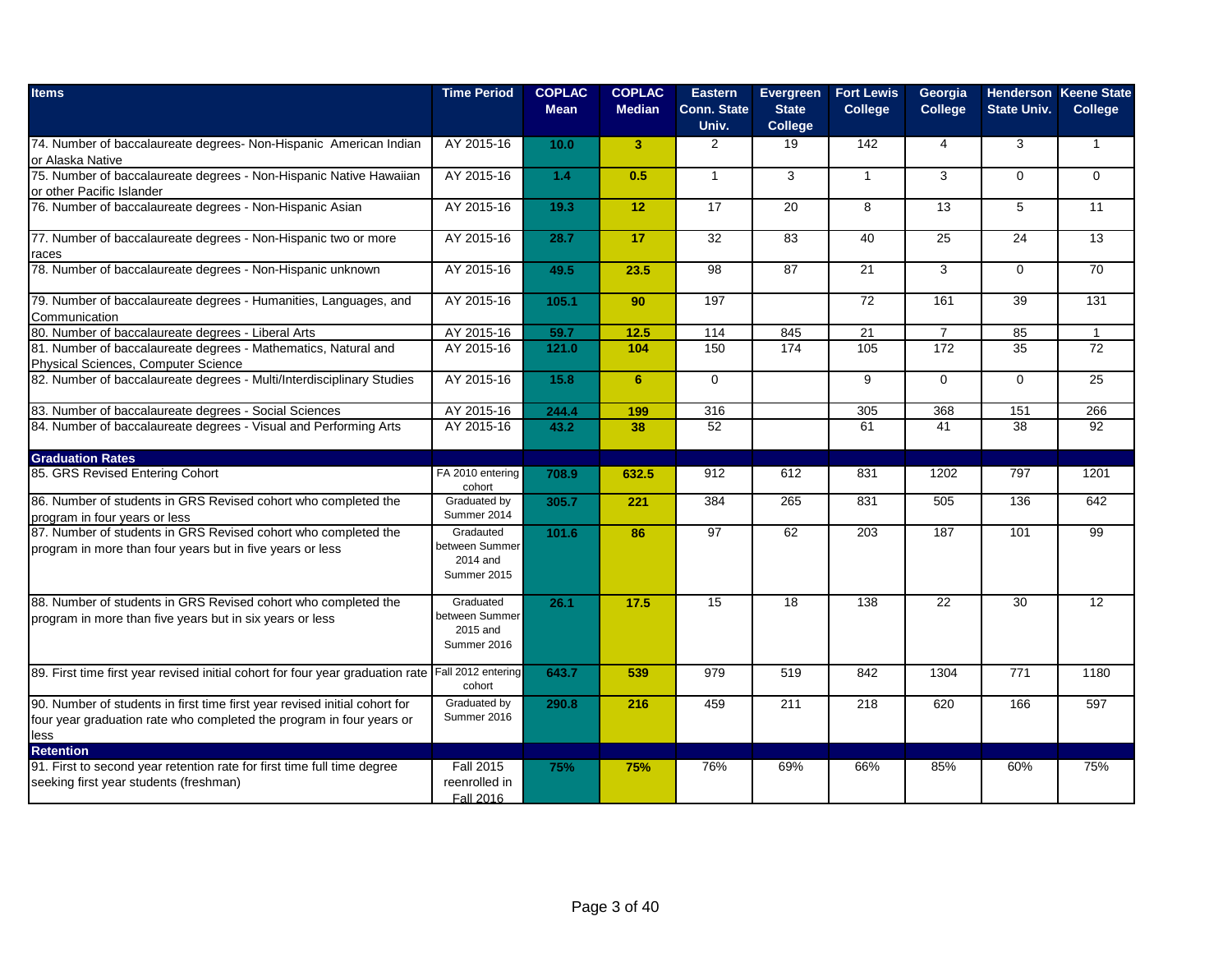| <b>Items</b>                                                                                                                                               | <b>Time Period</b>                                     | <b>COPLAC</b><br><b>Mean</b> | <b>COPLAC</b><br><b>Median</b> | <b>Eastern</b><br><b>Conn. State</b><br>Univ. | Evergreen<br><b>State</b><br>College | <b>Fort Lewis</b><br><b>College</b> | Georgia<br><b>College</b> | <b>State Univ.</b> | <b>Henderson Keene State</b><br><b>College</b> |
|------------------------------------------------------------------------------------------------------------------------------------------------------------|--------------------------------------------------------|------------------------------|--------------------------------|-----------------------------------------------|--------------------------------------|-------------------------------------|---------------------------|--------------------|------------------------------------------------|
| 74. Number of baccalaureate degrees- Non-Hispanic American Indian<br>or Alaska Native                                                                      | AY 2015-16                                             | 10.0                         | 3 <sup>2</sup>                 | $\overline{2}$                                | 19                                   | 142                                 | $\overline{4}$            | 3                  | $\mathbf{1}$                                   |
| 75. Number of baccalaureate degrees - Non-Hispanic Native Hawaiian<br>or other Pacific Islander                                                            | AY 2015-16                                             | 1.4                          | 0.5                            | $\mathbf{1}$                                  | 3                                    | $\mathbf{1}$                        | 3                         | $\Omega$           | $\Omega$                                       |
| 76. Number of baccalaureate degrees - Non-Hispanic Asian                                                                                                   | AY 2015-16                                             | 19.3                         | 12                             | 17                                            | 20                                   | 8                                   | $\overline{13}$           | 5                  | 11                                             |
| 77. Number of baccalaureate degrees - Non-Hispanic two or more<br>races                                                                                    | AY 2015-16                                             | 28.7                         | 17                             | 32                                            | 83                                   | 40                                  | 25                        | 24                 | 13                                             |
| 78. Number of baccalaureate degrees - Non-Hispanic unknown                                                                                                 | AY 2015-16                                             | 49.5                         | 23.5                           | 98                                            | 87                                   | 21                                  | 3                         | $\Omega$           | 70                                             |
| 79. Number of baccalaureate degrees - Humanities, Languages, and<br>Communication                                                                          | AY 2015-16                                             | 105.1                        | 90                             | 197                                           |                                      | 72                                  | 161                       | 39                 | 131                                            |
| 80. Number of baccalaureate degrees - Liberal Arts                                                                                                         | AY 2015-16                                             | 59.7                         | 12.5                           | 114                                           | 845                                  | 21                                  | $\overline{7}$            | 85                 | $\mathbf{1}$                                   |
| 81. Number of baccalaureate degrees - Mathematics, Natural and<br>Physical Sciences, Computer Science                                                      | AY 2015-16                                             | 121.0                        | 104                            | 150                                           | 174                                  | 105                                 | 172                       | 35                 | 72                                             |
| 82. Number of baccalaureate degrees - Multi/Interdisciplinary Studies                                                                                      | AY 2015-16                                             | 15.8                         | 6 <sup>1</sup>                 | $\mathbf 0$                                   |                                      | 9                                   | $\Omega$                  | $\Omega$           | $\overline{25}$                                |
| 83. Number of baccalaureate degrees - Social Sciences                                                                                                      | AY 2015-16                                             | 244.4                        | 199                            | 316                                           |                                      | 305                                 | 368                       | 151                | 266                                            |
| 84. Number of baccalaureate degrees - Visual and Performing Arts                                                                                           | AY 2015-16                                             | 43.2                         | 38                             | 52                                            |                                      | 61                                  | 41                        | 38                 | 92                                             |
| <b>Graduation Rates</b>                                                                                                                                    |                                                        |                              |                                |                                               |                                      |                                     |                           |                    |                                                |
| 85. GRS Revised Entering Cohort                                                                                                                            | FA 2010 entering<br>cohort                             | 708.9                        | 632.5                          | 912                                           | 612                                  | 831                                 | 1202                      | 797                | 1201                                           |
| 86. Number of students in GRS Revised cohort who completed the<br>program in four years or less                                                            | Graduated by<br>Summer 2014                            | 305.7                        | 221                            | 384                                           | 265                                  | 831                                 | 505                       | 136                | 642                                            |
| 87. Number of students in GRS Revised cohort who completed the<br>program in more than four years but in five years or less                                | Gradauted<br>between Summer<br>2014 and<br>Summer 2015 | 101.6                        | 86                             | $\overline{97}$                               | 62                                   | $\overline{203}$                    | 187                       | 101                | 99                                             |
| 88. Number of students in GRS Revised cohort who completed the<br>program in more than five years but in six years or less                                 | Graduated<br>between Summer<br>2015 and<br>Summer 2016 | 26.1                         | 17.5                           | 15                                            | 18                                   | 138                                 | 22                        | 30                 | 12                                             |
| 89. First time first year revised initial cohort for four year graduation rate                                                                             | Fall 2012 entering<br>cohort                           | 643.7                        | 539                            | 979                                           | 519                                  | 842                                 | 1304                      | 771                | 1180                                           |
| 90. Number of students in first time first year revised initial cohort for<br>four year graduation rate who completed the program in four years or<br>less | Graduated by<br>Summer 2016                            | 290.8                        | 216                            | 459                                           | 211                                  | 218                                 | 620                       | 166                | 597                                            |
| <b>Retention</b>                                                                                                                                           |                                                        |                              |                                |                                               |                                      |                                     |                           |                    |                                                |
| 91. First to second year retention rate for first time full time degree<br>seeking first year students (freshman)                                          | <b>Fall 2015</b><br>reenrolled in<br>Fall 2016         | 75%                          | 75%                            | 76%                                           | 69%                                  | 66%                                 | 85%                       | 60%                | 75%                                            |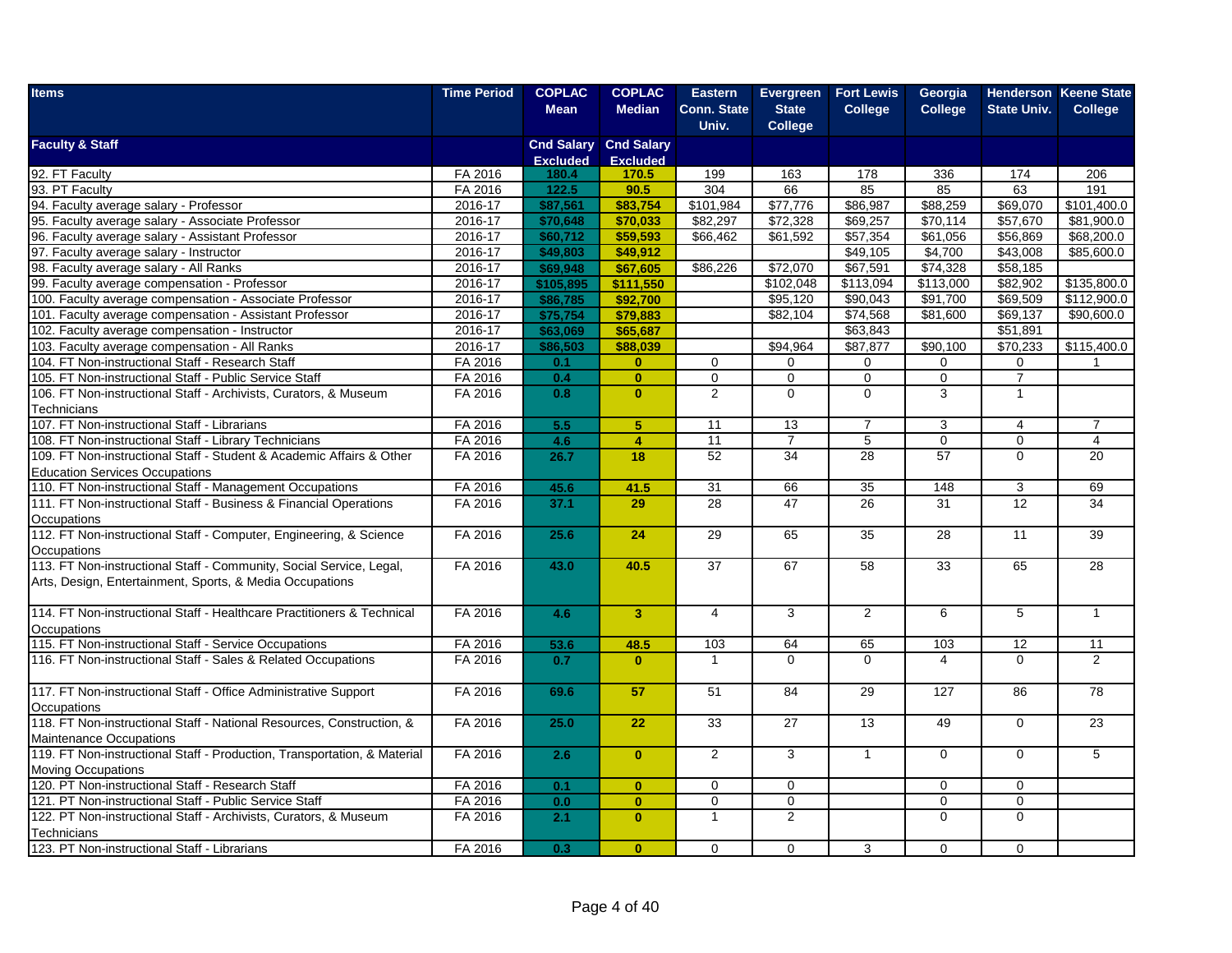| <b>Items</b>                                                                                               | <b>Time Period</b> | <b>COPLAC</b>   | <b>COPLAC</b>                | <b>Eastern</b>     | Evergreen      | <b>Fort Lewis</b>    | Georgia                  |                    | <b>Henderson Keene State</b> |
|------------------------------------------------------------------------------------------------------------|--------------------|-----------------|------------------------------|--------------------|----------------|----------------------|--------------------------|--------------------|------------------------------|
|                                                                                                            |                    | <b>Mean</b>     | <b>Median</b>                | <b>Conn. State</b> | <b>State</b>   | <b>College</b>       | <b>College</b>           | <b>State Univ.</b> | <b>College</b>               |
|                                                                                                            |                    |                 |                              | Univ.              | <b>College</b> |                      |                          |                    |                              |
| <b>Faculty &amp; Staff</b>                                                                                 |                    |                 | <b>Cnd Salary Cnd Salary</b> |                    |                |                      |                          |                    |                              |
|                                                                                                            |                    | <b>Excluded</b> | <b>Excluded</b>              |                    |                |                      |                          |                    |                              |
| 92. FT Faculty<br>93. PT Faculty                                                                           | FA 2016<br>FA 2016 | 180.4<br>122.5  | 170.5                        | 199<br>304         | 163<br>66      | 178<br>85            | 336                      | 174<br>63          | 206<br>191                   |
| 94. Faculty average salary - Professor                                                                     | 2016-17            | \$87,561        | 90.5<br>\$83,754             | \$101,984          | \$77,776       | \$86,987             | 85<br>\$88,259           | \$69,070           | \$101,400.0                  |
| 95. Faculty average salary - Associate Professor                                                           | 2016-17            | \$70,648        |                              | \$82,297           | \$72,328       | \$69,257             | \$70.114                 | \$57,670           | \$81,900.0                   |
| 96. Faculty average salary - Assistant Professor                                                           | 2016-17            | \$60,712        | \$70,033<br>\$59,593         | \$66,462           | \$61,592       | \$57,354             | \$61,056                 | \$56,869           | \$68,200.0                   |
| 97. Faculty average salary - Instructor                                                                    | 2016-17            | \$49,803        | \$49,912                     |                    |                | \$49,105             | \$4,700                  | \$43,008           | \$85,600.0                   |
| 98. Faculty average salary - All Ranks                                                                     | 2016-17            | \$69,948        | \$67.605                     | \$86,226           | \$72,070       | \$67,591             | \$74,328                 | \$58,185           |                              |
| 99. Faculty average compensation - Professor                                                               | 2016-17            | \$105,895       | \$111,550                    |                    | \$102,048      | \$113,094            | \$113,000                | \$82,902           | \$135,800.0                  |
|                                                                                                            |                    | \$86,785        | \$92,700                     |                    |                | \$90,043             |                          | \$69,509           | \$112,900.0                  |
| 100. Faculty average compensation - Associate Professor                                                    | 2016-17            | \$75,754        | \$79,883                     |                    | \$95,120       |                      | \$91,700<br>\$81,600     | \$69,137           | \$90,600.0                   |
| 101. Faculty average compensation - Assistant Professor<br>102. Faculty average compensation - Instructor  | 2016-17<br>2016-17 |                 |                              |                    | \$82,104       | \$74,568<br>\$63,843 |                          | \$51,891           |                              |
|                                                                                                            |                    | \$63,069        | \$65,687                     |                    |                | \$87,877             |                          | \$70,233           |                              |
| 103. Faculty average compensation - All Ranks                                                              | 2016-17            | \$86,503        | \$88,039                     |                    | \$94,964       |                      | \$90,100                 |                    | \$115,400.0                  |
| 104. FT Non-instructional Staff - Research Staff                                                           | FA 2016            | 0.1             | $\mathbf{0}$                 | 0                  | 0              | 0                    | 0                        | 0                  |                              |
| 105. FT Non-instructional Staff - Public Service Staff                                                     | FA 2016            | 0.4             | $\overline{\mathbf{0}}$      | $\overline{0}$     | $\mathbf 0$    | $\overline{0}$       | $\overline{0}$           | $\overline{7}$     |                              |
| 106. FT Non-instructional Staff - Archivists, Curators, & Museum                                           | FA 2016            | 0.8             | $\mathbf{0}$                 | 2                  | $\mathbf 0$    | 0                    | 3                        | $\mathbf{1}$       |                              |
| Technicians                                                                                                |                    |                 |                              |                    |                |                      |                          |                    |                              |
| 107. FT Non-instructional Staff - Librarians                                                               | FA 2016            | 5.5             | 5                            | 11                 | 13             | $\overline{7}$       | 3                        | $\overline{4}$     | $\overline{7}$               |
| 108. FT Non-instructional Staff - Library Technicians                                                      | FA 2016            | 4.6             | $\overline{4}$               | 11                 | $\overline{7}$ | 5                    | $\mathbf 0$              | $\mathbf 0$        | $\overline{4}$               |
| 109. FT Non-instructional Staff - Student & Academic Affairs & Other                                       | FA 2016            | 26.7            | 18                           | 52                 | 34             | 28                   | 57                       | $\Omega$           | 20                           |
| <b>Education Services Occupations</b>                                                                      |                    |                 |                              |                    |                |                      |                          |                    |                              |
| 110. FT Non-instructional Staff - Management Occupations                                                   | FA 2016            | 45.6            | 41.5                         | 31                 | 66             | 35                   | 148                      | 3                  | 69                           |
| 111. FT Non-instructional Staff - Business & Financial Operations                                          | FA 2016            | 37.1            | 29                           | 28                 | 47             | $\overline{26}$      | 31                       | 12                 | 34                           |
| Occupations                                                                                                |                    |                 |                              |                    |                |                      |                          |                    |                              |
| 112. FT Non-instructional Staff - Computer, Engineering, & Science                                         | FA 2016            | 25.6            | 24                           | 29                 | 65             | 35                   | 28                       | 11                 | 39                           |
| Occupations                                                                                                |                    |                 |                              |                    |                |                      |                          |                    |                              |
| 113. FT Non-instructional Staff - Community, Social Service, Legal,                                        | FA 2016            | 43.0            | 40.5                         | 37                 | 67             | 58                   | 33                       | 65                 | 28                           |
| Arts, Design, Entertainment, Sports, & Media Occupations                                                   |                    |                 |                              |                    |                |                      |                          |                    |                              |
|                                                                                                            |                    |                 |                              |                    |                |                      |                          |                    |                              |
| 114. FT Non-instructional Staff - Healthcare Practitioners & Technical                                     | FA 2016            | 4.6             | $\overline{3}$               | 4                  | 3              | $\overline{2}$       | 6                        | 5                  | $\mathbf{1}$                 |
| Occupations                                                                                                |                    |                 |                              |                    |                |                      |                          |                    |                              |
| 115. FT Non-instructional Staff - Service Occupations                                                      | FA 2016            | 53.6            | 48.5                         | 103                | 64             | 65                   | 103                      | 12                 | 11<br>$\overline{2}$         |
| 116. FT Non-instructional Staff - Sales & Related Occupations                                              | FA 2016            | 0.7             | $\mathbf{0}$                 | $\mathbf{1}$       | $\Omega$       | $\Omega$             | $\overline{\mathcal{L}}$ | $\Omega$           |                              |
| 117. FT Non-instructional Staff - Office Administrative Support                                            | FA 2016            |                 |                              | 51                 | 84             | 29                   | 127                      | 86                 | 78                           |
|                                                                                                            |                    | 69.6            | 57                           |                    |                |                      |                          |                    |                              |
| Occupations<br>118. FT Non-instructional Staff - National Resources, Construction, &                       | FA 2016            | 25.0            | 22                           | 33                 |                |                      |                          | $\Omega$           | 23                           |
|                                                                                                            |                    |                 |                              |                    | 27             | 13                   | 49                       |                    |                              |
| <b>Maintenance Occupations</b><br>119. FT Non-instructional Staff - Production, Transportation, & Material |                    |                 |                              | 2                  |                |                      |                          |                    |                              |
|                                                                                                            | FA 2016            | 2.6             | $\mathbf{0}$                 |                    | 3              | $\overline{1}$       | $\Omega$                 | $\Omega$           | 5                            |
| <b>Moving Occupations</b>                                                                                  |                    |                 |                              |                    |                |                      |                          |                    |                              |
| 120. PT Non-instructional Staff - Research Staff                                                           | FA 2016            | 0.1             | $\mathbf{0}$                 | $\mathbf 0$        | $\mathbf 0$    |                      | $\mathbf 0$              | $\mathbf 0$        |                              |
| 121. PT Non-instructional Staff - Public Service Staff                                                     | FA 2016            | 0.0             | $\mathbf{0}$                 | $\mathbf 0$        | 0              |                      | 0                        | $\Omega$           |                              |
| 122. PT Non-instructional Staff - Archivists, Curators, & Museum                                           | FA 2016            | 2.1             | $\mathbf{0}$                 | $\mathbf{1}$       | $\overline{2}$ |                      | $\Omega$                 | $\Omega$           |                              |
| Technicians                                                                                                |                    |                 |                              |                    |                |                      |                          |                    |                              |
| 123. PT Non-instructional Staff - Librarians                                                               | FA 2016            | 0.3             | $\mathbf{0}$                 | 0                  | $\mathbf 0$    | 3                    | $\mathbf 0$              | $\mathbf 0$        |                              |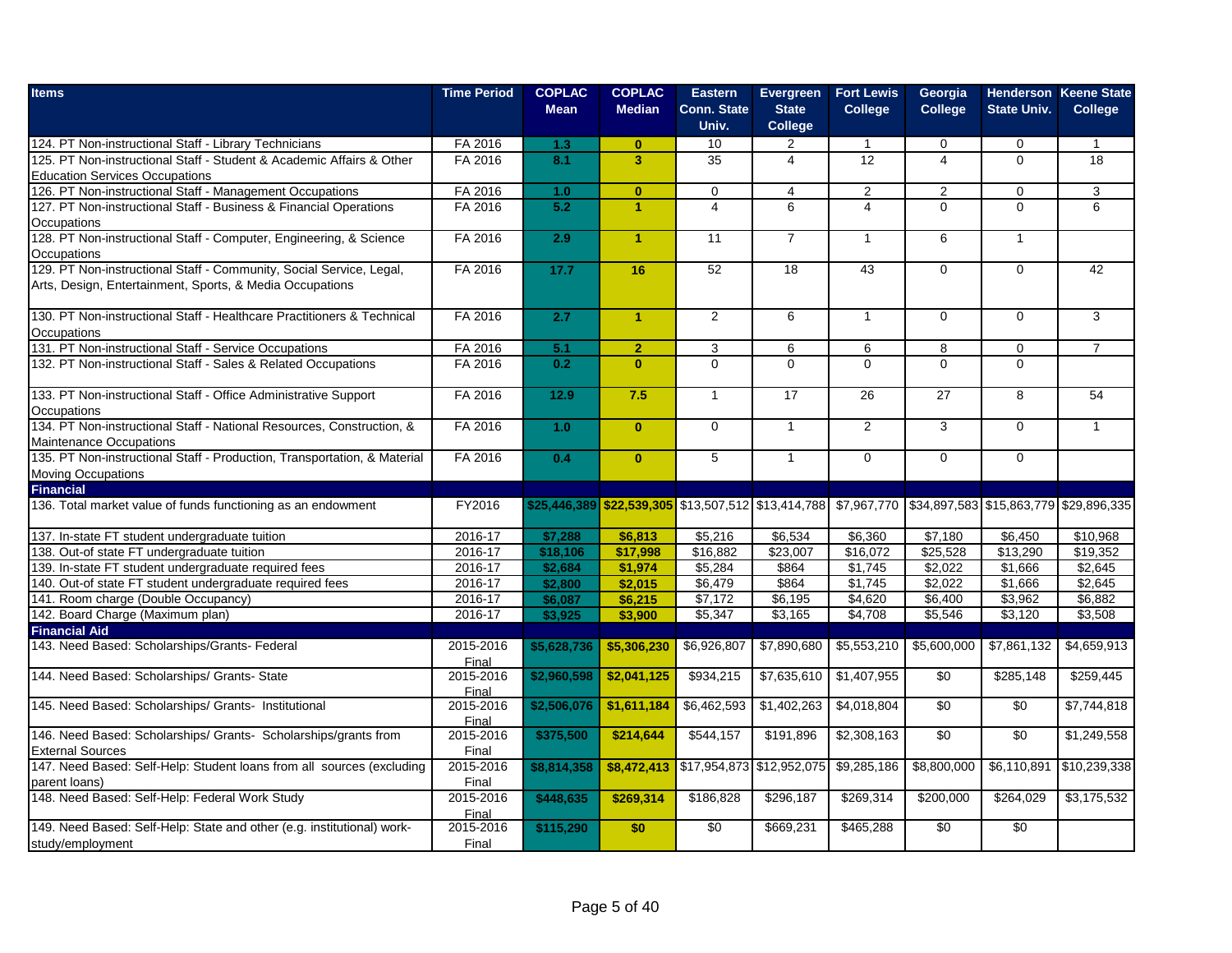| <b>Items</b>                                                                                                  | <b>Time Period</b> | <b>COPLAC</b><br><b>Mean</b> | <b>COPLAC</b><br><b>Median</b> | <b>Eastern</b><br><b>Conn. State</b><br>Univ.                                                          | Evergreen<br><b>State</b><br><b>College</b> | <b>Fort Lewis</b><br><b>College</b> | Georgia<br><b>College</b> | <b>State Univ.</b> | <b>Henderson Keene State</b><br><b>College</b> |
|---------------------------------------------------------------------------------------------------------------|--------------------|------------------------------|--------------------------------|--------------------------------------------------------------------------------------------------------|---------------------------------------------|-------------------------------------|---------------------------|--------------------|------------------------------------------------|
| 124. PT Non-instructional Staff - Library Technicians                                                         | FA 2016            | 1.3                          | $\mathbf{0}$                   | 10                                                                                                     | 2                                           | $\mathbf{1}$                        | 0                         | $\mathbf 0$        |                                                |
| 125. PT Non-instructional Staff - Student & Academic Affairs & Other<br><b>Education Services Occupations</b> | FA 2016            | 8.1                          | $\overline{\mathbf{3}}$        | 35                                                                                                     | $\overline{4}$                              | $\overline{12}$                     | $\overline{\mathbf{4}}$   | $\Omega$           | 18                                             |
| 126. PT Non-instructional Staff - Management Occupations                                                      | FA 2016            | 1.0                          | $\mathbf{0}$                   | $\mathbf 0$                                                                                            | $\overline{4}$                              | 2                                   | 2                         | $\mathbf 0$        | 3 <sup>1</sup>                                 |
| 127. PT Non-instructional Staff - Business & Financial Operations                                             | FA 2016            | 5.2                          | 1                              | $\overline{4}$                                                                                         | 6                                           | 4                                   | $\Omega$                  | $\overline{0}$     | 6                                              |
| Occupations                                                                                                   |                    |                              |                                |                                                                                                        |                                             |                                     |                           |                    |                                                |
| 128. PT Non-instructional Staff - Computer, Engineering, & Science<br>Occupations                             | FA 2016            | 2.9                          | $\overline{1}$                 | 11                                                                                                     | $\overline{7}$                              | $\mathbf{1}$                        | 6                         | $\mathbf{1}$       |                                                |
| 129. PT Non-instructional Staff - Community, Social Service, Legal,                                           | FA 2016            | 17.7                         | 16                             | 52                                                                                                     | 18                                          | 43                                  | $\mathbf 0$               | $\Omega$           | 42                                             |
| Arts, Design, Entertainment, Sports, & Media Occupations                                                      |                    |                              |                                |                                                                                                        |                                             |                                     |                           |                    |                                                |
| 130. PT Non-instructional Staff - Healthcare Practitioners & Technical                                        | FA 2016            | 2.7                          | $\blacktriangleleft$           | $\overline{2}$                                                                                         | 6                                           | $\mathbf{1}$                        | $\mathbf 0$               | $\Omega$           | $\overline{3}$                                 |
| Occupations                                                                                                   |                    |                              |                                |                                                                                                        |                                             |                                     |                           |                    |                                                |
| 131. PT Non-instructional Staff - Service Occupations                                                         | FA 2016            | 5.1                          | 2 <sup>1</sup>                 | 3                                                                                                      | 6                                           | 6                                   | 8                         | $\mathbf 0$        | $\overline{7}$                                 |
| 132. PT Non-instructional Staff - Sales & Related Occupations                                                 | FA 2016            | 0.2                          | $\mathbf{0}$                   | $\mathbf 0$                                                                                            | $\Omega$                                    | $\Omega$                            | $\Omega$                  | $\Omega$           |                                                |
| 133. PT Non-instructional Staff - Office Administrative Support                                               | FA 2016            | 12.9                         | 7.5                            | $\mathbf{1}$                                                                                           | 17                                          | 26                                  | 27                        | 8                  | 54                                             |
| Occupations                                                                                                   |                    |                              |                                |                                                                                                        |                                             |                                     |                           |                    |                                                |
| 134. PT Non-instructional Staff - National Resources, Construction, &                                         | FA 2016            | 1.0                          | $\mathbf{0}$                   | $\mathbf 0$                                                                                            | $\mathbf{1}$                                | 2                                   | 3                         | $\Omega$           | $\mathbf{1}$                                   |
| Maintenance Occupations                                                                                       |                    |                              |                                |                                                                                                        |                                             |                                     |                           |                    |                                                |
| 135. PT Non-instructional Staff - Production, Transportation, & Material                                      | FA 2016            | 0.4                          | $\overline{0}$                 | $\overline{5}$                                                                                         | $\mathbf{1}$                                | $\overline{0}$                      | $\mathbf 0$               | $\Omega$           |                                                |
| Moving Occupations                                                                                            |                    |                              |                                |                                                                                                        |                                             |                                     |                           |                    |                                                |
| <b>Financial</b>                                                                                              |                    |                              |                                |                                                                                                        |                                             |                                     |                           |                    |                                                |
| 136. Total market value of funds functioning as an endowment                                                  | FY2016             |                              |                                | \$25,446,389 \$22,539,305 \$13,507,512 \$13,414,788 \$7,967,770 \$34,897,583 \$15,863,779 \$29,896,335 |                                             |                                     |                           |                    |                                                |
| 137. In-state FT student undergraduate tuition                                                                | 2016-17            | \$7,288                      | \$6,813                        | \$5,216                                                                                                | \$6,534                                     | \$6,360                             | \$7,180                   | \$6,450            | \$10,968                                       |
| 138. Out-of state FT undergraduate tuition                                                                    | 2016-17            | \$18,106                     | \$17,998                       | \$16,882                                                                                               | \$23.007                                    | \$16.072                            | \$25.528                  | \$13,290           | \$19.352                                       |
| 139. In-state FT student undergraduate required fees                                                          | 2016-17            | \$2,684                      | \$1,974                        | \$5,284                                                                                                | \$864                                       | \$1,745                             | \$2,022                   | \$1,666            | \$2,645                                        |
| 140. Out-of state FT student undergraduate required fees                                                      | 2016-17            | \$2,800                      | \$2,015                        | \$6,479                                                                                                | \$864                                       | \$1.745                             | \$2.022                   | \$1.666            | \$2,645                                        |
| 141. Room charge (Double Occupancy)                                                                           | 2016-17            | \$6,087                      | \$6,215                        | \$7,172                                                                                                | \$6,195                                     | \$4,620                             | \$6,400                   | \$3,962            | \$6,882                                        |
| 142. Board Charge (Maximum plan)                                                                              | 2016-17            | \$3,925                      | \$3,900                        | \$5,347                                                                                                | \$3,165                                     | \$4,708                             | \$5,546                   | \$3,120            | \$3,508                                        |
| <b>Financial Aid</b>                                                                                          |                    |                              |                                |                                                                                                        |                                             |                                     |                           |                    |                                                |
| 143. Need Based: Scholarships/Grants- Federal                                                                 | 2015-2016<br>Final | \$5.628.736                  | \$5,306,230                    | \$6,926,807                                                                                            | \$7,890,680                                 | \$5,553,210                         | \$5,600,000               | \$7,861,132        | \$4,659,913                                    |
| 144. Need Based: Scholarships/ Grants- State                                                                  | 2015-2016<br>Final | \$2,960,598                  | \$2,041,125                    | \$934,215                                                                                              | \$7,635,610                                 | \$1,407,955                         | \$0                       | \$285,148          | \$259,445                                      |
| 145. Need Based: Scholarships/ Grants- Institutional                                                          | 2015-2016<br>Final | \$2,506,076                  | \$1,611,184                    | \$6,462,593                                                                                            | \$1,402,263                                 | \$4,018,804                         | \$0                       | \$0                | \$7,744,818                                    |
| 146. Need Based: Scholarships/ Grants- Scholarships/grants from                                               | 2015-2016          | \$375,500                    | \$214,644                      | \$544,157                                                                                              | \$191,896                                   | \$2,308,163                         | $\overline{50}$           | $\overline{50}$    | \$1,249,558                                    |
| <b>External Sources</b>                                                                                       | Final              |                              |                                |                                                                                                        |                                             |                                     |                           |                    |                                                |
| 147. Need Based: Self-Help: Student loans from all sources (excluding                                         | 2015-2016          | \$8,814,358                  | \$8,472,413                    |                                                                                                        | \$17,954,873 \$12,952,075                   | \$9,285,186                         | \$8,800,000               | \$6,110,891        | \$10,239,338                                   |
| parent loans)                                                                                                 | Final              |                              |                                |                                                                                                        |                                             |                                     |                           |                    |                                                |
| 148. Need Based: Self-Help: Federal Work Study                                                                | 2015-2016          | \$448,635                    | \$269,314                      | \$186,828                                                                                              | \$296,187                                   | \$269,314                           | \$200,000                 | \$264,029          | \$3,175,532                                    |
|                                                                                                               | Final              |                              |                                |                                                                                                        |                                             |                                     |                           |                    |                                                |
| 149. Need Based: Self-Help: State and other (e.g. institutional) work-                                        | 2015-2016          | \$115,290                    | \$0                            | $\overline{30}$                                                                                        | \$669,231                                   | \$465,288                           | $\overline{30}$           | $\overline{50}$    |                                                |
| study/employment                                                                                              | Final              |                              |                                |                                                                                                        |                                             |                                     |                           |                    |                                                |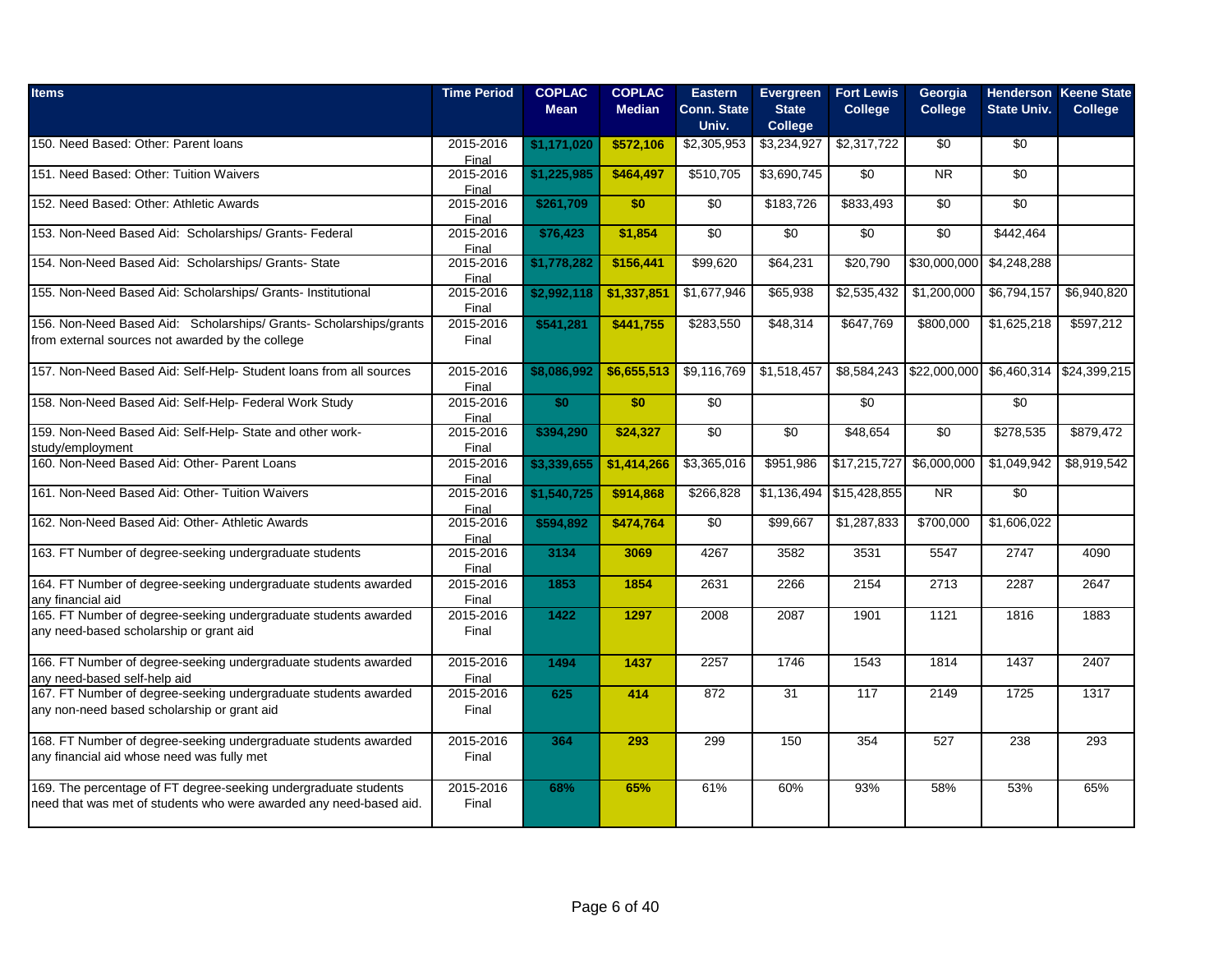| <b>Items</b>                                                                                                                          | <b>Time Period</b> | <b>COPLAC</b><br><b>Mean</b> | <b>COPLAC</b><br><b>Median</b> | <b>Eastern</b><br><b>Conn. State</b> | Evergreen<br><b>State</b> | <b>Fort Lewis</b><br><b>College</b> | Georgia<br><b>College</b>                               | <b>State Univ.</b> | <b>Henderson Keene State</b><br><b>College</b> |
|---------------------------------------------------------------------------------------------------------------------------------------|--------------------|------------------------------|--------------------------------|--------------------------------------|---------------------------|-------------------------------------|---------------------------------------------------------|--------------------|------------------------------------------------|
|                                                                                                                                       |                    |                              |                                | Univ.                                | <b>College</b>            |                                     |                                                         |                    |                                                |
| 150. Need Based: Other: Parent loans                                                                                                  | 2015-2016<br>Final | \$1,171,020                  | \$572,106                      | \$2,305,953                          | \$3,234,927               | \$2,317,722                         | \$0                                                     | \$0                |                                                |
| 151. Need Based: Other: Tuition Waivers                                                                                               | 2015-2016<br>Final | \$1,225,985                  | \$464,497                      | \$510,705                            | \$3,690,745               | \$0                                 | N <sub>R</sub>                                          | \$0                |                                                |
| 152. Need Based: Other: Athletic Awards                                                                                               | 2015-2016<br>Final | \$261,709                    | \$0                            | \$0                                  | \$183,726                 | \$833,493                           | \$0                                                     | \$0                |                                                |
| 153. Non-Need Based Aid: Scholarships/ Grants- Federal                                                                                | 2015-2016<br>Final | \$76,423                     | \$1,854                        | $\sqrt{50}$                          | \$0                       | $\overline{50}$                     | \$0                                                     | \$442,464          |                                                |
| 154. Non-Need Based Aid: Scholarships/ Grants- State                                                                                  | 2015-2016<br>Final | \$1,778,282                  | \$156,441                      | \$99,620                             | \$64,231                  | \$20,790                            | \$30,000,000                                            | \$4,248,288        |                                                |
| 155. Non-Need Based Aid: Scholarships/ Grants- Institutional                                                                          | 2015-2016<br>Final | \$2,992,118                  | \$1,337,851                    | \$1,677,946                          | \$65,938                  | \$2,535,432                         | \$1,200,000                                             | \$6,794,157        | \$6,940,820                                    |
| 156. Non-Need Based Aid: Scholarships/ Grants- Scholarships/grants<br>from external sources not awarded by the college                | 2015-2016<br>Final | \$541,281                    | \$441,755                      | \$283,550                            | \$48,314                  | \$647,769                           | \$800,000                                               | \$1,625,218        | \$597,212                                      |
|                                                                                                                                       |                    |                              |                                |                                      |                           |                                     |                                                         |                    |                                                |
| 157. Non-Need Based Aid: Self-Help- Student loans from all sources                                                                    | 2015-2016<br>Final | \$8,086,992                  | \$6,655,513                    | \$9,116,769                          | \$1,518,457               |                                     | \$8,584,243   \$22,000,000   \$6,460,314   \$24,399,215 |                    |                                                |
| 158. Non-Need Based Aid: Self-Help- Federal Work Study                                                                                | 2015-2016<br>Final | \$0                          | \$0                            | $\sqrt{50}$                          |                           | $\overline{50}$                     |                                                         | $\sqrt{60}$        |                                                |
| 159. Non-Need Based Aid: Self-Help- State and other work-<br>study/employment                                                         | 2015-2016<br>Final | \$394,290                    | \$24,327                       | $\sqrt{50}$                          | \$0                       | \$48,654                            | \$0                                                     | \$278,535          | \$879,472                                      |
| 160. Non-Need Based Aid: Other- Parent Loans                                                                                          | 2015-2016<br>Final | \$3,339,655                  | \$1,414,266                    | \$3,365,016                          | \$951,986                 | \$17,215,727                        | \$6,000,000                                             | \$1,049,942        | \$8,919,542                                    |
| 161. Non-Need Based Aid: Other- Tuition Waivers                                                                                       | 2015-2016<br>Final | \$1,540,725                  | \$914,868                      | \$266,828                            |                           | $$1,136,494$ \\$15,428,855          | <b>NR</b>                                               | \$0                |                                                |
| 162. Non-Need Based Aid: Other- Athletic Awards                                                                                       | 2015-2016<br>Final | \$594,892                    | \$474,764                      | \$0                                  | \$99,667                  | \$1,287,833                         | \$700,000                                               | \$1,606,022        |                                                |
| 163. FT Number of degree-seeking undergraduate students                                                                               | 2015-2016<br>Final | 3134                         | 3069                           | 4267                                 | 3582                      | 3531                                | 5547                                                    | 2747               | 4090                                           |
| 164. FT Number of degree-seeking undergraduate students awarded<br>any financial aid                                                  | 2015-2016<br>Final | 1853                         | 1854                           | 2631                                 | 2266                      | 2154                                | 2713                                                    | 2287               | 2647                                           |
| 165. FT Number of degree-seeking undergraduate students awarded<br>any need-based scholarship or grant aid                            | 2015-2016<br>Final | 1422                         | 1297                           | 2008                                 | 2087                      | 1901                                | 1121                                                    | 1816               | 1883                                           |
| 166. FT Number of degree-seeking undergraduate students awarded<br>any need-based self-help aid                                       | 2015-2016<br>Final | 1494                         | 1437                           | 2257                                 | 1746                      | 1543                                | 1814                                                    | 1437               | 2407                                           |
| 167. FT Number of degree-seeking undergraduate students awarded<br>any non-need based scholarship or grant aid                        | 2015-2016<br>Final | 625                          | 414                            | 872                                  | 31                        | 117                                 | 2149                                                    | 1725               | 1317                                           |
| 168. FT Number of degree-seeking undergraduate students awarded<br>any financial aid whose need was fully met                         | 2015-2016<br>Final | 364                          | 293                            | 299                                  | 150                       | 354                                 | 527                                                     | 238                | 293                                            |
| 169. The percentage of FT degree-seeking undergraduate students<br>need that was met of students who were awarded any need-based aid. | 2015-2016<br>Final | 68%                          | 65%                            | 61%                                  | 60%                       | 93%                                 | 58%                                                     | 53%                | 65%                                            |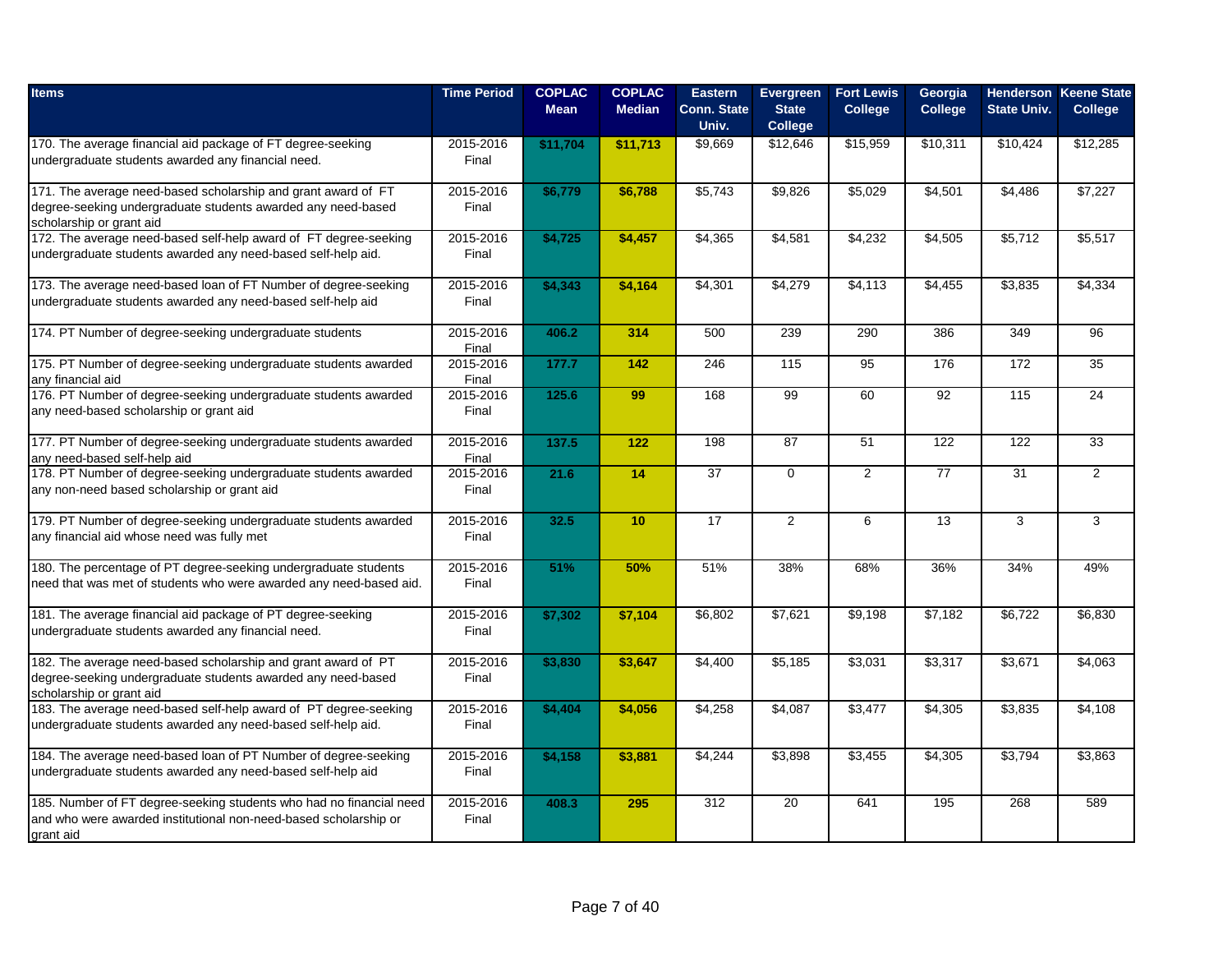| <b>Items</b>                                                                                                                                              | <b>Time Period</b> | <b>COPLAC</b><br><b>Mean</b> | <b>COPLAC</b><br><b>Median</b> | <b>Eastern</b><br><b>Conn. State</b><br>Univ. | Evergreen<br><b>State</b><br><b>College</b> | <b>Fort Lewis</b><br><b>College</b> | Georgia<br><b>College</b> | <b>State Univ.</b> | <b>Henderson Keene State</b><br><b>College</b> |
|-----------------------------------------------------------------------------------------------------------------------------------------------------------|--------------------|------------------------------|--------------------------------|-----------------------------------------------|---------------------------------------------|-------------------------------------|---------------------------|--------------------|------------------------------------------------|
| 170. The average financial aid package of FT degree-seeking<br>undergraduate students awarded any financial need.                                         | 2015-2016<br>Final | \$11,704                     | \$11,713                       | \$9,669                                       | \$12,646                                    | \$15,959                            | \$10,311                  | \$10,424           | \$12,285                                       |
| 171. The average need-based scholarship and grant award of FT<br>degree-seeking undergraduate students awarded any need-based<br>scholarship or grant aid | 2015-2016<br>Final | \$6,779                      | \$6,788                        | \$5,743                                       | \$9,826                                     | \$5,029                             | \$4,501                   | \$4,486            | \$7,227                                        |
| 172. The average need-based self-help award of FT degree-seeking<br>undergraduate students awarded any need-based self-help aid.                          | 2015-2016<br>Final | \$4,725                      | \$4,457                        | \$4,365                                       | \$4,581                                     | \$4,232                             | \$4,505                   | \$5,712            | \$5,517                                        |
| 173. The average need-based loan of FT Number of degree-seeking<br>undergraduate students awarded any need-based self-help aid                            | 2015-2016<br>Final | \$4,343                      | \$4,164                        | $\sqrt{$4,301}$                               | \$4,279                                     | \$4,113                             | \$4,455                   | \$3,835            | \$4,334                                        |
| 174. PT Number of degree-seeking undergraduate students                                                                                                   | 2015-2016<br>Final | 406.2                        | 314                            | 500                                           | 239                                         | 290                                 | 386                       | 349                | 96                                             |
| 175. PT Number of degree-seeking undergraduate students awarded<br>any financial aid                                                                      | 2015-2016<br>Final | 177.7                        | 142                            | 246                                           | 115                                         | 95                                  | 176                       | 172                | 35                                             |
| 176. PT Number of degree-seeking undergraduate students awarded<br>any need-based scholarship or grant aid                                                | 2015-2016<br>Final | 125.6                        | 99                             | 168                                           | 99                                          | 60                                  | 92                        | 115                | 24                                             |
| 177. PT Number of degree-seeking undergraduate students awarded<br>any need-based self-help aid                                                           | 2015-2016<br>Final | 137.5                        | 122                            | 198                                           | 87                                          | 51                                  | 122                       | 122                | 33                                             |
| 178. PT Number of degree-seeking undergraduate students awarded<br>any non-need based scholarship or grant aid                                            | 2015-2016<br>Final | 21.6                         | 14                             | $\overline{37}$                               | $\mathbf 0$                                 | $\overline{2}$                      | 77                        | 31                 | $\overline{2}$                                 |
| 179. PT Number of degree-seeking undergraduate students awarded<br>any financial aid whose need was fully met                                             | 2015-2016<br>Final | 32.5                         | 10                             | 17                                            | 2                                           | 6                                   | 13                        | 3                  | 3                                              |
| 180. The percentage of PT degree-seeking undergraduate students<br>need that was met of students who were awarded any need-based aid.                     | 2015-2016<br>Final | 51%                          | 50%                            | 51%                                           | 38%                                         | 68%                                 | 36%                       | 34%                | 49%                                            |
| 181. The average financial aid package of PT degree-seeking<br>undergraduate students awarded any financial need.                                         | 2015-2016<br>Final | \$7,302                      | \$7,104                        | \$6,802                                       | \$7,621                                     | \$9,198                             | \$7,182                   | \$6,722            | \$6,830                                        |
| 182. The average need-based scholarship and grant award of PT<br>degree-seeking undergraduate students awarded any need-based<br>scholarship or grant aid | 2015-2016<br>Final | \$3,830                      | \$3,647                        | \$4,400                                       | \$5,185                                     | \$3,031                             | \$3,317                   | \$3,671            | \$4,063                                        |
| 183. The average need-based self-help award of PT degree-seeking<br>undergraduate students awarded any need-based self-help aid.                          | 2015-2016<br>Final | \$4,404                      | \$4,056                        | \$4,258                                       | \$4,087                                     | \$3,477                             | \$4,305                   | \$3,835            | \$4,108                                        |
| 184. The average need-based loan of PT Number of degree-seeking<br>undergraduate students awarded any need-based self-help aid                            | 2015-2016<br>Final | \$4,158                      | \$3,881                        | \$4,244                                       | \$3,898                                     | \$3,455                             | \$4,305                   | \$3,794            | \$3,863                                        |
| 185. Number of FT degree-seeking students who had no financial need<br>and who were awarded institutional non-need-based scholarship or<br>grant aid      | 2015-2016<br>Final | 408.3                        | 295                            | 312                                           | 20                                          | 641                                 | 195                       | 268                | 589                                            |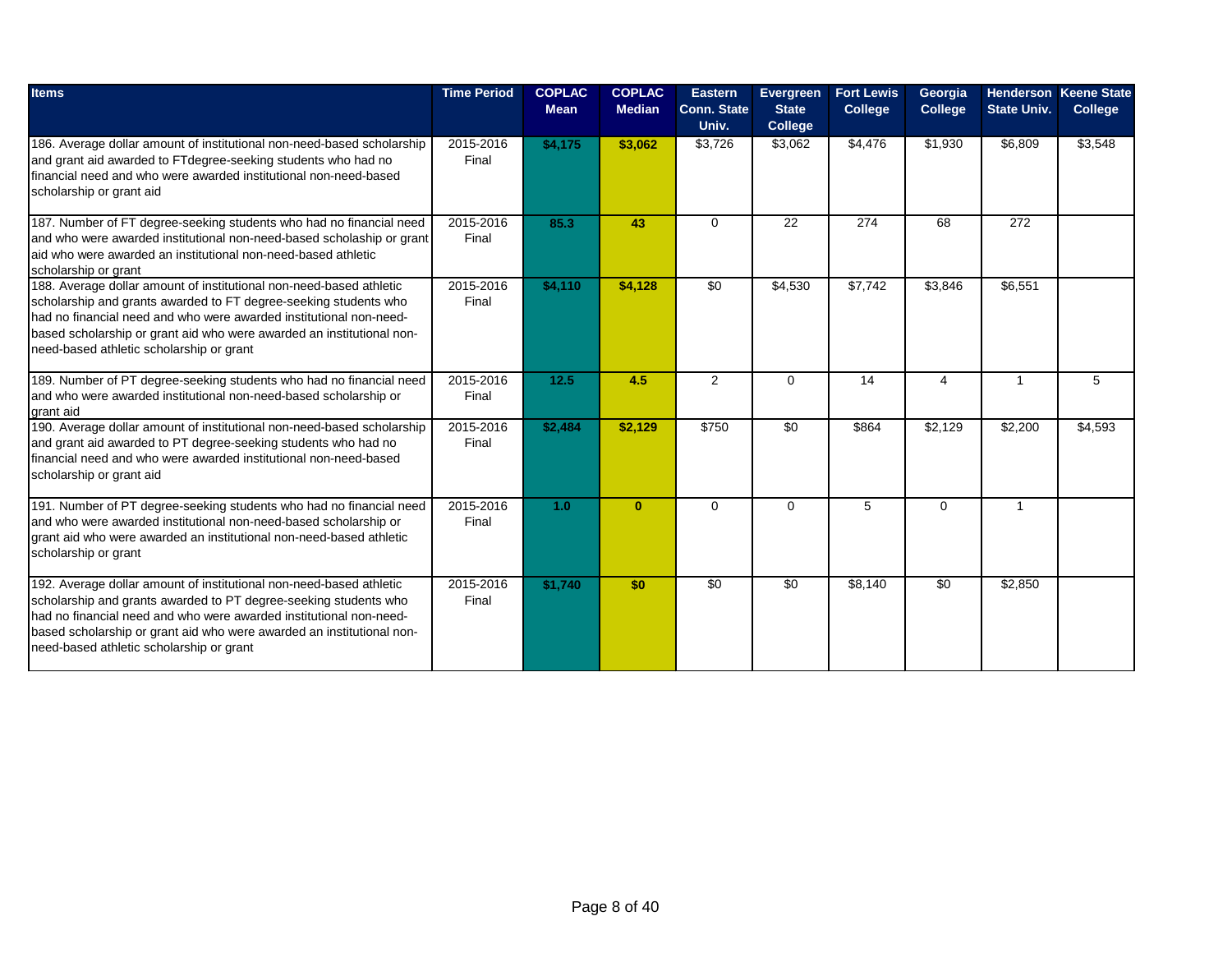| <b>Items</b>                                                                                                                                                                                                                                                                                                                       | <b>Time Period</b> | <b>COPLAC</b><br><b>Mean</b> | <b>COPLAC</b><br><b>Median</b> | <b>Eastern</b><br><b>Conn. State</b><br>Univ. | Evergreen<br><b>State</b><br><b>College</b> | <b>Fort Lewis</b><br><b>College</b> | Georgia<br><b>College</b> | <b>State Univ.</b> | <b>Henderson Keene State</b><br><b>College</b> |
|------------------------------------------------------------------------------------------------------------------------------------------------------------------------------------------------------------------------------------------------------------------------------------------------------------------------------------|--------------------|------------------------------|--------------------------------|-----------------------------------------------|---------------------------------------------|-------------------------------------|---------------------------|--------------------|------------------------------------------------|
| 186. Average dollar amount of institutional non-need-based scholarship<br>and grant aid awarded to FTdegree-seeking students who had no<br>financial need and who were awarded institutional non-need-based<br>scholarship or grant aid                                                                                            | 2015-2016<br>Final | \$4,175                      | \$3,062                        | \$3,726                                       | \$3,062                                     | \$4,476                             | $\overline{$}1,930$       | \$6,809            | \$3,548                                        |
| 187. Number of FT degree-seeking students who had no financial need<br>and who were awarded institutional non-need-based scholaship or grant<br>aid who were awarded an institutional non-need-based athletic<br>scholarship or grant                                                                                              | 2015-2016<br>Final | 85.3                         | 43                             | 0                                             | 22                                          | 274                                 | 68                        | 272                |                                                |
| 188. Average dollar amount of institutional non-need-based athletic<br>scholarship and grants awarded to FT degree-seeking students who<br>had no financial need and who were awarded institutional non-need-<br>based scholarship or grant aid who were awarded an institutional non-<br>need-based athletic scholarship or grant | 2015-2016<br>Final | \$4,110                      | \$4,128                        | $\overline{30}$                               | \$4,530                                     | \$7,742                             | \$3,846                   | \$6,551            |                                                |
| 189. Number of PT degree-seeking students who had no financial need<br>and who were awarded institutional non-need-based scholarship or<br>grant aid                                                                                                                                                                               | 2015-2016<br>Final | 12.5                         | 4.5                            | $\overline{2}$                                | $\mathbf 0$                                 | 14                                  | 4                         |                    | 5                                              |
| 190. Average dollar amount of institutional non-need-based scholarship<br>and grant aid awarded to PT degree-seeking students who had no<br>financial need and who were awarded institutional non-need-based<br>scholarship or grant aid                                                                                           | 2015-2016<br>Final | \$2,484                      | \$2,129                        | \$750                                         | \$0                                         | \$864                               | \$2,129                   | \$2,200            | \$4,593                                        |
| 191. Number of PT degree-seeking students who had no financial need<br>and who were awarded institutional non-need-based scholarship or<br>grant aid who were awarded an institutional non-need-based athletic<br>scholarship or grant                                                                                             | 2015-2016<br>Final | 1.0 <sub>1</sub>             | $\mathbf{0}$                   | $\Omega$                                      | $\Omega$                                    | 5                                   | $\Omega$                  | -1                 |                                                |
| 192. Average dollar amount of institutional non-need-based athletic<br>scholarship and grants awarded to PT degree-seeking students who<br>had no financial need and who were awarded institutional non-need-<br>based scholarship or grant aid who were awarded an institutional non-<br>need-based athletic scholarship or grant | 2015-2016<br>Final | \$1,740                      | \$0                            | $\sqrt{50}$                                   | $\overline{30}$                             | \$8,140                             | $\overline{50}$           | \$2,850            |                                                |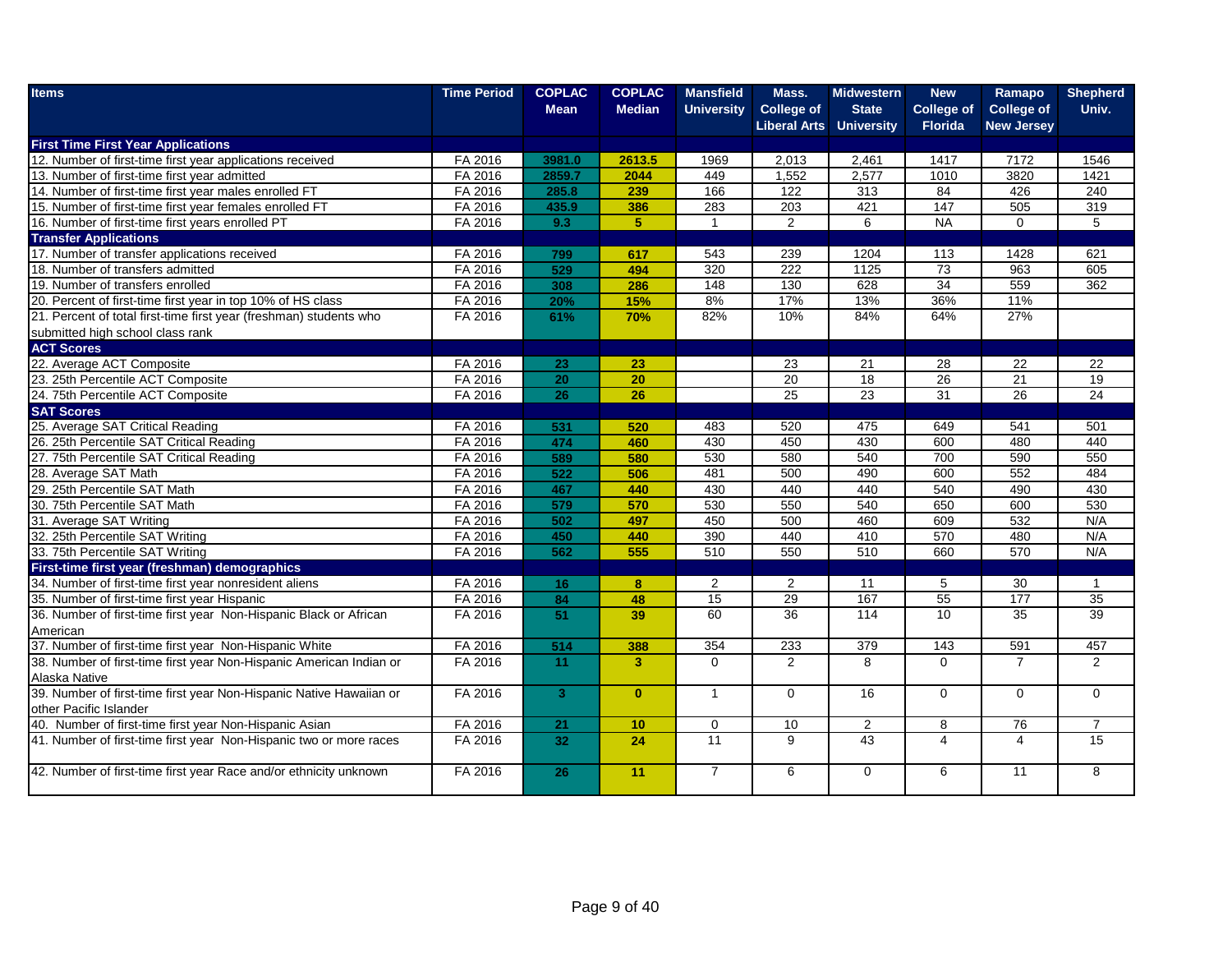| <b>Items</b>                                                        | <b>Time Period</b> | <b>COPLAC</b>  | <b>COPLAC</b>           | <b>Mansfield</b>  | Mass.                          | <b>Midwestern</b> | <b>New</b>        | Ramapo            | <b>Shepherd</b> |
|---------------------------------------------------------------------|--------------------|----------------|-------------------------|-------------------|--------------------------------|-------------------|-------------------|-------------------|-----------------|
|                                                                     |                    | <b>Mean</b>    | <b>Median</b>           | <b>University</b> | <b>College of</b>              | <b>State</b>      | <b>College of</b> | <b>College of</b> | Univ.           |
|                                                                     |                    |                |                         |                   | <b>Liberal Arts University</b> |                   | <b>Florida</b>    | <b>New Jersey</b> |                 |
| <b>First Time First Year Applications</b>                           |                    |                |                         |                   |                                |                   |                   |                   |                 |
| 12. Number of first-time first year applications received           | FA 2016            | 3981.0         | 2613.5                  | 1969              | 2,013                          | 2,461             | 1417              | 7172              | 1546            |
| 13. Number of first-time first year admitted                        | FA 2016            | 2859.7         | 2044                    | 449               | 1,552                          | 2,577             | 1010              | 3820              | 1421            |
| 14. Number of first-time first year males enrolled FT               | FA 2016            | 285.8          | 239                     | 166               | 122                            | 313               | 84                | 426               | 240             |
| 15. Number of first-time first year females enrolled FT             | FA 2016            | 435.9          | 386                     | 283               | 203                            | 421               | 147               | 505               | 319             |
| 16. Number of first-time first years enrolled PT                    | FA 2016            | 9.3            | $\overline{5}$          | $\overline{1}$    | 2                              | 6                 | <b>NA</b>         | $\mathbf 0$       | 5               |
| <b>Transfer Applications</b>                                        |                    |                |                         |                   |                                |                   |                   |                   |                 |
| 17. Number of transfer applications received                        | FA 2016            | 799            | 617                     | 543               | 239                            | 1204              | 113               | 1428              | 621             |
| 18. Number of transfers admitted                                    | FA 2016            | 529            | 494                     | 320               | 222                            | 1125              | 73                | 963               | 605             |
| 19. Number of transfers enrolled                                    | FA 2016            | 308            | 286                     | 148               | 130                            | 628               | 34                | 559               | 362             |
| 20. Percent of first-time first year in top 10% of HS class         | FA 2016            | 20%            | 15%                     | 8%                | 17%                            | 13%               | 36%               | 11%               |                 |
| 21. Percent of total first-time first year (freshman) students who  | FA 2016            | 61%            | 70%                     | 82%               | 10%                            | 84%               | 64%               | 27%               |                 |
| submitted high school class rank                                    |                    |                |                         |                   |                                |                   |                   |                   |                 |
| <b>ACT Scores</b>                                                   |                    |                |                         |                   |                                |                   |                   |                   |                 |
| 22. Average ACT Composite                                           | FA 2016            | 23             | 23                      |                   | 23                             | 21                | 28                | 22                | 22              |
| 23. 25th Percentile ACT Composite                                   | FA 2016            | 20             | $\overline{20}$         |                   | 20                             | 18                | 26                | 21                | 19              |
| 24. 75th Percentile ACT Composite                                   | FA 2016            | 26             | $\overline{26}$         |                   | 25                             | 23                | 31                | 26                | 24              |
| <b>SAT Scores</b>                                                   |                    |                |                         |                   |                                |                   |                   |                   |                 |
| 25. Average SAT Critical Reading                                    | FA 2016            | 531            | 520                     | 483               | 520                            | 475               | 649               | 541               | 501             |
| 26. 25th Percentile SAT Critical Reading                            | FA 2016            | 474            | 460                     | 430               | 450                            | 430               | 600               | 480               | 440             |
| 27. 75th Percentile SAT Critical Reading                            | FA 2016            | 589            | 580                     | 530               | 580                            | 540               | 700               | 590               | 550             |
| 28. Average SAT Math                                                | FA 2016            | 522            | 506                     | 481               | 500                            | 490               | 600               | 552               | 484             |
| 29. 25th Percentile SAT Math                                        | FA 2016            | 467            | 440                     | 430               | 440                            | 440               | 540               | 490               | 430             |
| 30. 75th Percentile SAT Math                                        | FA 2016            | 579            | 570                     | 530               | 550                            | 540               | 650               | 600               | 530             |
| 31. Average SAT Writing                                             | FA 2016            | 502            | 497                     | 450               | 500                            | 460               | 609               | 532               | N/A             |
| 32. 25th Percentile SAT Writing                                     | FA 2016            | 450            | 440                     | 390               | 440                            | 410               | 570               | 480               | N/A             |
| 33. 75th Percentile SAT Writing                                     | FA 2016            | 562            | 555                     | 510               | 550                            | 510               | 660               | 570               | N/A             |
| First-time first year (freshman) demographics                       |                    |                |                         |                   |                                |                   |                   |                   |                 |
| 34. Number of first-time first year nonresident aliens              | FA 2016            | 16             | 8                       | 2                 | 2                              | 11                | 5                 | 30                | $\mathbf{1}$    |
| 35. Number of first-time first year Hispanic                        | FA 2016            | 84             | 48                      | 15                | 29                             | 167               | 55                | $\overline{177}$  | 35              |
| 36. Number of first-time first year Non-Hispanic Black or African   | FA 2016            | 51             | 39                      | 60                | 36                             | $\overline{114}$  | 10                | 35                | $\overline{39}$ |
| American                                                            |                    |                |                         |                   |                                |                   |                   |                   |                 |
| 37. Number of first-time first year Non-Hispanic White              | FA 2016            | 514            | 388                     | 354               | 233                            | 379               | 143               | 591               | 457             |
| 38. Number of first-time first year Non-Hispanic American Indian or | FA 2016            | 11             | $\overline{\mathbf{3}}$ | $\Omega$          | $\overline{2}$                 | 8                 | $\Omega$          | $\overline{7}$    | $\overline{2}$  |
| Alaska Native                                                       |                    |                |                         |                   |                                |                   |                   |                   |                 |
| 39. Number of first-time first year Non-Hispanic Native Hawaiian or | FA 2016            | 3 <sup>1</sup> | $\mathbf{0}$            | $\mathbf{1}$      | $\mathbf 0$                    | 16                | 0                 | $\mathbf{0}$      | $\overline{0}$  |
| other Pacific Islander                                              |                    |                |                         |                   |                                |                   |                   |                   |                 |
| 40. Number of first-time first year Non-Hispanic Asian              | FA 2016            | 21             | 10                      | $\mathbf 0$       | 10                             | 2                 | 8                 | 76                | $\overline{7}$  |
| 41. Number of first-time first year Non-Hispanic two or more races  | FA 2016            | 32             | 24                      | $\overline{11}$   | 9                              | 43                | 4                 | 4                 | $\overline{15}$ |
|                                                                     |                    |                |                         |                   |                                |                   |                   |                   |                 |
| 42. Number of first-time first year Race and/or ethnicity unknown   | FA 2016            | 26             | 11                      | $\overline{7}$    | 6                              | $\Omega$          | 6                 | 11                | 8               |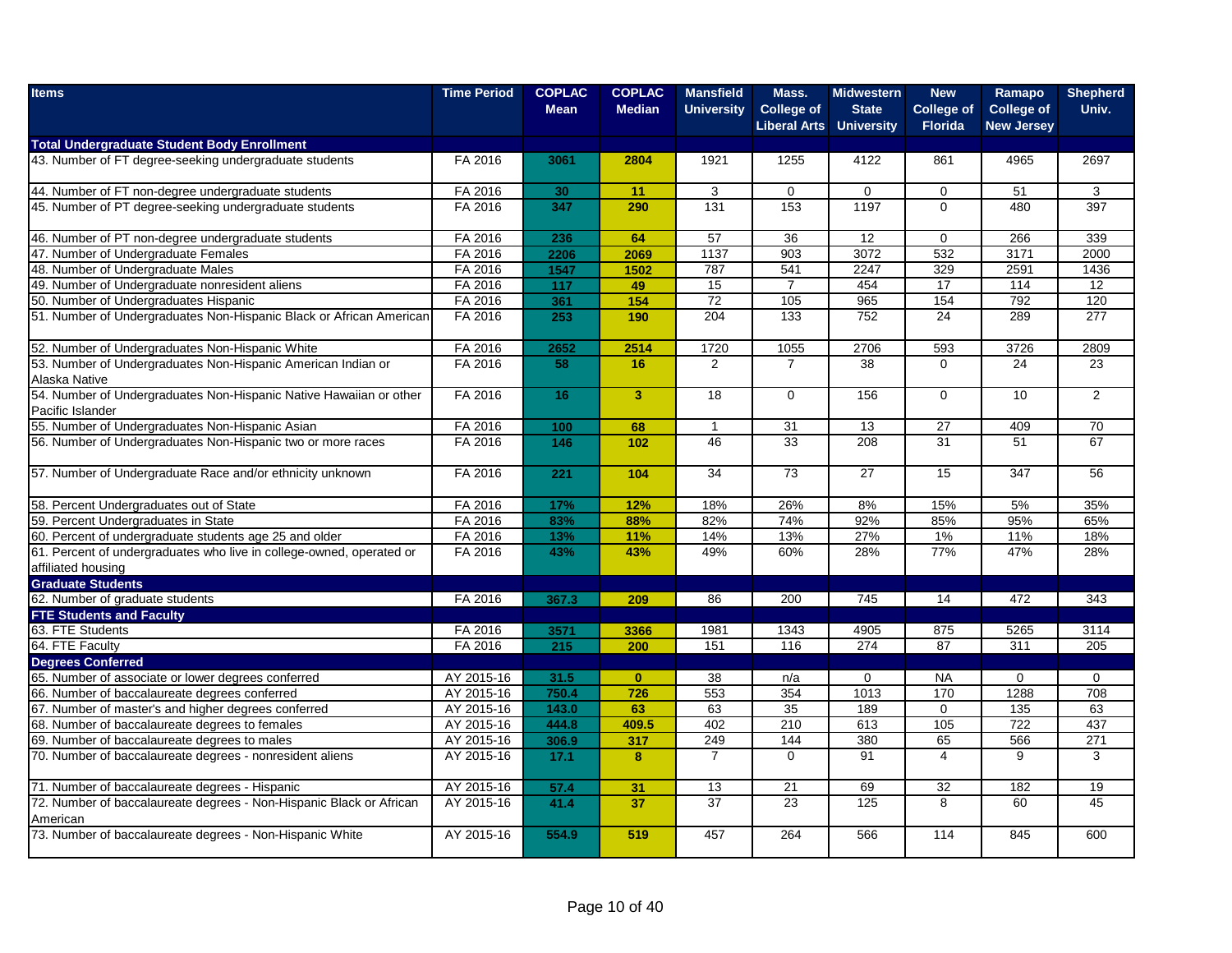| <b>Items</b>                                                                               | <b>Time Period</b> | <b>COPLAC</b><br><b>Mean</b> | <b>COPLAC</b><br><b>Median</b> | <b>Mansfield</b><br><b>University</b> | Mass.<br><b>College of</b> | <b>Midwestern</b><br><b>State</b> | <b>New</b><br><b>College of</b> | Ramapo<br><b>College of</b> | <b>Shepherd</b><br>Univ. |
|--------------------------------------------------------------------------------------------|--------------------|------------------------------|--------------------------------|---------------------------------------|----------------------------|-----------------------------------|---------------------------------|-----------------------------|--------------------------|
|                                                                                            |                    |                              |                                |                                       | <b>Liberal Arts</b>        | <b>University</b>                 | <b>Florida</b>                  | <b>New Jersey</b>           |                          |
| <b>Total Undergraduate Student Body Enrollment</b>                                         |                    |                              |                                |                                       |                            |                                   |                                 |                             |                          |
| 43. Number of FT degree-seeking undergraduate students                                     | FA 2016            | 3061                         | 2804                           | 1921                                  | 1255                       | 4122                              | 861                             | 4965                        | 2697                     |
| 44. Number of FT non-degree undergraduate students                                         | FA 2016            | 30                           | 11                             | 3                                     | $\Omega$                   | $\mathbf 0$                       | 0                               | 51                          | 3                        |
| 45. Number of PT degree-seeking undergraduate students                                     | FA 2016            | 347                          | 290                            | 131                                   | 153                        | 1197                              | $\Omega$                        | 480                         | 397                      |
| 46. Number of PT non-degree undergraduate students                                         | FA 2016            | 236                          | 64                             | 57                                    | 36                         | 12                                | $\Omega$                        | 266                         | 339                      |
| 47. Number of Undergraduate Females                                                        | FA 2016            | 2206                         | 2069                           | 1137                                  | 903                        | 3072                              | 532                             | 3171                        | 2000                     |
| 48. Number of Undergraduate Males                                                          | FA 2016            | 1547                         | 1502                           | 787                                   | 541                        | 2247                              | 329                             | 2591                        | 1436                     |
| 49. Number of Undergraduate nonresident aliens                                             | FA 2016            | 117                          | 49                             | 15                                    | $\overline{7}$             | 454                               | 17                              | 114                         | 12                       |
| 50. Number of Undergraduates Hispanic                                                      | FA 2016            | 361                          | 154                            | 72                                    | 105                        | 965                               | 154                             | 792                         | 120                      |
| 51. Number of Undergraduates Non-Hispanic Black or African American                        | FA 2016            | 253                          | 190                            | $\overline{204}$                      | 133                        | $\overline{752}$                  | $\overline{24}$                 | 289                         | 277                      |
| 52. Number of Undergraduates Non-Hispanic White                                            | FA 2016            | 2652                         | 2514                           | 1720                                  | 1055                       | 2706                              | 593                             | 3726                        | 2809                     |
| 53. Number of Undergraduates Non-Hispanic American Indian or                               | FA 2016            | 58                           | 16                             | 2                                     | $\overline{7}$             | $\overline{38}$                   | $\Omega$                        | 24                          | 23                       |
| Alaska Native                                                                              |                    |                              |                                |                                       |                            |                                   |                                 |                             |                          |
| 54. Number of Undergraduates Non-Hispanic Native Hawaiian or other                         | FA 2016            | 16                           | $\overline{3}$                 | 18                                    | $\Omega$                   | 156                               | $\Omega$                        | 10                          | $\overline{2}$           |
| Pacific Islander                                                                           |                    |                              |                                |                                       |                            |                                   |                                 |                             |                          |
| 55. Number of Undergraduates Non-Hispanic Asian                                            | FA 2016            | 100                          | 68                             | $\overline{1}$                        | 31                         | 13                                | 27                              | 409                         | 70                       |
| 56. Number of Undergraduates Non-Hispanic two or more races                                | FA 2016            | 146                          | 102                            | 46                                    | 33                         | 208                               | 31                              | 51                          | 67                       |
| 57. Number of Undergraduate Race and/or ethnicity unknown                                  | FA 2016            | 221                          | 104                            | 34                                    | 73                         | 27                                | 15                              | 347                         | 56                       |
| 58. Percent Undergraduates out of State                                                    | FA 2016            | 17%                          | 12%                            | 18%                                   | 26%                        | 8%                                | 15%                             | 5%                          | 35%                      |
| 59. Percent Undergraduates in State                                                        | FA 2016            | 83%                          | 88%                            | 82%                                   | 74%                        | 92%                               | 85%                             | 95%                         | 65%                      |
| 60. Percent of undergraduate students age 25 and older                                     | FA 2016            | 13%                          | 11%                            | 14%                                   | 13%                        | 27%                               | $1\%$                           | 11%                         | 18%                      |
| 61. Percent of undergraduates who live in college-owned, operated or<br>affiliated housing | FA 2016            | 43%                          | 43%                            | 49%                                   | 60%                        | 28%                               | 77%                             | 47%                         | 28%                      |
| <b>Graduate Students</b>                                                                   |                    |                              |                                |                                       |                            |                                   |                                 |                             |                          |
| 62. Number of graduate students                                                            | FA 2016            | 367.3                        | 209                            | 86                                    | 200                        | 745                               | 14                              | 472                         | 343                      |
| <b>FTE Students and Faculty</b>                                                            |                    |                              |                                |                                       |                            |                                   |                                 |                             |                          |
| 63. FTE Students                                                                           | FA 2016            | 3571                         | 3366                           | 1981                                  | 1343                       | 4905                              | 875                             | 5265                        | 3114                     |
| 64. FTE Faculty                                                                            | FA 2016            | 215                          | 200                            | 151                                   | 116                        | 274                               | 87                              | 311                         | 205                      |
| <b>Degrees Conferred</b>                                                                   |                    |                              |                                |                                       |                            |                                   |                                 |                             |                          |
| 65. Number of associate or lower degrees conferred                                         | AY 2015-16         | 31.5                         | $\mathbf{0}$                   | 38                                    | n/a                        | $\mathbf 0$                       | <b>NA</b>                       | $\mathbf 0$                 | $\mathbf 0$              |
| 66. Number of baccalaureate degrees conferred                                              | AY 2015-16         | 750.4                        | 726                            | 553                                   | 354                        | 1013                              | 170                             | 1288                        | 708                      |
| 67. Number of master's and higher degrees conferred                                        | AY 2015-16         | 143.0                        | 63                             | 63                                    | 35                         | 189                               | $\mathbf 0$                     | 135                         | 63                       |
| 68. Number of baccalaureate degrees to females                                             | AY 2015-16         | 444.8                        | 409.5                          | 402                                   | 210                        | 613                               | 105                             | 722                         | 437                      |
| 69. Number of baccalaureate degrees to males                                               | AY 2015-16         | 306.9                        | 317                            | 249                                   | 144                        | 380                               | 65                              | 566                         | 271                      |
| 70. Number of baccalaureate degrees - nonresident aliens                                   | AY 2015-16         | 17.1                         | 8                              | $\overline{7}$                        | $\mathbf 0$                | 91                                | 4                               | 9                           | 3                        |
| 71. Number of baccalaureate degrees - Hispanic                                             | AY 2015-16         | 57.4                         | 31                             | 13                                    | 21                         | 69                                | 32                              | 182                         | 19                       |
| 72. Number of baccalaureate degrees - Non-Hispanic Black or African                        | AY 2015-16         | 41.4                         | 37                             | 37                                    | 23                         | 125                               | 8                               | 60                          | 45                       |
| American                                                                                   |                    |                              |                                |                                       |                            |                                   |                                 |                             |                          |
| 73. Number of baccalaureate degrees - Non-Hispanic White                                   | AY 2015-16         | 554.9                        | 519                            | 457                                   | 264                        | 566                               | 114                             | 845                         | 600                      |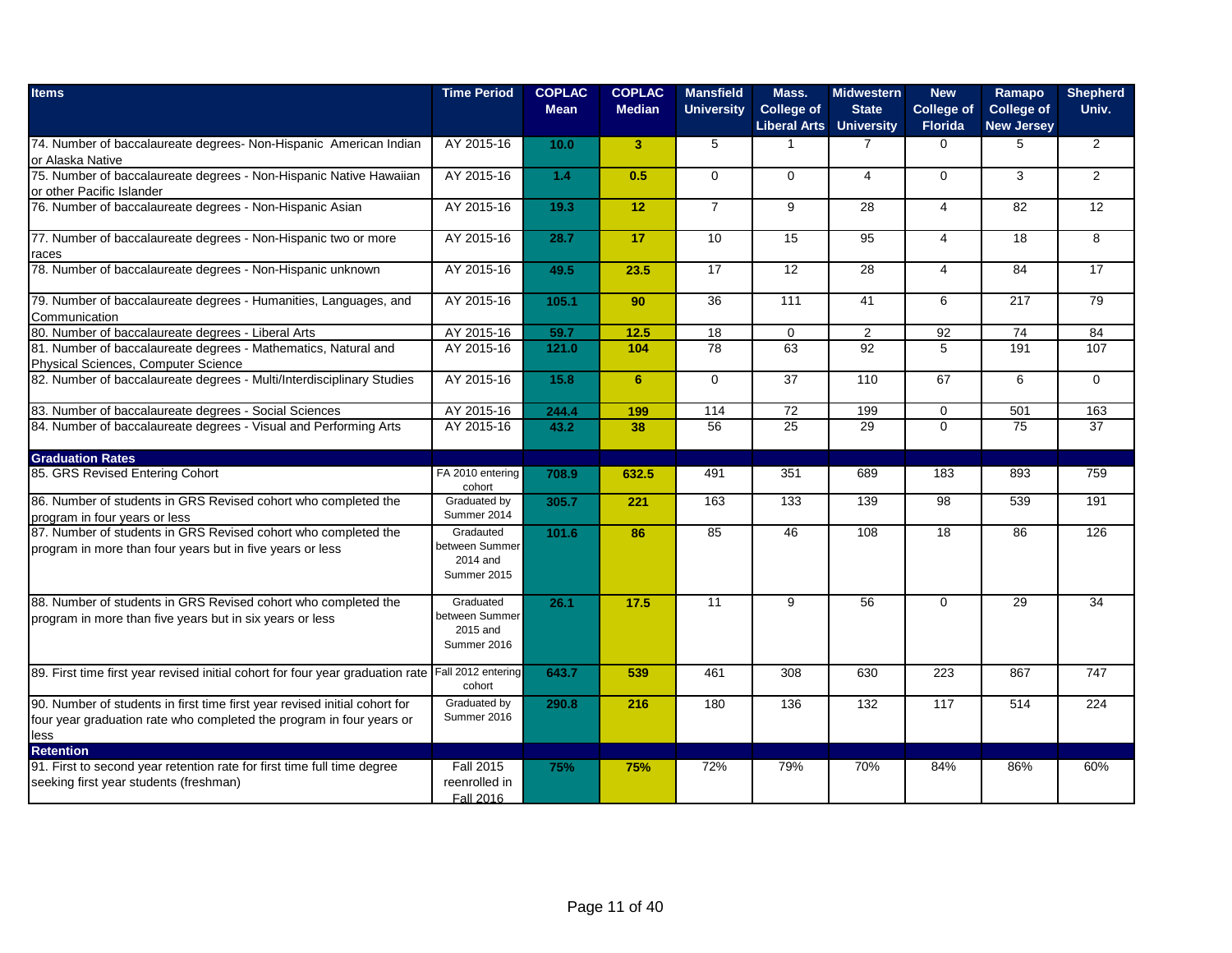| <b>Items</b>                                                                                                                                               | <b>Time Period</b>                                     | <b>COPLAC</b><br><b>Mean</b> | <b>COPLAC</b><br><b>Median</b> | <b>Mansfield</b><br><b>University</b> | Mass.<br><b>College of</b><br><b>Liberal Arts University</b> | <b>Midwestern</b><br><b>State</b> | <b>New</b><br><b>College of</b><br><b>Florida</b> | Ramapo<br><b>College of</b><br><b>New Jersey</b> | <b>Shepherd</b><br>Univ. |
|------------------------------------------------------------------------------------------------------------------------------------------------------------|--------------------------------------------------------|------------------------------|--------------------------------|---------------------------------------|--------------------------------------------------------------|-----------------------------------|---------------------------------------------------|--------------------------------------------------|--------------------------|
| 74. Number of baccalaureate degrees- Non-Hispanic American Indian<br>or Alaska Native                                                                      | AY 2015-16                                             | 10.0                         | 3 <sup>2</sup>                 | 5                                     | $\mathbf{1}$                                                 | $\overline{7}$                    | $\Omega$                                          | 5                                                | $\overline{2}$           |
| 75. Number of baccalaureate degrees - Non-Hispanic Native Hawaiian<br>or other Pacific Islander                                                            | AY 2015-16                                             | $1.4$                        | 0.5                            | $\mathbf 0$                           | $\Omega$                                                     | $\overline{4}$                    | $\Omega$                                          | 3                                                | $\overline{2}$           |
| 76. Number of baccalaureate degrees - Non-Hispanic Asian                                                                                                   | AY 2015-16                                             | 19.3                         | 12                             | $\overline{7}$                        | 9                                                            | 28                                | $\overline{4}$                                    | 82                                               | 12                       |
| 77. Number of baccalaureate degrees - Non-Hispanic two or more<br>races                                                                                    | AY 2015-16                                             | 28.7                         | 17                             | 10                                    | 15                                                           | 95                                | $\overline{4}$                                    | 18                                               | 8                        |
| 78. Number of baccalaureate degrees - Non-Hispanic unknown                                                                                                 | AY 2015-16                                             | 49.5                         | 23.5                           | 17                                    | 12                                                           | 28                                | $\overline{4}$                                    | 84                                               | 17                       |
| 79. Number of baccalaureate degrees - Humanities, Languages, and<br>Communication                                                                          | AY 2015-16                                             | 105.1                        | 90                             | 36                                    | 111                                                          | 41                                | 6                                                 | 217                                              | 79                       |
| 80. Number of baccalaureate degrees - Liberal Arts                                                                                                         | AY 2015-16                                             | 59.7                         | 12.5                           | $\overline{18}$                       | $\mathbf 0$                                                  | $\boldsymbol{2}$                  | 92                                                | 74                                               | 84                       |
| 81. Number of baccalaureate degrees - Mathematics, Natural and<br>Physical Sciences, Computer Science                                                      | AY 2015-16                                             | 121.0                        | 104                            | 78                                    | 63                                                           | 92                                | $\overline{5}$                                    | 191                                              | 107                      |
| 82. Number of baccalaureate degrees - Multi/Interdisciplinary Studies                                                                                      | AY 2015-16                                             | 15.8                         | 6                              | $\Omega$                              | 37                                                           | 110                               | 67                                                | 6                                                | $\Omega$                 |
| 83. Number of baccalaureate degrees - Social Sciences                                                                                                      | AY 2015-16                                             | 244.4                        | 199                            | 114                                   | 72                                                           | 199                               | $\mathbf 0$                                       | 501                                              | 163                      |
| 84. Number of baccalaureate degrees - Visual and Performing Arts                                                                                           | AY 2015-16                                             | 43.2                         | 38                             | 56                                    | $\overline{25}$                                              | 29                                | $\Omega$                                          | $\overline{75}$                                  | $\overline{37}$          |
| <b>Graduation Rates</b>                                                                                                                                    |                                                        |                              |                                |                                       |                                                              |                                   |                                                   |                                                  |                          |
| 85. GRS Revised Entering Cohort                                                                                                                            | FA 2010 entering<br>cohort                             | 708.9                        | 632.5                          | 491                                   | 351                                                          | 689                               | 183                                               | 893                                              | 759                      |
| 86. Number of students in GRS Revised cohort who completed the<br>program in four years or less                                                            | Graduated by<br>Summer 2014                            | 305.7                        | 221                            | 163                                   | 133                                                          | 139                               | $\overline{98}$                                   | 539                                              | 191                      |
| 87. Number of students in GRS Revised cohort who completed the<br>program in more than four years but in five years or less                                | Gradauted<br>between Summer<br>2014 and<br>Summer 2015 | 101.6                        | 86                             | 85                                    | 46                                                           | 108                               | 18                                                | 86                                               | 126                      |
| 88. Number of students in GRS Revised cohort who completed the<br>program in more than five years but in six years or less                                 | Graduated<br>between Summer<br>2015 and<br>Summer 2016 | 26.1                         | 17.5                           | 11                                    | 9                                                            | 56                                | $\mathbf 0$                                       | 29                                               | 34                       |
| 89. First time first year revised initial cohort for four year graduation rate                                                                             | Fall 2012 entering<br>cohort                           | 643.7                        | 539                            | 461                                   | 308                                                          | 630                               | 223                                               | 867                                              | 747                      |
| 90. Number of students in first time first year revised initial cohort for<br>four year graduation rate who completed the program in four years or<br>less | Graduated by<br>Summer 2016                            | 290.8                        | 216                            | 180                                   | 136                                                          | 132                               | 117                                               | 514                                              | 224                      |
| Retention<br>91. First to second year retention rate for first time full time degree<br>seeking first year students (freshman)                             | <b>Fall 2015</b><br>reenrolled in<br>Fall 2016         | 75%                          | 75%                            | 72%                                   | 79%                                                          | 70%                               | 84%                                               | 86%                                              | 60%                      |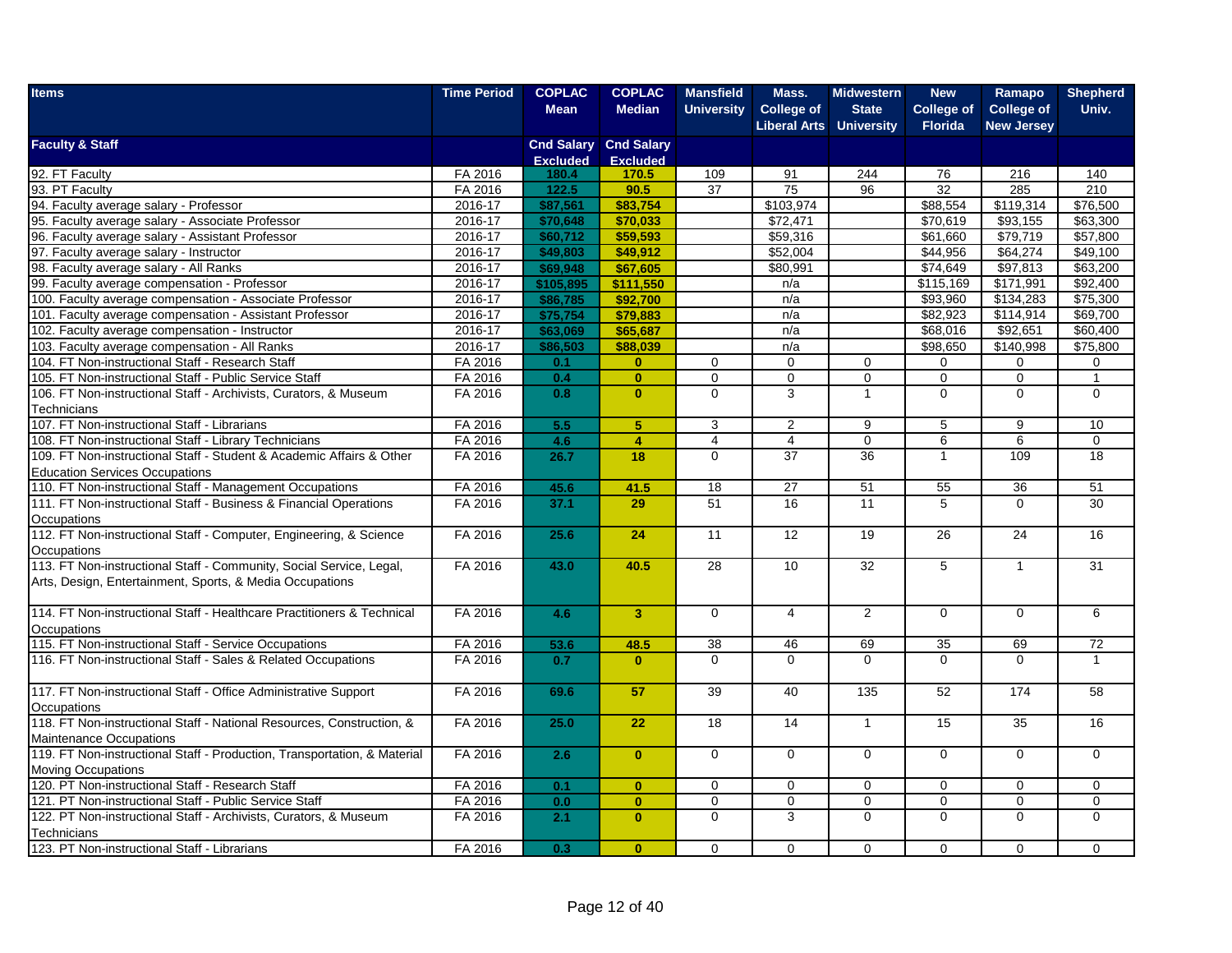| <b>Items</b>                                                             | <b>Time Period</b> | <b>COPLAC</b>   | <b>COPLAC</b>                | <b>Mansfield</b>  | Mass.               | <b>Midwestern</b> | <b>New</b>        | Ramapo            | <b>Shepherd</b> |
|--------------------------------------------------------------------------|--------------------|-----------------|------------------------------|-------------------|---------------------|-------------------|-------------------|-------------------|-----------------|
|                                                                          |                    | <b>Mean</b>     | <b>Median</b>                | <b>University</b> | <b>College of</b>   | <b>State</b>      | <b>College of</b> | <b>College of</b> | Univ.           |
|                                                                          |                    |                 |                              |                   | <b>Liberal Arts</b> | <b>University</b> | <b>Florida</b>    | <b>New Jersey</b> |                 |
| <b>Faculty &amp; Staff</b>                                               |                    |                 | <b>Cnd Salary Cnd Salary</b> |                   |                     |                   |                   |                   |                 |
|                                                                          |                    | <b>Excluded</b> | <b>Excluded</b>              |                   |                     |                   |                   |                   |                 |
| 92. FT Faculty                                                           | FA 2016            | 180.4           | 170.5                        | 109               | 91                  | 244               | 76                | 216               | 140             |
| 93. PT Faculty                                                           | FA 2016            | 122.5           | 90.5                         | 37                | 75                  | 96                | 32                | 285               | 210             |
| 94. Faculty average salary - Professor                                   | 2016-17            | \$87,561        | \$83,754                     |                   | \$103,974           |                   | \$88,554          | \$119,314         | \$76,500        |
| 95. Faculty average salary - Associate Professor                         | 2016-17            | \$70,648        | \$70,033                     |                   | \$72.471            |                   | \$70.619          | \$93,155          | \$63,300        |
| 96. Faculty average salary - Assistant Professor                         | 2016-17            | \$60,712        | \$59,593                     |                   | \$59,316            |                   | \$61,660          | \$79,719          | \$57,800        |
| 97. Faculty average salary - Instructor                                  | 2016-17            | \$49,803        | \$49,912                     |                   | \$52,004            |                   | \$44,956          | \$64,274          | \$49,100        |
| 98. Faculty average salary - All Ranks                                   | 2016-17            | \$69,948        | \$67,605                     |                   | \$80,991            |                   | \$74,649          | \$97,813          | \$63,200        |
| 99. Faculty average compensation - Professor                             | 2016-17            | \$105,895       | \$111,550                    |                   | n/a                 |                   | \$115,169         | \$171,991         | \$92,400        |
| 100. Faculty average compensation - Associate Professor                  | 2016-17            | \$86,785        | \$92,700                     |                   | n/a                 |                   | \$93,960          | \$134,283         | \$75,300        |
| 101. Faculty average compensation - Assistant Professor                  | 2016-17            | \$75,754        | \$79,883                     |                   | n/a                 |                   | \$82,923          | \$114,914         | \$69,700        |
| 102. Faculty average compensation - Instructor                           | 2016-17            | \$63,069        | \$65,687                     |                   | n/a                 |                   | \$68,016          | \$92,651          | \$60,400        |
| 103. Faculty average compensation - All Ranks                            | 2016-17            | \$86,503        | \$88,039                     |                   | n/a                 |                   | \$98,650          | \$140,998         | \$75,800        |
| 104. FT Non-instructional Staff - Research Staff                         | FA 2016            | 0.1             | $\mathbf{0}$                 | $\mathbf 0$       | $\mathbf 0$         | $\mathbf 0$       | 0                 | $\Omega$          | 0               |
| 105. FT Non-instructional Staff - Public Service Staff                   | FA 2016            | 0.4             | $\mathbf{0}$                 | $\overline{0}$    | $\overline{0}$      | $\overline{0}$    | $\overline{0}$    | $\overline{0}$    | $\mathbf{1}$    |
| 106. FT Non-instructional Staff - Archivists, Curators, & Museum         | FA 2016            | 0.8             | $\mathbf{0}$                 | $\mathbf 0$       | 3                   | $\mathbf{1}$      | $\mathbf 0$       | $\mathbf 0$       | 0               |
| Technicians                                                              |                    |                 |                              |                   |                     |                   |                   |                   |                 |
| 107. FT Non-instructional Staff - Librarians                             | FA 2016            | 5.5             | 5                            | 3                 | 2                   | 9                 | 5                 | 9                 | 10              |
| 108. FT Non-instructional Staff - Library Technicians                    | FA 2016            | 4.6             | $\overline{4}$               | $\overline{4}$    | $\overline{4}$      | $\mathbf 0$       | 6                 | 6                 | $\overline{0}$  |
| 109. FT Non-instructional Staff - Student & Academic Affairs & Other     | FA 2016            | 26.7            | 18                           | $\Omega$          | 37                  | 36                | $\mathbf{1}$      | 109               | 18              |
| <b>Education Services Occupations</b>                                    |                    |                 |                              |                   |                     |                   |                   |                   |                 |
| 110. FT Non-instructional Staff - Management Occupations                 | FA 2016            | 45.6            | 41.5                         | 18                | 27                  | 51                | 55                | 36                | 51              |
| 111. FT Non-instructional Staff - Business & Financial Operations        | FA 2016            | 37.1            | 29                           | 51                | 16                  | 11                | 5                 | $\Omega$          | 30              |
| Occupations                                                              |                    |                 |                              |                   |                     |                   |                   |                   |                 |
| 112. FT Non-instructional Staff - Computer, Engineering, & Science       | FA 2016            | 25.6            | 24                           | 11                | 12                  | 19                | 26                | 24                | 16              |
| Occupations                                                              |                    |                 |                              |                   |                     |                   |                   |                   |                 |
| 113. FT Non-instructional Staff - Community, Social Service, Legal,      | FA 2016            | 43.0            | 40.5                         | 28                | 10                  | 32                | 5                 | $\mathbf{1}$      | 31              |
| Arts, Design, Entertainment, Sports, & Media Occupations                 |                    |                 |                              |                   |                     |                   |                   |                   |                 |
|                                                                          |                    |                 |                              |                   |                     |                   |                   |                   |                 |
| 114. FT Non-instructional Staff - Healthcare Practitioners & Technical   | FA 2016            | 4.6             | 3 <sup>1</sup>               | $\overline{0}$    | $\overline{4}$      | $\overline{2}$    | $\Omega$          | $\Omega$          | 6               |
| Occupations                                                              |                    |                 |                              |                   |                     |                   |                   |                   |                 |
| 115. FT Non-instructional Staff - Service Occupations                    | FA 2016            | 53.6            | 48.5                         | 38                | 46                  | 69                | 35                | 69                | 72              |
| 116. FT Non-instructional Staff - Sales & Related Occupations            | FA 2016            | 0.7             | $\mathbf{0}$                 | $\Omega$          | $\Omega$            | $\Omega$          | $\Omega$          | $\Omega$          | 1               |
|                                                                          |                    |                 |                              |                   |                     |                   |                   |                   |                 |
| 117. FT Non-instructional Staff - Office Administrative Support          | FA 2016            | 69.6            | 57                           | 39                | 40                  | 135               | 52                | 174               | 58              |
| Occupations                                                              |                    |                 |                              |                   |                     |                   |                   |                   |                 |
| 118. FT Non-instructional Staff - National Resources, Construction, &    | FA 2016            | 25.0            | 22                           | 18                | 14                  | $\overline{1}$    | 15                | 35                | 16              |
| <b>Maintenance Occupations</b>                                           |                    |                 |                              |                   |                     |                   |                   |                   |                 |
| 119. FT Non-instructional Staff - Production, Transportation, & Material | FA 2016            | 2.6             | $\mathbf{0}$                 | $\Omega$          | $\Omega$            | $\Omega$          | $\Omega$          | $\Omega$          | $\Omega$        |
| <b>Moving Occupations</b>                                                |                    |                 |                              |                   |                     |                   |                   |                   |                 |
| 120. PT Non-instructional Staff - Research Staff                         | FA 2016            | 0.1             | $\mathbf{0}$                 | $\mathbf 0$       | $\mathbf 0$         | 0                 | $\mathbf 0$       | $\mathbf 0$       | $\mathbf 0$     |
| 121. PT Non-instructional Staff - Public Service Staff                   | FA 2016            | 0.0             | $\mathbf{0}$                 | $\Omega$          | 0                   | 0                 | $\mathbf 0$       | $\Omega$          | 0               |
| 122. PT Non-instructional Staff - Archivists, Curators, & Museum         | FA 2016            | 2.1             | $\mathbf{0}$                 | $\Omega$          | 3                   | $\Omega$          | $\Omega$          | $\Omega$          | $\Omega$        |
| Technicians                                                              |                    |                 |                              |                   |                     |                   |                   |                   |                 |
| 123. PT Non-instructional Staff - Librarians                             | FA 2016            | 0.3             | $\mathbf{0}$                 | $\mathbf 0$       | $\mathbf 0$         | $\mathbf 0$       | $\mathbf 0$       | $\mathbf 0$       | 0               |
|                                                                          |                    |                 |                              |                   |                     |                   |                   |                   |                 |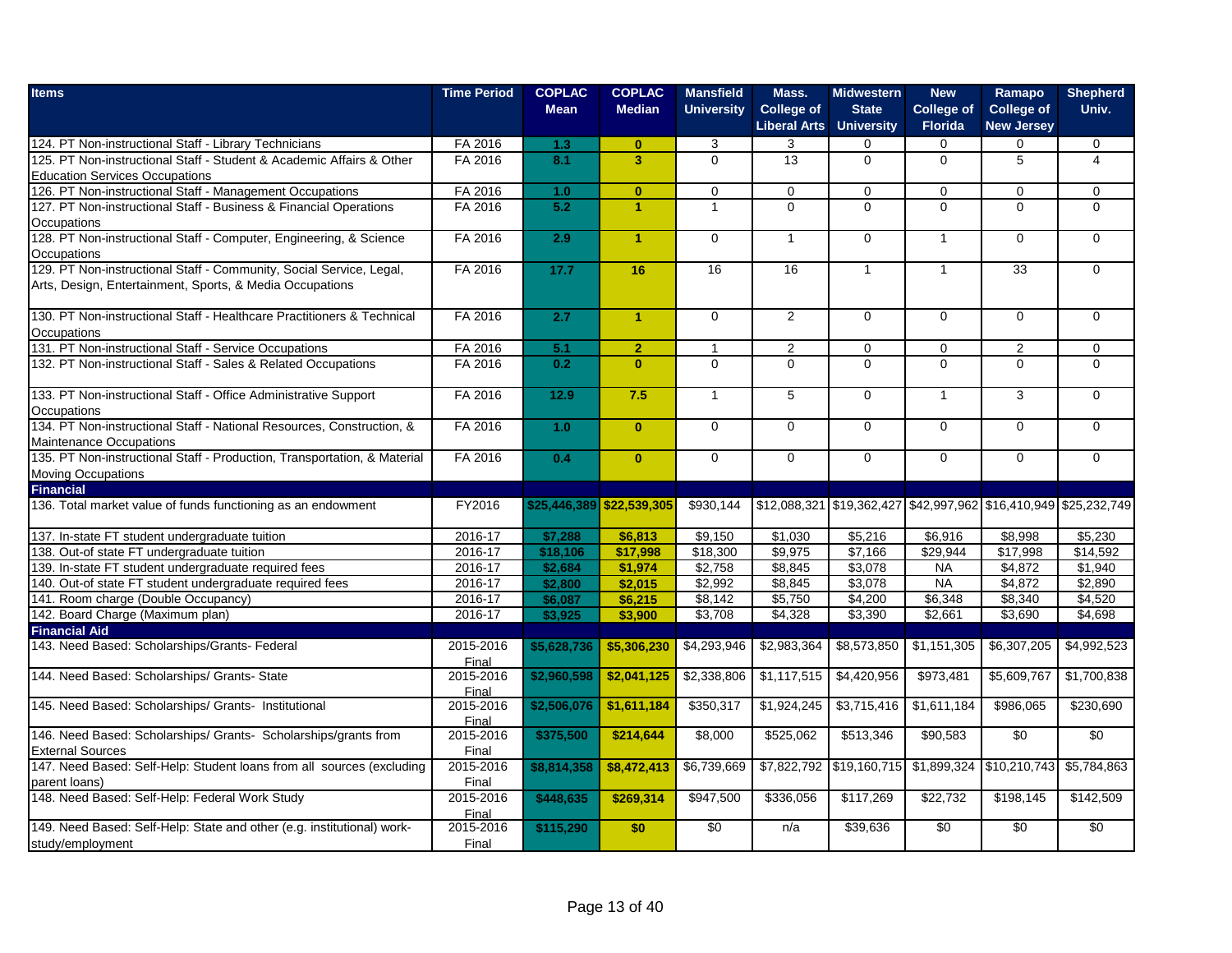| <b>Items</b>                                                             | <b>Time Period</b> | <b>COPLAC</b> | <b>COPLAC</b>             | <b>Mansfield</b>  | Mass.                                    | <b>Midwestern</b>                 | <b>New</b>                          | Ramapo                                                           | <b>Shepherd</b> |
|--------------------------------------------------------------------------|--------------------|---------------|---------------------------|-------------------|------------------------------------------|-----------------------------------|-------------------------------------|------------------------------------------------------------------|-----------------|
|                                                                          |                    | <b>Mean</b>   | <b>Median</b>             | <b>University</b> | <b>College of</b><br><b>Liberal Arts</b> | <b>State</b><br><b>University</b> | <b>College of</b><br><b>Florida</b> | <b>College of</b><br><b>New Jersey</b>                           | Univ.           |
| 124. PT Non-instructional Staff - Library Technicians                    | FA 2016            | 1.3           | $\mathbf{0}$              | 3                 | 3                                        | $\Omega$                          | $\Omega$                            | $\Omega$                                                         | $\mathbf 0$     |
| 125. PT Non-instructional Staff - Student & Academic Affairs & Other     | FA 2016            | 8.1           | $\overline{\mathbf{3}}$   | $\Omega$          | 13                                       | $\Omega$                          | $\Omega$                            | 5                                                                | 4               |
| <b>Education Services Occupations</b>                                    |                    |               |                           |                   |                                          |                                   |                                     |                                                                  |                 |
| 126. PT Non-instructional Staff - Management Occupations                 | FA 2016            | 1.0           | $\mathbf{0}$              | $\mathbf 0$       | $\mathbf 0$                              | $\mathbf 0$                       | $\mathbf 0$                         | $\mathbf 0$                                                      | $\mathbf 0$     |
| 127. PT Non-instructional Staff - Business & Financial Operations        | FA 2016            | 5.2           | $\blacktriangleleft$      | $\mathbf{1}$      | $\overline{0}$                           | $\overline{0}$                    | $\Omega$                            | $\overline{0}$                                                   | $\overline{0}$  |
| Occupations                                                              |                    |               |                           |                   |                                          |                                   |                                     |                                                                  |                 |
| 128. PT Non-instructional Staff - Computer, Engineering, & Science       | FA 2016            | 2.9           | $\blacktriangleleft$      | $\mathbf 0$       | $\mathbf{1}$                             | $\Omega$                          | $\overline{1}$                      | $\Omega$                                                         | $\Omega$        |
| Occupations                                                              |                    |               |                           |                   |                                          |                                   |                                     |                                                                  |                 |
| 129. PT Non-instructional Staff - Community, Social Service, Legal,      | FA 2016            | 17.7          | 16                        | 16                | 16                                       | $\mathbf{1}$                      | $\overline{1}$                      | 33                                                               | $\mathbf 0$     |
| Arts, Design, Entertainment, Sports, & Media Occupations                 |                    |               |                           |                   |                                          |                                   |                                     |                                                                  |                 |
| 130. PT Non-instructional Staff - Healthcare Practitioners & Technical   | FA 2016            | 2.7           | $\blacktriangleleft$      | $\Omega$          | 2                                        | $\Omega$                          | $\Omega$                            | $\Omega$                                                         | $\Omega$        |
| Occupations                                                              |                    |               |                           |                   |                                          |                                   |                                     |                                                                  |                 |
| 131. PT Non-instructional Staff - Service Occupations                    | FA 2016            | 5.1           | $\overline{2}$            | $\mathbf{1}$      | 2                                        | $\Omega$                          | $\Omega$                            | $\overline{2}$                                                   | $\Omega$        |
| 132. PT Non-instructional Staff - Sales & Related Occupations            | FA 2016            | 0.2           | $\mathbf{0}$              | $\mathbf 0$       | $\Omega$                                 | $\overline{0}$                    | $\Omega$                            | $\Omega$                                                         | $\Omega$        |
|                                                                          |                    |               |                           |                   |                                          |                                   |                                     |                                                                  |                 |
| 133. PT Non-instructional Staff - Office Administrative Support          | FA 2016            | 12.9          | 7.5                       | $\mathbf{1}$      | $5\phantom{.0}$                          | $\mathbf 0$                       | $\overline{1}$                      | 3                                                                | $\mathbf{0}$    |
| Occupations                                                              |                    |               |                           |                   |                                          |                                   |                                     |                                                                  |                 |
| 134. PT Non-instructional Staff - National Resources, Construction, &    | FA 2016            | 1.0           | $\mathbf{0}$              | $\overline{0}$    | $\mathbf 0$                              | $\mathbf 0$                       | $\Omega$                            | $\Omega$                                                         | $\mathbf{0}$    |
| Maintenance Occupations                                                  |                    |               |                           |                   |                                          |                                   |                                     |                                                                  |                 |
| 135. PT Non-instructional Staff - Production, Transportation, & Material | FA 2016            | 0.4           | $\mathbf{0}$              | $\overline{0}$    | $\overline{0}$                           | $\overline{0}$                    | $\overline{0}$                      | $\Omega$                                                         | $\overline{0}$  |
| <b>Moving Occupations</b>                                                |                    |               |                           |                   |                                          |                                   |                                     |                                                                  |                 |
| <b>Financial</b>                                                         |                    |               |                           |                   |                                          |                                   |                                     |                                                                  |                 |
| 136. Total market value of funds functioning as an endowment             | FY2016             |               | \$25,446,389 \$22,539,305 | \$930.144         |                                          |                                   |                                     | \$12,088,321 \$19,362,427 \$42,997,962 \$16,410,949 \$25,232,749 |                 |
| 137. In-state FT student undergraduate tuition                           | 2016-17            | \$7,288       | \$6,813                   | \$9,150           | \$1,030                                  | \$5,216                           | \$6,916                             | \$8,998                                                          | \$5,230         |
| 138. Out-of state FT undergraduate tuition                               | 2016-17            | \$18,106      | \$17,998                  | \$18,300          | \$9,975                                  | \$7,166                           | \$29,944                            | \$17,998                                                         | \$14,592        |
| 139. In-state FT student undergraduate required fees                     | $2016 - 17$        | \$2,684       | \$1,974                   | \$2,758           | \$8,845                                  | \$3,078                           | <b>NA</b>                           | \$4,872                                                          | \$1,940         |
| 140. Out-of state FT student undergraduate required fees                 | 2016-17            | \$2,800       | \$2,015                   | \$2,992           | \$8,845                                  | \$3,078                           | <b>NA</b>                           | \$4,872                                                          | \$2,890         |
| 141. Room charge (Double Occupancy)                                      | 2016-17            | \$6,087       | \$6,215                   | \$8,142           | \$5,750                                  | \$4,200                           | \$6,348                             | \$8,340                                                          | \$4,520         |
| 142. Board Charge (Maximum plan)                                         | 2016-17            | \$3,925       | \$3,900                   | \$3,708           | \$4,328                                  | \$3,390                           | \$2,661                             | \$3,690                                                          | \$4,698         |
| <b>Financial Aid</b>                                                     |                    |               |                           |                   |                                          |                                   |                                     |                                                                  |                 |
| 143. Need Based: Scholarships/Grants- Federal                            | 2015-2016<br>Final | \$5,628,736   | \$5,306,230               | \$4,293,946       | \$2,983,364                              | \$8,573,850                       | \$1,151,305                         | \$6,307,205                                                      | \$4,992,523     |
| 144. Need Based: Scholarships/ Grants- State                             | 2015-2016<br>Final | \$2,960,598   | \$2,041,125               | \$2,338,806       | \$1,117,515                              | \$4,420,956                       | \$973,481                           | \$5,609,767                                                      | \$1,700,838     |
| 145. Need Based: Scholarships/ Grants- Institutional                     | 2015-2016<br>Final | \$2,506,076   | \$1,611,184               | \$350,317         | \$1,924,245                              | \$3,715,416                       | \$1,611,184                         | \$986,065                                                        | \$230,690       |
| 146. Need Based: Scholarships/ Grants- Scholarships/grants from          | 2015-2016          | \$375,500     | \$214,644                 | \$8,000           | \$525,062                                | \$513,346                         | \$90,583                            | \$0                                                              | \$0             |
| <b>External Sources</b>                                                  | Final              |               |                           |                   |                                          |                                   |                                     |                                                                  |                 |
| 147. Need Based: Self-Help: Student loans from all sources (excluding    | 2015-2016          | \$8,814,358   | \$8,472,413               | \$6,739,669       | \$7,822,792                              | \$19,160,715                      | \$1,899,324                         | \$10,210,743                                                     | \$5,784,863     |
| parent loans)                                                            | Final              |               |                           |                   |                                          |                                   |                                     |                                                                  |                 |
| 148. Need Based: Self-Help: Federal Work Study                           | 2015-2016          | \$448,635     | \$269,314                 | \$947,500         | \$336,056                                | \$117,269                         | \$22,732                            | \$198,145                                                        | \$142,509       |
|                                                                          | Final              |               |                           |                   |                                          |                                   |                                     |                                                                  |                 |
| 149. Need Based: Self-Help: State and other (e.g. institutional) work-   | 2015-2016          | \$115,290     | \$0                       | \$0               | n/a                                      | \$39,636                          | \$0                                 | \$0                                                              | $\overline{50}$ |
| study/employment                                                         | Final              |               |                           |                   |                                          |                                   |                                     |                                                                  |                 |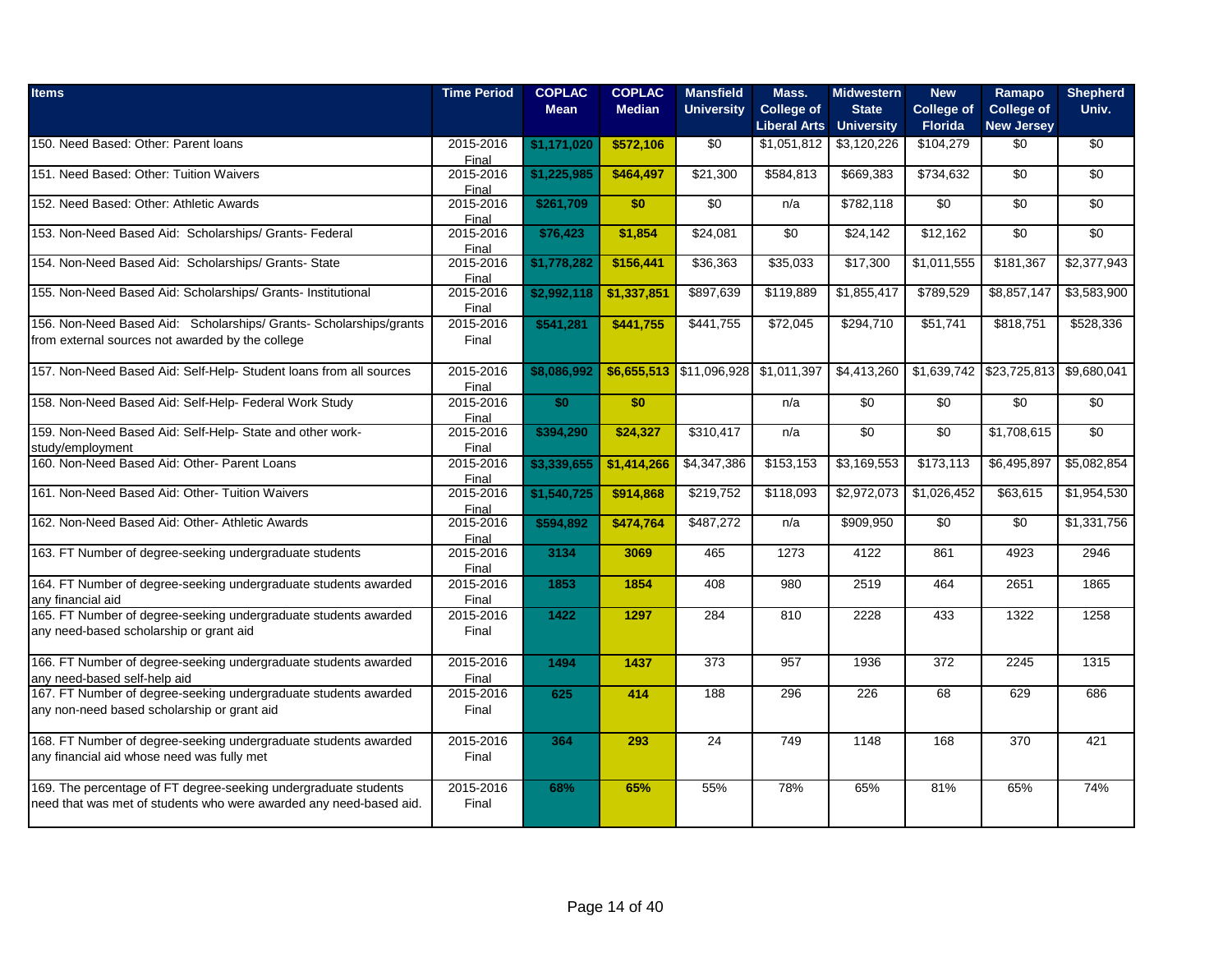| <b>Items</b>                                                                                                                          | <b>Time Period</b>     | <b>COPLAC</b> | <b>COPLAC</b> | <b>Mansfield</b>                     | Mass.                                    | <b>Midwestern</b>                 | <b>New</b>                          | Ramapo                                 | <b>Shepherd</b> |
|---------------------------------------------------------------------------------------------------------------------------------------|------------------------|---------------|---------------|--------------------------------------|------------------------------------------|-----------------------------------|-------------------------------------|----------------------------------------|-----------------|
|                                                                                                                                       |                        | <b>Mean</b>   | <b>Median</b> | <b>University</b>                    | <b>College of</b><br><b>Liberal Arts</b> | <b>State</b><br><b>University</b> | <b>College of</b><br><b>Florida</b> | <b>College of</b><br><b>New Jersey</b> | Univ.           |
| 150. Need Based: Other: Parent loans                                                                                                  | 2015-2016<br>Final     | \$1,171,020   | \$572,106     | \$0                                  | \$1,051,812                              | \$3,120,226                       | \$104,279                           | \$0                                    | \$0             |
| 151. Need Based: Other: Tuition Waivers                                                                                               | 2015-2016<br>Final     | \$1,225,985   | \$464,497     | \$21,300                             | \$584,813                                | \$669,383                         | \$734,632                           | \$0                                    | \$0             |
| 152. Need Based: Other: Athletic Awards                                                                                               | 2015-2016<br>Final     | \$261,709     | \$0           | \$0                                  | n/a                                      | \$782,118                         | \$0                                 | \$0                                    | \$0             |
| 153. Non-Need Based Aid: Scholarships/ Grants- Federal                                                                                | 2015-2016<br>Final     | \$76,423      | \$1,854       | \$24,081                             | $\sqrt{6}$                               | \$24,142                          | \$12,162                            | \$0                                    | \$0             |
| 154. Non-Need Based Aid: Scholarships/ Grants- State                                                                                  | 2015-2016<br>Final     | \$1,778,282   | \$156,441     | \$36,363                             | \$35,033                                 | \$17,300                          | \$1,011,555                         | \$181,367                              | \$2,377,943     |
| 155. Non-Need Based Aid: Scholarships/ Grants- Institutional                                                                          | 2015-2016<br>Final     | \$2,992,118   | \$1,337,851   | \$897,639                            | \$119,889                                | \$1,855,417                       | \$789,529                           | \$8,857,147                            | \$3,583,900     |
| 156. Non-Need Based Aid: Scholarships/ Grants- Scholarships/grants<br>from external sources not awarded by the college                | 2015-2016<br>Final     | \$541,281     | \$441,755     | \$441,755                            | \$72,045                                 | \$294,710                         | \$51.741                            | \$818,751                              | \$528,336       |
| 157. Non-Need Based Aid: Self-Help- Student loans from all sources                                                                    | 2015-2016<br>Final     | \$8,086,992   |               | \$6,655,513 \$11,096,928 \$1,011,397 |                                          | \$4,413,260                       |                                     | \$1,639,742 \$23,725,813 \$9,680,041   |                 |
| 158. Non-Need Based Aid: Self-Help- Federal Work Study                                                                                | 2015-2016<br>Final     | \$0           | \$0           |                                      | n/a                                      | \$0                               | \$0                                 | $\sqrt{50}$                            | \$0             |
| 159. Non-Need Based Aid: Self-Help- State and other work-<br>study/employment                                                         | 2015-2016<br>Final     | \$394,290     | \$24,327      | \$310,417                            | n/a                                      | $\overline{50}$                   | $\sqrt{6}$                          | \$1,708,615                            | $\sqrt{50}$     |
| 160. Non-Need Based Aid: Other- Parent Loans                                                                                          | $2015 - 2016$<br>Final | \$3,339,655   | \$1,414,266   | \$4,347,386                          | \$153,153                                | \$3,169,553                       | \$173,113                           | \$6,495,897                            | \$5,082,854     |
| 161. Non-Need Based Aid: Other- Tuition Waivers                                                                                       | 2015-2016<br>Final     | \$1,540,725   | \$914,868     | \$219,752                            | \$118,093                                | \$2,972,073                       | \$1,026,452                         | \$63,615                               | \$1,954,530     |
| 162. Non-Need Based Aid: Other- Athletic Awards                                                                                       | 2015-2016<br>Final     | \$594,892     | \$474,764     | \$487,272                            | n/a                                      | \$909,950                         | \$0                                 | $\overline{50}$                        | \$1,331,756     |
| 163. FT Number of degree-seeking undergraduate students                                                                               | 2015-2016<br>Final     | 3134          | 3069          | 465                                  | 1273                                     | 4122                              | 861                                 | 4923                                   | 2946            |
| 164. FT Number of degree-seeking undergraduate students awarded<br>any financial aid                                                  | 2015-2016<br>Final     | 1853          | 1854          | 408                                  | 980                                      | 2519                              | 464                                 | 2651                                   | 1865            |
| 165. FT Number of degree-seeking undergraduate students awarded<br>any need-based scholarship or grant aid                            | 2015-2016<br>Final     | 1422          | 1297          | 284                                  | 810                                      | 2228                              | 433                                 | 1322                                   | 1258            |
| 166. FT Number of degree-seeking undergraduate students awarded<br>any need-based self-help aid                                       | 2015-2016<br>Final     | 1494          | 1437          | 373                                  | 957                                      | 1936                              | 372                                 | 2245                                   | 1315            |
| 167. FT Number of degree-seeking undergraduate students awarded<br>any non-need based scholarship or grant aid                        | 2015-2016<br>Final     | 625           | 414           | 188                                  | 296                                      | 226                               | 68                                  | 629                                    | 686             |
| 168. FT Number of degree-seeking undergraduate students awarded<br>any financial aid whose need was fully met                         | 2015-2016<br>Final     | 364           | 293           | 24                                   | 749                                      | 1148                              | 168                                 | 370                                    | 421             |
| 169. The percentage of FT degree-seeking undergraduate students<br>need that was met of students who were awarded any need-based aid. | 2015-2016<br>Final     | 68%           | 65%           | 55%                                  | 78%                                      | 65%                               | 81%                                 | 65%                                    | 74%             |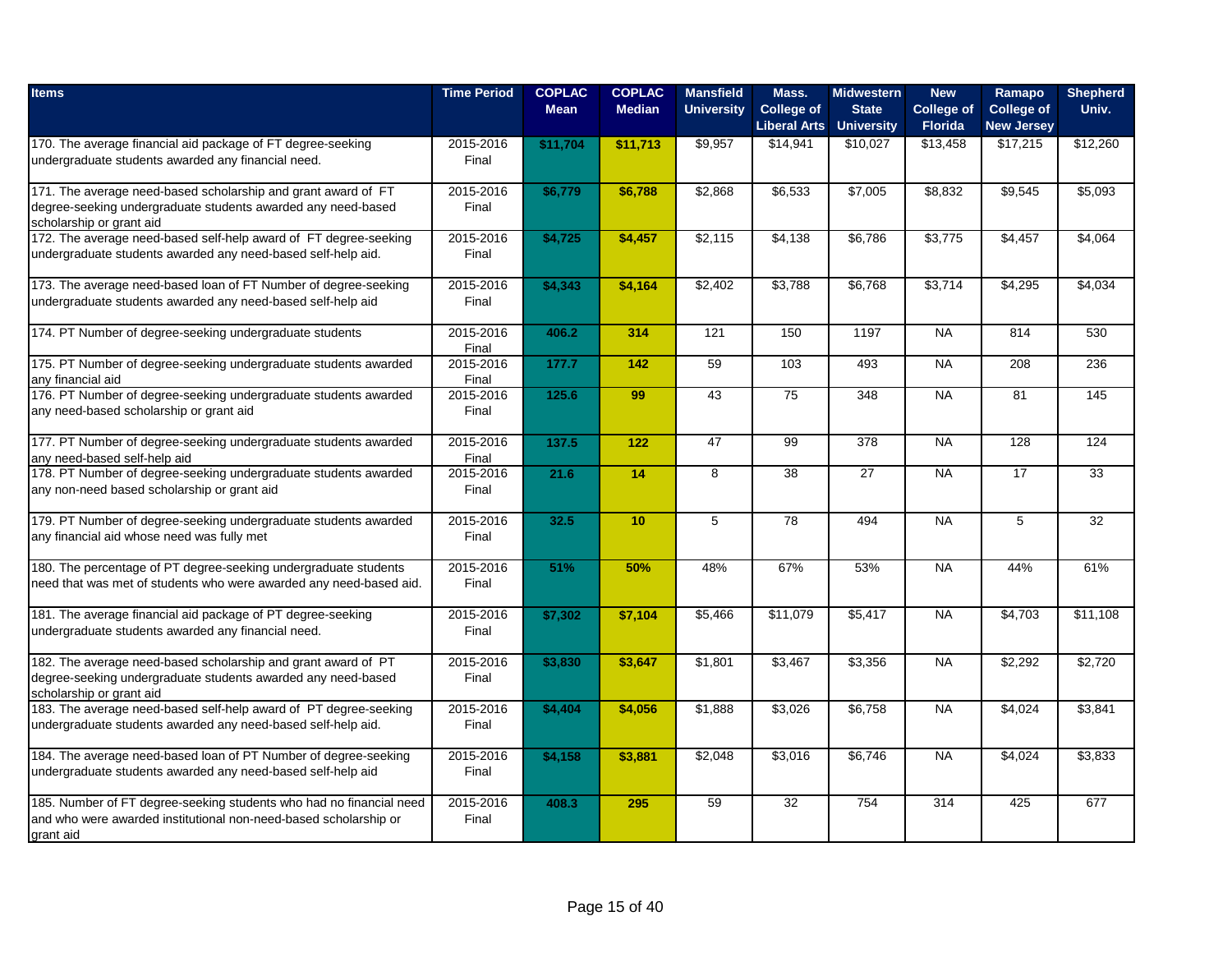| <b>Items</b>                                                                                                                                              | <b>Time Period</b> | <b>COPLAC</b><br><b>Mean</b> | <b>COPLAC</b><br><b>Median</b> | <b>Mansfield</b><br><b>University</b> | Mass.<br><b>College of</b><br><b>Liberal Arts</b> | <b>Midwestern</b><br><b>State</b><br><b>University</b> | <b>New</b><br><b>College of</b><br>Florida | Ramapo<br><b>College of</b><br><b>New Jersey</b> | <b>Shepherd</b><br>Univ. |
|-----------------------------------------------------------------------------------------------------------------------------------------------------------|--------------------|------------------------------|--------------------------------|---------------------------------------|---------------------------------------------------|--------------------------------------------------------|--------------------------------------------|--------------------------------------------------|--------------------------|
| 170. The average financial aid package of FT degree-seeking<br>undergraduate students awarded any financial need.                                         | 2015-2016<br>Final | \$11,704                     | \$11,713                       | \$9,957                               | \$14,941                                          | \$10,027                                               | \$13,458                                   | \$17,215                                         | \$12,260                 |
| 171. The average need-based scholarship and grant award of FT<br>degree-seeking undergraduate students awarded any need-based<br>scholarship or grant aid | 2015-2016<br>Final | \$6,779                      | \$6,788                        | \$2,868                               | \$6,533                                           | \$7,005                                                | \$8,832                                    | \$9,545                                          | \$5,093                  |
| 172. The average need-based self-help award of FT degree-seeking<br>undergraduate students awarded any need-based self-help aid.                          | 2015-2016<br>Final | \$4,725                      | \$4,457                        | \$2,115                               | $\overline{$4,138}$                               | \$6,786                                                | \$3,775                                    | \$4,457                                          | \$4,064                  |
| 173. The average need-based loan of FT Number of degree-seeking<br>undergraduate students awarded any need-based self-help aid                            | 2015-2016<br>Final | \$4,343                      | \$4,164                        | \$2,402                               | \$3,788                                           | \$6,768                                                | \$3,714                                    | \$4,295                                          | \$4,034                  |
| 174. PT Number of degree-seeking undergraduate students                                                                                                   | 2015-2016<br>Final | 406.2                        | 314                            | 121                                   | 150                                               | 1197                                                   | <b>NA</b>                                  | 814                                              | 530                      |
| 175. PT Number of degree-seeking undergraduate students awarded<br>any financial aid                                                                      | 2015-2016<br>Final | 177.7                        | $142$                          | 59                                    | 103                                               | 493                                                    | <b>NA</b>                                  | 208                                              | 236                      |
| 176. PT Number of degree-seeking undergraduate students awarded<br>any need-based scholarship or grant aid                                                | 2015-2016<br>Final | 125.6                        | 99                             | 43                                    | 75                                                | 348                                                    | <b>NA</b>                                  | 81                                               | 145                      |
| 177. PT Number of degree-seeking undergraduate students awarded<br>any need-based self-help aid                                                           | 2015-2016<br>Final | 137.5                        | 122                            | 47                                    | 99                                                | 378                                                    | <b>NA</b>                                  | 128                                              | 124                      |
| 178. PT Number of degree-seeking undergraduate students awarded<br>any non-need based scholarship or grant aid                                            | 2015-2016<br>Final | 21.6                         | 14                             | $\overline{8}$                        | 38                                                | $\overline{27}$                                        | <b>NA</b>                                  | 17                                               | 33                       |
| 179. PT Number of degree-seeking undergraduate students awarded<br>any financial aid whose need was fully met                                             | 2015-2016<br>Final | 32.5                         | 10                             | 5                                     | 78                                                | 494                                                    | <b>NA</b>                                  | 5                                                | 32                       |
| 180. The percentage of PT degree-seeking undergraduate students<br>need that was met of students who were awarded any need-based aid.                     | 2015-2016<br>Final | 51%                          | 50%                            | 48%                                   | 67%                                               | 53%                                                    | <b>NA</b>                                  | 44%                                              | 61%                      |
| 181. The average financial aid package of PT degree-seeking<br>undergraduate students awarded any financial need.                                         | 2015-2016<br>Final | \$7,302                      | \$7,104                        | \$5,466                               | \$11,079                                          | \$5,417                                                | <b>NA</b>                                  | \$4,703                                          | \$11,108                 |
| 182. The average need-based scholarship and grant award of PT<br>degree-seeking undergraduate students awarded any need-based<br>scholarship or grant aid | 2015-2016<br>Final | \$3,830                      | \$3,647                        | \$1,801                               | \$3,467                                           | \$3,356                                                | <b>NA</b>                                  | \$2,292                                          | \$2,720                  |
| 183. The average need-based self-help award of PT degree-seeking<br>undergraduate students awarded any need-based self-help aid.                          | 2015-2016<br>Final | \$4,404                      | \$4,056                        | \$1,888                               | \$3,026                                           | \$6,758                                                | <b>NA</b>                                  | \$4,024                                          | \$3,841                  |
| 184. The average need-based loan of PT Number of degree-seeking<br>undergraduate students awarded any need-based self-help aid                            | 2015-2016<br>Final | \$4,158                      | \$3,881                        | \$2,048                               | \$3,016                                           | \$6,746                                                | $N_A$                                      | \$4,024                                          | \$3,833                  |
| 185. Number of FT degree-seeking students who had no financial need<br>and who were awarded institutional non-need-based scholarship or<br>grant aid      | 2015-2016<br>Final | 408.3                        | 295                            | 59                                    | 32                                                | 754                                                    | 314                                        | 425                                              | 677                      |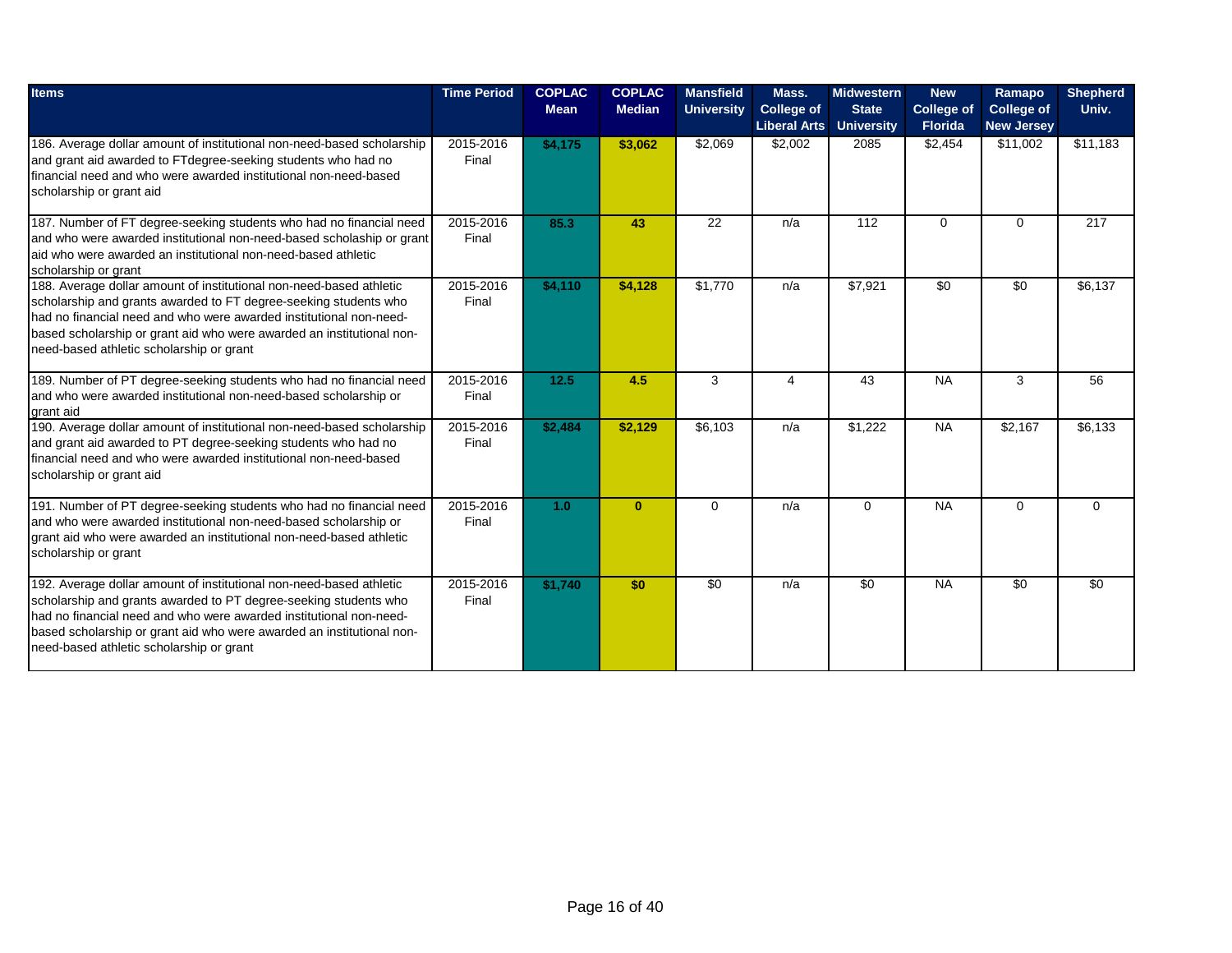| <b>Items</b>                                                                                                                                                                                                                                                                                                                       | <b>Time Period</b> | <b>COPLAC</b><br><b>Mean</b> | <b>COPLAC</b><br><b>Median</b> | <b>Mansfield</b><br><b>University</b> | Mass.<br><b>College of</b><br><b>Liberal Arts</b> | <b>Midwestern</b><br><b>State</b><br><b>University</b> | <b>New</b><br><b>College of</b><br><b>Florida</b> | Ramapo<br><b>College of</b><br><b>New Jersey</b> | <b>Shepherd</b><br>Univ. |
|------------------------------------------------------------------------------------------------------------------------------------------------------------------------------------------------------------------------------------------------------------------------------------------------------------------------------------|--------------------|------------------------------|--------------------------------|---------------------------------------|---------------------------------------------------|--------------------------------------------------------|---------------------------------------------------|--------------------------------------------------|--------------------------|
| 186. Average dollar amount of institutional non-need-based scholarship<br>and grant aid awarded to FTdegree-seeking students who had no<br>financial need and who were awarded institutional non-need-based<br>scholarship or grant aid                                                                                            | 2015-2016<br>Final | \$4,175                      | \$3,062                        | \$2,069                               | \$2,002                                           | 2085                                                   | \$2,454                                           | \$11,002                                         | \$11,183                 |
| 187. Number of FT degree-seeking students who had no financial need<br>and who were awarded institutional non-need-based scholaship or grant<br>aid who were awarded an institutional non-need-based athletic<br>scholarship or grant                                                                                              | 2015-2016<br>Final | 85.3                         | 43                             | $\overline{22}$                       | n/a                                               | $\overline{112}$                                       | $\Omega$                                          | $\Omega$                                         | $\overline{217}$         |
| 188. Average dollar amount of institutional non-need-based athletic<br>scholarship and grants awarded to FT degree-seeking students who<br>had no financial need and who were awarded institutional non-need-<br>based scholarship or grant aid who were awarded an institutional non-<br>need-based athletic scholarship or grant | 2015-2016<br>Final | \$4,110                      | \$4,128                        | \$1,770                               | n/a                                               | \$7,921                                                | $\overline{50}$                                   | $\overline{50}$                                  | \$6,137                  |
| 189. Number of PT degree-seeking students who had no financial need<br>and who were awarded institutional non-need-based scholarship or<br>grant aid                                                                                                                                                                               | 2015-2016<br>Final | 12.5                         | 4.5                            | 3                                     | $\overline{4}$                                    | 43                                                     | <b>NA</b>                                         | 3                                                | 56                       |
| 190. Average dollar amount of institutional non-need-based scholarship<br>and grant aid awarded to PT degree-seeking students who had no<br>financial need and who were awarded institutional non-need-based<br>scholarship or grant aid                                                                                           | 2015-2016<br>Final | \$2,484                      | \$2,129                        | \$6,103                               | n/a                                               | \$1,222                                                | <b>NA</b>                                         | \$2,167                                          | \$6,133                  |
| 191. Number of PT degree-seeking students who had no financial need<br>and who were awarded institutional non-need-based scholarship or<br>grant aid who were awarded an institutional non-need-based athletic<br>scholarship or grant                                                                                             | 2015-2016<br>Final | 1.0 <sub>1</sub>             | $\mathbf{0}$                   | $\Omega$                              | n/a                                               | $\Omega$                                               | <b>NA</b>                                         | $\Omega$                                         | $\Omega$                 |
| 192. Average dollar amount of institutional non-need-based athletic<br>scholarship and grants awarded to PT degree-seeking students who<br>had no financial need and who were awarded institutional non-need-<br>based scholarship or grant aid who were awarded an institutional non-<br>need-based athletic scholarship or grant | 2015-2016<br>Final | \$1,740                      | \$0                            | $\overline{30}$                       | n/a                                               | $\overline{50}$                                        | <b>NA</b>                                         | $\overline{50}$                                  | $\overline{50}$          |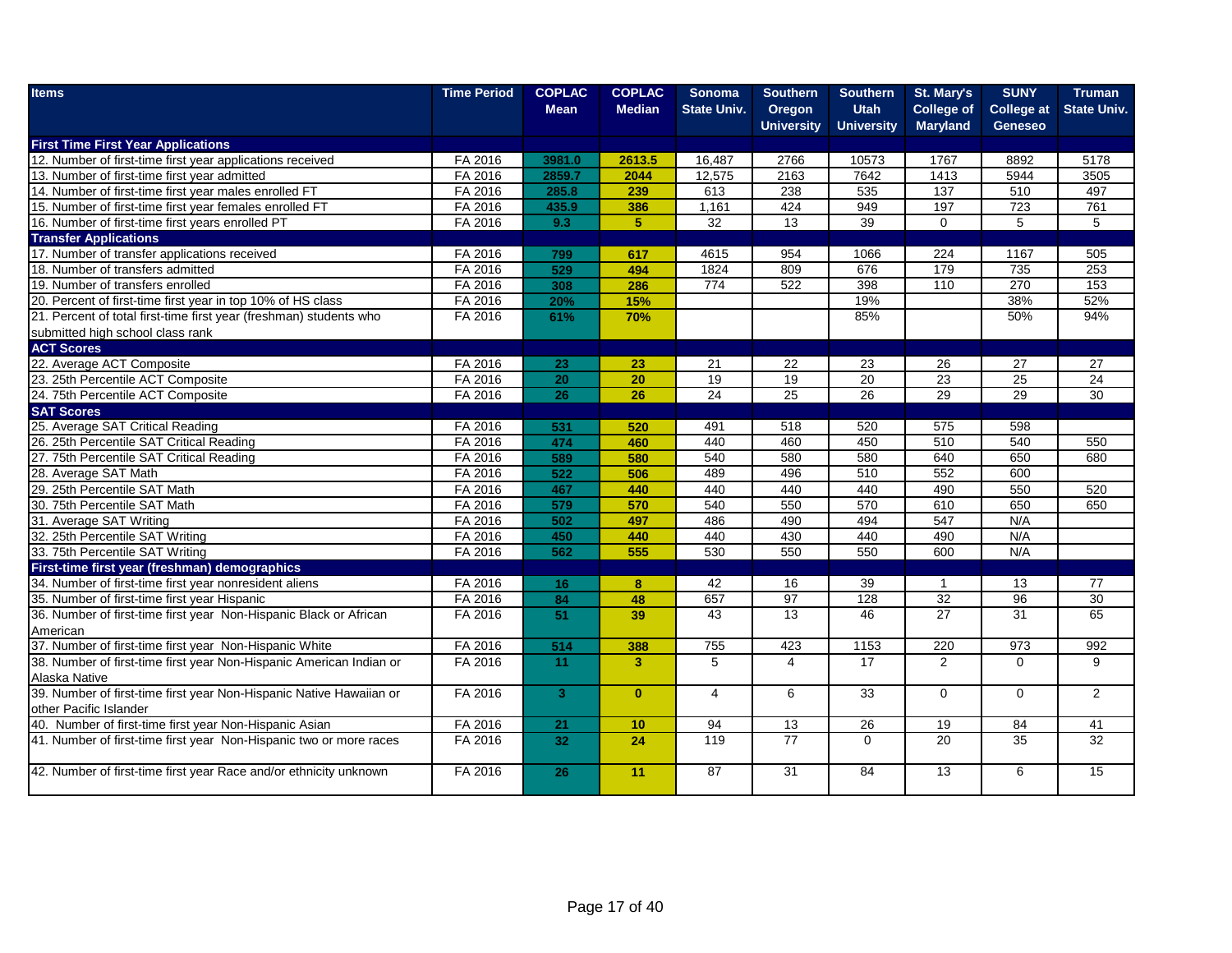| <b>Items</b>                                                        | <b>Time Period</b> | <b>COPLAC</b>   | <b>COPLAC</b>           | <b>Sonoma</b>      | <b>Southern</b>   | <b>Southern</b>   | St. Mary's        | <b>SUNY</b>       | Truman             |
|---------------------------------------------------------------------|--------------------|-----------------|-------------------------|--------------------|-------------------|-------------------|-------------------|-------------------|--------------------|
|                                                                     |                    | <b>Mean</b>     | <b>Median</b>           | <b>State Univ.</b> | Oregon            | <b>Utah</b>       | <b>College of</b> | <b>College at</b> | <b>State Univ.</b> |
|                                                                     |                    |                 |                         |                    | <b>University</b> | <b>University</b> | <b>Maryland</b>   | <b>Geneseo</b>    |                    |
| <b>First Time First Year Applications</b>                           |                    |                 |                         |                    |                   |                   |                   |                   |                    |
| 12. Number of first-time first year applications received           | FA 2016            | 3981.0          | 2613.5                  | 16,487             | 2766              | 10573             | 1767              | 8892              | 5178               |
| 13. Number of first-time first year admitted                        | FA 2016            | 2859.7          | 2044                    | 12,575             | 2163              | 7642              | 1413              | 5944              | 3505               |
| 14. Number of first-time first year males enrolled FT               | FA 2016            | 285.8           | 239                     | 613                | 238               | 535               | 137               | 510               | 497                |
| 15. Number of first-time first year females enrolled FT             | FA 2016            | 435.9           | 386                     | 1,161              | 424               | 949               | 197               | 723               | 761                |
| 16. Number of first-time first years enrolled PT                    | FA 2016            | 9.3             | 5 <sup>1</sup>          | 32                 | 13                | 39                | $\mathbf 0$       | 5                 | 5                  |
| <b>Transfer Applications</b>                                        |                    |                 |                         |                    |                   |                   |                   |                   |                    |
| 17. Number of transfer applications received                        | FA 2016            | 799             | 617                     | 4615               | 954               | 1066              | 224               | 1167              | 505                |
| 18. Number of transfers admitted                                    | FA 2016            | 529             | 494                     | 1824               | 809               | 676               | 179               | 735               | 253                |
| 19. Number of transfers enrolled                                    | FA 2016            | 308             | 286                     | 774                | 522               | 398               | $\frac{110}{110}$ | 270               | $\overline{153}$   |
| 20. Percent of first-time first year in top 10% of HS class         | FA 2016            | 20%             | 15%                     |                    |                   | 19%               |                   | 38%               | 52%                |
| 21. Percent of total first-time first year (freshman) students who  | FA 2016            | 61%             | 70%                     |                    |                   | 85%               |                   | 50%               | 94%                |
| submitted high school class rank                                    |                    |                 |                         |                    |                   |                   |                   |                   |                    |
| <b>ACT Scores</b>                                                   |                    |                 |                         |                    |                   |                   |                   |                   |                    |
| 22. Average ACT Composite                                           | FA 2016            | 23              | 23                      | 21                 | 22                | 23                | 26                | 27                | 27                 |
| 23. 25th Percentile ACT Composite                                   | FA 2016            | $\overline{20}$ | 20                      | 19                 | 19                | 20                | 23                | 25                | 24                 |
| 24. 75th Percentile ACT Composite                                   | FA 2016            | 26              | 26                      | 24                 | 25                | 26                | 29                | 29                | 30                 |
| <b>SAT Scores</b>                                                   |                    |                 |                         |                    |                   |                   |                   |                   |                    |
| 25. Average SAT Critical Reading                                    | FA 2016            | 531             | 520                     | 491                | 518               | 520               | 575               | 598               |                    |
| 26. 25th Percentile SAT Critical Reading                            | FA 2016            | 474             | 460                     | 440                | 460               | 450               | 510               | 540               | 550                |
| 27. 75th Percentile SAT Critical Reading                            | FA 2016            | 589             | 580                     | 540                | 580               | 580               | 640               | 650               | 680                |
| 28. Average SAT Math                                                | FA 2016            | 522             | 506                     | 489                | 496               | 510               | 552               | 600               |                    |
| 29. 25th Percentile SAT Math                                        | FA 2016            | 467             | 440                     | 440                | 440               | 440               | 490               | 550               | 520                |
| 30. 75th Percentile SAT Math                                        | FA 2016            | 579             | 570                     | 540                | 550               | 570               | 610               | 650               | 650                |
| 31. Average SAT Writing                                             | FA 2016            | 502             | 497                     | 486                | 490               | 494               | 547               | N/A               |                    |
| 32. 25th Percentile SAT Writing                                     | FA 2016            | 450             | 440                     | 440                | 430               | 440               | 490               | N/A               |                    |
| 33. 75th Percentile SAT Writing                                     | FA 2016            | 562             | 555                     | 530                | 550               | 550               | 600               | N/A               |                    |
| First-time first year (freshman) demographics                       |                    |                 |                         |                    |                   |                   |                   |                   |                    |
| 34. Number of first-time first year nonresident aliens              | FA 2016            | 16              | $\bf{8}$                | 42                 | 16                | 39                | $\overline{1}$    | 13                | 77                 |
| 35. Number of first-time first year Hispanic                        | FA 2016            | 84              | 48                      | 657                | 97                | 128               | $\overline{32}$   | 96                | 30                 |
| 36. Number of first-time first year Non-Hispanic Black or African   | FA 2016            | 51              | 39                      | $\overline{43}$    | 13                | 46                | 27                | $\overline{31}$   | 65                 |
| American                                                            |                    |                 |                         |                    |                   |                   |                   |                   |                    |
| 37. Number of first-time first year Non-Hispanic White              | FA 2016            | 514             | 388                     | 755                | 423               | 1153              | 220               | 973               | 992                |
| 38. Number of first-time first year Non-Hispanic American Indian or | FA 2016            | 11              | $\overline{\mathbf{3}}$ | 5                  | $\overline{4}$    | 17                | $\overline{2}$    | $\Omega$          | 9                  |
| Alaska Native                                                       |                    |                 |                         |                    |                   |                   |                   |                   |                    |
| 39. Number of first-time first year Non-Hispanic Native Hawaiian or | FA 2016            | 3 <sup>1</sup>  | $\mathbf{0}$            | $\overline{4}$     | 6                 | 33                | $\mathbf 0$       | $\mathbf 0$       | $\overline{2}$     |
| other Pacific Islander                                              |                    |                 |                         |                    |                   |                   |                   |                   |                    |
| 40. Number of first-time first year Non-Hispanic Asian              | FA 2016            | 21              | 10                      | 94                 | 13                | 26                | 19                | 84                | 41                 |
| 41. Number of first-time first year Non-Hispanic two or more races  | FA 2016            | 32              | 24                      | 119                | $\overline{77}$   | $\Omega$          | $\overline{20}$   | $\overline{35}$   | 32                 |
|                                                                     |                    |                 |                         |                    |                   |                   |                   |                   |                    |
| 42. Number of first-time first year Race and/or ethnicity unknown   | FA 2016            | 26              | 11                      | $\overline{87}$    | $\overline{31}$   | 84                | $\overline{13}$   | 6                 | $\overline{15}$    |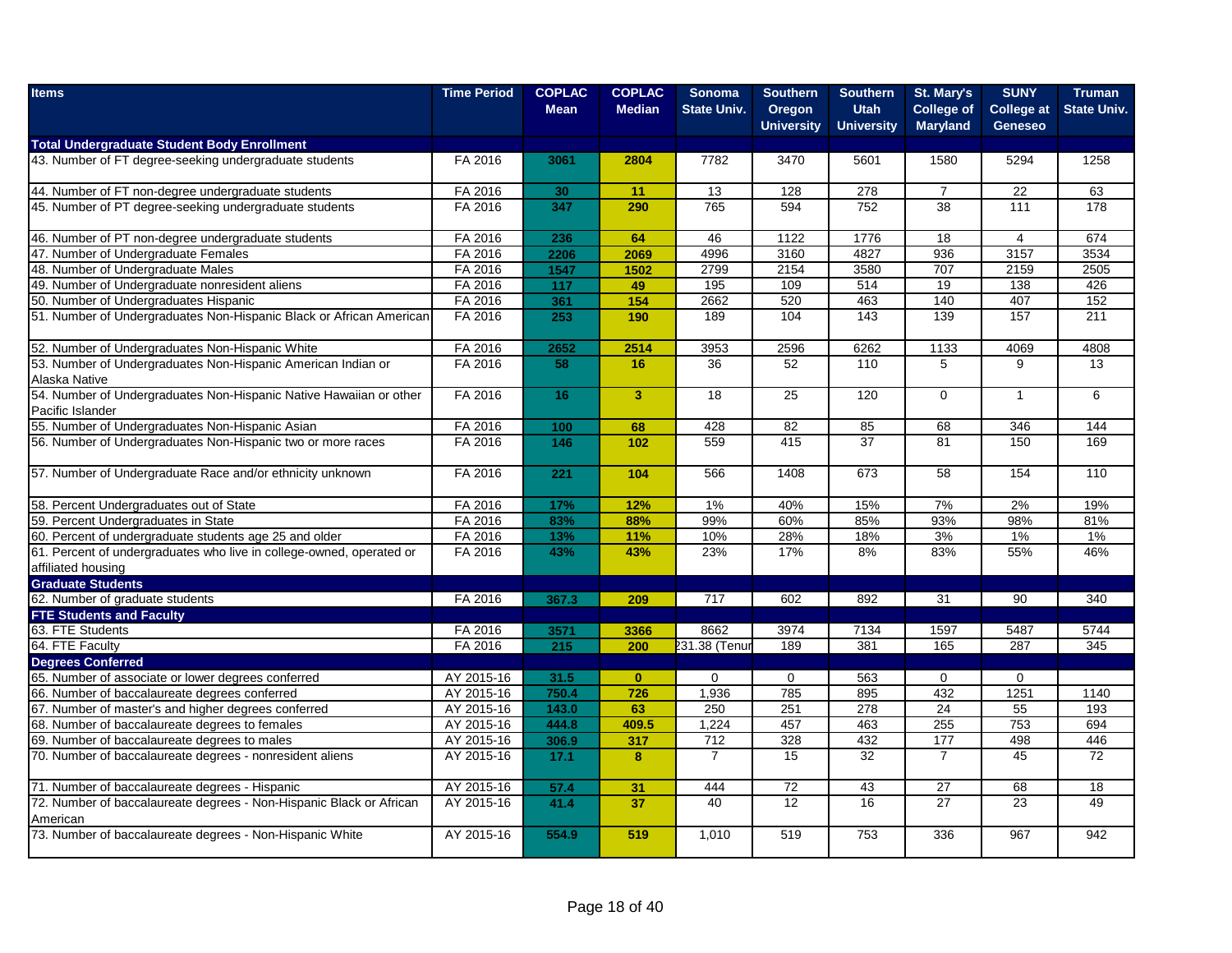| <b>Items</b>                                                                               | <b>Time Period</b> | <b>COPLAC</b><br><b>Mean</b> | <b>COPLAC</b><br><b>Median</b> | <b>Sonoma</b><br><b>State Univ.</b> | <b>Southern</b><br>Oregon<br><b>University</b> | <b>Southern</b><br><b>Utah</b><br><b>University</b> | St. Mary's<br><b>College of</b><br><b>Maryland</b> | <b>SUNY</b><br><b>College at</b><br><b>Geneseo</b> | <b>Truman</b><br><b>State Univ.</b> |
|--------------------------------------------------------------------------------------------|--------------------|------------------------------|--------------------------------|-------------------------------------|------------------------------------------------|-----------------------------------------------------|----------------------------------------------------|----------------------------------------------------|-------------------------------------|
| <b>Total Undergraduate Student Body Enrollment</b>                                         |                    |                              |                                |                                     |                                                |                                                     |                                                    |                                                    |                                     |
| 43. Number of FT degree-seeking undergraduate students                                     | FA 2016            | 3061                         | 2804                           | 7782                                | 3470                                           | 5601                                                | 1580                                               | 5294                                               | 1258                                |
| 44. Number of FT non-degree undergraduate students                                         | FA 2016            | 30                           | 11                             | 13                                  | 128                                            | 278                                                 | $\overline{7}$                                     | $\overline{22}$                                    | 63                                  |
| 45. Number of PT degree-seeking undergraduate students                                     | FA 2016            | 347                          | 290                            | 765                                 | 594                                            | 752                                                 | 38                                                 | 111                                                | 178                                 |
| 46. Number of PT non-degree undergraduate students                                         | FA 2016            | 236                          | 64                             | 46                                  | 1122                                           | 1776                                                | 18                                                 | $\overline{4}$                                     | 674                                 |
| 47. Number of Undergraduate Females                                                        | FA 2016            | 2206                         | 2069                           | 4996                                | 3160                                           | 4827                                                | 936                                                | 3157                                               | 3534                                |
| 48. Number of Undergraduate Males                                                          | FA 2016            | 1547                         | 1502                           | 2799                                | 2154                                           | 3580                                                | 707                                                | 2159                                               | 2505                                |
| 49. Number of Undergraduate nonresident aliens                                             | FA 2016            | 117                          | 49                             | 195                                 | 109                                            | 514                                                 | 19                                                 | 138                                                | 426                                 |
| 50. Number of Undergraduates Hispanic                                                      | FA 2016            | 361                          | 154                            | 2662                                | 520                                            | 463                                                 | 140                                                | 407                                                | 152                                 |
| 51. Number of Undergraduates Non-Hispanic Black or African American                        | FA 2016            | 253                          | 190                            | 189                                 | 104                                            | 143                                                 | 139                                                | 157                                                | 211                                 |
| 52. Number of Undergraduates Non-Hispanic White                                            | FA 2016            | 2652                         | 2514                           | 3953                                | 2596                                           | 6262                                                | 1133                                               | 4069                                               | 4808                                |
| 53. Number of Undergraduates Non-Hispanic American Indian or<br>Alaska Native              | FA 2016            | 58                           | 16                             | 36                                  | $\overline{52}$                                | 110                                                 | 5                                                  | 9                                                  | 13                                  |
| 54. Number of Undergraduates Non-Hispanic Native Hawaiian or other<br>Pacific Islander     | FA 2016            | 16                           | $\overline{3}$                 | 18                                  | 25                                             | 120                                                 | $\Omega$                                           | $\mathbf{1}$                                       | 6                                   |
| 55. Number of Undergraduates Non-Hispanic Asian                                            | FA 2016            | 100                          | 68                             | 428                                 | 82                                             | 85                                                  | 68                                                 | 346                                                | 144                                 |
| 56. Number of Undergraduates Non-Hispanic two or more races                                | FA 2016            | 146                          | 102                            | 559                                 | 415                                            | 37                                                  | 81                                                 | 150                                                | 169                                 |
| 57. Number of Undergraduate Race and/or ethnicity unknown                                  | FA 2016            | 221                          | 104                            | 566                                 | 1408                                           | 673                                                 | 58                                                 | 154                                                | 110                                 |
| 58. Percent Undergraduates out of State                                                    | FA 2016            | 17%                          | 12%                            | 1%                                  | 40%                                            | 15%                                                 | 7%                                                 | 2%                                                 | 19%                                 |
| 59. Percent Undergraduates in State                                                        | FA 2016            | 83%                          | 88%                            | 99%                                 | 60%                                            | 85%                                                 | 93%                                                | 98%                                                | 81%                                 |
| 60. Percent of undergraduate students age 25 and older                                     | FA 2016            | 13%                          | 11%                            | 10%                                 | 28%                                            | 18%                                                 | 3%                                                 | $1\%$                                              | 1%                                  |
| 61. Percent of undergraduates who live in college-owned, operated or<br>affiliated housing | FA 2016            | 43%                          | 43%                            | 23%                                 | 17%                                            | 8%                                                  | 83%                                                | 55%                                                | 46%                                 |
| <b>Graduate Students</b>                                                                   |                    |                              |                                |                                     |                                                |                                                     |                                                    |                                                    |                                     |
| 62. Number of graduate students                                                            | FA 2016            | 367.3                        | 209                            | 717                                 | 602                                            | 892                                                 | 31                                                 | 90                                                 | 340                                 |
| <b>FTE Students and Faculty</b>                                                            |                    |                              |                                |                                     |                                                |                                                     |                                                    |                                                    |                                     |
| 63. FTE Students                                                                           | FA 2016            | 3571                         | 3366                           | 8662                                | 3974                                           | 7134                                                | 1597                                               | 5487                                               | 5744                                |
| 64. FTE Faculty                                                                            | FA 2016            | 215                          | 200                            | 231.38 (Tenur                       | 189                                            | 381                                                 | 165                                                | 287                                                | 345                                 |
| <b>Degrees Conferred</b>                                                                   |                    |                              |                                |                                     |                                                |                                                     |                                                    |                                                    |                                     |
| 65. Number of associate or lower degrees conferred                                         | AY 2015-16         | 31.5                         | $\mathbf{0}$                   | $\mathbf 0$                         | $\mathbf 0$                                    | 563                                                 | $\mathbf 0$                                        | $\mathbf 0$                                        |                                     |
| 66. Number of baccalaureate degrees conferred                                              | AY 2015-16         | 750.4                        | 726                            | 1,936                               | 785                                            | 895                                                 | 432                                                | 1251                                               | 1140                                |
| 67. Number of master's and higher degrees conferred                                        | AY 2015-16         | 143.0                        | 63                             | 250                                 | 251                                            | 278                                                 | 24                                                 | 55                                                 | 193                                 |
| 68. Number of baccalaureate degrees to females                                             | AY 2015-16         | 444.8                        | 409.5                          | 1,224                               | 457                                            | 463                                                 | 255                                                | 753                                                | 694                                 |
| 69. Number of baccalaureate degrees to males                                               | AY 2015-16         | 306.9                        | 317                            | 712                                 | $\overline{328}$                               | 432                                                 | 177                                                | 498                                                | 446                                 |
| 70. Number of baccalaureate degrees - nonresident aliens                                   | AY 2015-16         | 17.1                         | $\bf{8}$                       | $\overline{7}$                      | 15                                             | 32                                                  | $\overline{7}$                                     | 45                                                 | 72                                  |
| 71. Number of baccalaureate degrees - Hispanic                                             | AY 2015-16         | 57.4                         | 31                             | 444                                 | 72                                             | 43                                                  | 27                                                 | 68                                                 | 18                                  |
| 72. Number of baccalaureate degrees - Non-Hispanic Black or African<br>American            | AY 2015-16         | 41.4                         | 37                             | 40                                  | 12                                             | 16                                                  | 27                                                 | 23                                                 | 49                                  |
| 73. Number of baccalaureate degrees - Non-Hispanic White                                   | AY 2015-16         | 554.9                        | 519                            | 1,010                               | 519                                            | 753                                                 | 336                                                | 967                                                | 942                                 |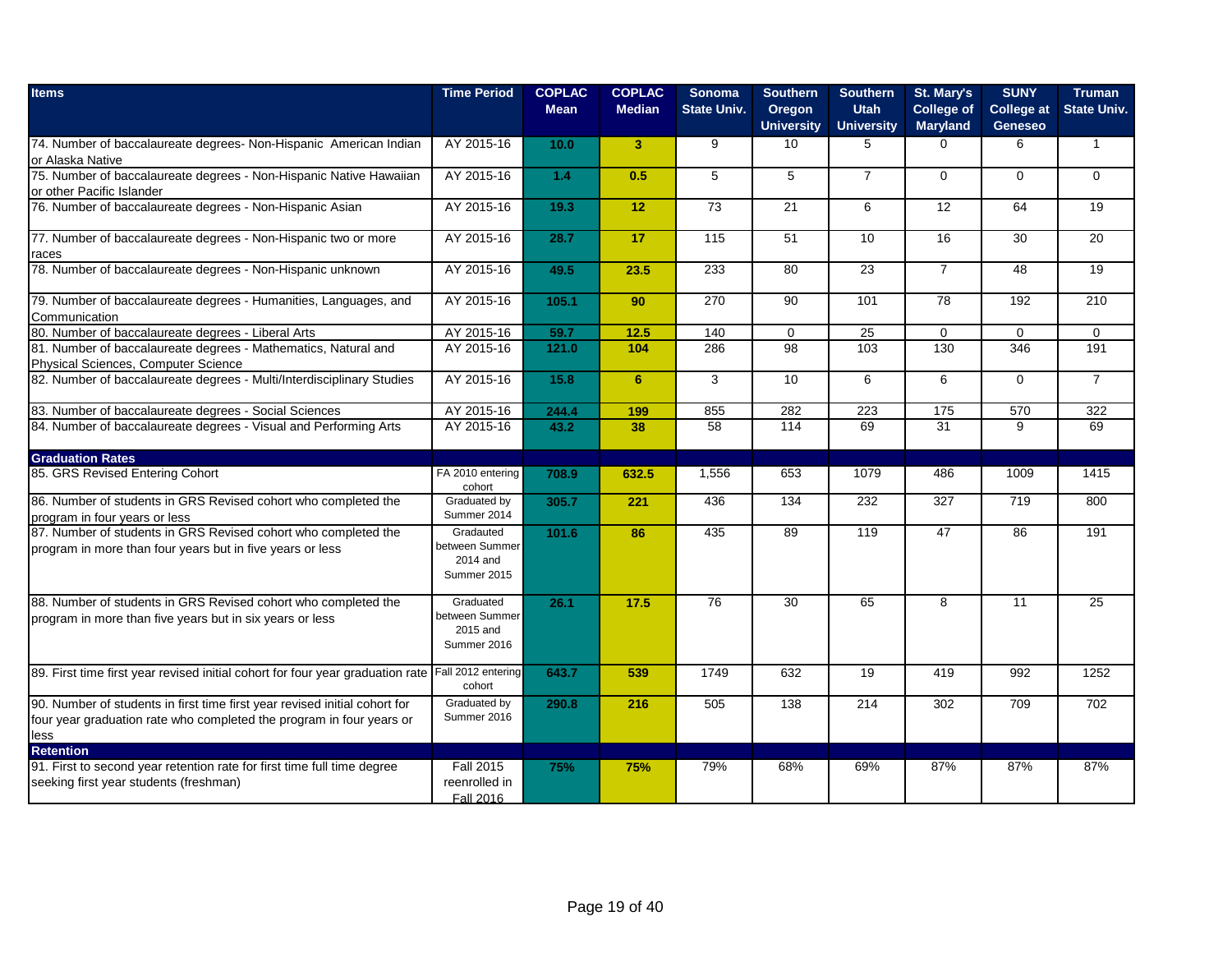| <b>Time Period</b>                        | <b>COPLAC</b><br><b>Mean</b>                                                                                                                                                                                                                                                                                             | <b>COPLAC</b><br><b>Median</b>                                                                             | <b>Sonoma</b><br><b>State Univ.</b>                                                   | <b>Southern</b><br>Oregon<br><b>University</b>                                                                 | <b>Southern</b><br><b>Utah</b><br><b>University</b>                                     | St. Mary's<br><b>College of</b><br><b>Maryland</b>                         | <b>SUNY</b><br><b>College at</b><br><b>Geneseo</b>                                                                          | <b>Truman</b><br><b>State Univ.</b>                                                            |
|-------------------------------------------|--------------------------------------------------------------------------------------------------------------------------------------------------------------------------------------------------------------------------------------------------------------------------------------------------------------------------|------------------------------------------------------------------------------------------------------------|---------------------------------------------------------------------------------------|----------------------------------------------------------------------------------------------------------------|-----------------------------------------------------------------------------------------|----------------------------------------------------------------------------|-----------------------------------------------------------------------------------------------------------------------------|------------------------------------------------------------------------------------------------|
| AY 2015-16                                | 10.0                                                                                                                                                                                                                                                                                                                     | 3                                                                                                          | 9                                                                                     | 10                                                                                                             | 5                                                                                       | $\Omega$                                                                   | 6                                                                                                                           | $\mathbf{1}$                                                                                   |
|                                           | $1.4$                                                                                                                                                                                                                                                                                                                    | 0.5                                                                                                        | 5                                                                                     | 5                                                                                                              | $\overline{7}$                                                                          | $\Omega$                                                                   | $\Omega$                                                                                                                    | $\Omega$                                                                                       |
|                                           |                                                                                                                                                                                                                                                                                                                          |                                                                                                            |                                                                                       |                                                                                                                | 6                                                                                       |                                                                            |                                                                                                                             | 19                                                                                             |
|                                           |                                                                                                                                                                                                                                                                                                                          |                                                                                                            |                                                                                       |                                                                                                                |                                                                                         |                                                                            |                                                                                                                             | 20                                                                                             |
|                                           |                                                                                                                                                                                                                                                                                                                          |                                                                                                            |                                                                                       |                                                                                                                |                                                                                         |                                                                            |                                                                                                                             | 19                                                                                             |
|                                           |                                                                                                                                                                                                                                                                                                                          |                                                                                                            |                                                                                       |                                                                                                                |                                                                                         |                                                                            |                                                                                                                             | 210                                                                                            |
|                                           |                                                                                                                                                                                                                                                                                                                          |                                                                                                            |                                                                                       |                                                                                                                |                                                                                         |                                                                            |                                                                                                                             | $\mathbf 0$                                                                                    |
|                                           |                                                                                                                                                                                                                                                                                                                          |                                                                                                            |                                                                                       |                                                                                                                |                                                                                         |                                                                            |                                                                                                                             | 191                                                                                            |
|                                           |                                                                                                                                                                                                                                                                                                                          |                                                                                                            |                                                                                       |                                                                                                                |                                                                                         |                                                                            |                                                                                                                             | $\overline{7}$                                                                                 |
|                                           |                                                                                                                                                                                                                                                                                                                          |                                                                                                            |                                                                                       |                                                                                                                |                                                                                         |                                                                            |                                                                                                                             | 322                                                                                            |
|                                           |                                                                                                                                                                                                                                                                                                                          |                                                                                                            |                                                                                       |                                                                                                                |                                                                                         |                                                                            |                                                                                                                             | 69                                                                                             |
|                                           |                                                                                                                                                                                                                                                                                                                          |                                                                                                            |                                                                                       |                                                                                                                |                                                                                         |                                                                            |                                                                                                                             |                                                                                                |
| cohort                                    |                                                                                                                                                                                                                                                                                                                          |                                                                                                            |                                                                                       |                                                                                                                |                                                                                         |                                                                            |                                                                                                                             | 1415                                                                                           |
| Summer 2014                               |                                                                                                                                                                                                                                                                                                                          |                                                                                                            |                                                                                       |                                                                                                                |                                                                                         |                                                                            |                                                                                                                             | 800                                                                                            |
| between Summer<br>2014 and<br>Summer 2015 |                                                                                                                                                                                                                                                                                                                          |                                                                                                            |                                                                                       |                                                                                                                |                                                                                         |                                                                            |                                                                                                                             | 191                                                                                            |
| between Summer<br>2015 and<br>Summer 2016 |                                                                                                                                                                                                                                                                                                                          |                                                                                                            |                                                                                       |                                                                                                                |                                                                                         |                                                                            |                                                                                                                             | 25                                                                                             |
| cohort                                    | 643.7                                                                                                                                                                                                                                                                                                                    | 539                                                                                                        | 1749                                                                                  | 632                                                                                                            | 19                                                                                      | 419                                                                        | 992                                                                                                                         | 1252                                                                                           |
| Graduated by<br>Summer 2016               | 290.8                                                                                                                                                                                                                                                                                                                    | 216                                                                                                        | 505                                                                                   | 138                                                                                                            | 214                                                                                     | 302                                                                        | 709                                                                                                                         | 702                                                                                            |
| <b>Fall 2015</b><br>reenrolled in         | 75%                                                                                                                                                                                                                                                                                                                      | 75%                                                                                                        | 79%                                                                                   | 68%                                                                                                            | 69%                                                                                     | 87%                                                                        | 87%                                                                                                                         | 87%                                                                                            |
|                                           | AY 2015-16<br>AY 2015-16<br>AY 2015-16<br>AY 2015-16<br>AY 2015-16<br>AY 2015-16<br>AY 2015-16<br>AY 2015-16<br>AY 2015-16<br>AY 2015-16<br>FA 2010 entering<br>Graduated by<br>Gradauted<br>Graduated<br>89. First time first year revised initial cohort for four year graduation rate Fall 2012 entering<br>Fall 2016 | 19.3<br>28.7<br>49.5<br>105.1<br>59.7<br>121.0<br>15.8<br>244.4<br>43.2<br>708.9<br>305.7<br>101.6<br>26.1 | 12<br>17<br>23.5<br>90<br>12.5<br>104<br>6<br>199<br>38<br>632.5<br>221<br>86<br>17.5 | 73<br>115<br>233<br>270<br>140<br>286<br>3<br>855<br>$\overline{58}$<br>1.556<br>436<br>435<br>$\overline{76}$ | 21<br>51<br>80<br>90<br>$\mathbf 0$<br>98<br>10<br>282<br>114<br>653<br>134<br>89<br>30 | 10<br>23<br>101<br>25<br>103<br>6<br>223<br>69<br>1079<br>232<br>119<br>65 | 12<br>16<br>$\overline{7}$<br>$\overline{78}$<br>$\mathbf 0$<br>130<br>6<br>175<br>$\overline{31}$<br>486<br>327<br>47<br>8 | 64<br>30<br>48<br>192<br>$\mathbf 0$<br>346<br>$\Omega$<br>570<br>9<br>1009<br>719<br>86<br>11 |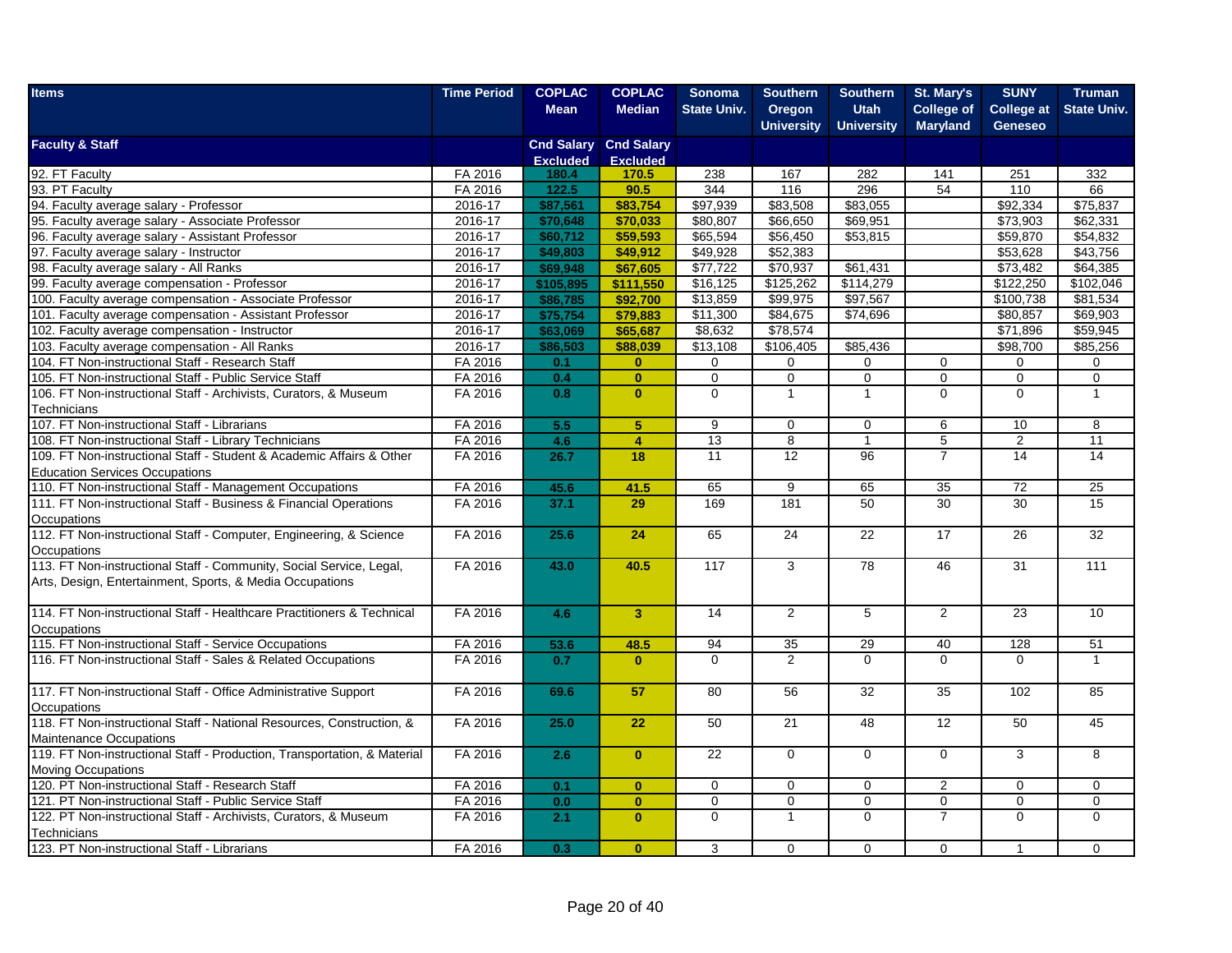| <b>Items</b>                                                                         | <b>Time Period</b> | <b>COPLAC</b>            | <b>COPLAC</b>                | <b>Sonoma</b>        | <b>Southern</b>   | <b>Southern</b>   | St. Mary's        | <b>SUNY</b>       | Truman             |
|--------------------------------------------------------------------------------------|--------------------|--------------------------|------------------------------|----------------------|-------------------|-------------------|-------------------|-------------------|--------------------|
|                                                                                      |                    | <b>Mean</b>              | <b>Median</b>                | <b>State Univ.</b>   | Oregon            | <b>Utah</b>       | <b>College of</b> | <b>College at</b> | <b>State Univ.</b> |
|                                                                                      |                    |                          |                              |                      | <b>University</b> | <b>University</b> | <b>Maryland</b>   | <b>Geneseo</b>    |                    |
| <b>Faculty &amp; Staff</b>                                                           |                    |                          | <b>Cnd Salary Cnd Salary</b> |                      |                   |                   |                   |                   |                    |
| 92. FT Faculty                                                                       | FA 2016            | <b>Excluded</b><br>180.4 | <b>Excluded</b><br>170.5     | 238                  | 167               | 282               | 141               | 251               | 332                |
| 93. PT Faculty                                                                       | FA 2016            | 122.5                    | 90.5                         | 344                  | 116               | 296               | 54                | 110               | 66                 |
| 94. Faculty average salary - Professor                                               | 2016-17            | \$87,561                 | \$83,754                     | \$97,939             | \$83,508          | \$83,055          |                   | \$92,334          | \$75,837           |
| 95. Faculty average salary - Associate Professor                                     | $2016 - 17$        | \$70,648                 | \$70,033                     | \$80,807             | \$66,650          | \$69,951          |                   | \$73,903          | \$62,331           |
| 96. Faculty average salary - Assistant Professor                                     | 2016-17            | \$60,712                 | \$59,593                     | \$65,594             | \$56,450          | \$53,815          |                   | \$59,870          | \$54,832           |
| 97. Faculty average salary - Instructor                                              | $2016 - 17$        | \$49,803                 | \$49,912                     | \$49,928             | \$52,383          |                   |                   | \$53,628          | \$43,756           |
| 98. Faculty average salary - All Ranks                                               | 2016-17            | \$69,948                 | \$67,605                     | \$77,722             | \$70,937          | \$61,431          |                   | \$73,482          | \$64,385           |
| 99. Faculty average compensation - Professor                                         | 2016-17            | \$105,895                | \$111,550                    | $\overline{$}16,125$ | \$125,262         | \$114,279         |                   | \$122,250         | \$102,046          |
| 100. Faculty average compensation - Associate Professor                              | 2016-17            | \$86,785                 | \$92,700                     | \$13,859             | \$99,975          | \$97,567          |                   | \$100,738         | \$81,534           |
| 101. Faculty average compensation - Assistant Professor                              | 2016-17            | \$75,754                 | \$79,883                     | \$11,300             | \$84,675          | \$74,696          |                   | \$80,857          | \$69,903           |
| 102. Faculty average compensation - Instructor                                       | 2016-17            | \$63,069                 | \$65,687                     | \$8,632              | \$78,574          |                   |                   | \$71,896          | \$59,945           |
| 103. Faculty average compensation - All Ranks                                        | 2016-17            | \$86,503                 | \$88,039                     | \$13,108             | \$106,405         | \$85,436          |                   | \$98,700          | \$85,256           |
| 104. FT Non-instructional Staff - Research Staff                                     | FA 2016            |                          | $\mathbf{0}$                 | $\mathbf 0$          | 0                 | 0                 | $\mathbf 0$       | $\Omega$          | 0                  |
| 105. FT Non-instructional Staff - Public Service Staff                               | FA 2016            | 0.1<br>0.4               | $\mathbf{0}$                 | $\overline{0}$       | $\overline{0}$    | $\overline{0}$    | $\overline{0}$    | $\overline{0}$    | $\overline{0}$     |
| 106. FT Non-instructional Staff - Archivists, Curators, & Museum                     | FA 2016            |                          |                              |                      |                   | $\mathbf{1}$      | $\mathbf 0$       | $\mathbf 0$       | $\mathbf{1}$       |
| Technicians                                                                          |                    | 0.8                      | $\mathbf{0}$                 | $\mathbf 0$          | $\mathbf{1}$      |                   |                   |                   |                    |
| 107. FT Non-instructional Staff - Librarians                                         | FA 2016            | 5.5                      | 5 <sup>5</sup>               | 9                    | $\mathbf 0$       | $\mathbf 0$       | 6                 | 10                | 8                  |
| 108. FT Non-instructional Staff - Library Technicians                                | FA 2016            | 4.6                      | $\overline{4}$               | 13                   | 8                 | $\mathbf{1}$      | 5                 | $\overline{2}$    | 11                 |
| 109. FT Non-instructional Staff - Student & Academic Affairs & Other                 | FA 2016            | 26.7                     | 18                           | 11                   | 12                | 96                | $\overline{7}$    | 14                | 14                 |
| <b>Education Services Occupations</b>                                                |                    |                          |                              |                      |                   |                   |                   |                   |                    |
| 110. FT Non-instructional Staff - Management Occupations                             | FA 2016            | 45.6                     | 41.5                         | 65                   | 9                 | 65                | 35                | 72                | 25                 |
| 111. FT Non-instructional Staff - Business & Financial Operations                    | FA 2016            | 37.1                     | 29                           | 169                  | 181               | $\overline{50}$   | 30                | $\overline{30}$   | 15                 |
| Occupations                                                                          |                    |                          |                              |                      |                   |                   |                   |                   |                    |
| 112. FT Non-instructional Staff - Computer, Engineering, & Science                   | FA 2016            | 25.6                     | 24                           | 65                   | 24                | 22                | 17                | 26                | 32                 |
| Occupations                                                                          |                    |                          |                              |                      |                   |                   |                   |                   |                    |
| 113. FT Non-instructional Staff - Community, Social Service, Legal,                  | FA 2016            | 43.0                     | 40.5                         | 117                  | 3                 | 78                | 46                | 31                | 111                |
| Arts, Design, Entertainment, Sports, & Media Occupations                             |                    |                          |                              |                      |                   |                   |                   |                   |                    |
|                                                                                      |                    |                          |                              |                      |                   |                   |                   |                   |                    |
| 114. FT Non-instructional Staff - Healthcare Practitioners & Technical               | FA 2016            | 4.6                      | $\overline{\mathbf{3}}$      | 14                   | $\overline{2}$    | $\overline{5}$    | 2                 | $\overline{23}$   | 10                 |
| Occupations                                                                          |                    |                          |                              |                      |                   |                   |                   |                   |                    |
| 115. FT Non-instructional Staff - Service Occupations                                | FA 2016            | 53.6                     | 48.5                         | 94                   | 35                | 29                | 40                | 128               | 51                 |
| 116. FT Non-instructional Staff - Sales & Related Occupations                        | FA 2016            | 0.7                      | $\mathbf{0}$                 | $\Omega$             | $\overline{2}$    | $\Omega$          | $\Omega$          | $\Omega$          | $\mathbf{1}$       |
| 117. FT Non-instructional Staff - Office Administrative Support                      |                    |                          |                              |                      |                   |                   | 35                |                   | 85                 |
|                                                                                      | FA 2016            | 69.6                     | 57                           | 80                   | 56                | 32                |                   | 102               |                    |
| Occupations<br>118. FT Non-instructional Staff - National Resources, Construction, & | FA 2016            | 25.0                     | 22                           |                      |                   |                   | 12                | 50                | 45                 |
|                                                                                      |                    |                          |                              | 50                   | 21                | 48                |                   |                   |                    |
| <b>Maintenance Occupations</b>                                                       |                    |                          |                              |                      |                   |                   |                   |                   | 8                  |
| 119. FT Non-instructional Staff - Production, Transportation, & Material             | FA 2016            | 2.6                      | $\mathbf{0}$                 | 22                   | $\Omega$          | $\Omega$          | $\Omega$          | 3                 |                    |
| <b>Moving Occupations</b>                                                            |                    |                          |                              |                      |                   |                   |                   |                   |                    |
| 120. PT Non-instructional Staff - Research Staff                                     | FA 2016            | 0.1                      | $\mathbf{0}$                 | $\mathbf 0$          | $\mathbf 0$       | $\mathbf 0$       | $\overline{2}$    | $\mathbf 0$       | $\mathbf 0$        |
| 121. PT Non-instructional Staff - Public Service Staff                               | FA 2016            | 0.0                      | $\mathbf{0}$                 | $\mathbf 0$          | 0                 | 0                 | 0                 | $\Omega$          | 0                  |
| 122. PT Non-instructional Staff - Archivists, Curators, & Museum                     | FA 2016            | 2.1                      | $\mathbf{0}$                 | $\Omega$             | $\mathbf{1}$      | $\Omega$          | $\overline{7}$    | $\Omega$          | $\Omega$           |
| Technicians                                                                          |                    |                          |                              |                      |                   |                   |                   |                   |                    |
| 123. PT Non-instructional Staff - Librarians                                         | FA 2016            | 0.3                      | $\mathbf{0}$                 | 3                    | $\mathbf 0$       | 0                 | $\mathbf 0$       |                   | 0                  |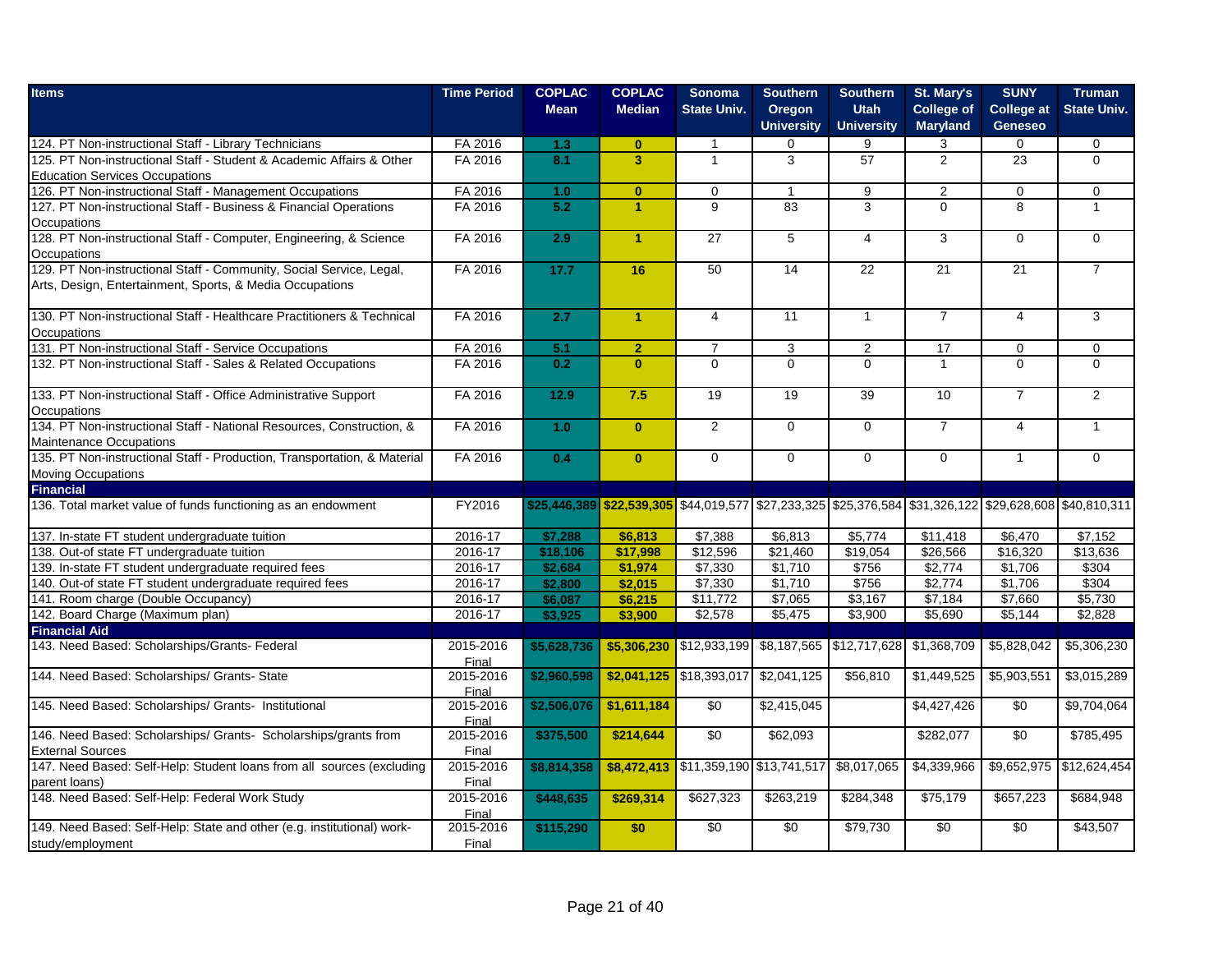| <b>Items</b>                                                             | <b>Time Period</b> | <b>COPLAC</b><br><b>Mean</b> | <b>COPLAC</b><br><b>Median</b> | <b>Sonoma</b><br><b>State Univ.</b>                                                                     | <b>Southern</b><br>Oregon | <b>Southern</b><br><b>Utah</b> | St. Mary's<br><b>College of</b> | <b>SUNY</b><br><b>College at</b> | <b>Truman</b><br><b>State Univ.</b> |
|--------------------------------------------------------------------------|--------------------|------------------------------|--------------------------------|---------------------------------------------------------------------------------------------------------|---------------------------|--------------------------------|---------------------------------|----------------------------------|-------------------------------------|
|                                                                          |                    |                              |                                |                                                                                                         | <b>University</b>         | <b>University</b>              | <b>Maryland</b>                 | <b>Geneseo</b>                   |                                     |
| 124. PT Non-instructional Staff - Library Technicians                    | FA 2016            | 1.3                          | $\mathbf{0}$                   | $\mathbf{1}$                                                                                            | $\Omega$                  | 9                              | 3                               | $\mathbf 0$                      | $\mathbf 0$                         |
| 125. PT Non-instructional Staff - Student & Academic Affairs & Other     | FA 2016            | 8.1                          | $\overline{\mathbf{3}}$        | $\mathbf{1}$                                                                                            | 3                         | 57                             | $\overline{2}$                  | 23                               | $\Omega$                            |
| <b>Education Services Occupations</b>                                    |                    |                              |                                |                                                                                                         |                           |                                |                                 |                                  |                                     |
| 126. PT Non-instructional Staff - Management Occupations                 | FA 2016            | 1.0                          | $\mathbf{0}$                   | $\mathbf 0$                                                                                             | $\mathbf{1}$              | 9                              | 2                               | $\mathbf 0$                      | 0                                   |
| 127. PT Non-instructional Staff - Business & Financial Operations        | FA 2016            | 5.2                          | $\blacktriangleleft$           | $\overline{9}$                                                                                          | $\overline{83}$           | 3                              | $\Omega$                        | $\overline{8}$                   | $\mathbf{1}$                        |
| Occupations                                                              |                    |                              |                                |                                                                                                         |                           |                                |                                 |                                  |                                     |
| 128. PT Non-instructional Staff - Computer, Engineering, & Science       | FA 2016            | 2.9                          | $\blacktriangleleft$           | 27                                                                                                      | $5\phantom{.0}$           | 4                              | 3                               | $\Omega$                         | $\Omega$                            |
| Occupations                                                              |                    |                              |                                |                                                                                                         |                           |                                |                                 |                                  |                                     |
| 129. PT Non-instructional Staff - Community, Social Service, Legal,      | FA 2016            | 17.7                         | 16                             | 50                                                                                                      | 14                        | 22                             | 21                              | 21                               | $\overline{7}$                      |
| Arts, Design, Entertainment, Sports, & Media Occupations                 |                    |                              |                                |                                                                                                         |                           |                                |                                 |                                  |                                     |
| 130. PT Non-instructional Staff - Healthcare Practitioners & Technical   | FA 2016            | 2.7                          | $\blacktriangleleft$           | $\overline{4}$                                                                                          | 11                        | $\mathbf{1}$                   | $\overline{7}$                  | $\overline{4}$                   | 3                                   |
| Occupations                                                              |                    |                              |                                |                                                                                                         |                           |                                |                                 |                                  |                                     |
| 131. PT Non-instructional Staff - Service Occupations                    | FA 2016            | 5.1                          | $\overline{2}$                 | $\overline{7}$                                                                                          | 3                         | $\overline{2}$                 | 17                              | $\mathbf{0}$                     | $\Omega$                            |
| 132. PT Non-instructional Staff - Sales & Related Occupations            | FA 2016            | 0.2                          | $\mathbf{0}$                   | $\Omega$                                                                                                | $\Omega$                  | $\Omega$                       | $\overline{1}$                  | $\Omega$                         | $\Omega$                            |
|                                                                          |                    |                              |                                |                                                                                                         |                           |                                |                                 |                                  |                                     |
| 133. PT Non-instructional Staff - Office Administrative Support          | FA 2016            | 12.9                         | 7.5                            | 19                                                                                                      | 19                        | 39                             | 10                              | $\overline{7}$                   | $\overline{2}$                      |
| Occupations                                                              |                    |                              |                                |                                                                                                         |                           |                                |                                 |                                  |                                     |
| 134. PT Non-instructional Staff - National Resources, Construction, &    | FA 2016            | 1.0                          | $\mathbf{0}$                   | $\overline{2}$                                                                                          | $\mathbf 0$               | $\mathbf 0$                    | $\overline{7}$                  | $\overline{4}$                   | $\mathbf{1}$                        |
| <b>Maintenance Occupations</b>                                           |                    |                              |                                |                                                                                                         |                           |                                |                                 |                                  |                                     |
| 135. PT Non-instructional Staff - Production, Transportation, & Material | FA 2016            | 0.4                          | $\mathbf{0}$                   | $\overline{0}$                                                                                          | $\overline{0}$            | $\overline{0}$                 | $\overline{0}$                  | $\mathbf{1}$                     | $\overline{0}$                      |
| Moving Occupations                                                       |                    |                              |                                |                                                                                                         |                           |                                |                                 |                                  |                                     |
| <b>Financial</b>                                                         |                    |                              |                                |                                                                                                         |                           |                                |                                 |                                  |                                     |
| 136. Total market value of funds functioning as an endowment             | FY2016             |                              |                                | \$25,446,389 \$22,539,305 \$44,019,577 \$27,233,325 \$25,376,584 \$31,326,122 \$29,628,608 \$40,810,311 |                           |                                |                                 |                                  |                                     |
| 137. In-state FT student undergraduate tuition                           | 2016-17            | \$7,288                      | \$6,813                        | \$7,388                                                                                                 | \$6,813                   | \$5,774                        | \$11,418                        | \$6,470                          | \$7,152                             |
| 138. Out-of state FT undergraduate tuition                               | 2016-17            | \$18,106                     | \$17,998                       | \$12,596                                                                                                | \$21,460                  | \$19,054                       | \$26,566                        | \$16,320                         | \$13,636                            |
| 139. In-state FT student undergraduate required fees                     | 2016-17            | \$2,684                      | \$1,974                        | $\sqrt{$7,330}$                                                                                         | \$1,710                   | \$756                          | \$2,774                         | \$1,706                          | \$304                               |
| 140. Out-of state FT student undergraduate required fees                 | 2016-17            | \$2,800                      | \$2,015                        | \$7,330                                                                                                 | \$1,710                   | \$756                          | \$2,774                         | \$1,706                          | \$304                               |
| 141. Room charge (Double Occupancy)                                      | 2016-17            | \$6,087                      | \$6,215                        | \$11,772                                                                                                | \$7,065                   | \$3,167                        | \$7,184                         | \$7,660                          | \$5,730                             |
| 142. Board Charge (Maximum plan)                                         | 2016-17            | \$3,925                      | \$3,900                        | \$2,578                                                                                                 | \$5,475                   | \$3,900                        | \$5,690                         | \$5,144                          | \$2,828                             |
| <b>Financial Aid</b>                                                     |                    |                              |                                |                                                                                                         |                           |                                |                                 |                                  |                                     |
| 143. Need Based: Scholarships/Grants- Federal                            | 2015-2016<br>Final | \$5,628,736                  | \$5,306,230                    | \$12,933,199                                                                                            |                           | \$8,187,565 \$12,717,628       | \$1,368,709                     | $\overline{$5,828,042}$          | \$5,306,230                         |
| 144. Need Based: Scholarships/ Grants- State                             | 2015-2016<br>Final | \$2,960,598                  |                                | $$2,041,125$ \$18,393,017                                                                               | \$2,041,125               | \$56,810                       | \$1,449,525                     | \$5,903,551                      | \$3,015,289                         |
| 145. Need Based: Scholarships/ Grants- Institutional                     | 2015-2016          | \$2,506,076                  | \$1,611,184                    | \$0                                                                                                     | \$2,415,045               |                                | \$4,427,426                     | \$0                              | \$9,704,064                         |
|                                                                          | Final              |                              |                                |                                                                                                         |                           |                                |                                 |                                  |                                     |
| 146. Need Based: Scholarships/ Grants- Scholarships/grants from          | 2015-2016          | \$375,500                    | \$214,644                      | \$0                                                                                                     | \$62,093                  |                                | \$282,077                       | \$0                              | \$785,495                           |
| <b>External Sources</b>                                                  | Final              |                              |                                |                                                                                                         |                           |                                |                                 |                                  |                                     |
| 147. Need Based: Self-Help: Student loans from all sources (excluding    | 2015-2016          | \$8,814,358                  | \$8,472,413                    | \$11,359,190 \$13,741,517                                                                               |                           | \$8,017,065                    | \$4,339,966                     | \$9,652,975                      | \$12,624,454                        |
| parent loans)                                                            | Final              |                              |                                |                                                                                                         |                           |                                |                                 |                                  |                                     |
| 148. Need Based: Self-Help: Federal Work Study                           | 2015-2016          | \$448,635                    | \$269,314                      | \$627,323                                                                                               | \$263,219                 | \$284,348                      | \$75,179                        | \$657,223                        | \$684,948                           |
|                                                                          | Final              |                              |                                |                                                                                                         |                           |                                |                                 |                                  |                                     |
| 149. Need Based: Self-Help: State and other (e.g. institutional) work-   | 2015-2016          | \$115,290                    | \$0                            | \$0                                                                                                     | \$0                       | \$79,730                       | $\overline{50}$                 | \$0                              | \$43,507                            |
| study/employment                                                         | Final              |                              |                                |                                                                                                         |                           |                                |                                 |                                  |                                     |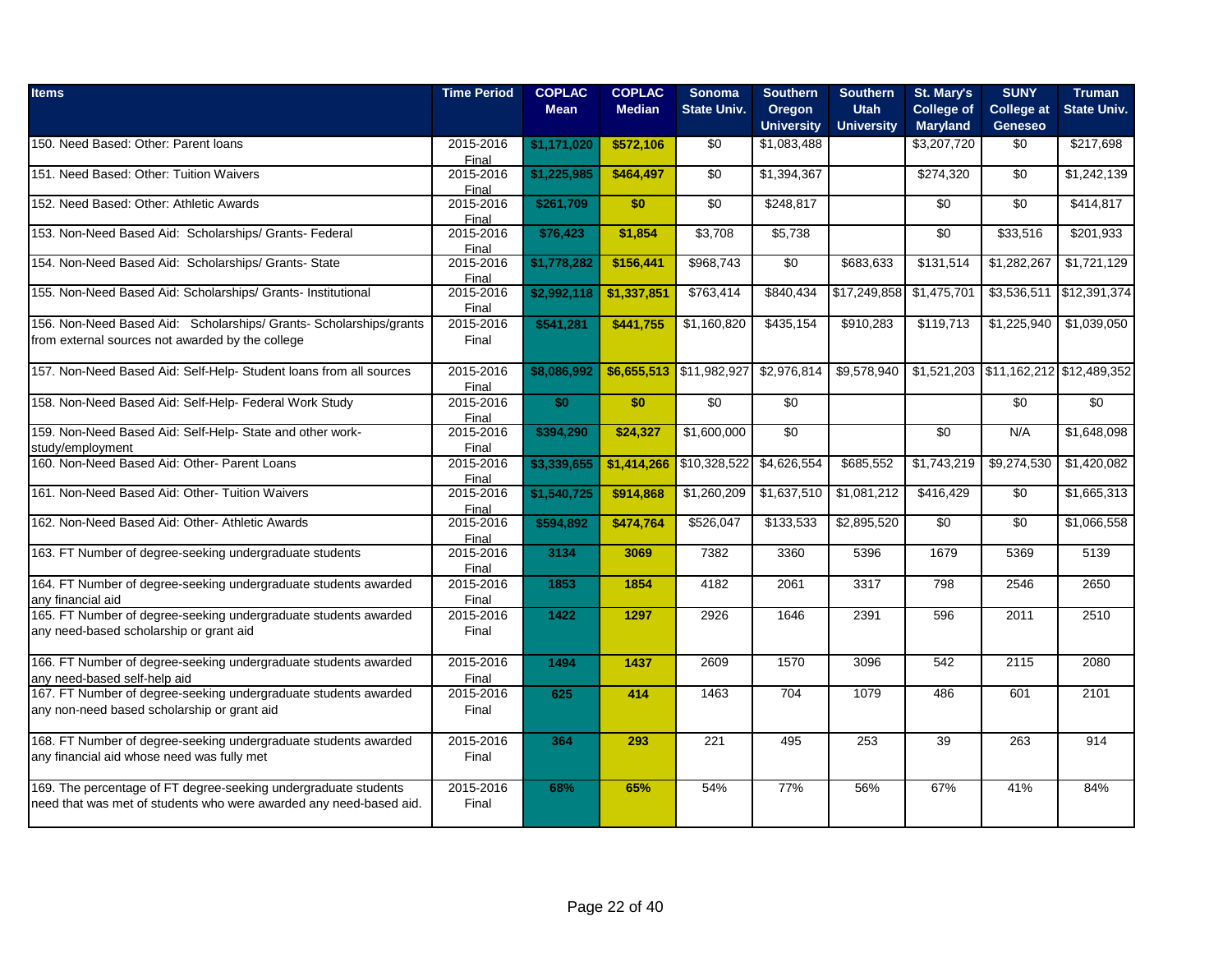| <b>Items</b>                                                                                    | <b>Time Period</b>        | <b>COPLAC</b><br><b>Mean</b> | <b>COPLAC</b><br><b>Median</b> | <b>Sonoma</b><br><b>State Univ.</b> | <b>Southern</b><br>Oregon | <b>Southern</b><br><b>Utah</b> | St. Mary's<br><b>College of</b> | <b>SUNY</b><br><b>College at</b>      | <b>Truman</b><br><b>State Univ.</b> |
|-------------------------------------------------------------------------------------------------|---------------------------|------------------------------|--------------------------------|-------------------------------------|---------------------------|--------------------------------|---------------------------------|---------------------------------------|-------------------------------------|
|                                                                                                 |                           |                              |                                |                                     | <b>University</b>         | <b>University</b>              | <b>Maryland</b>                 | <b>Geneseo</b>                        |                                     |
| 150. Need Based: Other: Parent loans                                                            | 2015-2016                 | \$1,171,020                  | \$572,106                      | \$0                                 | \$1,083,488               |                                | \$3,207,720                     | \$0                                   | \$217,698                           |
| 151. Need Based: Other: Tuition Waivers                                                         | Final<br>2015-2016        | \$1,225,985                  | \$464,497                      | \$0                                 | \$1,394,367               |                                | \$274,320                       | \$0                                   | \$1,242,139                         |
| 152. Need Based: Other: Athletic Awards                                                         | Final<br>2015-2016        | \$261,709                    | \$0                            | \$0                                 | \$248,817                 |                                | \$0                             | \$0                                   | \$414,817                           |
| 153. Non-Need Based Aid: Scholarships/ Grants- Federal                                          | Final<br>2015-2016        | \$76,423                     | \$1,854                        | \$3,708                             | \$5,738                   |                                | \$0                             | \$33,516                              | \$201,933                           |
|                                                                                                 | Final                     |                              |                                |                                     |                           |                                |                                 |                                       |                                     |
| 154. Non-Need Based Aid: Scholarships/ Grants- State                                            | 2015-2016<br>Final        | \$1,778,282                  | \$156,441                      | \$968,743                           | \$0                       | \$683,633                      | \$131,514                       | \$1,282,267                           | \$1,721,129                         |
| 155. Non-Need Based Aid: Scholarships/ Grants- Institutional                                    | 2015-2016<br>Final        | \$2,992,118                  | \$1,337,851                    | \$763,414                           | \$840,434                 | \$17,249,858                   | \$1,475,701                     |                                       | \$3,536,511 \$12,391,374            |
| 156. Non-Need Based Aid: Scholarships/ Grants- Scholarships/grants                              | 2015-2016                 | \$541,281                    | \$441,755                      | \$1,160,820                         | \$435,154                 | \$910,283                      | \$119,713                       | \$1,225,940                           | \$1,039,050                         |
| from external sources not awarded by the college                                                | Final                     |                              |                                |                                     |                           |                                |                                 |                                       |                                     |
| 157. Non-Need Based Aid: Self-Help- Student loans from all sources                              | 2015-2016<br>Final        | \$8,086,992                  |                                | \$6,655,513 \$11,982,927            | \$2,976,814               | \$9,578,940                    |                                 | \$1,521,203 \$11,162,212 \$12,489,352 |                                     |
| 158. Non-Need Based Aid: Self-Help- Federal Work Study                                          | 2015-2016<br>Final        | \$0                          | \$0                            | $\sqrt{6}$                          | $\sqrt{50}$               |                                |                                 | \$0                                   | $\sqrt{6}$                          |
| 159. Non-Need Based Aid: Self-Help- State and other work-                                       | 2015-2016                 | \$394,290                    | \$24,327                       | \$1,600,000                         | \$0                       |                                | \$0                             | N/A                                   | \$1,648,098                         |
| study/employment                                                                                | Final                     |                              |                                |                                     |                           |                                |                                 |                                       |                                     |
| 160. Non-Need Based Aid: Other- Parent Loans                                                    | 2015-2016<br>Final        | \$3,339,655                  | \$1,414,266                    | \$10,328,522                        | \$4,626,554               | \$685,552                      | \$1,743,219                     | \$9,274,530                           | \$1,420,082                         |
| 161. Non-Need Based Aid: Other- Tuition Waivers                                                 | 2015-2016<br>Final        | \$1,540,725                  | \$914,868                      | \$1,260,209                         | \$1,637,510               | \$1,081,212                    | \$416,429                       | $\sqrt{6}$                            | \$1,665,313                         |
| 162. Non-Need Based Aid: Other- Athletic Awards                                                 | 2015-2016<br><b>Final</b> | \$594,892                    | \$474,764                      | \$526,047                           | \$133,533                 | \$2,895,520                    | $\overline{50}$                 | \$0                                   | \$1,066,558                         |
| 163. FT Number of degree-seeking undergraduate students                                         | 2015-2016<br>Final        | 3134                         | 3069                           | 7382                                | 3360                      | 5396                           | 1679                            | 5369                                  | 5139                                |
| 164. FT Number of degree-seeking undergraduate students awarded<br>any financial aid            | 2015-2016<br>Final        | 1853                         | 1854                           | 4182                                | 2061                      | 3317                           | 798                             | 2546                                  | 2650                                |
| 165. FT Number of degree-seeking undergraduate students awarded                                 | 2015-2016                 | 1422                         | 1297                           | 2926                                | 1646                      | 2391                           | 596                             | 2011                                  | 2510                                |
| any need-based scholarship or grant aid                                                         | Final                     |                              |                                |                                     |                           |                                |                                 |                                       |                                     |
| 166. FT Number of degree-seeking undergraduate students awarded<br>any need-based self-help aid | 2015-2016<br>Final        | 1494                         | 1437                           | 2609                                | 1570                      | 3096                           | 542                             | 2115                                  | 2080                                |
| 167. FT Number of degree-seeking undergraduate students awarded                                 | 2015-2016                 | 625                          | 414                            | 1463                                | 704                       | 1079                           | 486                             | 601                                   | 2101                                |
| any non-need based scholarship or grant aid                                                     | Final                     |                              |                                |                                     |                           |                                |                                 |                                       |                                     |
| 168. FT Number of degree-seeking undergraduate students awarded                                 | 2015-2016                 | 364                          | 293                            | 221                                 | 495                       | 253                            | 39                              | 263                                   | 914                                 |
| any financial aid whose need was fully met                                                      | Final                     |                              |                                |                                     |                           |                                |                                 |                                       |                                     |
| 169. The percentage of FT degree-seeking undergraduate students                                 | 2015-2016                 | 68%                          | 65%                            | 54%                                 | 77%                       | 56%                            | 67%                             | 41%                                   | 84%                                 |
| need that was met of students who were awarded any need-based aid.                              | Final                     |                              |                                |                                     |                           |                                |                                 |                                       |                                     |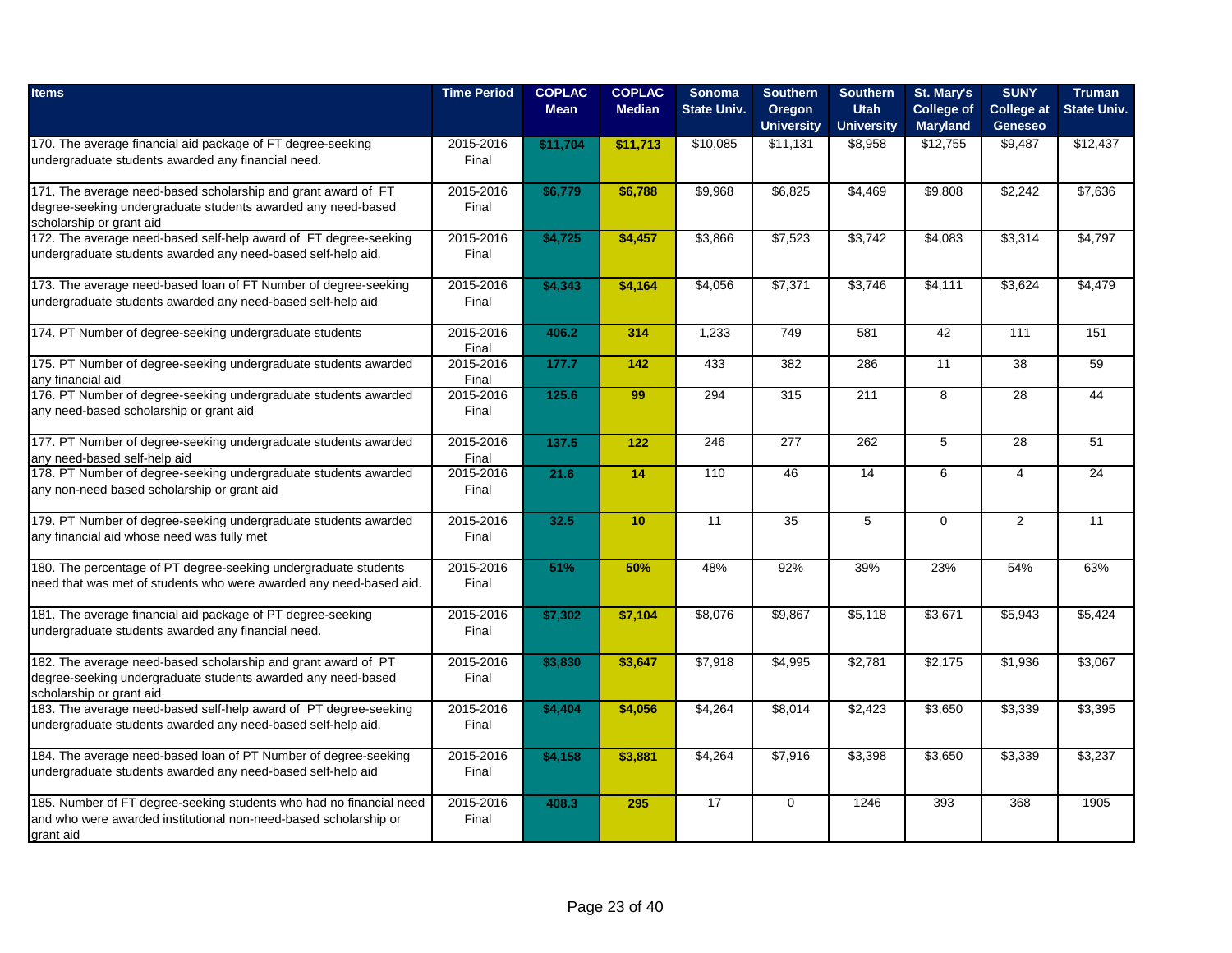| <b>Items</b>                                                                             | <b>Time Period</b> | <b>COPLAC</b><br><b>Mean</b> | <b>COPLAC</b><br><b>Median</b> | <b>Sonoma</b><br><b>State Univ.</b> | <b>Southern</b><br>Oregon<br><b>University</b> | <b>Southern</b><br><b>Utah</b><br><b>University</b> | St. Mary's<br><b>College of</b><br><b>Maryland</b> | <b>SUNY</b><br><b>College</b> at<br><b>Geneseo</b> | <b>Truman</b><br><b>State Univ.</b> |
|------------------------------------------------------------------------------------------|--------------------|------------------------------|--------------------------------|-------------------------------------|------------------------------------------------|-----------------------------------------------------|----------------------------------------------------|----------------------------------------------------|-------------------------------------|
| 170. The average financial aid package of FT degree-seeking                              | 2015-2016          | \$11,704                     | \$11,713                       | \$10,085                            | \$11,131                                       | \$8,958                                             | \$12,755                                           | \$9,487                                            | \$12,437                            |
| undergraduate students awarded any financial need.                                       | Final              |                              |                                |                                     |                                                |                                                     |                                                    |                                                    |                                     |
| 171. The average need-based scholarship and grant award of FT                            | 2015-2016          | \$6,779                      | \$6,788                        | \$9,968                             | \$6,825                                        | \$4,469                                             | \$9,808                                            | \$2,242                                            | \$7,636                             |
| degree-seeking undergraduate students awarded any need-based<br>scholarship or grant aid | Final              |                              |                                |                                     |                                                |                                                     |                                                    |                                                    |                                     |
| 172. The average need-based self-help award of FT degree-seeking                         | 2015-2016          | \$4,725                      | \$4,457                        | \$3,866                             | \$7,523                                        | \$3,742                                             | \$4,083                                            | \$3,314                                            | \$4,797                             |
| undergraduate students awarded any need-based self-help aid.                             | Final              |                              |                                |                                     |                                                |                                                     |                                                    |                                                    |                                     |
| 173. The average need-based loan of FT Number of degree-seeking                          | 2015-2016          | \$4,343                      | \$4,164                        | \$4,056                             | \$7,371                                        | \$3,746                                             | \$4,111                                            | \$3,624                                            | \$4,479                             |
| undergraduate students awarded any need-based self-help aid                              | Final              |                              |                                |                                     |                                                |                                                     |                                                    |                                                    |                                     |
| 174. PT Number of degree-seeking undergraduate students                                  | 2015-2016<br>Final | 406.2                        | 314                            | 1.233                               | 749                                            | 581                                                 | 42                                                 | 111                                                | 151                                 |
| 175. PT Number of degree-seeking undergraduate students awarded                          | 2015-2016          | 177.7                        | 142                            | 433                                 | 382                                            | 286                                                 | $\overline{11}$                                    | $\overline{38}$                                    | 59                                  |
| any financial aid                                                                        | Final              |                              |                                |                                     |                                                |                                                     |                                                    |                                                    |                                     |
| 176. PT Number of degree-seeking undergraduate students awarded                          | 2015-2016          | 125.6                        | 99                             | 294                                 | 315                                            | 211                                                 | 8                                                  | 28                                                 | 44                                  |
| any need-based scholarship or grant aid                                                  | Final              |                              |                                |                                     |                                                |                                                     |                                                    |                                                    |                                     |
| 177. PT Number of degree-seeking undergraduate students awarded                          | 2015-2016          | 137.5                        | 122                            | 246                                 | 277                                            | 262                                                 | 5                                                  | 28                                                 | 51                                  |
| any need-based self-help aid                                                             | Final              |                              |                                |                                     |                                                |                                                     |                                                    |                                                    |                                     |
| 178. PT Number of degree-seeking undergraduate students awarded                          | 2015-2016          | 21.6                         | 14                             | 110                                 | 46                                             | 14                                                  | 6                                                  | $\overline{4}$                                     | 24                                  |
| any non-need based scholarship or grant aid                                              | Final              |                              |                                |                                     |                                                |                                                     |                                                    |                                                    |                                     |
| 179. PT Number of degree-seeking undergraduate students awarded                          | 2015-2016          | 32.5                         | 10                             | 11                                  | 35                                             | 5                                                   | $\mathbf 0$                                        | $\overline{2}$                                     | 11                                  |
| any financial aid whose need was fully met                                               | Final              |                              |                                |                                     |                                                |                                                     |                                                    |                                                    |                                     |
| 180. The percentage of PT degree-seeking undergraduate students                          | 2015-2016          | 51%                          | 50%                            | 48%                                 | 92%                                            | 39%                                                 | 23%                                                | 54%                                                | 63%                                 |
| need that was met of students who were awarded any need-based aid.                       | Final              |                              |                                |                                     |                                                |                                                     |                                                    |                                                    |                                     |
| 181. The average financial aid package of PT degree-seeking                              | 2015-2016          | \$7,302                      | \$7,104                        | \$8,076                             | \$9,867                                        | \$5,118                                             | \$3,671                                            | \$5,943                                            | \$5,424                             |
| undergraduate students awarded any financial need.                                       | Final              |                              |                                |                                     |                                                |                                                     |                                                    |                                                    |                                     |
| 182. The average need-based scholarship and grant award of PT                            | 2015-2016          | \$3,830                      | \$3,647                        | \$7,918                             | \$4,995                                        | \$2,781                                             | \$2,175                                            | \$1,936                                            | \$3,067                             |
| degree-seeking undergraduate students awarded any need-based                             | Final              |                              |                                |                                     |                                                |                                                     |                                                    |                                                    |                                     |
| scholarship or grant aid                                                                 |                    |                              |                                |                                     |                                                |                                                     |                                                    |                                                    |                                     |
| 183. The average need-based self-help award of PT degree-seeking                         | 2015-2016          | \$4,404                      | \$4,056                        | \$4,264                             | \$8,014                                        | \$2,423                                             | \$3,650                                            | \$3,339                                            | \$3,395                             |
| undergraduate students awarded any need-based self-help aid.                             | Final              |                              |                                |                                     |                                                |                                                     |                                                    |                                                    |                                     |
| 184. The average need-based loan of PT Number of degree-seeking                          | 2015-2016          | \$4,158                      | \$3,881                        | \$4,264                             | \$7,916                                        | \$3,398                                             | \$3,650                                            | \$3,339                                            | \$3,237                             |
| undergraduate students awarded any need-based self-help aid                              | Final              |                              |                                |                                     |                                                |                                                     |                                                    |                                                    |                                     |
| 185. Number of FT degree-seeking students who had no financial need                      | 2015-2016          | 408.3                        | 295                            | 17                                  | $\Omega$                                       | 1246                                                | 393                                                | 368                                                | 1905                                |
| and who were awarded institutional non-need-based scholarship or                         | Final              |                              |                                |                                     |                                                |                                                     |                                                    |                                                    |                                     |
| grant aid                                                                                |                    |                              |                                |                                     |                                                |                                                     |                                                    |                                                    |                                     |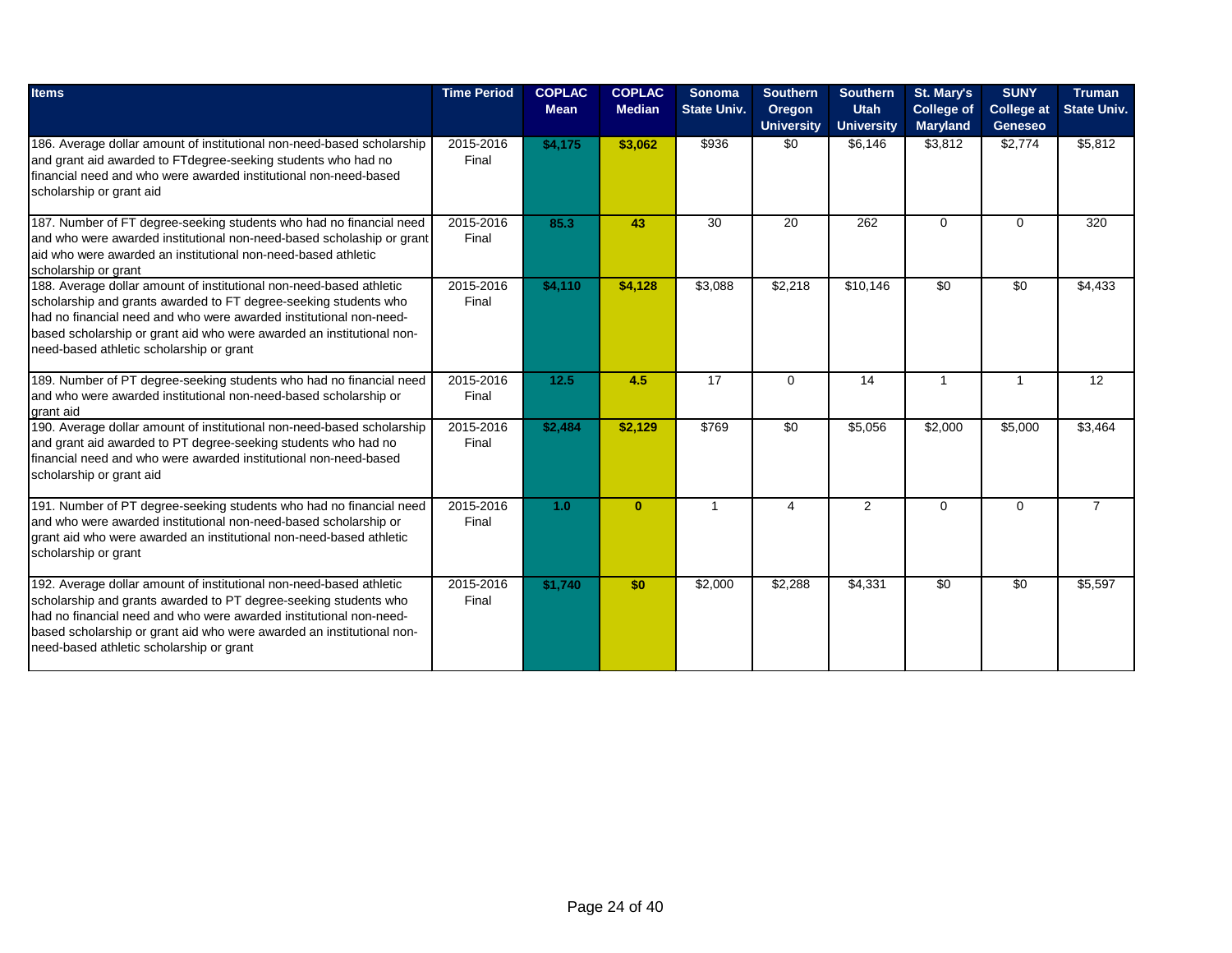| <b>Items</b>                                                                                                                                                                                                                                                                                                                        | <b>Time Period</b> | <b>COPLAC</b><br><b>Mean</b> | <b>COPLAC</b><br><b>Median</b> | Sonoma<br><b>State Univ.</b> | <b>Southern</b><br><b>Oregon</b><br><b>University</b> | <b>Southern</b><br><b>Utah</b><br><b>University</b> | St. Mary's<br><b>College of</b><br><b>Maryland</b> | <b>SUNY</b><br><b>College at</b><br><b>Geneseo</b> | <b>Truman</b><br><b>State Univ.</b> |
|-------------------------------------------------------------------------------------------------------------------------------------------------------------------------------------------------------------------------------------------------------------------------------------------------------------------------------------|--------------------|------------------------------|--------------------------------|------------------------------|-------------------------------------------------------|-----------------------------------------------------|----------------------------------------------------|----------------------------------------------------|-------------------------------------|
| 186. Average dollar amount of institutional non-need-based scholarship<br>and grant aid awarded to FTdegree-seeking students who had no<br>Ifinancial need and who were awarded institutional non-need-based<br>scholarship or grant aid                                                                                            | 2015-2016<br>Final | \$4,175                      | \$3,062                        | \$936                        | \$0                                                   | \$6,146                                             | \$3,812                                            | \$2,774                                            | \$5,812                             |
| 187. Number of FT degree-seeking students who had no financial need<br>and who were awarded institutional non-need-based scholaship or grant<br>laid who were awarded an institutional non-need-based athletic<br>scholarship or grant                                                                                              | 2015-2016<br>Final | 85.3                         | 43                             | 30                           | 20                                                    | 262                                                 | $\Omega$                                           | 0                                                  | 320                                 |
| 188. Average dollar amount of institutional non-need-based athletic<br>scholarship and grants awarded to FT degree-seeking students who<br>Ihad no financial need and who were awarded institutional non-need-<br>based scholarship or grant aid who were awarded an institutional non-<br>need-based athletic scholarship or grant | 2015-2016<br>Final | \$4,110                      | \$4,128                        | \$3,088                      | \$2,218                                               | \$10,146                                            | $\overline{50}$                                    | $\overline{50}$                                    | \$4,433                             |
| 189. Number of PT degree-seeking students who had no financial need<br>and who were awarded institutional non-need-based scholarship or<br>grant aid                                                                                                                                                                                | 2015-2016<br>Final | 12.5                         | 4.5                            | 17                           | $\mathbf 0$                                           | 14                                                  | $\mathbf{1}$                                       | 1                                                  | 12                                  |
| 190. Average dollar amount of institutional non-need-based scholarship<br>and grant aid awarded to PT degree-seeking students who had no<br>Ifinancial need and who were awarded institutional non-need-based<br>scholarship or grant aid                                                                                           | 2015-2016<br>Final | \$2,484                      | \$2,129                        | \$769                        | \$0                                                   | \$5,056                                             | $\sqrt{$2,000}$                                    | \$5,000                                            | \$3,464                             |
| 191. Number of PT degree-seeking students who had no financial need<br>and who were awarded institutional non-need-based scholarship or<br>grant aid who were awarded an institutional non-need-based athletic<br>scholarship or grant                                                                                              | 2015-2016<br>Final | 1.0                          | $\mathbf{0}$                   | $\mathbf{1}$                 | 4                                                     | 2                                                   | $\Omega$                                           | $\Omega$                                           | $\overline{7}$                      |
| 192. Average dollar amount of institutional non-need-based athletic<br>scholarship and grants awarded to PT degree-seeking students who<br>Ihad no financial need and who were awarded institutional non-need-<br>based scholarship or grant aid who were awarded an institutional non-<br>need-based athletic scholarship or grant | 2015-2016<br>Final | \$1,740                      | \$0                            | \$2,000                      | \$2,288                                               | \$4,331                                             | $\overline{30}$                                    | $\overline{50}$                                    | \$5,597                             |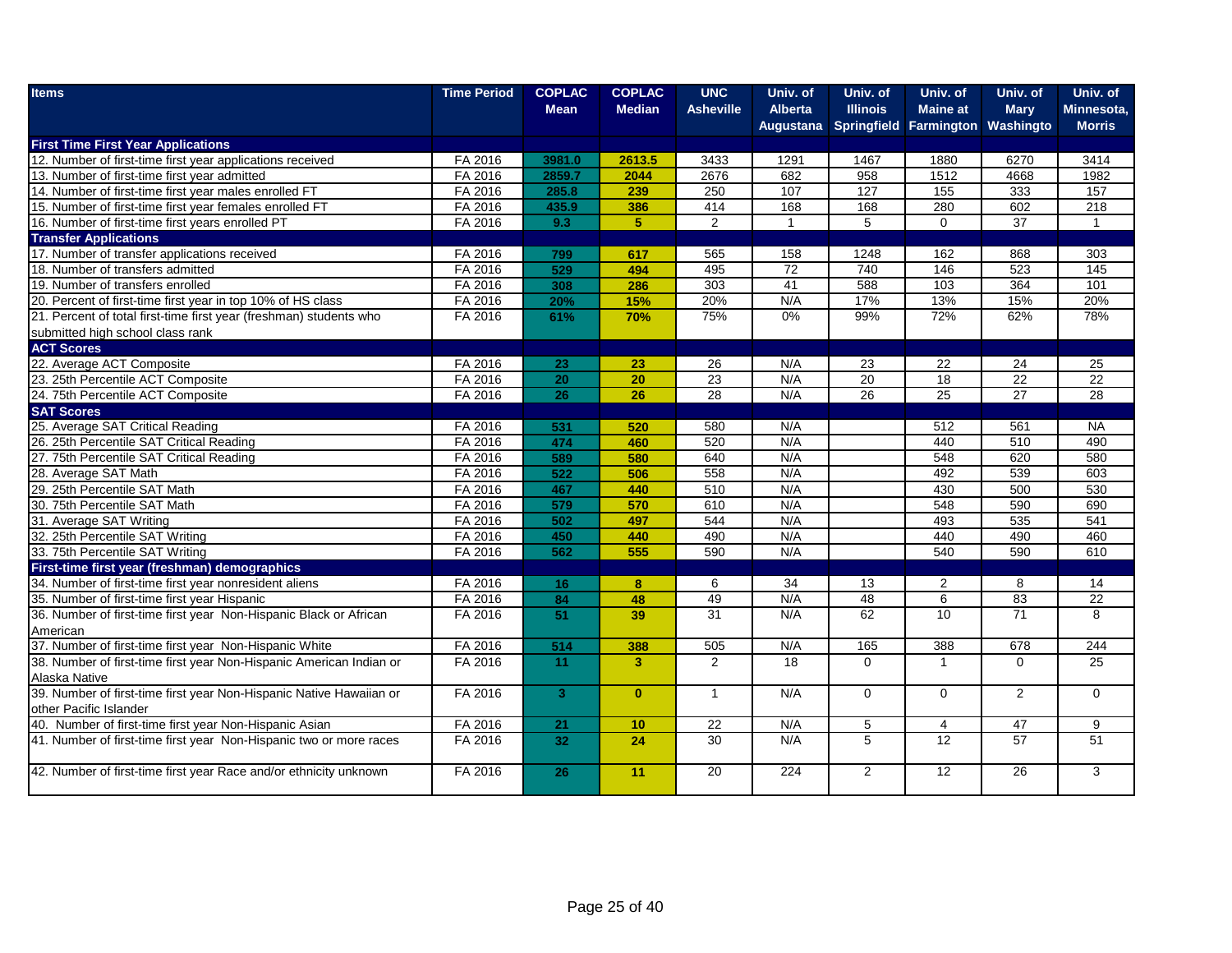| <b>Items</b>                                                        | <b>Time Period</b> | <b>COPLAC</b>   | <b>COPLAC</b>           | <b>UNC</b>       | Univ. of         | Univ. of        | Univ. of                         | Univ. of        | Univ. of        |
|---------------------------------------------------------------------|--------------------|-----------------|-------------------------|------------------|------------------|-----------------|----------------------------------|-----------------|-----------------|
|                                                                     |                    | <b>Mean</b>     | <b>Median</b>           | <b>Asheville</b> | <b>Alberta</b>   | <b>Illinois</b> | <b>Maine at</b>                  | <b>Mary</b>     | Minnesota,      |
|                                                                     |                    |                 |                         |                  | Augustana        |                 | Springfield Farmington Washingto |                 | <b>Morris</b>   |
| <b>First Time First Year Applications</b>                           |                    |                 |                         |                  |                  |                 |                                  |                 |                 |
| 12. Number of first-time first year applications received           | FA 2016            | 3981.0          | 2613.5                  | 3433             | 1291             | 1467            | 1880                             | 6270            | 3414            |
| 13. Number of first-time first year admitted                        | FA 2016            | 2859.7          | 2044                    | 2676             | 682              | 958             | 1512                             | 4668            | 1982            |
| 14. Number of first-time first year males enrolled FT               | FA 2016            | 285.8           | 239                     | 250              | 107              | 127             | 155                              | 333             | 157             |
| 15. Number of first-time first year females enrolled FT             | FA 2016            | 435.9           | 386                     | 414              | 168              | 168             | 280                              | 602             | 218             |
| 16. Number of first-time first years enrolled PT                    | FA 2016            | 9.3             | $\overline{5}$          | $\overline{2}$   | $\overline{1}$   | $\overline{5}$  | $\mathbf 0$                      | $\overline{37}$ | $\mathbf{1}$    |
| <b>Transfer Applications</b>                                        |                    |                 |                         |                  |                  |                 |                                  |                 |                 |
| 17. Number of transfer applications received                        | FA 2016            | 799             | 617                     | 565              | 158              | 1248            | 162                              | 868             | 303             |
| 18. Number of transfers admitted                                    | FA 2016            | 529             | 494                     | 495              | 72               | 740             | 146                              | 523             | 145             |
| 19. Number of transfers enrolled                                    | FA 2016            | 308             | 286                     | 303              | 41               | 588             | $\frac{10}{3}$                   | 364             | 101             |
| 20. Percent of first-time first year in top 10% of HS class         | FA 2016            | 20%             | 15%                     | 20%              | N/A              | 17%             | 13%                              | 15%             | 20%             |
| 21. Percent of total first-time first year (freshman) students who  | FA 2016            | 61%             | 70%                     | 75%              | $0\%$            | 99%             | 72%                              | 62%             | 78%             |
| submitted high school class rank                                    |                    |                 |                         |                  |                  |                 |                                  |                 |                 |
| <b>ACT Scores</b>                                                   |                    |                 |                         |                  |                  |                 |                                  |                 |                 |
| 22. Average ACT Composite                                           | FA 2016            | 23              | 23                      | 26               | N/A              | 23              | 22                               | 24              | 25              |
| 23. 25th Percentile ACT Composite                                   | FA 2016            | $\overline{20}$ | 20                      | $\overline{23}$  | N/A              | 20              | 18                               | 22              | 22              |
| 24. 75th Percentile ACT Composite                                   | FA 2016            | 26              | 26                      | 28               | N/A              | 26              | 25                               | $\overline{27}$ | 28              |
| <b>SAT Scores</b>                                                   |                    |                 |                         |                  |                  |                 |                                  |                 |                 |
| 25. Average SAT Critical Reading                                    | FA 2016            | 531             | 520                     | 580              | N/A              |                 | 512                              | 561             | <b>NA</b>       |
| 26. 25th Percentile SAT Critical Reading                            | FA 2016            | 474             | 460                     | 520              | N/A              |                 | 440                              | 510             | 490             |
| 27. 75th Percentile SAT Critical Reading                            | FA 2016            | 589             | 580                     | 640              | N/A              |                 | 548                              | 620             | 580             |
| 28. Average SAT Math                                                | FA 2016            | 522             | 506                     | 558              | N/A              |                 | 492                              | 539             | 603             |
| 29. 25th Percentile SAT Math                                        | FA 2016            | 467             | 440                     | 510              | N/A              |                 | 430                              | 500             | 530             |
| 30. 75th Percentile SAT Math                                        | FA 2016            | 579             | 570                     | 610              | N/A              |                 | 548                              | 590             | 690             |
| 31. Average SAT Writing                                             | FA 2016            | 502             | 497                     | 544              | N/A              |                 | 493                              | 535             | 541             |
| 32. 25th Percentile SAT Writing                                     | FA 2016            | 450             | 440                     | 490              | N/A              |                 | 440                              | 490             | 460             |
| 33. 75th Percentile SAT Writing                                     | FA 2016            | 562             | 555                     | 590              | N/A              |                 | 540                              | 590             | 610             |
| First-time first year (freshman) demographics                       |                    |                 |                         |                  |                  |                 |                                  |                 |                 |
| 34. Number of first-time first year nonresident aliens              | FA 2016            | 16              | $\bf{8}$                | 6                | 34               | 13              | 2                                | 8               | 14              |
| 35. Number of first-time first year Hispanic                        | FA 2016            | $\overline{84}$ | 48                      | 49               | N/A              | 48              | 6                                | 83              | $\overline{22}$ |
| 36. Number of first-time first year Non-Hispanic Black or African   | FA 2016            | 51              | 39                      | 31               | N/A              | 62              | 10                               | $\overline{71}$ | 8               |
| American                                                            |                    |                 |                         |                  |                  |                 |                                  |                 |                 |
| 37. Number of first-time first year Non-Hispanic White              | FA 2016            | 514             | 388                     | 505              | N/A              | 165             | 388                              | 678             | 244             |
| 38. Number of first-time first year Non-Hispanic American Indian or | FA 2016            | 11              | $\overline{\mathbf{3}}$ | $\overline{2}$   | 18               | $\Omega$        | $\overline{1}$                   | $\Omega$        | 25              |
| Alaska Native                                                       |                    |                 |                         |                  |                  |                 |                                  |                 |                 |
| 39. Number of first-time first year Non-Hispanic Native Hawaiian or | FA 2016            | 3 <sup>1</sup>  | $\mathbf{0}$            | $\mathbf{1}$     | N/A              | $\mathbf 0$     | $\Omega$                         | $\overline{2}$  | 0               |
| other Pacific Islander                                              |                    |                 |                         |                  |                  |                 |                                  |                 |                 |
| 40. Number of first-time first year Non-Hispanic Asian              | FA 2016            | 21              | 10                      | 22               | N/A              | 5               | $\overline{4}$                   | 47              | 9               |
| 41. Number of first-time first year Non-Hispanic two or more races  | FA 2016            | 32              | 24                      | $\overline{30}$  | N/A              | $\overline{5}$  | 12                               | 57              | $\overline{51}$ |
|                                                                     |                    |                 |                         |                  |                  |                 |                                  |                 |                 |
| 42. Number of first-time first year Race and/or ethnicity unknown   | FA 2016            | 26              | 11                      | $\overline{20}$  | $\overline{224}$ | 2               | $\overline{12}$                  | $\overline{26}$ | 3               |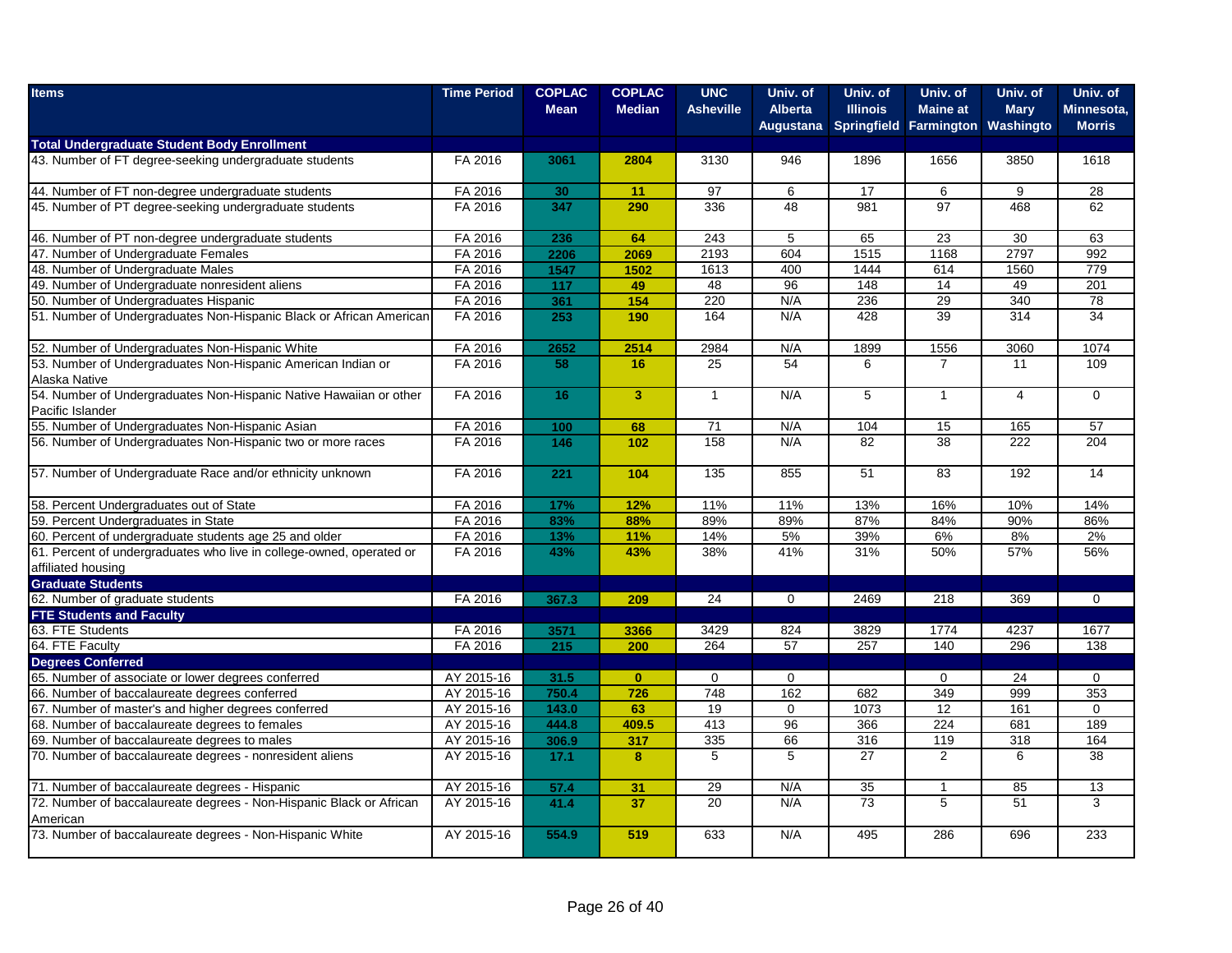| <b>Items</b>                                                                               | <b>Time Period</b> | <b>COPLAC</b><br><b>Mean</b> | <b>COPLAC</b><br><b>Median</b> | <b>UNC</b><br><b>Asheville</b> | Univ. of<br><b>Alberta</b> | Univ. of<br><b>Illinois</b> | Univ. of<br><b>Maine at</b> | Univ. of<br><b>Mary</b> | Univ. of<br>Minnesota, |
|--------------------------------------------------------------------------------------------|--------------------|------------------------------|--------------------------------|--------------------------------|----------------------------|-----------------------------|-----------------------------|-------------------------|------------------------|
|                                                                                            |                    |                              |                                |                                | <b>Augustana</b>           |                             | Springfield Farmington      | Washingto               | <b>Morris</b>          |
| <b>Total Undergraduate Student Body Enrollment</b>                                         |                    |                              |                                |                                |                            |                             |                             |                         |                        |
| 43. Number of FT degree-seeking undergraduate students                                     | FA 2016            | 3061                         | 2804                           | 3130                           | 946                        | 1896                        | 1656                        | 3850                    | 1618                   |
| 44. Number of FT non-degree undergraduate students                                         | FA 2016            | 30                           | 11                             | 97                             | 6                          | 17                          | 6                           | 9                       | 28                     |
| 45. Number of PT degree-seeking undergraduate students                                     | FA 2016            | 347                          | 290                            | 336                            | 48                         | 981                         | $\overline{97}$             | 468                     | 62                     |
| 46. Number of PT non-degree undergraduate students                                         | FA 2016            | 236                          | 64                             | 243                            | 5                          | 65                          | 23                          | 30                      | 63                     |
| 47. Number of Undergraduate Females                                                        | FA 2016            | 2206                         | 2069                           | 2193                           | 604                        | 1515                        | 1168                        | 2797                    | 992                    |
| 48. Number of Undergraduate Males                                                          | FA 2016            | 1547                         | 1502                           | 1613                           | 400                        | 1444                        | 614                         | 1560                    | 779                    |
| 49. Number of Undergraduate nonresident aliens                                             | FA 2016            | 117                          | 49                             | 48                             | 96                         | 148                         | 14                          | 49                      | 201                    |
| 50. Number of Undergraduates Hispanic                                                      | FA 2016            | 361                          | 154                            | 220                            | N/A                        | 236                         | 29                          | 340                     | 78                     |
| 51. Number of Undergraduates Non-Hispanic Black or African American                        | FA 2016            | 253                          | 190                            | 164                            | N/A                        | 428                         | $\overline{39}$             | $\overline{314}$        | $\overline{34}$        |
| 52. Number of Undergraduates Non-Hispanic White                                            | FA 2016            | 2652                         | 2514                           | 2984                           | N/A                        | 1899                        | 1556                        | 3060                    | 1074                   |
| 53. Number of Undergraduates Non-Hispanic American Indian or                               | FA 2016            | 58                           | 16                             | $\overline{25}$                | $\overline{54}$            | 6                           | $\overline{7}$              | 11                      | 109                    |
| Alaska Native                                                                              |                    |                              |                                |                                |                            |                             |                             |                         |                        |
| 54. Number of Undergraduates Non-Hispanic Native Hawaiian or other                         | FA 2016            | 16                           | $\overline{3}$                 | $\mathbf{1}$                   | N/A                        | 5                           | $\mathbf{1}$                | $\overline{4}$          | $\Omega$               |
| Pacific Islander<br>55. Number of Undergraduates Non-Hispanic Asian                        | FA 2016            | 100                          | 68                             | 71                             | N/A                        | 104                         | 15                          | 165                     | 57                     |
| 56. Number of Undergraduates Non-Hispanic two or more races                                | FA 2016            | 146                          | 102                            | 158                            | N/A                        | 82                          | 38                          | 222                     | 204                    |
|                                                                                            |                    |                              |                                |                                |                            |                             |                             |                         |                        |
| 57. Number of Undergraduate Race and/or ethnicity unknown                                  | FA 2016            | 221                          | 104                            | 135                            | 855                        | 51                          | 83                          | 192                     | 14                     |
| 58. Percent Undergraduates out of State                                                    | FA 2016            | 17%                          | 12%                            | 11%                            | 11%                        | 13%                         | 16%                         | 10%                     | 14%                    |
| 59. Percent Undergraduates in State                                                        | FA 2016            | 83%                          | 88%                            | 89%                            | 89%                        | 87%                         | 84%                         | 90%                     | 86%                    |
| 60. Percent of undergraduate students age 25 and older                                     | FA 2016            | 13%                          | 11%                            | 14%                            | 5%                         | 39%                         | 6%                          | 8%                      | 2%                     |
| 61. Percent of undergraduates who live in college-owned, operated or<br>affiliated housing | FA 2016            | 43%                          | 43%                            | 38%                            | 41%                        | 31%                         | 50%                         | 57%                     | 56%                    |
| <b>Graduate Students</b>                                                                   |                    |                              |                                |                                |                            |                             |                             |                         |                        |
| 62. Number of graduate students                                                            | FA 2016            | 367.3                        | 209                            | 24                             | $\mathbf 0$                | 2469                        | 218                         | 369                     | $\mathbf{0}$           |
| <b>FTE Students and Faculty</b>                                                            |                    |                              |                                |                                |                            |                             |                             |                         |                        |
| 63. FTE Students                                                                           | FA 2016            | 3571                         | 3366                           | 3429                           | 824                        | 3829                        | 1774                        | 4237                    | 1677                   |
| 64. FTE Faculty                                                                            | FA 2016            | 215                          | 200                            | 264                            | 57                         | 257                         | 140                         | 296                     | 138                    |
| <b>Degrees Conferred</b>                                                                   |                    |                              |                                |                                |                            |                             |                             |                         |                        |
| 65. Number of associate or lower degrees conferred                                         | AY 2015-16         | 31.5                         | $\mathbf{0}$                   | $\mathbf 0$                    | $\mathbf 0$                |                             | $\mathbf 0$                 | 24                      | $\mathbf 0$            |
| 66. Number of baccalaureate degrees conferred                                              | AY 2015-16         | 750.4                        | 726                            | 748                            | 162                        | 682                         | 349                         | 999                     | 353                    |
| 67. Number of master's and higher degrees conferred                                        | AY 2015-16         | 143.0                        | 63                             | 19                             | $\mathbf 0$                | 1073                        | 12                          | 161                     | $\Omega$               |
| 68. Number of baccalaureate degrees to females                                             | AY 2015-16         | 444.8                        | 409.5                          | 413                            | 96                         | 366                         | 224                         | 681                     | 189                    |
| 69. Number of baccalaureate degrees to males                                               | AY 2015-16         | 306.9                        | 317                            | 335                            | 66                         | 316                         | 119                         | 318                     | 164                    |
| 70. Number of baccalaureate degrees - nonresident aliens                                   | AY 2015-16         | 17.1                         | 8                              | 5                              | 5                          | 27                          | $\overline{2}$              | 6                       | 38                     |
| 71. Number of baccalaureate degrees - Hispanic                                             | AY 2015-16         | 57.4                         | 31                             | 29                             | N/A                        | 35                          | $\overline{1}$              | 85                      | 13                     |
| 72. Number of baccalaureate degrees - Non-Hispanic Black or African                        | AY 2015-16         | 41.4                         | 37                             | 20                             | N/A                        | $\overline{73}$             | 5                           | 51                      | 3                      |
| American                                                                                   |                    |                              |                                |                                |                            |                             |                             |                         |                        |
| 73. Number of baccalaureate degrees - Non-Hispanic White                                   | AY 2015-16         | 554.9                        | 519                            | 633                            | N/A                        | 495                         | 286                         | 696                     | 233                    |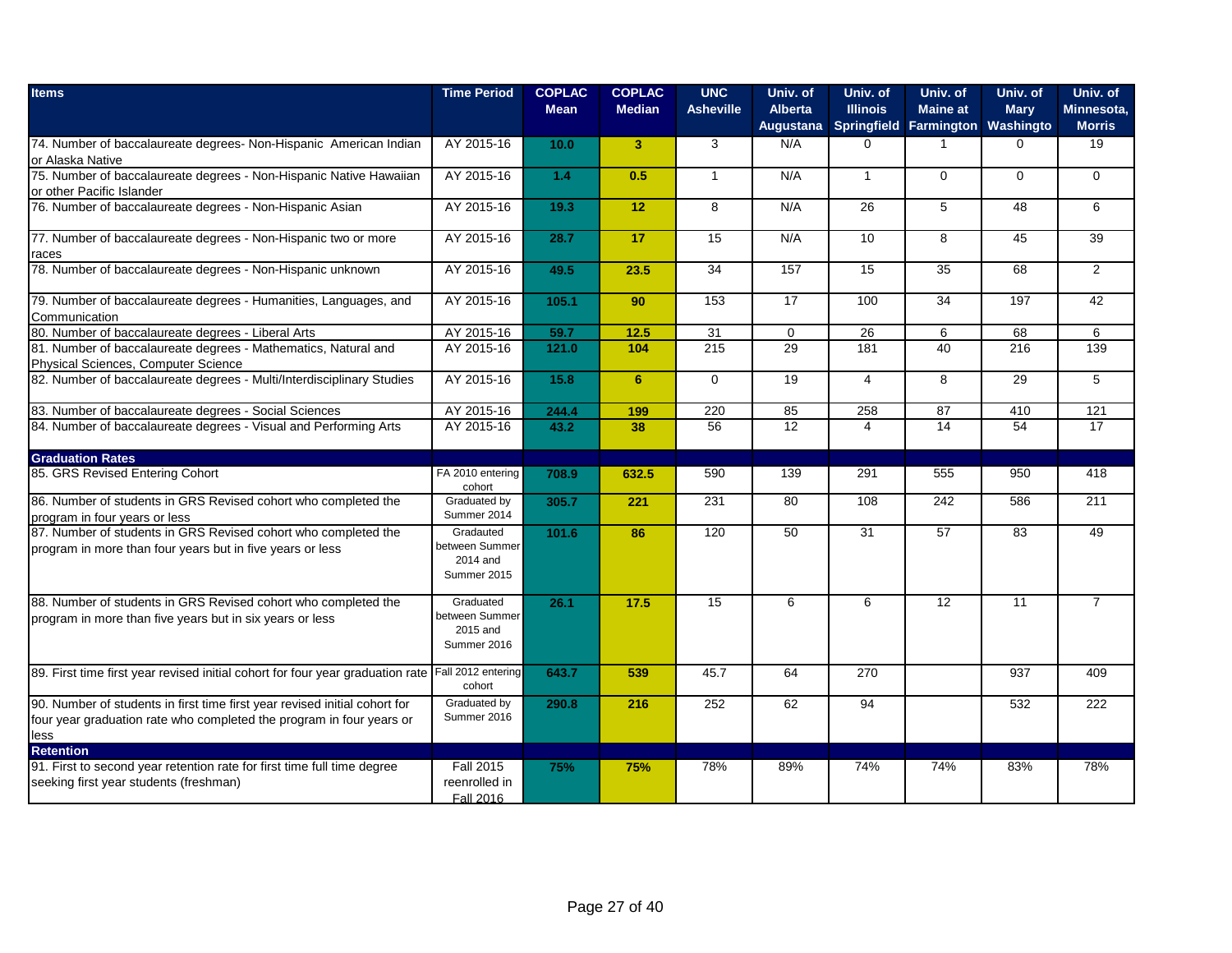| <b>Items</b>                                                                                                                                               | <b>Time Period</b>                                     | <b>COPLAC</b><br><b>Mean</b> | <b>COPLAC</b><br><b>Median</b> | <b>UNC</b><br><b>Asheville</b> | Univ. of<br><b>Alberta</b><br><b>Augustana</b> | Univ. of<br><b>Illinois</b> | Univ. of<br><b>Maine at</b><br>Springfield Farmington | Univ. of<br><b>Mary</b><br>Washingto | Univ. of<br>Minnesota,<br><b>Morris</b> |
|------------------------------------------------------------------------------------------------------------------------------------------------------------|--------------------------------------------------------|------------------------------|--------------------------------|--------------------------------|------------------------------------------------|-----------------------------|-------------------------------------------------------|--------------------------------------|-----------------------------------------|
| 74. Number of baccalaureate degrees- Non-Hispanic American Indian<br>or Alaska Native                                                                      | AY 2015-16                                             | 10.0                         | 3                              | 3                              | N/A                                            | $\Omega$                    | -1                                                    | $\Omega$                             | 19                                      |
| 75. Number of baccalaureate degrees - Non-Hispanic Native Hawaiian<br>or other Pacific Islander                                                            | AY 2015-16                                             | $1.4$                        | 0.5                            | $\mathbf{1}$                   | N/A                                            | $\mathbf{1}$                | $\Omega$                                              | $\Omega$                             | $\Omega$                                |
| 76. Number of baccalaureate degrees - Non-Hispanic Asian                                                                                                   | AY 2015-16                                             | 19.3                         | 12                             | 8                              | N/A                                            | 26                          | 5                                                     | 48                                   | 6                                       |
| 77. Number of baccalaureate degrees - Non-Hispanic two or more<br>races                                                                                    | AY 2015-16                                             | 28.7                         | 17                             | 15                             | N/A                                            | 10                          | 8                                                     | 45                                   | 39                                      |
| 78. Number of baccalaureate degrees - Non-Hispanic unknown                                                                                                 | AY 2015-16                                             | 49.5                         | 23.5                           | 34                             | 157                                            | 15                          | 35                                                    | 68                                   | $\overline{2}$                          |
| 79. Number of baccalaureate degrees - Humanities, Languages, and<br>Communication                                                                          | AY 2015-16                                             | 105.1                        | 90                             | 153                            | $\overline{17}$                                | 100                         | $\overline{34}$                                       | 197                                  | 42                                      |
| 80. Number of baccalaureate degrees - Liberal Arts                                                                                                         | AY 2015-16                                             | 59.7                         | 12.5                           | 31                             | $\mathbf 0$                                    | 26                          | 6                                                     | 68                                   | 6                                       |
| 81. Number of baccalaureate degrees - Mathematics, Natural and<br>Physical Sciences, Computer Science                                                      | AY 2015-16                                             | 121.0                        | 104                            | 215                            | 29                                             | 181                         | 40                                                    | 216                                  | 139                                     |
| 82. Number of baccalaureate degrees - Multi/Interdisciplinary Studies                                                                                      | AY 2015-16                                             | 15.8                         | 6                              | $\Omega$                       | 19                                             | 4                           | 8                                                     | 29                                   | 5                                       |
| 83. Number of baccalaureate degrees - Social Sciences                                                                                                      | AY 2015-16                                             | 244.4                        | 199                            | 220                            | 85                                             | 258                         | 87                                                    | 410                                  | 121                                     |
| 84. Number of baccalaureate degrees - Visual and Performing Arts                                                                                           | AY 2015-16                                             | 43.2                         | 38                             | 56                             | $\overline{12}$                                | $\overline{4}$              | 14                                                    | 54                                   | 17                                      |
| <b>Graduation Rates</b>                                                                                                                                    |                                                        |                              |                                |                                |                                                |                             |                                                       |                                      |                                         |
| 85. GRS Revised Entering Cohort                                                                                                                            | FA 2010 entering<br>cohort                             | 708.9                        | 632.5                          | 590                            | 139                                            | 291                         | 555                                                   | 950                                  | 418                                     |
| 86. Number of students in GRS Revised cohort who completed the<br>program in four years or less                                                            | Graduated by<br>Summer 2014                            | 305.7                        | 221                            | 231                            | 80                                             | 108                         | 242                                                   | 586                                  | $\overline{211}$                        |
| 87. Number of students in GRS Revised cohort who completed the<br>program in more than four years but in five years or less                                | Gradauted<br>between Summer<br>2014 and<br>Summer 2015 | 101.6                        | 86                             | 120                            | 50                                             | 31                          | $\overline{57}$                                       | 83                                   | 49                                      |
| 88. Number of students in GRS Revised cohort who completed the<br>program in more than five years but in six years or less                                 | Graduated<br>between Summer<br>2015 and<br>Summer 2016 | 26.1                         | 17.5                           | 15                             | 6                                              | 6                           | 12                                                    | 11                                   | $\overline{7}$                          |
| 89. First time first year revised initial cohort for four year graduation rate Fall 2012 entering                                                          | cohort                                                 | 643.7                        | 539                            | 45.7                           | 64                                             | 270                         |                                                       | 937                                  | 409                                     |
| 90. Number of students in first time first year revised initial cohort for<br>four year graduation rate who completed the program in four years or<br>less | Graduated by<br>Summer 2016                            | 290.8                        | 216                            | 252                            | 62                                             | 94                          |                                                       | 532                                  | 222                                     |
| <b>Retention</b>                                                                                                                                           |                                                        |                              |                                |                                |                                                |                             |                                                       |                                      |                                         |
| 91. First to second year retention rate for first time full time degree<br>seeking first year students (freshman)                                          | <b>Fall 2015</b><br>reenrolled in<br>Fall 2016         | 75%                          | 75%                            | 78%                            | 89%                                            | 74%                         | 74%                                                   | 83%                                  | 78%                                     |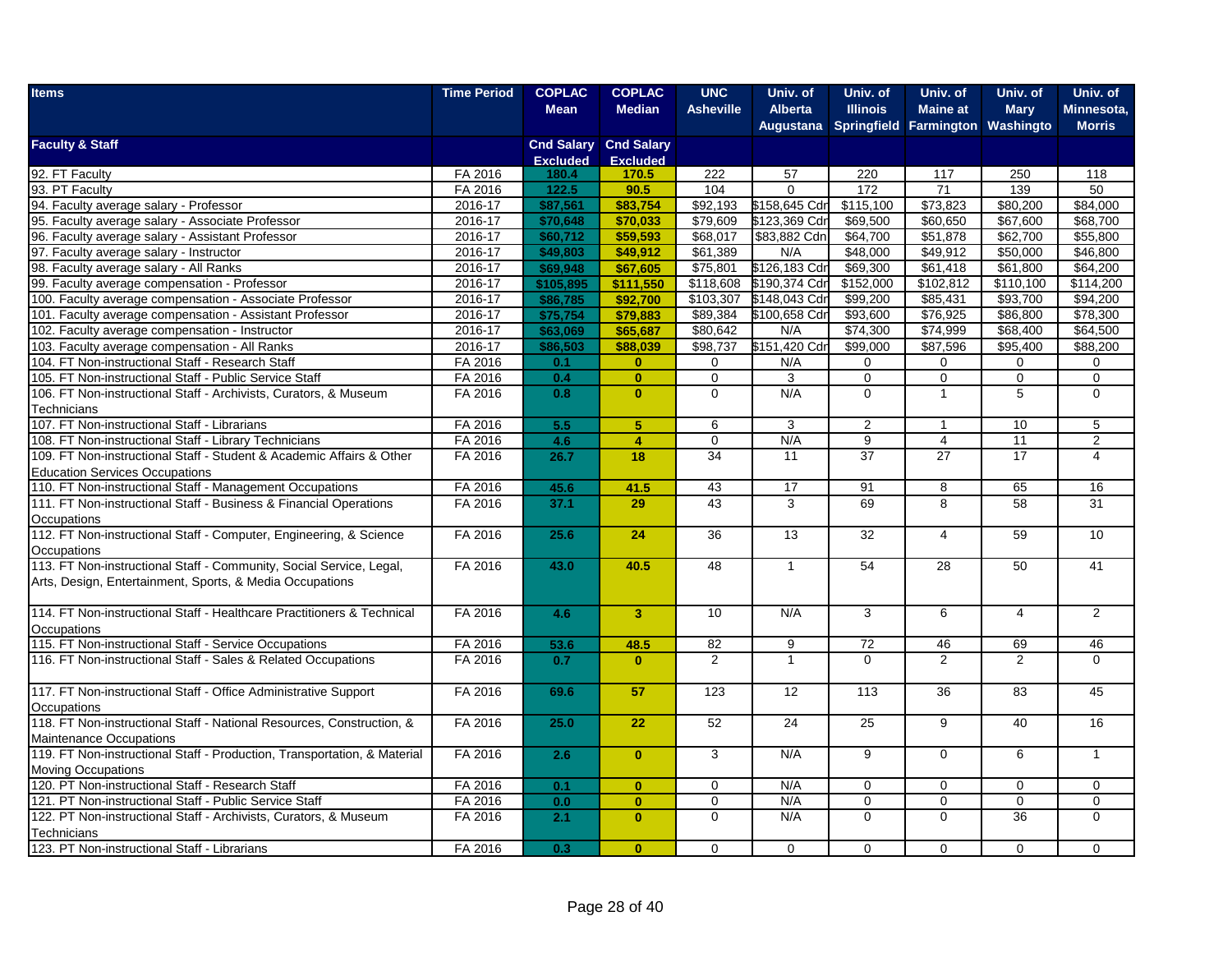| <b>Median</b><br><b>Alberta</b><br><b>Illinois</b><br><b>Maine at</b><br><b>Mean</b><br><b>Asheville</b><br><b>Mary</b><br>Minnesota,<br>Augustana Springfield Farmington<br>Washingto<br><b>Morris</b><br><b>Cnd Salary Cnd Salary</b><br><b>Excluded</b><br><b>Excluded</b><br>92. FT Faculty<br>FA 2016<br>222<br>57<br>220<br>117<br>250<br>118<br>180.4<br>170.5<br>93. PT Faculty<br>90.5<br>FA 2016<br>122.5<br>104<br>172<br>71<br>139<br>50<br>$\Omega$<br>\$92,193<br>\$158,645 Cdr<br>\$115.100<br>\$73.823<br>\$80,200<br>\$84.000<br>2016-17<br>\$87,561<br>\$83,754<br>95. Faculty average salary - Associate Professor<br>2016-17<br>\$70,648<br>\$79,609<br>\$123,369 Cdr<br>\$69,500<br>\$60,650<br>\$67,600<br>\$68,700<br>\$70.033<br>\$83,882 Cdn<br>2016-17<br>\$60,712<br>\$59,593<br>\$68,017<br>\$64,700<br>\$51,878<br>\$62,700<br>\$55,800<br>96. Faculty average salary - Assistant Professor<br>97. Faculty average salary - Instructor<br>2016-17<br>\$48,000<br>\$49,912<br>\$50,000<br>\$46,800<br>\$49,803<br>\$49,912<br>\$61,389<br>N/A<br>\$126,183 Cdr<br>\$69,300<br>\$61,418<br>\$61,800<br>98. Faculty average salary - All Ranks<br>2016-17<br>\$69,948<br>\$67,605<br>\$75,801<br>\$64,200<br>2016-17<br>\$105,895<br>\$111,550<br>\$118,608<br>\$190,374 Cdr<br>\$152,000<br>\$102,812<br>\$110,100<br>\$114,200<br>\$86,785<br>\$92,700<br>\$103,307<br>\$148,043 Cdr<br>\$99,200<br>\$85,431<br>\$93,700<br>\$94,200<br>100. Faculty average compensation - Associate Professor<br>2016-17<br>101. Faculty average compensation - Assistant Professor<br>\$75,754<br>\$79,883<br>\$100,658 Cdr<br>\$93,600<br>\$76,925<br>\$86,800<br>\$78,300<br>2016-17<br>\$89,384<br>2016-17<br>\$80,642<br>\$74,300<br>\$74,999<br>\$68,400<br>\$64,500<br>102. Faculty average compensation - Instructor<br>\$63,069<br>\$65,687<br>N/A<br>\$151,420 Cdr<br>\$99,000<br>\$87,596<br>\$95,400<br>2016-17<br>\$86,503<br>\$88,039<br>\$98,737<br>\$88,200<br>104. FT Non-instructional Staff - Research Staff<br>FA 2016<br>0.1<br>$\mathbf{0}$<br>0<br>N/A<br>0<br>0<br>0<br>0<br>$\overline{0}$<br>$\overline{0}$<br>$\overline{0}$<br>$\overline{0}$<br>105. FT Non-instructional Staff - Public Service Staff<br>FA 2016<br>0.4<br>$\mathbf 0$<br>3<br>$\mathbf 0$<br>$\mathbf{0}$<br>N/A<br>$\mathbf 0$<br>$\overline{1}$<br>5<br>0<br>106. FT Non-instructional Staff - Archivists, Curators, & Museum<br>FA 2016<br>0.8<br>$\mathbf 0$<br>Technicians<br>107. FT Non-instructional Staff - Librarians<br>FA 2016<br>5.5<br>5 <sup>5</sup><br>5<br>6<br>3<br>$\overline{2}$<br>10<br>$\overline{1}$<br>FA 2016<br>$\overline{4}$<br>N/A<br>$\boldsymbol{9}$<br>11<br>$\overline{2}$<br>108. FT Non-instructional Staff - Library Technicians<br>4.6<br>0<br>$\overline{4}$<br>109. FT Non-instructional Staff - Student & Academic Affairs & Other<br>FA 2016<br>26.7<br>18<br>34<br>37<br>27<br>17<br>11<br>$\overline{4}$<br><b>Education Services Occupations</b><br>110. FT Non-instructional Staff - Management Occupations<br>FA 2016<br>43<br>17<br>16<br>45.6<br>41.5<br>91<br>8<br>65<br>43<br>FA 2016<br>3<br>69<br>58<br>31<br>37.1<br>29<br>8<br>Occupations<br>112. FT Non-instructional Staff - Computer, Engineering, & Science<br>FA 2016<br>24<br>36<br>13<br>32<br>$\overline{4}$<br>59<br>10<br>25.6<br>Occupations<br>113. FT Non-instructional Staff - Community, Social Service, Legal,<br>FA 2016<br>40.5<br>54<br>28<br>50<br>41<br>43.0<br>48<br>$\mathbf{1}$<br>Arts, Design, Entertainment, Sports, & Media Occupations<br>FA 2016<br>10<br>N/A<br>3<br>$\overline{2}$<br>$\overline{\mathbf{3}}$<br>6<br>$\overline{4}$<br>4.6<br>Occupations<br>115. FT Non-instructional Staff - Service Occupations<br>FA 2016<br>53.6<br>48.5<br>82<br>9<br>72<br>46<br>69<br>46<br>$\Omega$<br>$\overline{2}$<br>116. FT Non-instructional Staff - Sales & Related Occupations<br>FA 2016<br>0.7<br>2<br>$\mathbf{1}$<br>2<br>$\Omega$<br>$\mathbf{0}$<br>117. FT Non-instructional Staff - Office Administrative Support<br>FA 2016<br>57<br>12<br>36<br>83<br>45<br>69.6<br>123<br>113<br>Occupations<br>118. FT Non-instructional Staff - National Resources, Construction, &<br>FA 2016<br>22<br>52<br>24<br>9<br>40<br>16<br>25.0<br>25<br><b>Maintenance Occupations</b><br>FA 2016<br>$\overline{3}$<br>N/A<br>$\overline{9}$<br>$\overline{0}$<br>6<br>$\overline{1}$<br>2.6<br>$\mathbf{0}$<br><b>Moving Occupations</b><br>120. PT Non-instructional Staff - Research Staff<br>FA 2016<br>0.1<br>N/A<br>$\mathbf{0}$<br>$\mathbf 0$<br>$\mathbf 0$<br>$\mathbf 0$<br>$\mathbf 0$<br>$\mathbf 0$<br>N/A<br>121. PT Non-instructional Staff - Public Service Staff<br>FA 2016<br>0.0<br>$\mathbf{0}$<br>$\mathbf 0$<br>$\mathbf 0$<br>$\mathbf 0$<br>$\mathbf 0$<br>0<br>N/A<br>36<br>122. PT Non-instructional Staff - Archivists, Curators, & Museum<br>FA 2016<br>2.1<br>$\mathbf 0$<br>$\Omega$<br>$\Omega$<br>$\Omega$<br>$\mathbf{0}$<br>Technicians<br>FA 2016<br>0.3<br>$\mathbf{0}$<br>$\Omega$<br>$\Omega$<br>$\Omega$<br>$\Omega$<br>$\Omega$<br>$\Omega$ | <b>Items</b>                                                             | <b>Time Period</b> | <b>COPLAC</b> | <b>COPLAC</b> | <b>UNC</b> | Univ. of | Univ. of | Univ. of | Univ. of | Univ. of |
|-------------------------------------------------------------------------------------------------------------------------------------------------------------------------------------------------------------------------------------------------------------------------------------------------------------------------------------------------------------------------------------------------------------------------------------------------------------------------------------------------------------------------------------------------------------------------------------------------------------------------------------------------------------------------------------------------------------------------------------------------------------------------------------------------------------------------------------------------------------------------------------------------------------------------------------------------------------------------------------------------------------------------------------------------------------------------------------------------------------------------------------------------------------------------------------------------------------------------------------------------------------------------------------------------------------------------------------------------------------------------------------------------------------------------------------------------------------------------------------------------------------------------------------------------------------------------------------------------------------------------------------------------------------------------------------------------------------------------------------------------------------------------------------------------------------------------------------------------------------------------------------------------------------------------------------------------------------------------------------------------------------------------------------------------------------------------------------------------------------------------------------------------------------------------------------------------------------------------------------------------------------------------------------------------------------------------------------------------------------------------------------------------------------------------------------------------------------------------------------------------------------------------------------------------------------------------------------------------------------------------------------------------------------------------------------------------------------------------------------------------------------------------------------------------------------------------------------------------------------------------------------------------------------------------------------------------------------------------------------------------------------------------------------------------------------------------------------------------------------------------------------------------------------------------------------------------------------------------------------------------------------------------------------------------------------------------------------------------------------------------------------------------------------------------------------------------------------------------------------------------------------------------------------------------------------------------------------------------------------------------------------------------------------------------------------------------------------------------------------------------------------------------------------------------------------------------------------------------------------------------------------------------------------------------------------------------------------------------------------------------------------------------------------------------------------------------------------------------------------------------------------------------------------------------------------------------------------------------------------------------------------------------------------------------------------------------------------------------------------------------------------------------------------------------------------------------------------------------------------------------------------------------------------------------------------------------------------------------------------------------------------------------------------------------------------------------------------------------------------------------------------------------------------------------------------------------------------------------------------------------------------------------------------------------------------------------------------------------------------------------------------------------------------------------------------------------------------------------------------------------------------|--------------------------------------------------------------------------|--------------------|---------------|---------------|------------|----------|----------|----------|----------|----------|
|                                                                                                                                                                                                                                                                                                                                                                                                                                                                                                                                                                                                                                                                                                                                                                                                                                                                                                                                                                                                                                                                                                                                                                                                                                                                                                                                                                                                                                                                                                                                                                                                                                                                                                                                                                                                                                                                                                                                                                                                                                                                                                                                                                                                                                                                                                                                                                                                                                                                                                                                                                                                                                                                                                                                                                                                                                                                                                                                                                                                                                                                                                                                                                                                                                                                                                                                                                                                                                                                                                                                                                                                                                                                                                                                                                                                                                                                                                                                                                                                                                                                                                                                                                                                                                                                                                                                                                                                                                                                                                                                                                                                                                                                                                                                                                                                                                                                                                                                                                                                                                                                                                                                     |                                                                          |                    |               |               |            |          |          |          |          |          |
|                                                                                                                                                                                                                                                                                                                                                                                                                                                                                                                                                                                                                                                                                                                                                                                                                                                                                                                                                                                                                                                                                                                                                                                                                                                                                                                                                                                                                                                                                                                                                                                                                                                                                                                                                                                                                                                                                                                                                                                                                                                                                                                                                                                                                                                                                                                                                                                                                                                                                                                                                                                                                                                                                                                                                                                                                                                                                                                                                                                                                                                                                                                                                                                                                                                                                                                                                                                                                                                                                                                                                                                                                                                                                                                                                                                                                                                                                                                                                                                                                                                                                                                                                                                                                                                                                                                                                                                                                                                                                                                                                                                                                                                                                                                                                                                                                                                                                                                                                                                                                                                                                                                                     |                                                                          |                    |               |               |            |          |          |          |          |          |
|                                                                                                                                                                                                                                                                                                                                                                                                                                                                                                                                                                                                                                                                                                                                                                                                                                                                                                                                                                                                                                                                                                                                                                                                                                                                                                                                                                                                                                                                                                                                                                                                                                                                                                                                                                                                                                                                                                                                                                                                                                                                                                                                                                                                                                                                                                                                                                                                                                                                                                                                                                                                                                                                                                                                                                                                                                                                                                                                                                                                                                                                                                                                                                                                                                                                                                                                                                                                                                                                                                                                                                                                                                                                                                                                                                                                                                                                                                                                                                                                                                                                                                                                                                                                                                                                                                                                                                                                                                                                                                                                                                                                                                                                                                                                                                                                                                                                                                                                                                                                                                                                                                                                     | <b>Faculty &amp; Staff</b>                                               |                    |               |               |            |          |          |          |          |          |
|                                                                                                                                                                                                                                                                                                                                                                                                                                                                                                                                                                                                                                                                                                                                                                                                                                                                                                                                                                                                                                                                                                                                                                                                                                                                                                                                                                                                                                                                                                                                                                                                                                                                                                                                                                                                                                                                                                                                                                                                                                                                                                                                                                                                                                                                                                                                                                                                                                                                                                                                                                                                                                                                                                                                                                                                                                                                                                                                                                                                                                                                                                                                                                                                                                                                                                                                                                                                                                                                                                                                                                                                                                                                                                                                                                                                                                                                                                                                                                                                                                                                                                                                                                                                                                                                                                                                                                                                                                                                                                                                                                                                                                                                                                                                                                                                                                                                                                                                                                                                                                                                                                                                     |                                                                          |                    |               |               |            |          |          |          |          |          |
|                                                                                                                                                                                                                                                                                                                                                                                                                                                                                                                                                                                                                                                                                                                                                                                                                                                                                                                                                                                                                                                                                                                                                                                                                                                                                                                                                                                                                                                                                                                                                                                                                                                                                                                                                                                                                                                                                                                                                                                                                                                                                                                                                                                                                                                                                                                                                                                                                                                                                                                                                                                                                                                                                                                                                                                                                                                                                                                                                                                                                                                                                                                                                                                                                                                                                                                                                                                                                                                                                                                                                                                                                                                                                                                                                                                                                                                                                                                                                                                                                                                                                                                                                                                                                                                                                                                                                                                                                                                                                                                                                                                                                                                                                                                                                                                                                                                                                                                                                                                                                                                                                                                                     |                                                                          |                    |               |               |            |          |          |          |          |          |
|                                                                                                                                                                                                                                                                                                                                                                                                                                                                                                                                                                                                                                                                                                                                                                                                                                                                                                                                                                                                                                                                                                                                                                                                                                                                                                                                                                                                                                                                                                                                                                                                                                                                                                                                                                                                                                                                                                                                                                                                                                                                                                                                                                                                                                                                                                                                                                                                                                                                                                                                                                                                                                                                                                                                                                                                                                                                                                                                                                                                                                                                                                                                                                                                                                                                                                                                                                                                                                                                                                                                                                                                                                                                                                                                                                                                                                                                                                                                                                                                                                                                                                                                                                                                                                                                                                                                                                                                                                                                                                                                                                                                                                                                                                                                                                                                                                                                                                                                                                                                                                                                                                                                     |                                                                          |                    |               |               |            |          |          |          |          |          |
|                                                                                                                                                                                                                                                                                                                                                                                                                                                                                                                                                                                                                                                                                                                                                                                                                                                                                                                                                                                                                                                                                                                                                                                                                                                                                                                                                                                                                                                                                                                                                                                                                                                                                                                                                                                                                                                                                                                                                                                                                                                                                                                                                                                                                                                                                                                                                                                                                                                                                                                                                                                                                                                                                                                                                                                                                                                                                                                                                                                                                                                                                                                                                                                                                                                                                                                                                                                                                                                                                                                                                                                                                                                                                                                                                                                                                                                                                                                                                                                                                                                                                                                                                                                                                                                                                                                                                                                                                                                                                                                                                                                                                                                                                                                                                                                                                                                                                                                                                                                                                                                                                                                                     | 94. Faculty average salary - Professor                                   |                    |               |               |            |          |          |          |          |          |
|                                                                                                                                                                                                                                                                                                                                                                                                                                                                                                                                                                                                                                                                                                                                                                                                                                                                                                                                                                                                                                                                                                                                                                                                                                                                                                                                                                                                                                                                                                                                                                                                                                                                                                                                                                                                                                                                                                                                                                                                                                                                                                                                                                                                                                                                                                                                                                                                                                                                                                                                                                                                                                                                                                                                                                                                                                                                                                                                                                                                                                                                                                                                                                                                                                                                                                                                                                                                                                                                                                                                                                                                                                                                                                                                                                                                                                                                                                                                                                                                                                                                                                                                                                                                                                                                                                                                                                                                                                                                                                                                                                                                                                                                                                                                                                                                                                                                                                                                                                                                                                                                                                                                     |                                                                          |                    |               |               |            |          |          |          |          |          |
|                                                                                                                                                                                                                                                                                                                                                                                                                                                                                                                                                                                                                                                                                                                                                                                                                                                                                                                                                                                                                                                                                                                                                                                                                                                                                                                                                                                                                                                                                                                                                                                                                                                                                                                                                                                                                                                                                                                                                                                                                                                                                                                                                                                                                                                                                                                                                                                                                                                                                                                                                                                                                                                                                                                                                                                                                                                                                                                                                                                                                                                                                                                                                                                                                                                                                                                                                                                                                                                                                                                                                                                                                                                                                                                                                                                                                                                                                                                                                                                                                                                                                                                                                                                                                                                                                                                                                                                                                                                                                                                                                                                                                                                                                                                                                                                                                                                                                                                                                                                                                                                                                                                                     |                                                                          |                    |               |               |            |          |          |          |          |          |
|                                                                                                                                                                                                                                                                                                                                                                                                                                                                                                                                                                                                                                                                                                                                                                                                                                                                                                                                                                                                                                                                                                                                                                                                                                                                                                                                                                                                                                                                                                                                                                                                                                                                                                                                                                                                                                                                                                                                                                                                                                                                                                                                                                                                                                                                                                                                                                                                                                                                                                                                                                                                                                                                                                                                                                                                                                                                                                                                                                                                                                                                                                                                                                                                                                                                                                                                                                                                                                                                                                                                                                                                                                                                                                                                                                                                                                                                                                                                                                                                                                                                                                                                                                                                                                                                                                                                                                                                                                                                                                                                                                                                                                                                                                                                                                                                                                                                                                                                                                                                                                                                                                                                     |                                                                          |                    |               |               |            |          |          |          |          |          |
|                                                                                                                                                                                                                                                                                                                                                                                                                                                                                                                                                                                                                                                                                                                                                                                                                                                                                                                                                                                                                                                                                                                                                                                                                                                                                                                                                                                                                                                                                                                                                                                                                                                                                                                                                                                                                                                                                                                                                                                                                                                                                                                                                                                                                                                                                                                                                                                                                                                                                                                                                                                                                                                                                                                                                                                                                                                                                                                                                                                                                                                                                                                                                                                                                                                                                                                                                                                                                                                                                                                                                                                                                                                                                                                                                                                                                                                                                                                                                                                                                                                                                                                                                                                                                                                                                                                                                                                                                                                                                                                                                                                                                                                                                                                                                                                                                                                                                                                                                                                                                                                                                                                                     |                                                                          |                    |               |               |            |          |          |          |          |          |
|                                                                                                                                                                                                                                                                                                                                                                                                                                                                                                                                                                                                                                                                                                                                                                                                                                                                                                                                                                                                                                                                                                                                                                                                                                                                                                                                                                                                                                                                                                                                                                                                                                                                                                                                                                                                                                                                                                                                                                                                                                                                                                                                                                                                                                                                                                                                                                                                                                                                                                                                                                                                                                                                                                                                                                                                                                                                                                                                                                                                                                                                                                                                                                                                                                                                                                                                                                                                                                                                                                                                                                                                                                                                                                                                                                                                                                                                                                                                                                                                                                                                                                                                                                                                                                                                                                                                                                                                                                                                                                                                                                                                                                                                                                                                                                                                                                                                                                                                                                                                                                                                                                                                     | 99. Faculty average compensation - Professor                             |                    |               |               |            |          |          |          |          |          |
|                                                                                                                                                                                                                                                                                                                                                                                                                                                                                                                                                                                                                                                                                                                                                                                                                                                                                                                                                                                                                                                                                                                                                                                                                                                                                                                                                                                                                                                                                                                                                                                                                                                                                                                                                                                                                                                                                                                                                                                                                                                                                                                                                                                                                                                                                                                                                                                                                                                                                                                                                                                                                                                                                                                                                                                                                                                                                                                                                                                                                                                                                                                                                                                                                                                                                                                                                                                                                                                                                                                                                                                                                                                                                                                                                                                                                                                                                                                                                                                                                                                                                                                                                                                                                                                                                                                                                                                                                                                                                                                                                                                                                                                                                                                                                                                                                                                                                                                                                                                                                                                                                                                                     |                                                                          |                    |               |               |            |          |          |          |          |          |
|                                                                                                                                                                                                                                                                                                                                                                                                                                                                                                                                                                                                                                                                                                                                                                                                                                                                                                                                                                                                                                                                                                                                                                                                                                                                                                                                                                                                                                                                                                                                                                                                                                                                                                                                                                                                                                                                                                                                                                                                                                                                                                                                                                                                                                                                                                                                                                                                                                                                                                                                                                                                                                                                                                                                                                                                                                                                                                                                                                                                                                                                                                                                                                                                                                                                                                                                                                                                                                                                                                                                                                                                                                                                                                                                                                                                                                                                                                                                                                                                                                                                                                                                                                                                                                                                                                                                                                                                                                                                                                                                                                                                                                                                                                                                                                                                                                                                                                                                                                                                                                                                                                                                     |                                                                          |                    |               |               |            |          |          |          |          |          |
|                                                                                                                                                                                                                                                                                                                                                                                                                                                                                                                                                                                                                                                                                                                                                                                                                                                                                                                                                                                                                                                                                                                                                                                                                                                                                                                                                                                                                                                                                                                                                                                                                                                                                                                                                                                                                                                                                                                                                                                                                                                                                                                                                                                                                                                                                                                                                                                                                                                                                                                                                                                                                                                                                                                                                                                                                                                                                                                                                                                                                                                                                                                                                                                                                                                                                                                                                                                                                                                                                                                                                                                                                                                                                                                                                                                                                                                                                                                                                                                                                                                                                                                                                                                                                                                                                                                                                                                                                                                                                                                                                                                                                                                                                                                                                                                                                                                                                                                                                                                                                                                                                                                                     |                                                                          |                    |               |               |            |          |          |          |          |          |
|                                                                                                                                                                                                                                                                                                                                                                                                                                                                                                                                                                                                                                                                                                                                                                                                                                                                                                                                                                                                                                                                                                                                                                                                                                                                                                                                                                                                                                                                                                                                                                                                                                                                                                                                                                                                                                                                                                                                                                                                                                                                                                                                                                                                                                                                                                                                                                                                                                                                                                                                                                                                                                                                                                                                                                                                                                                                                                                                                                                                                                                                                                                                                                                                                                                                                                                                                                                                                                                                                                                                                                                                                                                                                                                                                                                                                                                                                                                                                                                                                                                                                                                                                                                                                                                                                                                                                                                                                                                                                                                                                                                                                                                                                                                                                                                                                                                                                                                                                                                                                                                                                                                                     | 103. Faculty average compensation - All Ranks                            |                    |               |               |            |          |          |          |          |          |
|                                                                                                                                                                                                                                                                                                                                                                                                                                                                                                                                                                                                                                                                                                                                                                                                                                                                                                                                                                                                                                                                                                                                                                                                                                                                                                                                                                                                                                                                                                                                                                                                                                                                                                                                                                                                                                                                                                                                                                                                                                                                                                                                                                                                                                                                                                                                                                                                                                                                                                                                                                                                                                                                                                                                                                                                                                                                                                                                                                                                                                                                                                                                                                                                                                                                                                                                                                                                                                                                                                                                                                                                                                                                                                                                                                                                                                                                                                                                                                                                                                                                                                                                                                                                                                                                                                                                                                                                                                                                                                                                                                                                                                                                                                                                                                                                                                                                                                                                                                                                                                                                                                                                     |                                                                          |                    |               |               |            |          |          |          |          |          |
|                                                                                                                                                                                                                                                                                                                                                                                                                                                                                                                                                                                                                                                                                                                                                                                                                                                                                                                                                                                                                                                                                                                                                                                                                                                                                                                                                                                                                                                                                                                                                                                                                                                                                                                                                                                                                                                                                                                                                                                                                                                                                                                                                                                                                                                                                                                                                                                                                                                                                                                                                                                                                                                                                                                                                                                                                                                                                                                                                                                                                                                                                                                                                                                                                                                                                                                                                                                                                                                                                                                                                                                                                                                                                                                                                                                                                                                                                                                                                                                                                                                                                                                                                                                                                                                                                                                                                                                                                                                                                                                                                                                                                                                                                                                                                                                                                                                                                                                                                                                                                                                                                                                                     |                                                                          |                    |               |               |            |          |          |          |          |          |
|                                                                                                                                                                                                                                                                                                                                                                                                                                                                                                                                                                                                                                                                                                                                                                                                                                                                                                                                                                                                                                                                                                                                                                                                                                                                                                                                                                                                                                                                                                                                                                                                                                                                                                                                                                                                                                                                                                                                                                                                                                                                                                                                                                                                                                                                                                                                                                                                                                                                                                                                                                                                                                                                                                                                                                                                                                                                                                                                                                                                                                                                                                                                                                                                                                                                                                                                                                                                                                                                                                                                                                                                                                                                                                                                                                                                                                                                                                                                                                                                                                                                                                                                                                                                                                                                                                                                                                                                                                                                                                                                                                                                                                                                                                                                                                                                                                                                                                                                                                                                                                                                                                                                     |                                                                          |                    |               |               |            |          |          |          |          |          |
|                                                                                                                                                                                                                                                                                                                                                                                                                                                                                                                                                                                                                                                                                                                                                                                                                                                                                                                                                                                                                                                                                                                                                                                                                                                                                                                                                                                                                                                                                                                                                                                                                                                                                                                                                                                                                                                                                                                                                                                                                                                                                                                                                                                                                                                                                                                                                                                                                                                                                                                                                                                                                                                                                                                                                                                                                                                                                                                                                                                                                                                                                                                                                                                                                                                                                                                                                                                                                                                                                                                                                                                                                                                                                                                                                                                                                                                                                                                                                                                                                                                                                                                                                                                                                                                                                                                                                                                                                                                                                                                                                                                                                                                                                                                                                                                                                                                                                                                                                                                                                                                                                                                                     |                                                                          |                    |               |               |            |          |          |          |          |          |
|                                                                                                                                                                                                                                                                                                                                                                                                                                                                                                                                                                                                                                                                                                                                                                                                                                                                                                                                                                                                                                                                                                                                                                                                                                                                                                                                                                                                                                                                                                                                                                                                                                                                                                                                                                                                                                                                                                                                                                                                                                                                                                                                                                                                                                                                                                                                                                                                                                                                                                                                                                                                                                                                                                                                                                                                                                                                                                                                                                                                                                                                                                                                                                                                                                                                                                                                                                                                                                                                                                                                                                                                                                                                                                                                                                                                                                                                                                                                                                                                                                                                                                                                                                                                                                                                                                                                                                                                                                                                                                                                                                                                                                                                                                                                                                                                                                                                                                                                                                                                                                                                                                                                     |                                                                          |                    |               |               |            |          |          |          |          |          |
|                                                                                                                                                                                                                                                                                                                                                                                                                                                                                                                                                                                                                                                                                                                                                                                                                                                                                                                                                                                                                                                                                                                                                                                                                                                                                                                                                                                                                                                                                                                                                                                                                                                                                                                                                                                                                                                                                                                                                                                                                                                                                                                                                                                                                                                                                                                                                                                                                                                                                                                                                                                                                                                                                                                                                                                                                                                                                                                                                                                                                                                                                                                                                                                                                                                                                                                                                                                                                                                                                                                                                                                                                                                                                                                                                                                                                                                                                                                                                                                                                                                                                                                                                                                                                                                                                                                                                                                                                                                                                                                                                                                                                                                                                                                                                                                                                                                                                                                                                                                                                                                                                                                                     |                                                                          |                    |               |               |            |          |          |          |          |          |
|                                                                                                                                                                                                                                                                                                                                                                                                                                                                                                                                                                                                                                                                                                                                                                                                                                                                                                                                                                                                                                                                                                                                                                                                                                                                                                                                                                                                                                                                                                                                                                                                                                                                                                                                                                                                                                                                                                                                                                                                                                                                                                                                                                                                                                                                                                                                                                                                                                                                                                                                                                                                                                                                                                                                                                                                                                                                                                                                                                                                                                                                                                                                                                                                                                                                                                                                                                                                                                                                                                                                                                                                                                                                                                                                                                                                                                                                                                                                                                                                                                                                                                                                                                                                                                                                                                                                                                                                                                                                                                                                                                                                                                                                                                                                                                                                                                                                                                                                                                                                                                                                                                                                     |                                                                          |                    |               |               |            |          |          |          |          |          |
|                                                                                                                                                                                                                                                                                                                                                                                                                                                                                                                                                                                                                                                                                                                                                                                                                                                                                                                                                                                                                                                                                                                                                                                                                                                                                                                                                                                                                                                                                                                                                                                                                                                                                                                                                                                                                                                                                                                                                                                                                                                                                                                                                                                                                                                                                                                                                                                                                                                                                                                                                                                                                                                                                                                                                                                                                                                                                                                                                                                                                                                                                                                                                                                                                                                                                                                                                                                                                                                                                                                                                                                                                                                                                                                                                                                                                                                                                                                                                                                                                                                                                                                                                                                                                                                                                                                                                                                                                                                                                                                                                                                                                                                                                                                                                                                                                                                                                                                                                                                                                                                                                                                                     |                                                                          |                    |               |               |            |          |          |          |          |          |
|                                                                                                                                                                                                                                                                                                                                                                                                                                                                                                                                                                                                                                                                                                                                                                                                                                                                                                                                                                                                                                                                                                                                                                                                                                                                                                                                                                                                                                                                                                                                                                                                                                                                                                                                                                                                                                                                                                                                                                                                                                                                                                                                                                                                                                                                                                                                                                                                                                                                                                                                                                                                                                                                                                                                                                                                                                                                                                                                                                                                                                                                                                                                                                                                                                                                                                                                                                                                                                                                                                                                                                                                                                                                                                                                                                                                                                                                                                                                                                                                                                                                                                                                                                                                                                                                                                                                                                                                                                                                                                                                                                                                                                                                                                                                                                                                                                                                                                                                                                                                                                                                                                                                     |                                                                          |                    |               |               |            |          |          |          |          |          |
|                                                                                                                                                                                                                                                                                                                                                                                                                                                                                                                                                                                                                                                                                                                                                                                                                                                                                                                                                                                                                                                                                                                                                                                                                                                                                                                                                                                                                                                                                                                                                                                                                                                                                                                                                                                                                                                                                                                                                                                                                                                                                                                                                                                                                                                                                                                                                                                                                                                                                                                                                                                                                                                                                                                                                                                                                                                                                                                                                                                                                                                                                                                                                                                                                                                                                                                                                                                                                                                                                                                                                                                                                                                                                                                                                                                                                                                                                                                                                                                                                                                                                                                                                                                                                                                                                                                                                                                                                                                                                                                                                                                                                                                                                                                                                                                                                                                                                                                                                                                                                                                                                                                                     | 111. FT Non-instructional Staff - Business & Financial Operations        |                    |               |               |            |          |          |          |          |          |
|                                                                                                                                                                                                                                                                                                                                                                                                                                                                                                                                                                                                                                                                                                                                                                                                                                                                                                                                                                                                                                                                                                                                                                                                                                                                                                                                                                                                                                                                                                                                                                                                                                                                                                                                                                                                                                                                                                                                                                                                                                                                                                                                                                                                                                                                                                                                                                                                                                                                                                                                                                                                                                                                                                                                                                                                                                                                                                                                                                                                                                                                                                                                                                                                                                                                                                                                                                                                                                                                                                                                                                                                                                                                                                                                                                                                                                                                                                                                                                                                                                                                                                                                                                                                                                                                                                                                                                                                                                                                                                                                                                                                                                                                                                                                                                                                                                                                                                                                                                                                                                                                                                                                     |                                                                          |                    |               |               |            |          |          |          |          |          |
|                                                                                                                                                                                                                                                                                                                                                                                                                                                                                                                                                                                                                                                                                                                                                                                                                                                                                                                                                                                                                                                                                                                                                                                                                                                                                                                                                                                                                                                                                                                                                                                                                                                                                                                                                                                                                                                                                                                                                                                                                                                                                                                                                                                                                                                                                                                                                                                                                                                                                                                                                                                                                                                                                                                                                                                                                                                                                                                                                                                                                                                                                                                                                                                                                                                                                                                                                                                                                                                                                                                                                                                                                                                                                                                                                                                                                                                                                                                                                                                                                                                                                                                                                                                                                                                                                                                                                                                                                                                                                                                                                                                                                                                                                                                                                                                                                                                                                                                                                                                                                                                                                                                                     |                                                                          |                    |               |               |            |          |          |          |          |          |
|                                                                                                                                                                                                                                                                                                                                                                                                                                                                                                                                                                                                                                                                                                                                                                                                                                                                                                                                                                                                                                                                                                                                                                                                                                                                                                                                                                                                                                                                                                                                                                                                                                                                                                                                                                                                                                                                                                                                                                                                                                                                                                                                                                                                                                                                                                                                                                                                                                                                                                                                                                                                                                                                                                                                                                                                                                                                                                                                                                                                                                                                                                                                                                                                                                                                                                                                                                                                                                                                                                                                                                                                                                                                                                                                                                                                                                                                                                                                                                                                                                                                                                                                                                                                                                                                                                                                                                                                                                                                                                                                                                                                                                                                                                                                                                                                                                                                                                                                                                                                                                                                                                                                     |                                                                          |                    |               |               |            |          |          |          |          |          |
|                                                                                                                                                                                                                                                                                                                                                                                                                                                                                                                                                                                                                                                                                                                                                                                                                                                                                                                                                                                                                                                                                                                                                                                                                                                                                                                                                                                                                                                                                                                                                                                                                                                                                                                                                                                                                                                                                                                                                                                                                                                                                                                                                                                                                                                                                                                                                                                                                                                                                                                                                                                                                                                                                                                                                                                                                                                                                                                                                                                                                                                                                                                                                                                                                                                                                                                                                                                                                                                                                                                                                                                                                                                                                                                                                                                                                                                                                                                                                                                                                                                                                                                                                                                                                                                                                                                                                                                                                                                                                                                                                                                                                                                                                                                                                                                                                                                                                                                                                                                                                                                                                                                                     |                                                                          |                    |               |               |            |          |          |          |          |          |
|                                                                                                                                                                                                                                                                                                                                                                                                                                                                                                                                                                                                                                                                                                                                                                                                                                                                                                                                                                                                                                                                                                                                                                                                                                                                                                                                                                                                                                                                                                                                                                                                                                                                                                                                                                                                                                                                                                                                                                                                                                                                                                                                                                                                                                                                                                                                                                                                                                                                                                                                                                                                                                                                                                                                                                                                                                                                                                                                                                                                                                                                                                                                                                                                                                                                                                                                                                                                                                                                                                                                                                                                                                                                                                                                                                                                                                                                                                                                                                                                                                                                                                                                                                                                                                                                                                                                                                                                                                                                                                                                                                                                                                                                                                                                                                                                                                                                                                                                                                                                                                                                                                                                     |                                                                          |                    |               |               |            |          |          |          |          |          |
|                                                                                                                                                                                                                                                                                                                                                                                                                                                                                                                                                                                                                                                                                                                                                                                                                                                                                                                                                                                                                                                                                                                                                                                                                                                                                                                                                                                                                                                                                                                                                                                                                                                                                                                                                                                                                                                                                                                                                                                                                                                                                                                                                                                                                                                                                                                                                                                                                                                                                                                                                                                                                                                                                                                                                                                                                                                                                                                                                                                                                                                                                                                                                                                                                                                                                                                                                                                                                                                                                                                                                                                                                                                                                                                                                                                                                                                                                                                                                                                                                                                                                                                                                                                                                                                                                                                                                                                                                                                                                                                                                                                                                                                                                                                                                                                                                                                                                                                                                                                                                                                                                                                                     |                                                                          |                    |               |               |            |          |          |          |          |          |
|                                                                                                                                                                                                                                                                                                                                                                                                                                                                                                                                                                                                                                                                                                                                                                                                                                                                                                                                                                                                                                                                                                                                                                                                                                                                                                                                                                                                                                                                                                                                                                                                                                                                                                                                                                                                                                                                                                                                                                                                                                                                                                                                                                                                                                                                                                                                                                                                                                                                                                                                                                                                                                                                                                                                                                                                                                                                                                                                                                                                                                                                                                                                                                                                                                                                                                                                                                                                                                                                                                                                                                                                                                                                                                                                                                                                                                                                                                                                                                                                                                                                                                                                                                                                                                                                                                                                                                                                                                                                                                                                                                                                                                                                                                                                                                                                                                                                                                                                                                                                                                                                                                                                     | 114. FT Non-instructional Staff - Healthcare Practitioners & Technical   |                    |               |               |            |          |          |          |          |          |
|                                                                                                                                                                                                                                                                                                                                                                                                                                                                                                                                                                                                                                                                                                                                                                                                                                                                                                                                                                                                                                                                                                                                                                                                                                                                                                                                                                                                                                                                                                                                                                                                                                                                                                                                                                                                                                                                                                                                                                                                                                                                                                                                                                                                                                                                                                                                                                                                                                                                                                                                                                                                                                                                                                                                                                                                                                                                                                                                                                                                                                                                                                                                                                                                                                                                                                                                                                                                                                                                                                                                                                                                                                                                                                                                                                                                                                                                                                                                                                                                                                                                                                                                                                                                                                                                                                                                                                                                                                                                                                                                                                                                                                                                                                                                                                                                                                                                                                                                                                                                                                                                                                                                     |                                                                          |                    |               |               |            |          |          |          |          |          |
|                                                                                                                                                                                                                                                                                                                                                                                                                                                                                                                                                                                                                                                                                                                                                                                                                                                                                                                                                                                                                                                                                                                                                                                                                                                                                                                                                                                                                                                                                                                                                                                                                                                                                                                                                                                                                                                                                                                                                                                                                                                                                                                                                                                                                                                                                                                                                                                                                                                                                                                                                                                                                                                                                                                                                                                                                                                                                                                                                                                                                                                                                                                                                                                                                                                                                                                                                                                                                                                                                                                                                                                                                                                                                                                                                                                                                                                                                                                                                                                                                                                                                                                                                                                                                                                                                                                                                                                                                                                                                                                                                                                                                                                                                                                                                                                                                                                                                                                                                                                                                                                                                                                                     |                                                                          |                    |               |               |            |          |          |          |          |          |
|                                                                                                                                                                                                                                                                                                                                                                                                                                                                                                                                                                                                                                                                                                                                                                                                                                                                                                                                                                                                                                                                                                                                                                                                                                                                                                                                                                                                                                                                                                                                                                                                                                                                                                                                                                                                                                                                                                                                                                                                                                                                                                                                                                                                                                                                                                                                                                                                                                                                                                                                                                                                                                                                                                                                                                                                                                                                                                                                                                                                                                                                                                                                                                                                                                                                                                                                                                                                                                                                                                                                                                                                                                                                                                                                                                                                                                                                                                                                                                                                                                                                                                                                                                                                                                                                                                                                                                                                                                                                                                                                                                                                                                                                                                                                                                                                                                                                                                                                                                                                                                                                                                                                     |                                                                          |                    |               |               |            |          |          |          |          |          |
|                                                                                                                                                                                                                                                                                                                                                                                                                                                                                                                                                                                                                                                                                                                                                                                                                                                                                                                                                                                                                                                                                                                                                                                                                                                                                                                                                                                                                                                                                                                                                                                                                                                                                                                                                                                                                                                                                                                                                                                                                                                                                                                                                                                                                                                                                                                                                                                                                                                                                                                                                                                                                                                                                                                                                                                                                                                                                                                                                                                                                                                                                                                                                                                                                                                                                                                                                                                                                                                                                                                                                                                                                                                                                                                                                                                                                                                                                                                                                                                                                                                                                                                                                                                                                                                                                                                                                                                                                                                                                                                                                                                                                                                                                                                                                                                                                                                                                                                                                                                                                                                                                                                                     |                                                                          |                    |               |               |            |          |          |          |          |          |
|                                                                                                                                                                                                                                                                                                                                                                                                                                                                                                                                                                                                                                                                                                                                                                                                                                                                                                                                                                                                                                                                                                                                                                                                                                                                                                                                                                                                                                                                                                                                                                                                                                                                                                                                                                                                                                                                                                                                                                                                                                                                                                                                                                                                                                                                                                                                                                                                                                                                                                                                                                                                                                                                                                                                                                                                                                                                                                                                                                                                                                                                                                                                                                                                                                                                                                                                                                                                                                                                                                                                                                                                                                                                                                                                                                                                                                                                                                                                                                                                                                                                                                                                                                                                                                                                                                                                                                                                                                                                                                                                                                                                                                                                                                                                                                                                                                                                                                                                                                                                                                                                                                                                     |                                                                          |                    |               |               |            |          |          |          |          |          |
|                                                                                                                                                                                                                                                                                                                                                                                                                                                                                                                                                                                                                                                                                                                                                                                                                                                                                                                                                                                                                                                                                                                                                                                                                                                                                                                                                                                                                                                                                                                                                                                                                                                                                                                                                                                                                                                                                                                                                                                                                                                                                                                                                                                                                                                                                                                                                                                                                                                                                                                                                                                                                                                                                                                                                                                                                                                                                                                                                                                                                                                                                                                                                                                                                                                                                                                                                                                                                                                                                                                                                                                                                                                                                                                                                                                                                                                                                                                                                                                                                                                                                                                                                                                                                                                                                                                                                                                                                                                                                                                                                                                                                                                                                                                                                                                                                                                                                                                                                                                                                                                                                                                                     |                                                                          |                    |               |               |            |          |          |          |          |          |
|                                                                                                                                                                                                                                                                                                                                                                                                                                                                                                                                                                                                                                                                                                                                                                                                                                                                                                                                                                                                                                                                                                                                                                                                                                                                                                                                                                                                                                                                                                                                                                                                                                                                                                                                                                                                                                                                                                                                                                                                                                                                                                                                                                                                                                                                                                                                                                                                                                                                                                                                                                                                                                                                                                                                                                                                                                                                                                                                                                                                                                                                                                                                                                                                                                                                                                                                                                                                                                                                                                                                                                                                                                                                                                                                                                                                                                                                                                                                                                                                                                                                                                                                                                                                                                                                                                                                                                                                                                                                                                                                                                                                                                                                                                                                                                                                                                                                                                                                                                                                                                                                                                                                     |                                                                          |                    |               |               |            |          |          |          |          |          |
|                                                                                                                                                                                                                                                                                                                                                                                                                                                                                                                                                                                                                                                                                                                                                                                                                                                                                                                                                                                                                                                                                                                                                                                                                                                                                                                                                                                                                                                                                                                                                                                                                                                                                                                                                                                                                                                                                                                                                                                                                                                                                                                                                                                                                                                                                                                                                                                                                                                                                                                                                                                                                                                                                                                                                                                                                                                                                                                                                                                                                                                                                                                                                                                                                                                                                                                                                                                                                                                                                                                                                                                                                                                                                                                                                                                                                                                                                                                                                                                                                                                                                                                                                                                                                                                                                                                                                                                                                                                                                                                                                                                                                                                                                                                                                                                                                                                                                                                                                                                                                                                                                                                                     |                                                                          |                    |               |               |            |          |          |          |          |          |
|                                                                                                                                                                                                                                                                                                                                                                                                                                                                                                                                                                                                                                                                                                                                                                                                                                                                                                                                                                                                                                                                                                                                                                                                                                                                                                                                                                                                                                                                                                                                                                                                                                                                                                                                                                                                                                                                                                                                                                                                                                                                                                                                                                                                                                                                                                                                                                                                                                                                                                                                                                                                                                                                                                                                                                                                                                                                                                                                                                                                                                                                                                                                                                                                                                                                                                                                                                                                                                                                                                                                                                                                                                                                                                                                                                                                                                                                                                                                                                                                                                                                                                                                                                                                                                                                                                                                                                                                                                                                                                                                                                                                                                                                                                                                                                                                                                                                                                                                                                                                                                                                                                                                     | 119. FT Non-instructional Staff - Production, Transportation, & Material |                    |               |               |            |          |          |          |          |          |
|                                                                                                                                                                                                                                                                                                                                                                                                                                                                                                                                                                                                                                                                                                                                                                                                                                                                                                                                                                                                                                                                                                                                                                                                                                                                                                                                                                                                                                                                                                                                                                                                                                                                                                                                                                                                                                                                                                                                                                                                                                                                                                                                                                                                                                                                                                                                                                                                                                                                                                                                                                                                                                                                                                                                                                                                                                                                                                                                                                                                                                                                                                                                                                                                                                                                                                                                                                                                                                                                                                                                                                                                                                                                                                                                                                                                                                                                                                                                                                                                                                                                                                                                                                                                                                                                                                                                                                                                                                                                                                                                                                                                                                                                                                                                                                                                                                                                                                                                                                                                                                                                                                                                     |                                                                          |                    |               |               |            |          |          |          |          |          |
|                                                                                                                                                                                                                                                                                                                                                                                                                                                                                                                                                                                                                                                                                                                                                                                                                                                                                                                                                                                                                                                                                                                                                                                                                                                                                                                                                                                                                                                                                                                                                                                                                                                                                                                                                                                                                                                                                                                                                                                                                                                                                                                                                                                                                                                                                                                                                                                                                                                                                                                                                                                                                                                                                                                                                                                                                                                                                                                                                                                                                                                                                                                                                                                                                                                                                                                                                                                                                                                                                                                                                                                                                                                                                                                                                                                                                                                                                                                                                                                                                                                                                                                                                                                                                                                                                                                                                                                                                                                                                                                                                                                                                                                                                                                                                                                                                                                                                                                                                                                                                                                                                                                                     |                                                                          |                    |               |               |            |          |          |          |          |          |
|                                                                                                                                                                                                                                                                                                                                                                                                                                                                                                                                                                                                                                                                                                                                                                                                                                                                                                                                                                                                                                                                                                                                                                                                                                                                                                                                                                                                                                                                                                                                                                                                                                                                                                                                                                                                                                                                                                                                                                                                                                                                                                                                                                                                                                                                                                                                                                                                                                                                                                                                                                                                                                                                                                                                                                                                                                                                                                                                                                                                                                                                                                                                                                                                                                                                                                                                                                                                                                                                                                                                                                                                                                                                                                                                                                                                                                                                                                                                                                                                                                                                                                                                                                                                                                                                                                                                                                                                                                                                                                                                                                                                                                                                                                                                                                                                                                                                                                                                                                                                                                                                                                                                     |                                                                          |                    |               |               |            |          |          |          |          |          |
|                                                                                                                                                                                                                                                                                                                                                                                                                                                                                                                                                                                                                                                                                                                                                                                                                                                                                                                                                                                                                                                                                                                                                                                                                                                                                                                                                                                                                                                                                                                                                                                                                                                                                                                                                                                                                                                                                                                                                                                                                                                                                                                                                                                                                                                                                                                                                                                                                                                                                                                                                                                                                                                                                                                                                                                                                                                                                                                                                                                                                                                                                                                                                                                                                                                                                                                                                                                                                                                                                                                                                                                                                                                                                                                                                                                                                                                                                                                                                                                                                                                                                                                                                                                                                                                                                                                                                                                                                                                                                                                                                                                                                                                                                                                                                                                                                                                                                                                                                                                                                                                                                                                                     |                                                                          |                    |               |               |            |          |          |          |          |          |
|                                                                                                                                                                                                                                                                                                                                                                                                                                                                                                                                                                                                                                                                                                                                                                                                                                                                                                                                                                                                                                                                                                                                                                                                                                                                                                                                                                                                                                                                                                                                                                                                                                                                                                                                                                                                                                                                                                                                                                                                                                                                                                                                                                                                                                                                                                                                                                                                                                                                                                                                                                                                                                                                                                                                                                                                                                                                                                                                                                                                                                                                                                                                                                                                                                                                                                                                                                                                                                                                                                                                                                                                                                                                                                                                                                                                                                                                                                                                                                                                                                                                                                                                                                                                                                                                                                                                                                                                                                                                                                                                                                                                                                                                                                                                                                                                                                                                                                                                                                                                                                                                                                                                     |                                                                          |                    |               |               |            |          |          |          |          |          |
|                                                                                                                                                                                                                                                                                                                                                                                                                                                                                                                                                                                                                                                                                                                                                                                                                                                                                                                                                                                                                                                                                                                                                                                                                                                                                                                                                                                                                                                                                                                                                                                                                                                                                                                                                                                                                                                                                                                                                                                                                                                                                                                                                                                                                                                                                                                                                                                                                                                                                                                                                                                                                                                                                                                                                                                                                                                                                                                                                                                                                                                                                                                                                                                                                                                                                                                                                                                                                                                                                                                                                                                                                                                                                                                                                                                                                                                                                                                                                                                                                                                                                                                                                                                                                                                                                                                                                                                                                                                                                                                                                                                                                                                                                                                                                                                                                                                                                                                                                                                                                                                                                                                                     | 123. PT Non-instructional Staff - Librarians                             |                    |               |               |            |          |          |          |          |          |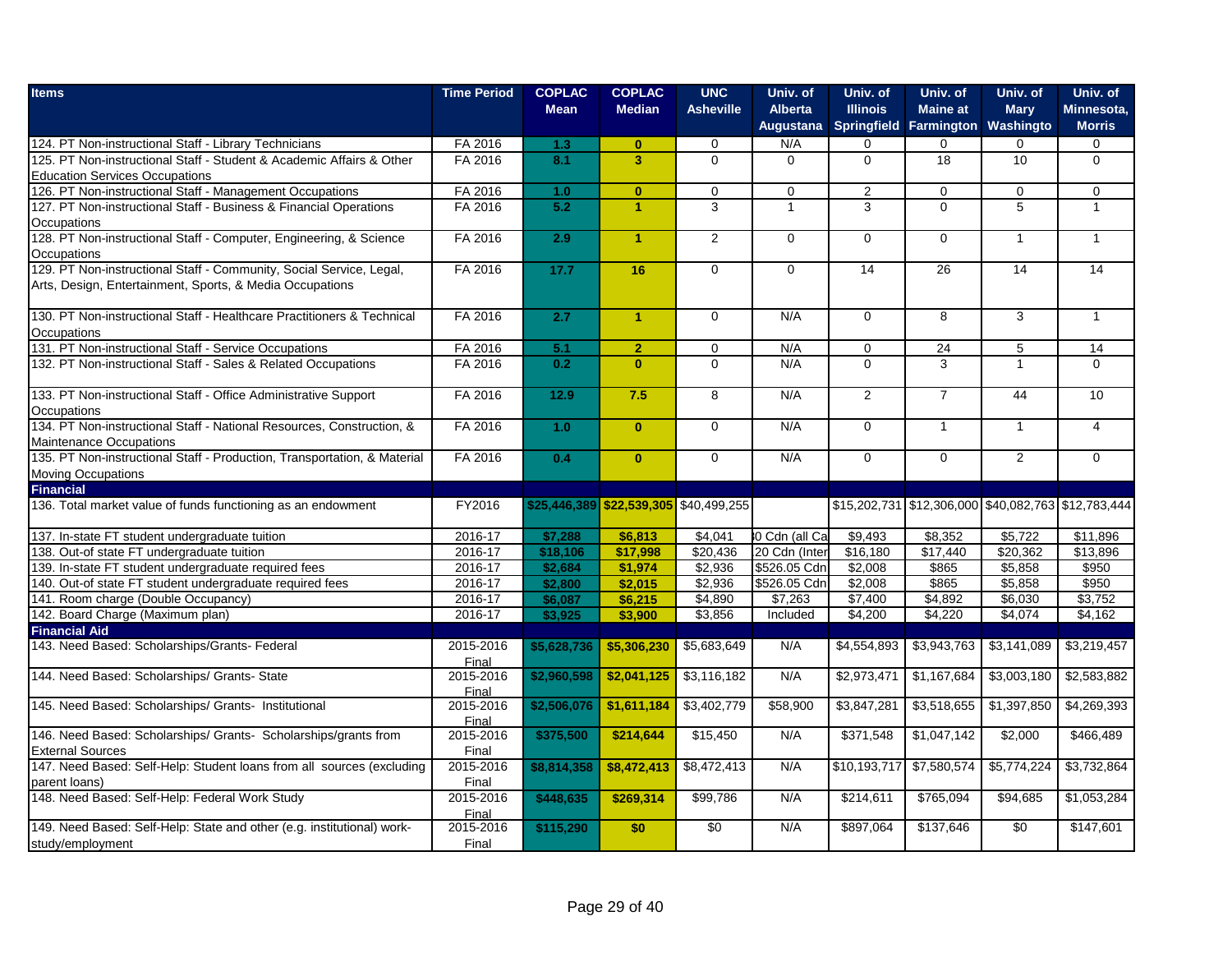| <b>Items</b>                                                             | <b>Time Period</b> | <b>COPLAC</b> | <b>COPLAC</b>                          | <b>UNC</b>       | Univ. of       | Univ. of        | Univ. of               | Univ. of                                            | Univ. of       |
|--------------------------------------------------------------------------|--------------------|---------------|----------------------------------------|------------------|----------------|-----------------|------------------------|-----------------------------------------------------|----------------|
|                                                                          |                    | <b>Mean</b>   | <b>Median</b>                          | <b>Asheville</b> | <b>Alberta</b> | <b>Illinois</b> | <b>Maine at</b>        | <b>Mary</b>                                         | Minnesota,     |
|                                                                          |                    |               |                                        |                  | Augustana      |                 | Springfield Farmington | Washingto                                           | <b>Morris</b>  |
| 124. PT Non-instructional Staff - Library Technicians                    | FA 2016            | 1.3           | $\mathbf{0}$                           | $\mathbf 0$      | N/A            | 0               | 0                      | $\Omega$                                            | 0              |
| 125. PT Non-instructional Staff - Student & Academic Affairs & Other     | FA 2016            | 8.1           | $\overline{\mathbf{3}}$                | $\mathbf 0$      | $\Omega$       | $\mathbf 0$     | 18                     | 10                                                  | 0              |
| <b>Education Services Occupations</b>                                    |                    |               |                                        |                  |                |                 |                        |                                                     |                |
| 126. PT Non-instructional Staff - Management Occupations                 | FA 2016            | 1.0           | $\mathbf{0}$                           | $\mathbf 0$      | $\mathbf 0$    | 2               | $\mathbf 0$            | $\mathbf 0$                                         | $\mathbf{0}$   |
| 127. PT Non-instructional Staff - Business & Financial Operations        | FA 2016            | 5.2           | $\blacktriangleleft$                   | 3                | $\mathbf{1}$   | 3               | $\Omega$               | $\overline{5}$                                      | $\mathbf{1}$   |
| Occupations                                                              |                    |               |                                        |                  |                |                 |                        |                                                     |                |
| 128. PT Non-instructional Staff - Computer, Engineering, & Science       | FA 2016            | 2.9           | $\blacktriangleleft$                   | $\mathbf{2}$     | $\mathbf 0$    | $\mathbf 0$     | $\Omega$               | $\mathbf{1}$                                        | $\mathbf{1}$   |
| Occupations                                                              |                    |               |                                        |                  |                |                 |                        |                                                     |                |
| 129. PT Non-instructional Staff - Community, Social Service, Legal,      | FA 2016            | 17.7          | 16                                     | $\mathbf 0$      | $\mathbf 0$    | 14              | 26                     | 14                                                  | 14             |
| Arts, Design, Entertainment, Sports, & Media Occupations                 |                    |               |                                        |                  |                |                 |                        |                                                     |                |
| 130. PT Non-instructional Staff - Healthcare Practitioners & Technical   | FA 2016            | 2.7           | $\blacktriangleleft$                   | $\overline{0}$   | N/A            | $\overline{0}$  | $\overline{8}$         | $\overline{3}$                                      | $\mathbf{1}$   |
| Occupations                                                              |                    |               |                                        |                  |                |                 |                        |                                                     |                |
| 131. PT Non-instructional Staff - Service Occupations                    | FA 2016            | 5.1           | $\overline{2}$                         | $\mathbf 0$      | N/A            | $\mathbf 0$     | 24                     | 5                                                   | 14             |
| 132. PT Non-instructional Staff - Sales & Related Occupations            | FA 2016            | 0.2           | $\mathbf{0}$                           | $\Omega$         | N/A            | $\Omega$        | 3                      | $\mathbf{1}$                                        | $\Omega$       |
|                                                                          |                    |               |                                        |                  |                |                 |                        |                                                     |                |
| 133. PT Non-instructional Staff - Office Administrative Support          | FA 2016            | $12.9$        | 7.5                                    | 8                | N/A            | $\overline{2}$  | $\overline{7}$         | 44                                                  | 10             |
| Occupations                                                              |                    |               |                                        |                  |                |                 |                        |                                                     |                |
| 134. PT Non-instructional Staff - National Resources, Construction, &    | FA 2016            | 1.0           | $\mathbf{0}$                           | $\mathbf 0$      | N/A            | $\Omega$        | $\overline{1}$         | $\mathbf{1}$                                        | $\overline{4}$ |
| Maintenance Occupations                                                  |                    |               |                                        |                  |                |                 |                        |                                                     |                |
| 135. PT Non-instructional Staff - Production, Transportation, & Material | FA 2016            | 0.4           | $\mathbf{0}$                           | $\overline{0}$   | N/A            | $\mathbf 0$     | $\Omega$               | $\overline{2}$                                      | $\overline{0}$ |
| Moving Occupations                                                       |                    |               |                                        |                  |                |                 |                        |                                                     |                |
| <b>Financial</b>                                                         |                    |               |                                        |                  |                |                 |                        |                                                     |                |
| 136. Total market value of funds functioning as an endowment             | FY2016             |               | \$25,446,389 \$22,539,305 \$40,499,255 |                  |                |                 |                        | \$15,202,731 \$12,306,000 \$40,082,763 \$12,783,444 |                |
| 137. In-state FT student undergraduate tuition                           | 2016-17            | \$7,288       | \$6,813                                | \$4,041          | 0 Cdn (all Ca  | \$9,493         | \$8,352                | \$5,722                                             | \$11,896       |
| 138. Out-of state FT undergraduate tuition                               | 2016-17            | \$18,106      | \$17,998                               | \$20,436         | 20 Cdn (Inter  | \$16,180        | \$17,440               | \$20,362                                            | \$13,896       |
| 139. In-state FT student undergraduate required fees                     | 2016-17            | \$2,684       | \$1,974                                | \$2,936          | \$526.05 Cdn   | \$2,008         | \$865                  | \$5,858                                             | \$950          |
| 140. Out-of state FT student undergraduate required fees                 | 2016-17            | \$2,800       | \$2,015                                | \$2,936          | \$526.05 Cdn   | \$2,008         | \$865                  | \$5,858                                             | \$950          |
| 141. Room charge (Double Occupancy)                                      | 2016-17            | \$6,087       | \$6,215                                | \$4,890          | \$7,263        | \$7,400         | \$4,892                | \$6,030                                             | \$3,752        |
| 142. Board Charge (Maximum plan)                                         | 2016-17            | \$3,925       | \$3,900                                | \$3,856          | Included       | \$4,200         | \$4,220                | \$4,074                                             | \$4,162        |
| <b>Financial Aid</b>                                                     |                    |               |                                        |                  |                |                 |                        |                                                     |                |
| 143. Need Based: Scholarships/Grants- Federal                            | 2015-2016          | \$5,628,736   | \$5,306,230                            | \$5,683,649      | N/A            | \$4,554,893     | \$3,943,763            | \$3,141,089                                         | \$3,219,457    |
|                                                                          | Final              |               |                                        |                  |                |                 |                        |                                                     |                |
| 144. Need Based: Scholarships/ Grants- State                             | 2015-2016<br>Final | \$2,960,598   | \$2,041,125                            | \$3,116,182      | N/A            | \$2,973,471     | \$1,167,684            | \$3,003,180                                         | \$2,583,882    |
| 145. Need Based: Scholarships/ Grants- Institutional                     | 2015-2016          | \$2,506,076   | \$1,611,184                            | \$3,402,779      | \$58,900       | \$3,847,281     | \$3,518,655            | \$1,397,850                                         | \$4,269,393    |
|                                                                          | Final              |               |                                        |                  |                |                 |                        |                                                     |                |
| 146. Need Based: Scholarships/ Grants- Scholarships/grants from          | 2015-2016          | \$375,500     | \$214,644                              | \$15,450         | N/A            | \$371,548       | \$1,047,142            | \$2,000                                             | \$466,489      |
| <b>External Sources</b>                                                  | Final              |               |                                        |                  |                |                 |                        |                                                     |                |
| 147. Need Based: Self-Help: Student loans from all sources (excluding    | 2015-2016          | \$8,814,358   | \$8,472,413                            | \$8,472,413      | N/A            | \$10,193,717    | \$7,580,574            | \$5,774,224                                         | \$3,732,864    |
| parent loans)                                                            | Final              |               |                                        |                  |                |                 |                        |                                                     |                |
| 148. Need Based: Self-Help: Federal Work Study                           | 2015-2016          | \$448,635     | \$269,314                              | \$99,786         | N/A            | \$214,611       | \$765,094              | \$94,685                                            | \$1,053,284    |
|                                                                          | Final              |               |                                        |                  |                |                 |                        |                                                     |                |
| 149. Need Based: Self-Help: State and other (e.g. institutional) work-   | 2015-2016          | \$115,290     | \$0                                    | \$0              | N/A            | \$897,064       | \$137,646              | $\overline{50}$                                     | \$147,601      |
| study/employment                                                         | Final              |               |                                        |                  |                |                 |                        |                                                     |                |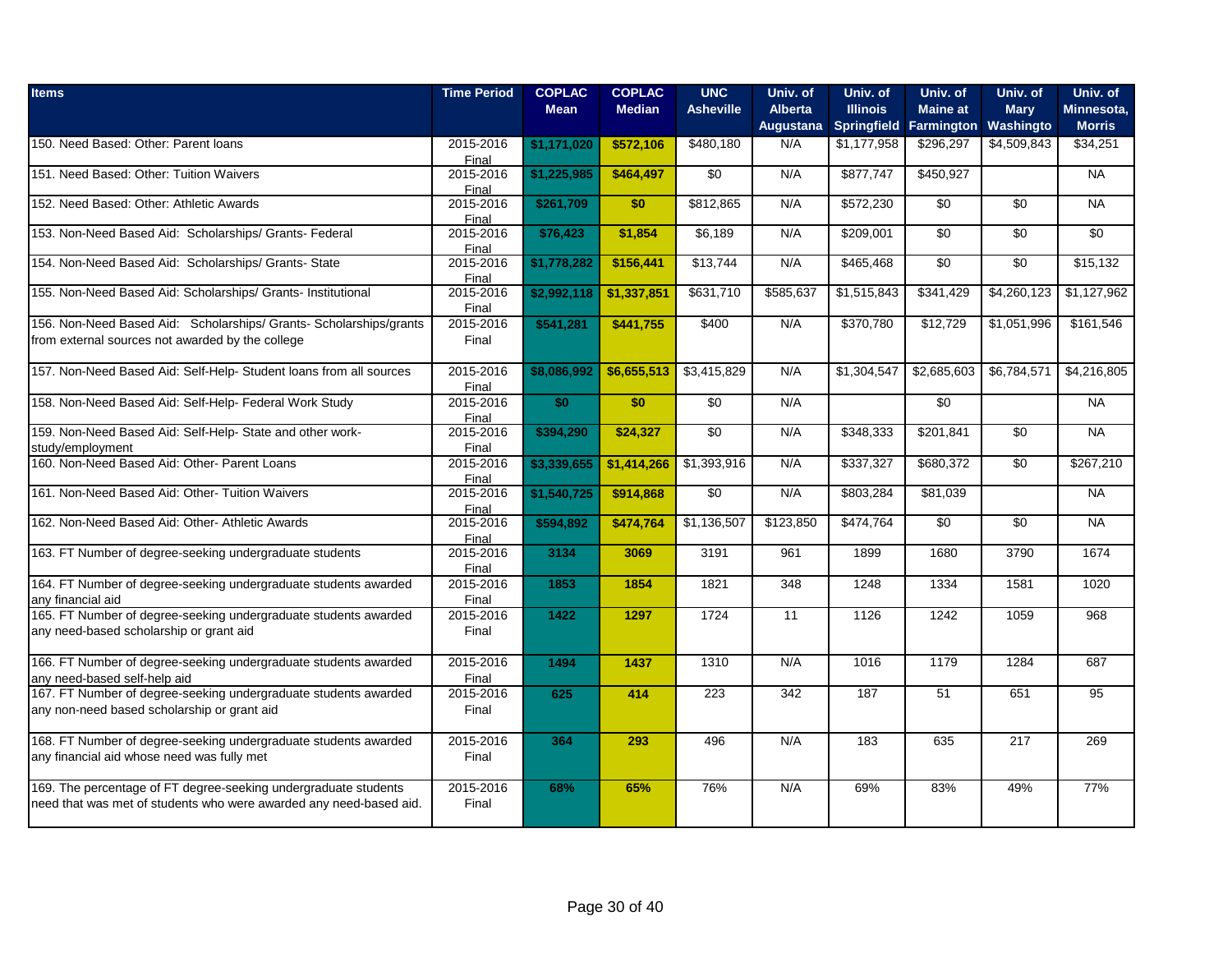| <b>Items</b>                                                                         | <b>Time Period</b> | <b>COPLAC</b><br><b>Mean</b> | <b>COPLAC</b><br><b>Median</b> | <b>UNC</b><br><b>Asheville</b> | Univ. of<br><b>Alberta</b> | Univ. of<br><b>Illinois</b> | Univ. of<br><b>Maine at</b> | Univ. of<br><b>Mary</b> | Univ. of<br>Minnesota, |
|--------------------------------------------------------------------------------------|--------------------|------------------------------|--------------------------------|--------------------------------|----------------------------|-----------------------------|-----------------------------|-------------------------|------------------------|
|                                                                                      |                    |                              |                                |                                | Augustana                  | Springfield Farmington      |                             | Washingto               | <b>Morris</b>          |
| 150. Need Based: Other: Parent loans                                                 | 2015-2016          | \$1,171,020                  | \$572,106                      | \$480,180                      | N/A                        | \$1,177,958                 | \$296,297                   | \$4,509,843             | \$34,251               |
|                                                                                      | Final              |                              |                                |                                |                            |                             |                             |                         |                        |
| 151. Need Based: Other: Tuition Waivers                                              | 2015-2016          | \$1,225,985                  | \$464,497                      | \$0                            | N/A                        | \$877,747                   | \$450,927                   |                         | <b>NA</b>              |
| 152. Need Based: Other: Athletic Awards                                              | Final<br>2015-2016 | \$261,709                    | \$0                            | \$812,865                      | N/A                        | \$572,230                   | \$0                         | \$0                     | <b>NA</b>              |
|                                                                                      | Final              |                              |                                |                                |                            |                             |                             |                         |                        |
| 153. Non-Need Based Aid: Scholarships/ Grants- Federal                               | 2015-2016          | \$76,423                     | \$1,854                        | \$6,189                        | N/A                        | \$209,001                   | $\overline{50}$             | $\sqrt{6}$              | $\sqrt{50}$            |
|                                                                                      | Final              |                              |                                |                                |                            |                             |                             |                         |                        |
| 154. Non-Need Based Aid: Scholarships/ Grants- State                                 | 2015-2016          | \$1,778,282                  | \$156,441                      | \$13,744                       | N/A                        | \$465,468                   | $\overline{50}$             | \$0                     | \$15,132               |
| 155. Non-Need Based Aid: Scholarships/ Grants- Institutional                         | Final<br>2015-2016 |                              |                                | \$631,710                      | \$585,637                  | \$1,515,843                 | \$341,429                   | \$4,260,123             | \$1,127,962            |
|                                                                                      | Final              | \$2,992,118                  | \$1,337,851                    |                                |                            |                             |                             |                         |                        |
| 156. Non-Need Based Aid: Scholarships/ Grants- Scholarships/grants                   | 2015-2016          | \$541,281                    | \$441,755                      | \$400                          | N/A                        | \$370,780                   | \$12,729                    | \$1,051,996             | \$161,546              |
| from external sources not awarded by the college                                     | Final              |                              |                                |                                |                            |                             |                             |                         |                        |
|                                                                                      |                    |                              |                                |                                |                            |                             |                             |                         |                        |
| 157. Non-Need Based Aid: Self-Help- Student loans from all sources                   | 2015-2016          | \$8,086,992                  | \$6,655,513                    | \$3,415,829                    | N/A                        | \$1,304.547                 | \$2,685,603                 | \$6,784,571             | \$4,216,805            |
|                                                                                      | Final              |                              |                                |                                |                            |                             |                             |                         |                        |
| 158. Non-Need Based Aid: Self-Help- Federal Work Study                               | 2015-2016          | \$0                          | \$0                            | \$0                            | N/A                        |                             | \$0                         |                         | <b>NA</b>              |
|                                                                                      | Final              |                              |                                |                                |                            |                             |                             |                         |                        |
| 159. Non-Need Based Aid: Self-Help- State and other work-                            | 2015-2016          | \$394,290                    | \$24,327                       | $\overline{50}$                | N/A                        | \$348,333                   | \$201,841                   | $\sqrt{6}$              | <b>NA</b>              |
| study/employment                                                                     | Final              |                              |                                |                                |                            |                             |                             |                         |                        |
| 160. Non-Need Based Aid: Other- Parent Loans                                         | 2015-2016          | \$3,339,655                  | \$1,414,266                    | \$1,393,916                    | N/A                        | \$337,327                   | \$680,372                   | \$0                     | \$267,210              |
| 161. Non-Need Based Aid: Other- Tuition Waivers                                      | Final<br>2015-2016 | \$1,540,725                  | \$914,868                      | \$0                            | N/A                        | \$803,284                   | \$81,039                    |                         | <b>NA</b>              |
|                                                                                      | Final              |                              |                                |                                |                            |                             |                             |                         |                        |
| 162. Non-Need Based Aid: Other- Athletic Awards                                      | 2015-2016          | \$594,892                    | \$474,764                      | \$1,136,507                    | \$123,850                  | \$474,764                   | $\overline{50}$             | $\overline{50}$         | <b>NA</b>              |
|                                                                                      | Final              |                              |                                |                                |                            |                             |                             |                         |                        |
| 163. FT Number of degree-seeking undergraduate students                              | 2015-2016          | 3134                         | 3069                           | 3191                           | 961                        | 1899                        | 1680                        | 3790                    | 1674                   |
|                                                                                      | Final              |                              |                                |                                |                            |                             |                             |                         |                        |
| 164. FT Number of degree-seeking undergraduate students awarded                      | 2015-2016          | 1853                         | 1854                           | 1821                           | 348                        | 1248                        | 1334                        | 1581                    | 1020                   |
| any financial aid<br>165. FT Number of degree-seeking undergraduate students awarded | Final<br>2015-2016 | 1422                         | 1297                           | 1724                           | 11                         | 1126                        | 1242                        | 1059                    | 968                    |
| any need-based scholarship or grant aid                                              | Final              |                              |                                |                                |                            |                             |                             |                         |                        |
|                                                                                      |                    |                              |                                |                                |                            |                             |                             |                         |                        |
| 166. FT Number of degree-seeking undergraduate students awarded                      | 2015-2016          | 1494                         | 1437                           | 1310                           | N/A                        | 1016                        | 1179                        | 1284                    | 687                    |
| any need-based self-help aid                                                         | Final              |                              |                                |                                |                            |                             |                             |                         |                        |
| 167. FT Number of degree-seeking undergraduate students awarded                      | 2015-2016          | 625                          | 414                            | 223                            | 342                        | 187                         | 51                          | 651                     | $\overline{95}$        |
| any non-need based scholarship or grant aid                                          | Final              |                              |                                |                                |                            |                             |                             |                         |                        |
|                                                                                      |                    |                              |                                |                                |                            |                             |                             |                         |                        |
| 168. FT Number of degree-seeking undergraduate students awarded                      | 2015-2016          | 364                          | 293                            | 496                            | N/A                        | 183                         | 635                         | 217                     | 269                    |
| any financial aid whose need was fully met                                           | Final              |                              |                                |                                |                            |                             |                             |                         |                        |
|                                                                                      |                    |                              |                                |                                |                            |                             |                             |                         |                        |
| 169. The percentage of FT degree-seeking undergraduate students                      | 2015-2016          | 68%                          | 65%                            | 76%                            | N/A                        | 69%                         | 83%                         | 49%                     | 77%                    |
| need that was met of students who were awarded any need-based aid.                   | Final              |                              |                                |                                |                            |                             |                             |                         |                        |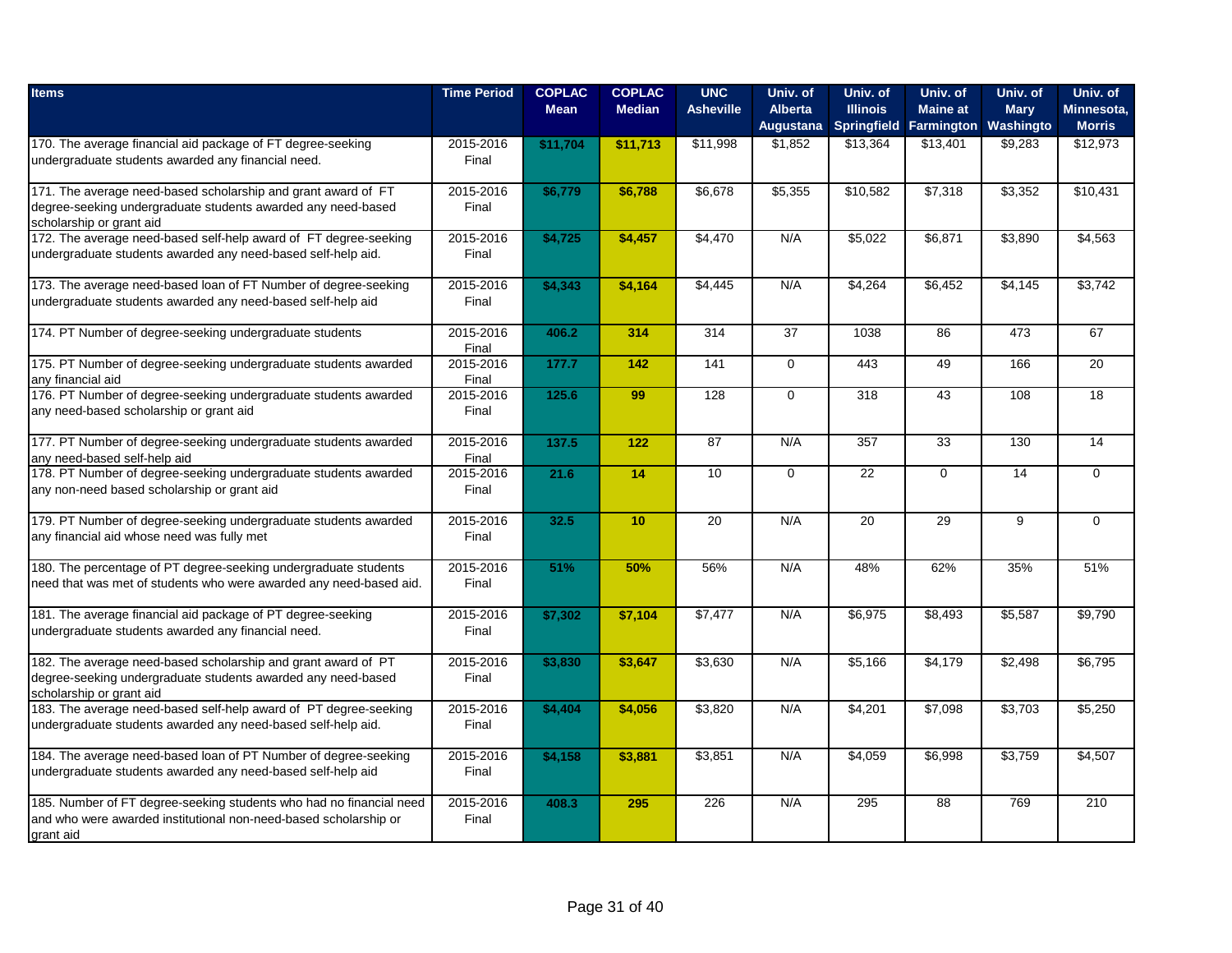| <b>Items</b>                                                                                                                     | <b>Time Period</b> | <b>COPLAC</b><br><b>Mean</b> | <b>COPLAC</b><br><b>Median</b> | <b>UNC</b><br><b>Asheville</b> | Univ. of<br><b>Alberta</b> | Univ. of<br><b>Illinois</b> | Univ. of<br><b>Maine at</b> | Univ. of<br><b>Mary</b> | Univ. of<br>Minnesota, |
|----------------------------------------------------------------------------------------------------------------------------------|--------------------|------------------------------|--------------------------------|--------------------------------|----------------------------|-----------------------------|-----------------------------|-------------------------|------------------------|
|                                                                                                                                  |                    |                              |                                |                                | Augustana                  | <b>Springfield</b>          | <b>Farmington</b>           | Washingto               | <b>Morris</b>          |
| 170. The average financial aid package of FT degree-seeking                                                                      | 2015-2016          | \$11,704                     | \$11,713                       | \$11,998                       | \$1,852                    | \$13,364                    | \$13,401                    | \$9,283                 | \$12,973               |
| undergraduate students awarded any financial need.                                                                               | Final              |                              |                                |                                |                            |                             |                             |                         |                        |
| 171. The average need-based scholarship and grant award of FT                                                                    | 2015-2016          | \$6,779                      | \$6,788                        | \$6,678                        | \$5,355                    | \$10,582                    | \$7,318                     | \$3,352                 | \$10,431               |
| degree-seeking undergraduate students awarded any need-based<br>scholarship or grant aid                                         | Final              |                              |                                |                                |                            |                             |                             |                         |                        |
| 172. The average need-based self-help award of FT degree-seeking                                                                 | 2015-2016          | \$4,725                      | \$4,457                        | \$4,470                        | N/A                        | \$5,022                     | \$6,871                     | \$3,890                 | \$4,563                |
| undergraduate students awarded any need-based self-help aid.                                                                     | Final              |                              |                                |                                |                            |                             |                             |                         |                        |
| 173. The average need-based loan of FT Number of degree-seeking                                                                  | 2015-2016          | \$4,343                      | \$4,164                        | $\sqrt{4,445}$                 | N/A                        | \$4,264                     | \$6,452                     | \$4,145                 | \$3,742                |
| undergraduate students awarded any need-based self-help aid                                                                      | Final              |                              |                                |                                |                            |                             |                             |                         |                        |
| 174. PT Number of degree-seeking undergraduate students                                                                          | 2015-2016          | 406.2                        | 314                            | 314                            | $\overline{37}$            | 1038                        | 86                          | 473                     | 67                     |
| 175. PT Number of degree-seeking undergraduate students awarded                                                                  | Final<br>2015-2016 | 177.7                        | 142                            | 141                            | $\Omega$                   | 443                         | 49                          | 166                     | 20                     |
| any financial aid                                                                                                                | Final              |                              |                                |                                |                            |                             |                             |                         |                        |
| 176. PT Number of degree-seeking undergraduate students awarded                                                                  | 2015-2016          | 125.6                        | 99                             | 128                            | $\mathbf 0$                | 318                         | 43                          | 108                     | 18                     |
| any need-based scholarship or grant aid                                                                                          | Final              |                              |                                |                                |                            |                             |                             |                         |                        |
| 177. PT Number of degree-seeking undergraduate students awarded                                                                  | 2015-2016          | 137.5                        | 122                            | 87                             | N/A                        | 357                         | $\overline{33}$             | 130                     | 14                     |
| any need-based self-help aid                                                                                                     | Final              |                              |                                |                                |                            |                             |                             |                         |                        |
| 178. PT Number of degree-seeking undergraduate students awarded<br>any non-need based scholarship or grant aid                   | 2015-2016<br>Final | 21.6                         | 14                             | 10                             | $\overline{0}$             | $\overline{22}$             | $\mathbf 0$                 | 14                      | 0                      |
|                                                                                                                                  |                    |                              |                                |                                |                            |                             |                             |                         |                        |
| 179. PT Number of degree-seeking undergraduate students awarded                                                                  | 2015-2016          | 32.5                         | 10                             | 20                             | N/A                        | 20                          | 29                          | 9                       | $\Omega$               |
| any financial aid whose need was fully met                                                                                       | Final              |                              |                                |                                |                            |                             |                             |                         |                        |
| 180. The percentage of PT degree-seeking undergraduate students                                                                  | 2015-2016          | 51%                          | 50%                            | 56%                            | N/A                        | 48%                         | 62%                         | 35%                     | 51%                    |
| need that was met of students who were awarded any need-based aid.                                                               | Final              |                              |                                |                                |                            |                             |                             |                         |                        |
| 181. The average financial aid package of PT degree-seeking                                                                      | 2015-2016          | \$7,302                      | \$7,104                        | \$7,477                        | N/A                        | \$6,975                     | \$8,493                     | \$5,587                 | \$9,790                |
| undergraduate students awarded any financial need.                                                                               | Final              |                              |                                |                                |                            |                             |                             |                         |                        |
| 182. The average need-based scholarship and grant award of PT                                                                    | 2015-2016          | \$3,830                      | \$3,647                        | \$3,630                        | N/A                        | \$5,166                     | \$4,179                     | \$2,498                 | \$6,795                |
| degree-seeking undergraduate students awarded any need-based                                                                     | Final              |                              |                                |                                |                            |                             |                             |                         |                        |
| scholarship or grant aid                                                                                                         |                    |                              |                                |                                |                            |                             |                             |                         |                        |
| 183. The average need-based self-help award of PT degree-seeking<br>undergraduate students awarded any need-based self-help aid. | 2015-2016<br>Final | \$4,404                      | \$4,056                        | \$3,820                        | N/A                        | \$4,201                     | \$7,098                     | \$3,703                 | \$5,250                |
|                                                                                                                                  |                    |                              |                                |                                |                            |                             |                             |                         |                        |
| 184. The average need-based loan of PT Number of degree-seeking                                                                  | 2015-2016          | \$4,158                      | \$3,881                        | \$3,851                        | N/A                        | \$4,059                     | \$6,998                     | \$3,759                 | \$4,507                |
| undergraduate students awarded any need-based self-help aid                                                                      | Final              |                              |                                |                                |                            |                             |                             |                         |                        |
| 185. Number of FT degree-seeking students who had no financial need                                                              | 2015-2016          | 408.3                        | 295                            | 226                            | N/A                        | 295                         | 88                          | 769                     | 210                    |
| and who were awarded institutional non-need-based scholarship or                                                                 | Final              |                              |                                |                                |                            |                             |                             |                         |                        |
| grant aid                                                                                                                        |                    |                              |                                |                                |                            |                             |                             |                         |                        |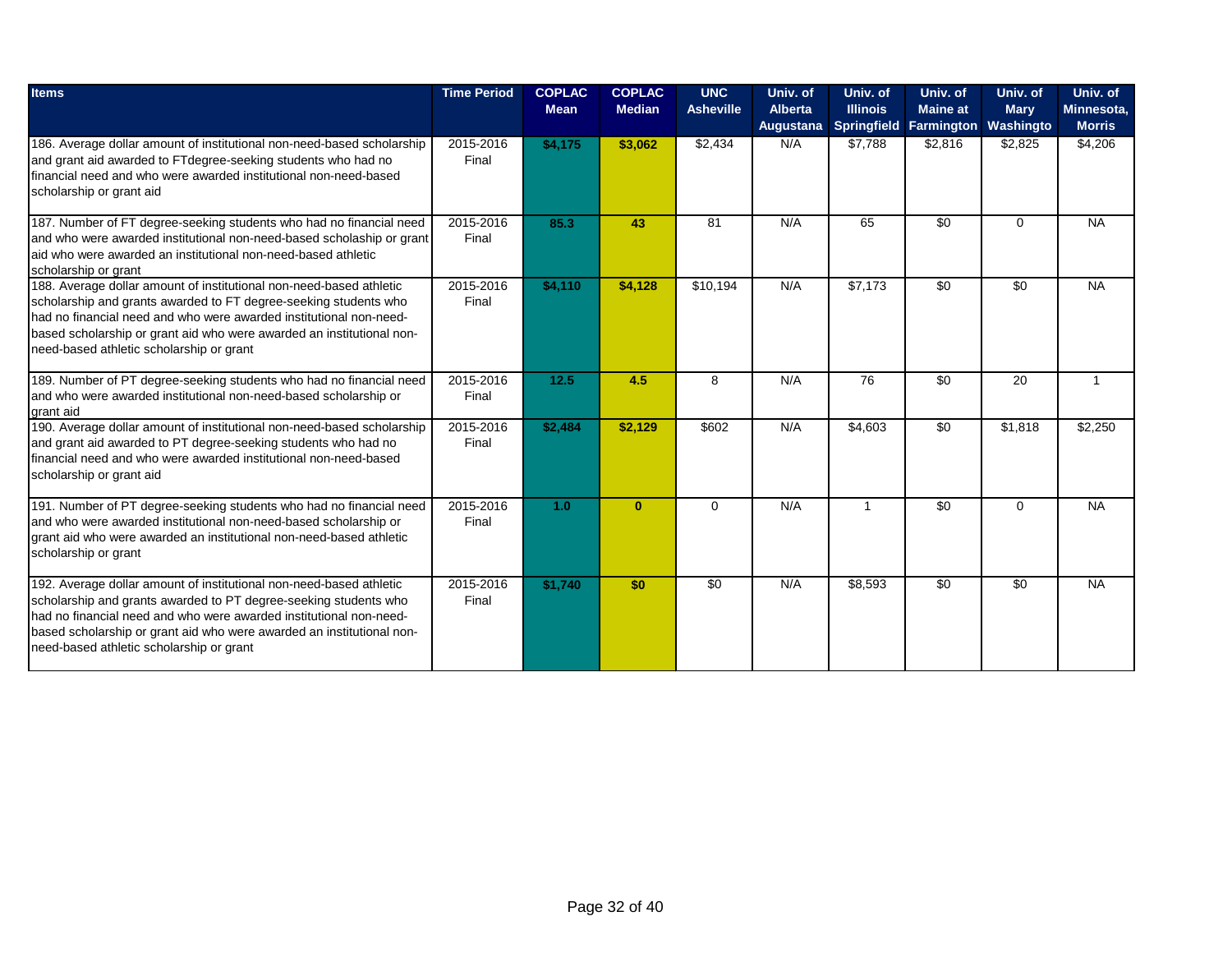| <b>Items</b>                                                                                                                                                                                                                                                                                                                        | <b>Time Period</b> | <b>COPLAC</b><br><b>Mean</b> | <b>COPLAC</b><br><b>Median</b> | <b>UNC</b><br><b>Asheville</b> | Univ. of<br><b>Alberta</b> | Univ. of<br><b>Illinois</b> | Univ. of<br><b>Maine at</b> | Univ. of<br><b>Mary</b> | Univ. of<br>Minnesota, |
|-------------------------------------------------------------------------------------------------------------------------------------------------------------------------------------------------------------------------------------------------------------------------------------------------------------------------------------|--------------------|------------------------------|--------------------------------|--------------------------------|----------------------------|-----------------------------|-----------------------------|-------------------------|------------------------|
|                                                                                                                                                                                                                                                                                                                                     |                    |                              |                                |                                | Augustana                  |                             | Springfield Farmington      | Washingto               | <b>Morris</b>          |
| 186. Average dollar amount of institutional non-need-based scholarship<br>and grant aid awarded to FTdegree-seeking students who had no<br>Ifinancial need and who were awarded institutional non-need-based<br>scholarship or grant aid                                                                                            | 2015-2016<br>Final | \$4,175                      | \$3,062                        | \$2,434                        | N/A                        | \$7,788                     | \$2,816                     | \$2,825                 | \$4,206                |
| 187. Number of FT degree-seeking students who had no financial need<br>and who were awarded institutional non-need-based scholaship or grant<br>laid who were awarded an institutional non-need-based athletic<br>scholarship or grant                                                                                              | 2015-2016<br>Final | 85.3                         | 43                             | 81                             | N/A                        | 65                          | $\overline{50}$             | $\Omega$                | <b>NA</b>              |
| 188. Average dollar amount of institutional non-need-based athletic<br>scholarship and grants awarded to FT degree-seeking students who<br>Ihad no financial need and who were awarded institutional non-need-<br>based scholarship or grant aid who were awarded an institutional non-<br>need-based athletic scholarship or grant | 2015-2016<br>Final | \$4,110                      | \$4,128                        | \$10,194                       | N/A                        | \$7,173                     | $\overline{50}$             | $\overline{50}$         | <b>NA</b>              |
| 189. Number of PT degree-seeking students who had no financial need<br>and who were awarded institutional non-need-based scholarship or<br>grant aid                                                                                                                                                                                | 2015-2016<br>Final | 12.5                         | 4.5                            | 8                              | N/A                        | 76                          | \$0                         | 20                      | 1                      |
| 190. Average dollar amount of institutional non-need-based scholarship<br>and grant aid awarded to PT degree-seeking students who had no<br>Ifinancial need and who were awarded institutional non-need-based<br>scholarship or grant aid                                                                                           | 2015-2016<br>Final | \$2,484                      | \$2,129                        | \$602                          | N/A                        | \$4,603                     | \$0                         | \$1,818                 | \$2,250                |
| 191. Number of PT degree-seeking students who had no financial need<br>and who were awarded institutional non-need-based scholarship or<br>grant aid who were awarded an institutional non-need-based athletic<br>scholarship or grant                                                                                              | 2015-2016<br>Final | 1.0                          | $\mathbf{0}$                   | $\Omega$                       | N/A                        | $\overline{1}$              | $\overline{30}$             | $\Omega$                | <b>NA</b>              |
| 192. Average dollar amount of institutional non-need-based athletic<br>scholarship and grants awarded to PT degree-seeking students who<br>had no financial need and who were awarded institutional non-need-<br>based scholarship or grant aid who were awarded an institutional non-<br>need-based athletic scholarship or grant  | 2015-2016<br>Final | \$1,740                      | \$0                            | $\overline{50}$                | N/A                        | \$8,593                     | $\overline{30}$             | $\overline{50}$         | <b>NA</b>              |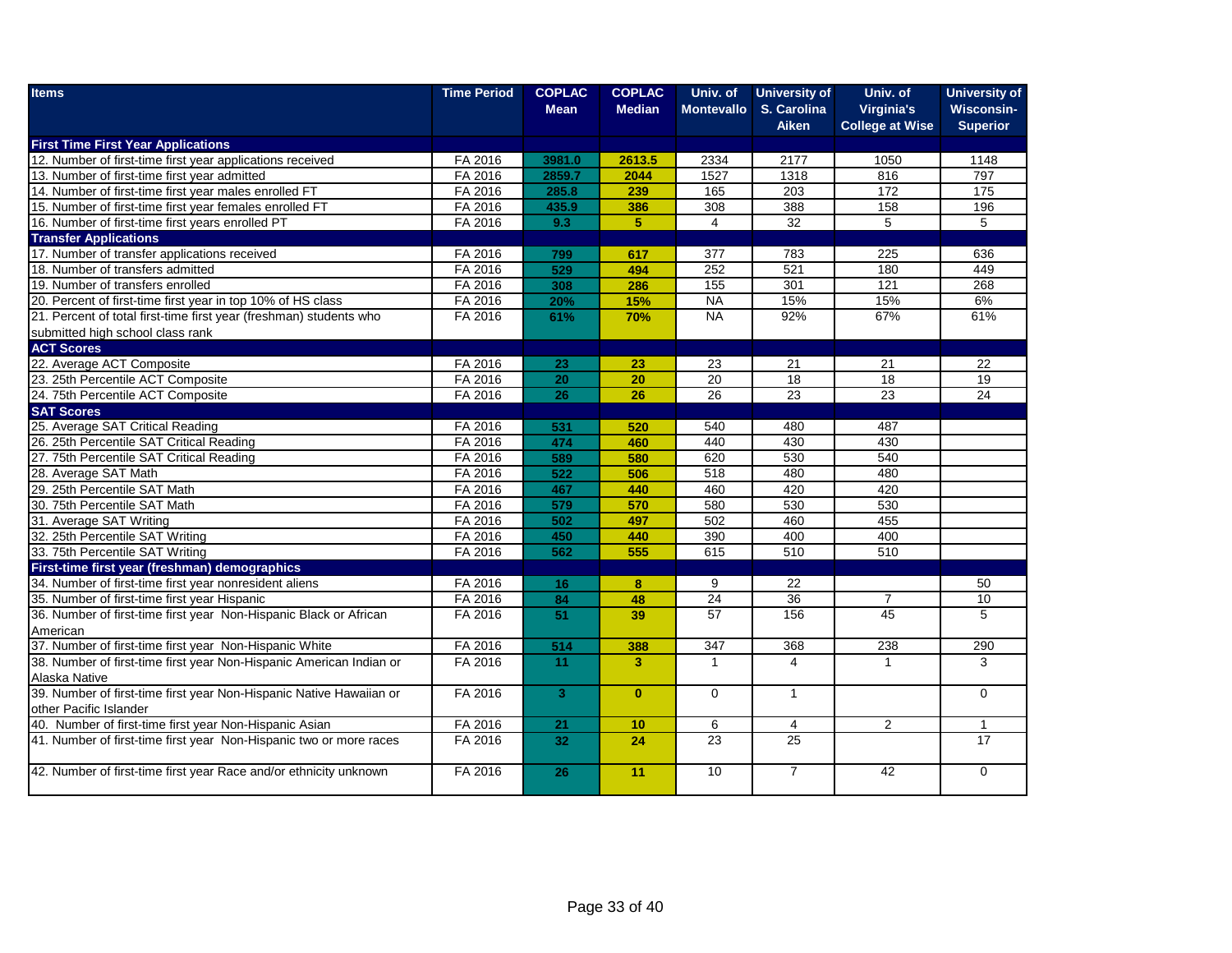| <b>Items</b>                                                        | <b>Time Period</b> | <b>COPLAC</b>   | <b>COPLAC</b>           | Univ. of          | <b>University of</b>        | Univ. of                             | <b>University of</b>                 |
|---------------------------------------------------------------------|--------------------|-----------------|-------------------------|-------------------|-----------------------------|--------------------------------------|--------------------------------------|
|                                                                     |                    | <b>Mean</b>     | <b>Median</b>           | <b>Montevallo</b> | S. Carolina<br><b>Aiken</b> | Virginia's<br><b>College at Wise</b> | <b>Wisconsin-</b><br><b>Superior</b> |
| <b>First Time First Year Applications</b>                           |                    |                 |                         |                   |                             |                                      |                                      |
| 12. Number of first-time first year applications received           | FA 2016            | 3981.0          | 2613.5                  | 2334              | 2177                        | 1050                                 | 1148                                 |
| 13. Number of first-time first year admitted                        | FA 2016            | 2859.7          | 2044                    | 1527              | 1318                        | 816                                  | 797                                  |
| 14. Number of first-time first year males enrolled FT               | FA 2016            | 285.8           | 239                     | 165               | 203                         | 172                                  | 175                                  |
| 15. Number of first-time first year females enrolled FT             | FA 2016            | 435.9           | 386                     | 308               | 388                         | 158                                  | 196                                  |
| 16. Number of first-time first years enrolled PT                    | FA 2016            | 9.3             | 5                       | 4                 | $\overline{32}$             | $\overline{5}$                       | 5                                    |
| <b>Transfer Applications</b>                                        |                    |                 |                         |                   |                             |                                      |                                      |
| 17. Number of transfer applications received                        | FA 2016            | 799             | 617                     | 377               | 783                         | 225                                  | 636                                  |
| 18. Number of transfers admitted                                    | FA 2016            | 529             | 494                     | 252               | 521                         | 180                                  | 449                                  |
| 19. Number of transfers enrolled                                    | FA 2016            | 308             | 286                     | 155               | 301                         | $\overline{121}$                     | 268                                  |
| 20. Percent of first-time first year in top 10% of HS class         | FA 2016            | 20%             | 15%                     | <b>NA</b>         | 15%                         | 15%                                  | 6%                                   |
| 21. Percent of total first-time first year (freshman) students who  | FA 2016            | 61%             | 70%                     | <b>NA</b>         | 92%                         | 67%                                  | 61%                                  |
| submitted high school class rank                                    |                    |                 |                         |                   |                             |                                      |                                      |
| <b>ACT Scores</b>                                                   |                    |                 |                         |                   |                             |                                      |                                      |
| 22. Average ACT Composite                                           | FA 2016            | 23              | 23                      | 23                | 21                          | 21                                   | 22                                   |
| 23. 25th Percentile ACT Composite                                   | FA 2016            | $\overline{20}$ | 20                      | 20                | 18                          | 18                                   | 19                                   |
| 24. 75th Percentile ACT Composite                                   | FA 2016            | 26              | 26                      | 26                | 23                          | 23                                   | 24                                   |
| <b>SAT Scores</b>                                                   |                    |                 |                         |                   |                             |                                      |                                      |
| 25. Average SAT Critical Reading                                    | FA 2016            | 531             | 520                     | 540               | 480                         | 487                                  |                                      |
| 26. 25th Percentile SAT Critical Reading                            | FA 2016            | 474             | 460                     | 440               | 430                         | 430                                  |                                      |
| 27. 75th Percentile SAT Critical Reading                            | FA 2016            | 589             | 580                     | 620               | 530                         | 540                                  |                                      |
| 28. Average SAT Math                                                | FA 2016            | 522             | 506                     | 518               | 480                         | 480                                  |                                      |
| 29. 25th Percentile SAT Math                                        | FA 2016            | 467             | 440                     | 460               | 420                         | 420                                  |                                      |
| 30. 75th Percentile SAT Math                                        | FA 2016            | 579             | 570                     | 580               | 530                         | 530                                  |                                      |
| 31. Average SAT Writing                                             | FA 2016            | 502             | 497                     | 502               | 460                         | 455                                  |                                      |
| 32. 25th Percentile SAT Writing                                     | FA 2016            | 450             | 440                     | 390               | 400                         | 400                                  |                                      |
| 33. 75th Percentile SAT Writing                                     | FA 2016            | 562             | 555                     | 615               | 510                         | 510                                  |                                      |
| First-time first year (freshman) demographics                       |                    |                 |                         |                   |                             |                                      |                                      |
| 34. Number of first-time first year nonresident aliens              | FA 2016            | 16              | 8                       | 9                 | 22                          |                                      | 50                                   |
| 35. Number of first-time first year Hispanic                        | FA 2016            | 84              | 48                      | 24                | $\overline{36}$             | $\overline{7}$                       | 10                                   |
| 36. Number of first-time first year Non-Hispanic Black or African   | FA 2016            | $\overline{51}$ | 39                      | 57                | 156                         | 45                                   | $\overline{5}$                       |
| American                                                            |                    |                 |                         |                   |                             |                                      |                                      |
| 37. Number of first-time first year Non-Hispanic White              | FA 2016            | 514             | 388                     | 347               | 368                         | 238                                  | 290                                  |
| 38. Number of first-time first year Non-Hispanic American Indian or | FA 2016            | 11              | $\overline{\mathbf{3}}$ | $\overline{1}$    | 4                           | $\mathbf{1}$                         | 3                                    |
| Alaska Native                                                       |                    |                 |                         |                   |                             |                                      |                                      |
| 39. Number of first-time first year Non-Hispanic Native Hawaiian or | FA 2016            | $\overline{3}$  | $\mathbf{0}$            | $\mathbf 0$       | $\mathbf{1}$                |                                      | $\mathbf 0$                          |
| other Pacific Islander                                              |                    |                 |                         |                   |                             |                                      |                                      |
| 40. Number of first-time first year Non-Hispanic Asian              | FA 2016            | 21              | 10                      | 6                 | $\overline{4}$              | 2                                    | 1                                    |
| 41. Number of first-time first year Non-Hispanic two or more races  | FA 2016            | 32              | 24                      | 23                | 25                          |                                      | $\overline{17}$                      |
| 42. Number of first-time first year Race and/or ethnicity unknown   | FA 2016            | 26              | 11                      | 10                | $\overline{7}$              | $\overline{42}$                      | $\Omega$                             |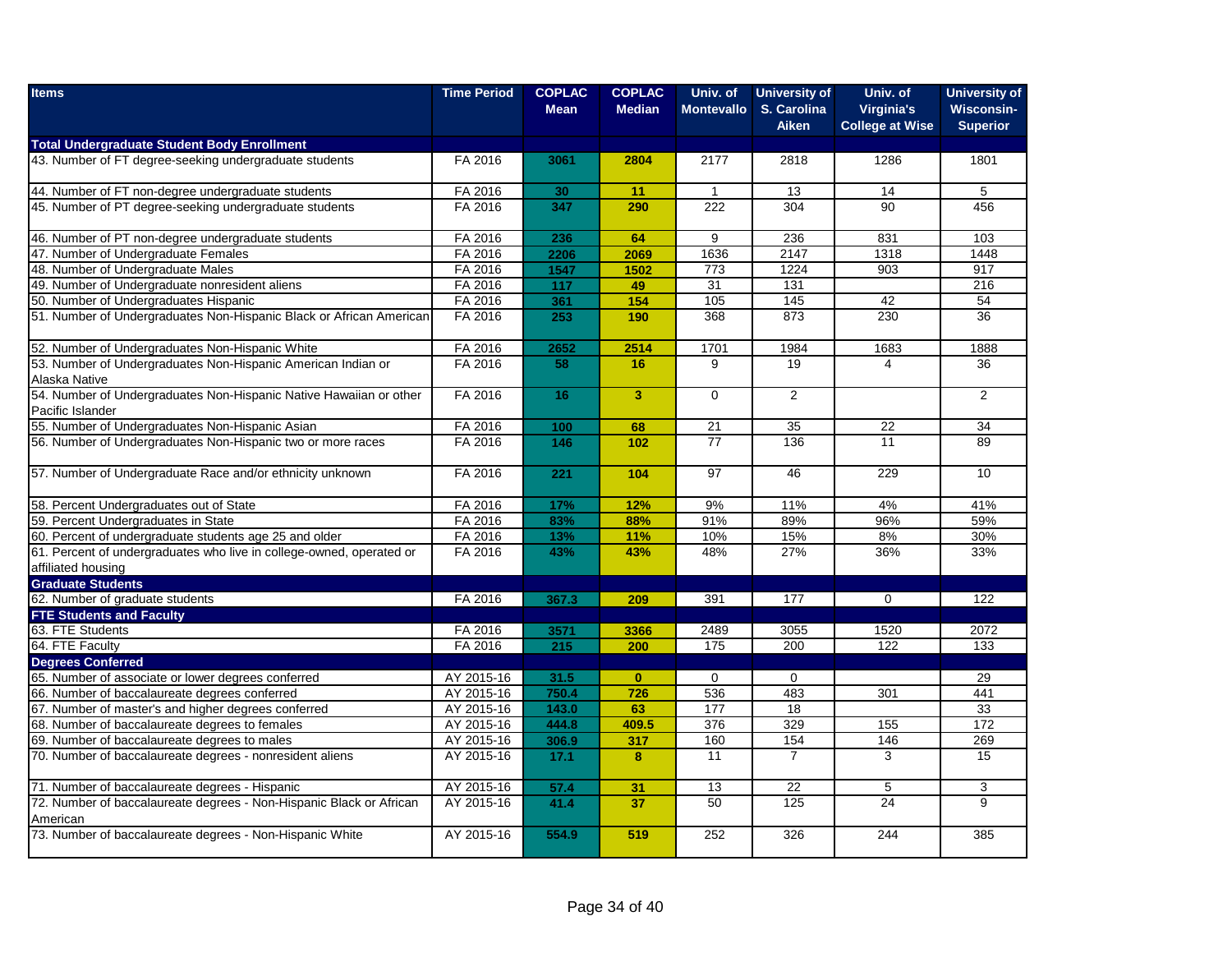| <b>Items</b>                                                                               | <b>Time Period</b> | <b>COPLAC</b><br><b>Mean</b> | <b>COPLAC</b><br><b>Median</b> | Univ. of<br><b>Montevallo</b> | <b>University of</b><br>S. Carolina<br><b>Aiken</b> | Univ. of<br>Virginia's<br><b>College at Wise</b> | <b>University of</b><br><b>Wisconsin-</b><br><b>Superior</b> |
|--------------------------------------------------------------------------------------------|--------------------|------------------------------|--------------------------------|-------------------------------|-----------------------------------------------------|--------------------------------------------------|--------------------------------------------------------------|
| <b>Total Undergraduate Student Body Enrollment</b>                                         |                    |                              |                                |                               |                                                     |                                                  |                                                              |
| 43. Number of FT degree-seeking undergraduate students                                     | FA 2016            | 3061                         | 2804                           | 2177                          | 2818                                                | 1286                                             | 1801                                                         |
| 44. Number of FT non-degree undergraduate students                                         | FA 2016            | 30                           | 11                             | $\mathbf{1}$                  | 13                                                  | 14                                               | 5                                                            |
| 45. Number of PT degree-seeking undergraduate students                                     | FA 2016            | 347                          | 290                            | 222                           | 304                                                 | $\overline{90}$                                  | 456                                                          |
| 46. Number of PT non-degree undergraduate students                                         | FA 2016            | 236                          | 64                             | 9                             | 236                                                 | 831                                              | 103                                                          |
| 47. Number of Undergraduate Females                                                        | FA 2016            | 2206                         | 2069                           | 1636                          | 2147                                                | 1318                                             | 1448                                                         |
| 48. Number of Undergraduate Males                                                          | FA 2016            | 1547                         | 1502                           | 773                           | 1224                                                | 903                                              | 917                                                          |
| 49. Number of Undergraduate nonresident aliens                                             | FA 2016            | 117                          | 49                             | 31                            | 131                                                 |                                                  | 216                                                          |
| 50. Number of Undergraduates Hispanic                                                      | FA 2016            | 361                          | 154                            | 105                           | 145                                                 | 42                                               | 54                                                           |
| 51. Number of Undergraduates Non-Hispanic Black or African American                        | FA 2016            | 253                          | 190                            | 368                           | 873                                                 | 230                                              | $\overline{36}$                                              |
| 52. Number of Undergraduates Non-Hispanic White                                            | FA 2016            | 2652                         | 2514                           | 1701                          | 1984                                                | 1683                                             | 1888                                                         |
| 53. Number of Undergraduates Non-Hispanic American Indian or                               | FA 2016            | 58                           | 16 <sup>°</sup>                | 9                             | 19                                                  | 4                                                | 36                                                           |
| Alaska Native                                                                              |                    |                              |                                |                               |                                                     |                                                  |                                                              |
| 54. Number of Undergraduates Non-Hispanic Native Hawaiian or other                         | FA 2016            | 16                           | 3 <sup>1</sup>                 | $\mathbf 0$                   | 2                                                   |                                                  | $\overline{2}$                                               |
| Pacific Islander<br>55. Number of Undergraduates Non-Hispanic Asian                        |                    | 100                          | 68                             | 21                            | 35                                                  | $\overline{22}$                                  | 34                                                           |
| 56. Number of Undergraduates Non-Hispanic two or more races                                | FA 2016<br>FA 2016 | 146                          | 102                            | $\overline{77}$               | 136                                                 | 11                                               |                                                              |
|                                                                                            |                    |                              |                                |                               |                                                     |                                                  | 89                                                           |
| 57. Number of Undergraduate Race and/or ethnicity unknown                                  | FA 2016            | 221                          | 104                            | $\overline{97}$               | 46                                                  | 229                                              | 10                                                           |
| 58. Percent Undergraduates out of State                                                    | FA 2016            | 17%                          | 12%                            | 9%                            | 11%                                                 | 4%                                               | 41%                                                          |
| 59. Percent Undergraduates in State                                                        | FA 2016            | 83%                          | 88%                            | 91%                           | 89%                                                 | 96%                                              | 59%                                                          |
| 60. Percent of undergraduate students age 25 and older                                     | FA 2016            | 13%                          | 11%                            | 10%                           | 15%                                                 | 8%                                               | 30%                                                          |
| 61. Percent of undergraduates who live in college-owned, operated or<br>affiliated housing | FA 2016            | 43%                          | 43%                            | 48%                           | 27%                                                 | 36%                                              | 33%                                                          |
| <b>Graduate Students</b>                                                                   |                    |                              |                                |                               |                                                     |                                                  |                                                              |
| 62. Number of graduate students                                                            | FA 2016            | 367.3                        | 209                            | 391                           | 177                                                 | $\mathbf 0$                                      | 122                                                          |
| <b>FTE Students and Faculty</b>                                                            |                    |                              |                                |                               |                                                     |                                                  |                                                              |
| 63. FTE Students                                                                           | FA 2016            | 3571                         | 3366                           | 2489                          | 3055                                                | 1520                                             | 2072                                                         |
| 64. FTE Faculty                                                                            | FA 2016            | 215                          | 200                            | 175                           | 200                                                 | 122                                              | 133                                                          |
| <b>Degrees Conferred</b>                                                                   |                    |                              |                                |                               |                                                     |                                                  |                                                              |
| 65. Number of associate or lower degrees conferred                                         | AY 2015-16         | 31.5                         | $\mathbf{0}$                   | $\mathbf 0$                   | $\mathbf 0$                                         |                                                  | 29                                                           |
| 66. Number of baccalaureate degrees conferred                                              | AY 2015-16         | 750.4                        | 726                            | 536                           | 483                                                 | 301                                              | 441                                                          |
| 67. Number of master's and higher degrees conferred                                        | AY 2015-16         | 143.0                        | 63                             | 177                           | 18                                                  |                                                  | 33                                                           |
| 68. Number of baccalaureate degrees to females                                             | AY 2015-16         | 444.8                        | 409.5                          | 376                           | 329                                                 | 155                                              | 172                                                          |
| 69. Number of baccalaureate degrees to males                                               | AY 2015-16         | 306.9                        | 317                            | 160                           | 154                                                 | 146                                              | 269                                                          |
| 70. Number of baccalaureate degrees - nonresident aliens                                   | AY 2015-16         | 17.1                         | 8                              | 11                            | $\overline{7}$                                      | 3                                                | 15                                                           |
| 71. Number of baccalaureate degrees - Hispanic                                             | AY 2015-16         | 57.4                         | 31                             | 13                            | 22                                                  | 5                                                | 3                                                            |
| 72. Number of baccalaureate degrees - Non-Hispanic Black or African<br>American            | AY 2015-16         | 41.4                         | 37                             | 50                            | 125                                                 | 24                                               | 9                                                            |
| 73. Number of baccalaureate degrees - Non-Hispanic White                                   | AY 2015-16         | 554.9                        | 519                            | 252                           | 326                                                 | 244                                              | 385                                                          |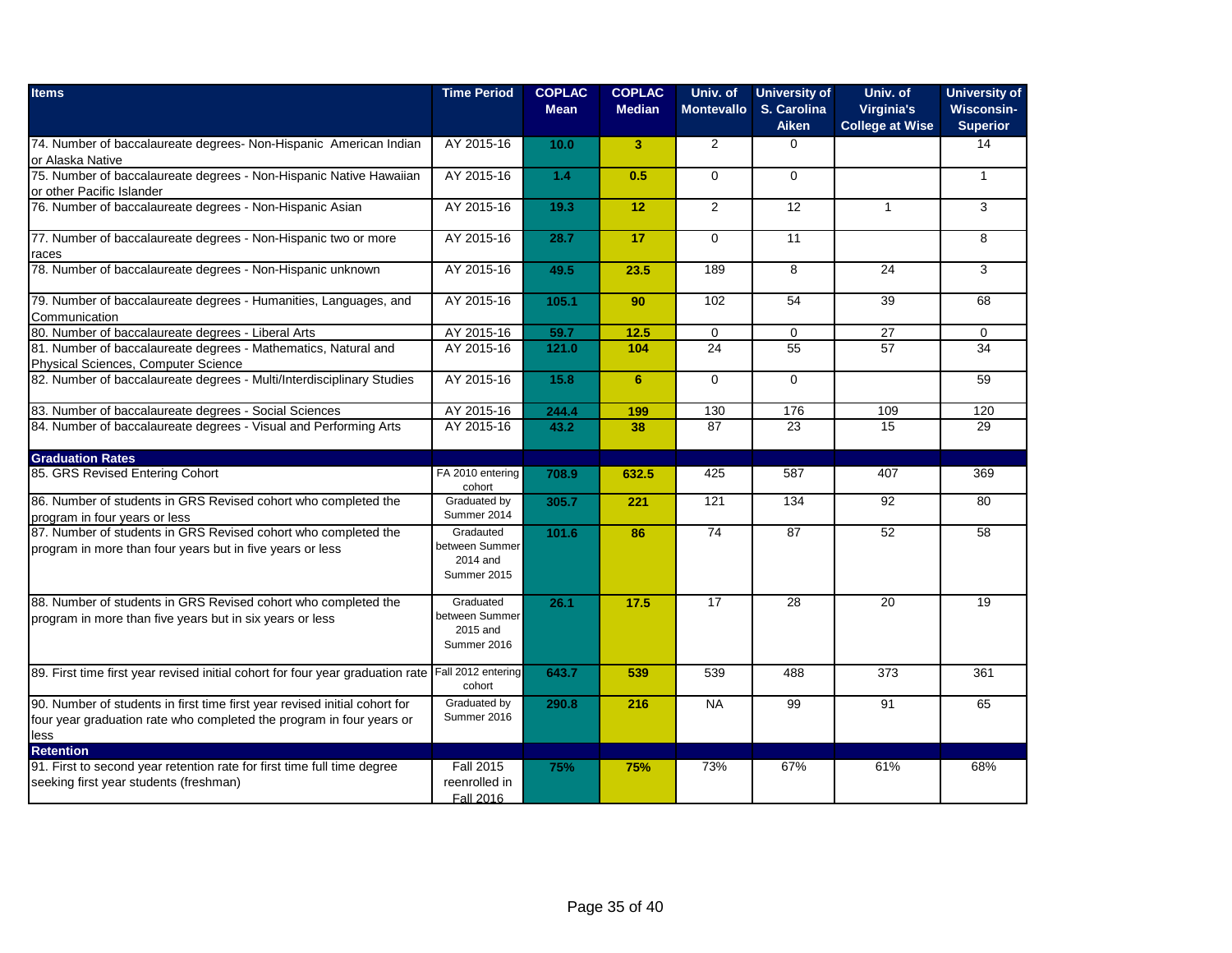| <b>Items</b>                                                                                                                                               | <b>Time Period</b>                                     | <b>COPLAC</b><br><b>Mean</b> | <b>COPLAC</b><br><b>Median</b> | Univ. of<br><b>Montevallo</b> | <b>University of</b><br>S. Carolina<br><b>Aiken</b> | Univ. of<br>Virginia's<br><b>College at Wise</b> | <b>University of</b><br><b>Wisconsin-</b><br><b>Superior</b> |
|------------------------------------------------------------------------------------------------------------------------------------------------------------|--------------------------------------------------------|------------------------------|--------------------------------|-------------------------------|-----------------------------------------------------|--------------------------------------------------|--------------------------------------------------------------|
| 74. Number of baccalaureate degrees- Non-Hispanic American Indian<br>or Alaska Native                                                                      | AY 2015-16                                             | 10.0                         | $\overline{\mathbf{3}}$        | 2                             | $\mathbf 0$                                         |                                                  | 14                                                           |
| 75. Number of baccalaureate degrees - Non-Hispanic Native Hawaiian<br>or other Pacific Islander                                                            | AY 2015-16                                             | 1.4                          | 0.5                            | $\mathbf 0$                   | $\mathbf 0$                                         |                                                  | $\mathbf{1}$                                                 |
| 76. Number of baccalaureate degrees - Non-Hispanic Asian                                                                                                   | AY 2015-16                                             | 19.3                         | 12                             | $\overline{2}$                | 12                                                  | $\mathbf{1}$                                     | 3                                                            |
| 77. Number of baccalaureate degrees - Non-Hispanic two or more<br>races                                                                                    | AY 2015-16                                             | 28.7                         | 17                             | $\Omega$                      | 11                                                  |                                                  | 8                                                            |
| 78. Number of baccalaureate degrees - Non-Hispanic unknown                                                                                                 | AY 2015-16                                             | 49.5                         | 23.5                           | 189                           | 8                                                   | 24                                               | 3                                                            |
| 79. Number of baccalaureate degrees - Humanities, Languages, and<br>Communication                                                                          | AY 2015-16                                             | 105.1                        | 90                             | 102                           | 54                                                  | 39                                               | 68                                                           |
| 80. Number of baccalaureate degrees - Liberal Arts                                                                                                         | AY 2015-16                                             | 59.7                         | 12.5                           | $\mathbf 0$                   | $\Omega$                                            | $\overline{27}$                                  | $\Omega$                                                     |
| 81. Number of baccalaureate degrees - Mathematics, Natural and<br>Physical Sciences, Computer Science                                                      | AY 2015-16                                             | 121.0                        | 104                            | 24                            | 55                                                  | 57                                               | 34                                                           |
| 82. Number of baccalaureate degrees - Multi/Interdisciplinary Studies                                                                                      | AY 2015-16                                             | 15.8                         | 6                              | $\mathbf 0$                   | $\mathbf 0$                                         |                                                  | 59                                                           |
| 83. Number of baccalaureate degrees - Social Sciences                                                                                                      | AY 2015-16                                             | 244.4                        | 199                            | 130                           | 176                                                 | 109                                              | 120                                                          |
| 84. Number of baccalaureate degrees - Visual and Performing Arts                                                                                           | AY 2015-16                                             | 43.2                         | 38                             | 87                            | 23                                                  | 15                                               | 29                                                           |
| <b>Graduation Rates</b>                                                                                                                                    |                                                        |                              |                                |                               |                                                     |                                                  |                                                              |
| 85. GRS Revised Entering Cohort                                                                                                                            | FA 2010 entering<br>cohort                             | 708.9                        | 632.5                          | 425                           | 587                                                 | 407                                              | 369                                                          |
| 86. Number of students in GRS Revised cohort who completed the<br>program in four years or less                                                            | Graduated by<br>Summer 2014                            | 305.7                        | 221                            | 121                           | 134                                                 | 92                                               | 80                                                           |
| 87. Number of students in GRS Revised cohort who completed the<br>program in more than four years but in five years or less                                | Gradauted<br>between Summer<br>2014 and<br>Summer 2015 | 101.6                        | 86                             | 74                            | 87                                                  | 52                                               | 58                                                           |
| 88. Number of students in GRS Revised cohort who completed the<br>program in more than five years but in six years or less                                 | Graduated<br>between Summer<br>2015 and<br>Summer 2016 | 26.1                         | 17.5                           | 17                            | 28                                                  | 20                                               | 19                                                           |
| 89. First time first year revised initial cohort for four year graduation rate                                                                             | Fall 2012 entering<br>cohort                           | 643.7                        | 539                            | 539                           | 488                                                 | 373                                              | 361                                                          |
| 90. Number of students in first time first year revised initial cohort for<br>four year graduation rate who completed the program in four years or<br>less | Graduated by<br>Summer 2016                            | 290.8                        | 216                            | <b>NA</b>                     | 99                                                  | 91                                               | 65                                                           |
| <b>Retention</b>                                                                                                                                           |                                                        |                              |                                |                               |                                                     |                                                  |                                                              |
| 91. First to second year retention rate for first time full time degree<br>seeking first year students (freshman)                                          | <b>Fall 2015</b><br>reenrolled in<br>Fall 2016         | 75%                          | 75%                            | 73%                           | 67%                                                 | 61%                                              | 68%                                                          |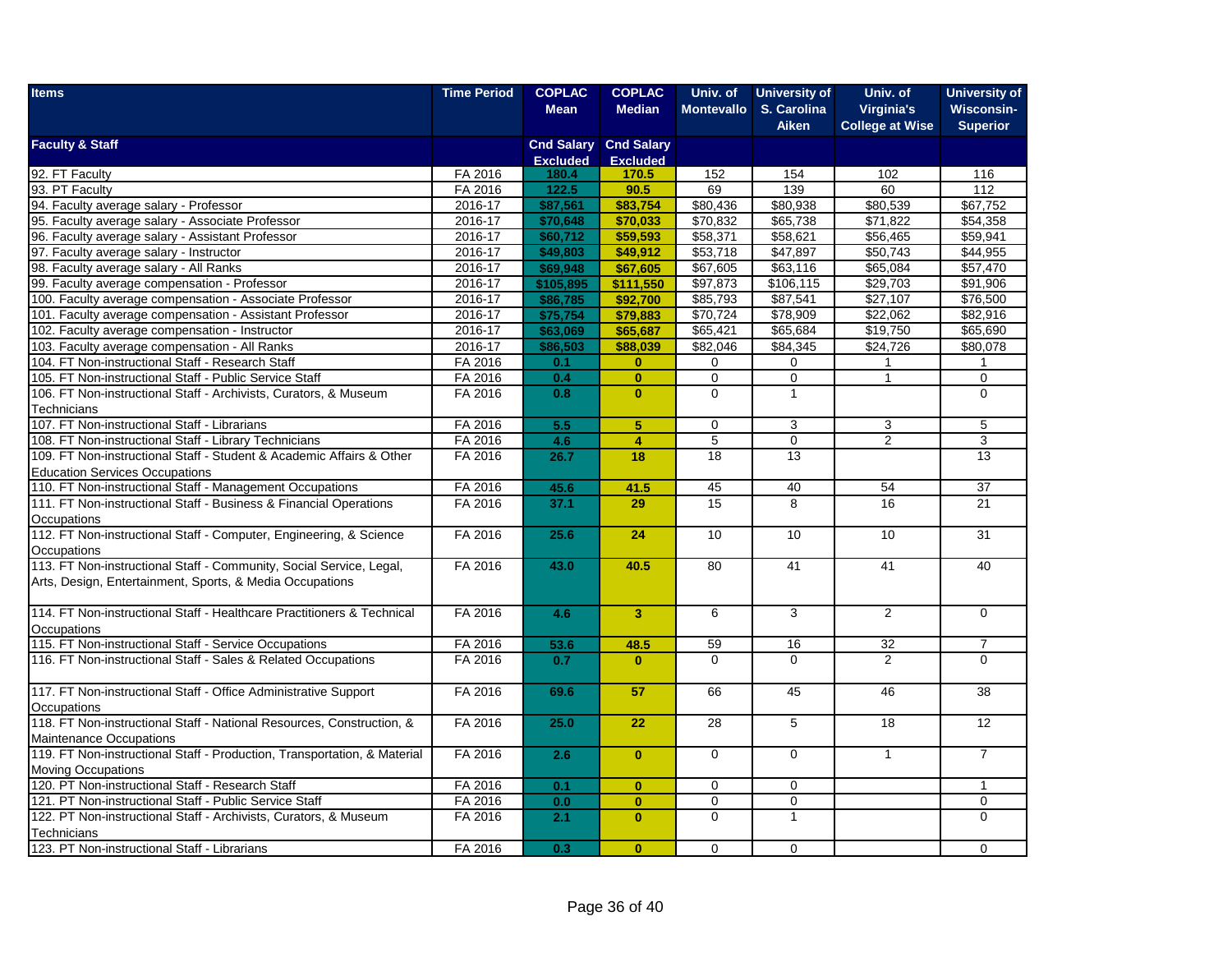| <b>Items</b>                                                                                                                   | <b>Time Period</b> | <b>COPLAC</b>   | <b>COPLAC</b>                | Univ. of          | <b>University of</b> | Univ. of               | <b>University of</b> |
|--------------------------------------------------------------------------------------------------------------------------------|--------------------|-----------------|------------------------------|-------------------|----------------------|------------------------|----------------------|
|                                                                                                                                |                    | <b>Mean</b>     | <b>Median</b>                | <b>Montevallo</b> | S. Carolina          | <b>Virginia's</b>      | <b>Wisconsin-</b>    |
|                                                                                                                                |                    |                 |                              |                   | <b>Aiken</b>         | <b>College at Wise</b> | <b>Superior</b>      |
| <b>Faculty &amp; Staff</b>                                                                                                     |                    |                 | <b>Cnd Salary Cnd Salary</b> |                   |                      |                        |                      |
|                                                                                                                                |                    | <b>Excluded</b> | <b>Excluded</b>              |                   |                      |                        |                      |
| 92. FT Faculty<br>93. PT Faculty<br>94. Faculty average salary - Professor<br>95. Faculty average salary - Associate Professor | FA 2016            | 180.4           | 170.5                        | 152               | 154                  | 102                    | 116                  |
|                                                                                                                                | FA 2016            | 122.5           | 90.5                         | 69                | 139                  | 60                     | 112                  |
|                                                                                                                                | 2016-17            | \$87,561        | \$83,754                     | \$80,436          | \$80,938             | \$80,539               | \$67,752             |
|                                                                                                                                | 2016-17            | \$70,648        | \$70,033                     | \$70,832          | \$65,738             | \$71,822               | \$54,358             |
| 96. Faculty average salary - Assistant Professor                                                                               | 2016-17            | \$60,712        | \$59,593                     | \$58,371          | \$58,621             | \$56,465               | \$59,941             |
| 97. Faculty average salary - Instructor                                                                                        | 2016-17            | \$49,803        | \$49,912                     | \$53,718          | \$47,897             | \$50,743               | \$44,955             |
| 98. Faculty average salary - All Ranks                                                                                         | 2016-17            | \$69,948        | \$67,605                     | \$67,605          | \$63,116             | \$65,084               | \$57,470             |
| 99. Faculty average compensation - Professor                                                                                   | 2016-17            | \$105,895       | \$111,550                    | \$97,873          | \$106,115            | \$29,703               | \$91,906             |
| 100. Faculty average compensation - Associate Professor                                                                        | 2016-17            | \$86,785        | \$92,700                     | \$85,793          | \$87,541             | \$27,107               | \$76,500             |
| 101. Faculty average compensation - Assistant Professor                                                                        | 2016-17            | \$75,754        | \$79,883                     | \$70,724          | \$78,909             | \$22,062               | \$82,916             |
| 102. Faculty average compensation - Instructor                                                                                 | 2016-17            | \$63,069        | \$65,687                     | \$65,421          | \$65,684             | \$19,750               | \$65,690             |
| 103. Faculty average compensation - All Ranks                                                                                  | 2016-17            | \$86,503        | \$88,039                     | \$82,046          | \$84,345             | \$24,726               | \$80,078             |
| 104. FT Non-instructional Staff - Research Staff                                                                               | FA 2016            | 0.1             | $\bf{0}$                     | $\mathbf 0$       | 0                    |                        |                      |
| 105. FT Non-instructional Staff - Public Service Staff                                                                         | FA 2016            | 0.4             | $\bf{0}$                     | $\overline{0}$    | $\overline{0}$       | $\overline{1}$         | $\overline{0}$       |
| 106. FT Non-instructional Staff - Archivists, Curators, & Museum                                                               | FA 2016            | 0.8             | $\mathbf{0}$                 | $\mathbf 0$       | $\mathbf{1}$         |                        | $\mathbf 0$          |
| Technicians                                                                                                                    |                    |                 |                              |                   |                      |                        |                      |
| 107. FT Non-instructional Staff - Librarians                                                                                   | FA 2016            | 5.5             | 5                            | $\mathbf 0$       | 3                    | $\mathbf{3}$           | 5                    |
| 108. FT Non-instructional Staff - Library Technicians                                                                          | FA 2016            | 4.6             | $\overline{4}$               | $\overline{5}$    | $\mathbf 0$          | 2                      | 3                    |
| 109. FT Non-instructional Staff - Student & Academic Affairs & Other                                                           | FA 2016            | 26.7            | 18                           | 18                | 13                   |                        | 13                   |
| <b>Education Services Occupations</b>                                                                                          |                    |                 |                              |                   |                      |                        |                      |
| 110. FT Non-instructional Staff - Management Occupations                                                                       | FA 2016            | 45.6            | 41.5                         | 45                | 40                   | 54                     | 37                   |
| 111. FT Non-instructional Staff - Business & Financial Operations                                                              | FA 2016            | 37.1            | 29                           | 15                | 8                    | 16                     | 21                   |
| Occupations                                                                                                                    |                    |                 |                              |                   |                      |                        |                      |
| 112. FT Non-instructional Staff - Computer, Engineering, & Science                                                             | FA 2016            | 25.6            | 24                           | 10                | 10                   | 10                     | 31                   |
| Occupations                                                                                                                    |                    |                 |                              |                   |                      |                        |                      |
| 113. FT Non-instructional Staff - Community, Social Service, Legal,                                                            | FA 2016            | 43.0            | 40.5                         | 80                | 41                   | 41                     | 40                   |
| Arts, Design, Entertainment, Sports, & Media Occupations                                                                       |                    |                 |                              |                   |                      |                        |                      |
|                                                                                                                                |                    |                 |                              |                   |                      |                        |                      |
| 114. FT Non-instructional Staff - Healthcare Practitioners & Technical                                                         | FA 2016            | 4.6             | $\overline{\mathbf{3}}$      | 6                 | 3                    | $\overline{2}$         | $\mathbf 0$          |
| Occupations                                                                                                                    |                    |                 |                              |                   |                      |                        |                      |
| 115. FT Non-instructional Staff - Service Occupations                                                                          | FA 2016            | 53.6            | 48.5                         | 59                | 16                   | 32                     | $\overline{7}$       |
| 116. FT Non-instructional Staff - Sales & Related Occupations                                                                  | FA 2016            | 0.7             | $\mathbf{0}$                 | $\Omega$          | $\Omega$             | 2                      | $\Omega$             |
|                                                                                                                                |                    |                 |                              |                   |                      |                        |                      |
| 117. FT Non-instructional Staff - Office Administrative Support                                                                | FA 2016            | 69.6            | 57                           | 66                | 45                   | 46                     | 38                   |
|                                                                                                                                |                    |                 |                              |                   |                      |                        |                      |
| Occupations<br>118. FT Non-instructional Staff - National Resources, Construction, &                                           | FA 2016            | 25.0            | 22                           | 28                | 5                    | 18                     | 12                   |
| Maintenance Occupations                                                                                                        |                    |                 |                              |                   |                      |                        |                      |
| 119. FT Non-instructional Staff - Production, Transportation, & Material                                                       | FA 2016            | 2.6             | $\mathbf{0}$                 | $\mathbf 0$       | $\mathbf 0$          | $\mathbf{1}$           | $\overline{7}$       |
| <b>Moving Occupations</b>                                                                                                      |                    |                 |                              |                   |                      |                        |                      |
| 120. PT Non-instructional Staff - Research Staff                                                                               | FA 2016            | 0.1             | $\bf{0}$                     | $\mathbf 0$       | $\Omega$             |                        | 1                    |
| 121. PT Non-instructional Staff - Public Service Staff                                                                         | FA 2016            | 0.0             | $\bf{0}$                     | $\mathbf 0$       | $\mathbf 0$          |                        | 0                    |
| 122. PT Non-instructional Staff - Archivists, Curators, & Museum                                                               | FA 2016            | 2.1             | $\mathbf{0}$                 | $\Omega$          | $\mathbf{1}$         |                        | $\Omega$             |
| Technicians                                                                                                                    |                    |                 |                              |                   |                      |                        |                      |
| 123. PT Non-instructional Staff - Librarians                                                                                   | FA 2016            | 0.3             | $\bf{0}$                     | $\mathbf 0$       | $\mathbf 0$          |                        | 0                    |
|                                                                                                                                |                    |                 |                              |                   |                      |                        |                      |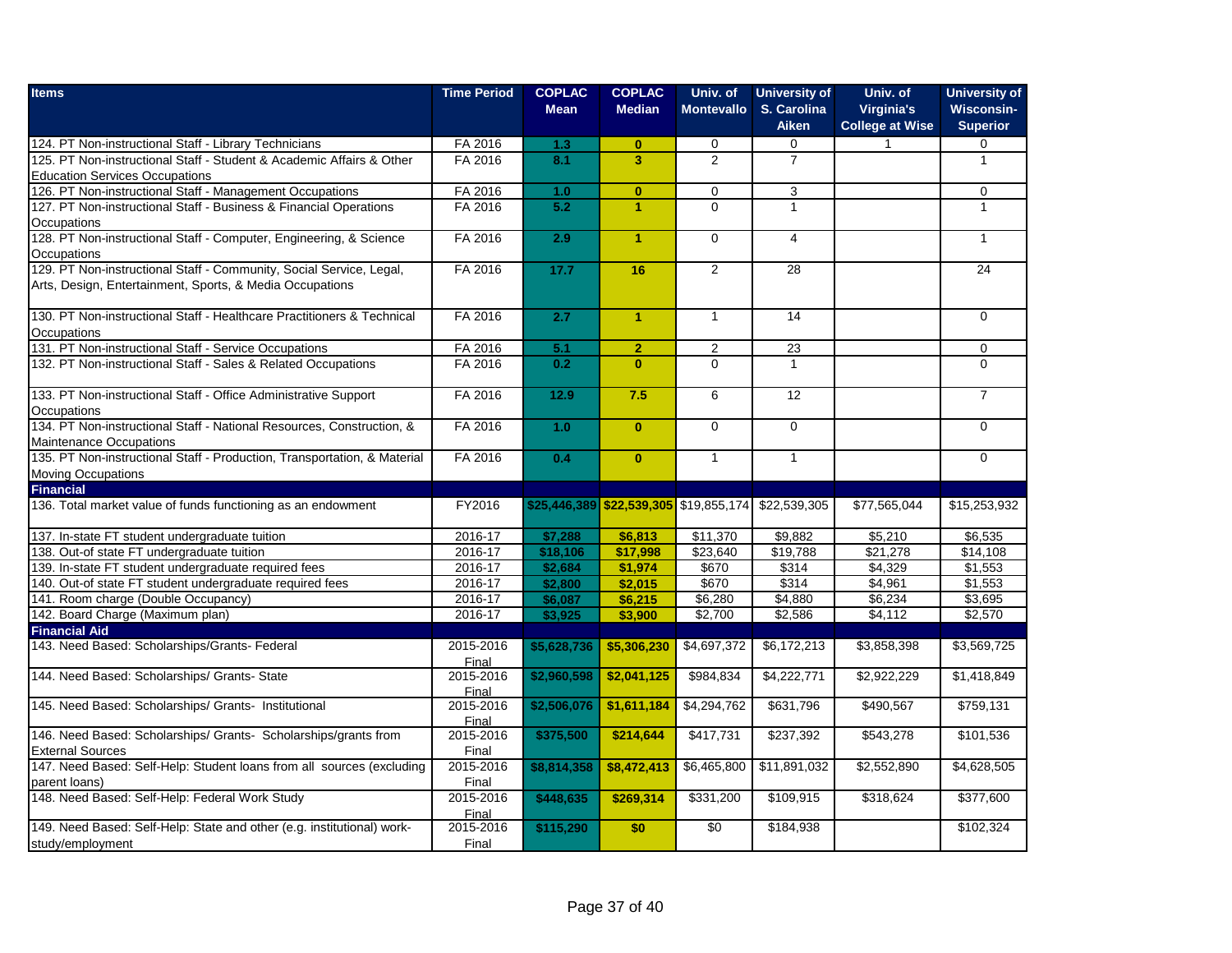| <b>Items</b>                                                             | <b>Time Period</b> | <b>COPLAC</b><br><b>Mean</b> | <b>COPLAC</b><br><b>Median</b> | Univ. of<br><b>Montevallo</b> | <b>University of</b><br>S. Carolina<br><b>Aiken</b> | Univ. of<br><b>Virginia's</b><br><b>College at Wise</b> | <b>University of</b><br><b>Wisconsin-</b><br><b>Superior</b> |
|--------------------------------------------------------------------------|--------------------|------------------------------|--------------------------------|-------------------------------|-----------------------------------------------------|---------------------------------------------------------|--------------------------------------------------------------|
| 124. PT Non-instructional Staff - Library Technicians                    | FA 2016            | 1.3                          | $\bf{0}$                       | 0                             | 0                                                   | 1                                                       | 0                                                            |
| 125. PT Non-instructional Staff - Student & Academic Affairs & Other     | FA 2016            | 8.1                          | $\overline{3}$                 | $\overline{2}$                | $\overline{7}$                                      |                                                         | $\mathbf{1}$                                                 |
| <b>Education Services Occupations</b>                                    |                    |                              |                                |                               |                                                     |                                                         |                                                              |
| 126. PT Non-instructional Staff - Management Occupations                 | FA 2016            | 1.0                          | $\mathbf{0}$                   | $\mathbf 0$                   | 3                                                   |                                                         | $\mathbf 0$                                                  |
| 127. PT Non-instructional Staff - Business & Financial Operations        | FA 2016            | 5.2                          | $\blacktriangleleft$           | $\mathbf 0$                   | $\mathbf{1}$                                        |                                                         | $\mathbf{1}$                                                 |
| Occupations                                                              |                    |                              |                                |                               |                                                     |                                                         |                                                              |
| 128. PT Non-instructional Staff - Computer, Engineering, & Science       | FA 2016            | 2.9                          | $\blacktriangleleft$           | $\mathbf 0$                   | $\overline{4}$                                      |                                                         | $\mathbf{1}$                                                 |
| Occupations                                                              |                    |                              |                                |                               |                                                     |                                                         |                                                              |
| 129. PT Non-instructional Staff - Community, Social Service, Legal,      | FA 2016            | 17.7                         | 16                             | $\overline{2}$                | 28                                                  |                                                         | 24                                                           |
| Arts, Design, Entertainment, Sports, & Media Occupations                 |                    |                              |                                |                               |                                                     |                                                         |                                                              |
|                                                                          |                    |                              |                                |                               |                                                     |                                                         |                                                              |
| 130. PT Non-instructional Staff - Healthcare Practitioners & Technical   | FA 2016            | 2.7                          | $\blacktriangleleft$           | $\overline{1}$                | $\overline{14}$                                     |                                                         | $\overline{0}$                                               |
| Occupations                                                              |                    |                              |                                |                               |                                                     |                                                         |                                                              |
| 131. PT Non-instructional Staff - Service Occupations                    | FA 2016            | 5.1                          | $\overline{2}$                 | $\overline{2}$                | 23                                                  |                                                         | $\mathbf 0$                                                  |
| 132. PT Non-instructional Staff - Sales & Related Occupations            | FA 2016            | 0.2                          | $\mathbf{0}$                   | $\Omega$                      | $\mathbf{1}$                                        |                                                         | $\Omega$                                                     |
|                                                                          |                    |                              |                                |                               |                                                     |                                                         |                                                              |
| 133. PT Non-instructional Staff - Office Administrative Support          | FA 2016            | $12.9$                       | 7.5                            | 6                             | 12                                                  |                                                         | $\overline{7}$                                               |
| Occupations                                                              |                    |                              |                                |                               |                                                     |                                                         |                                                              |
| 134. PT Non-instructional Staff - National Resources, Construction, &    | FA 2016            | 1.0                          | $\mathbf{0}$                   | $\mathbf 0$                   | $\mathbf 0$                                         |                                                         | $\mathbf 0$                                                  |
| Maintenance Occupations                                                  |                    |                              |                                |                               |                                                     |                                                         |                                                              |
| 135. PT Non-instructional Staff - Production, Transportation, & Material | FA 2016            | 0.4                          | $\mathbf{0}$                   | $\mathbf{1}$                  | $\overline{1}$                                      |                                                         | $\overline{0}$                                               |
| <b>Moving Occupations</b>                                                |                    |                              |                                |                               |                                                     |                                                         |                                                              |
| <b>Financial</b>                                                         |                    |                              |                                |                               |                                                     |                                                         |                                                              |
| 136. Total market value of funds functioning as an endowment             | FY2016             |                              |                                |                               | \$25,446,389 \$22,539,305 \$19,855,174 \$22,539,305 | \$77,565,044                                            | \$15,253,932                                                 |
|                                                                          |                    |                              |                                |                               |                                                     |                                                         |                                                              |
| 137. In-state FT student undergraduate tuition                           | 2016-17            | \$7,288                      | \$6,813                        | \$11,370                      | \$9,882                                             | \$5,210                                                 | \$6,535                                                      |
| 138. Out-of state FT undergraduate tuition                               | 2016-17            | \$18,106                     | \$17,998                       | \$23,640                      | \$19,788                                            | \$21,278                                                | \$14,108                                                     |
| 139. In-state FT student undergraduate required fees                     | 2016-17            | \$2,684                      | \$1,974                        | \$670                         | \$314                                               | \$4,329                                                 | \$1,553                                                      |
| 140. Out-of state FT student undergraduate required fees                 | 2016-17            | \$2,800                      | \$2,015                        | \$670                         | \$314                                               | \$4,961                                                 | \$1,553                                                      |
| 141. Room charge (Double Occupancy)                                      | 2016-17            | \$6,087                      | \$6,215                        | \$6,280                       | \$4,880                                             | \$6,234                                                 | \$3,695                                                      |
| 142. Board Charge (Maximum plan)                                         | 2016-17            | \$3,925                      | \$3,900                        | \$2,700                       | \$2,586                                             | \$4,112                                                 | \$2,570                                                      |
| <b>Financial Aid</b>                                                     |                    |                              |                                |                               |                                                     |                                                         |                                                              |
| 143. Need Based: Scholarships/Grants- Federal                            | 2015-2016          | \$5,628,736                  | \$5,306,230                    | \$4,697,372                   | \$6,172,213                                         | \$3,858,398                                             | \$3,569,725                                                  |
| 144. Need Based: Scholarships/ Grants- State                             | Final<br>2015-2016 |                              | \$2,041,125                    |                               | \$4,222,771                                         | \$2,922,229                                             | \$1,418,849                                                  |
|                                                                          | Final              | \$2,960,598                  |                                | \$984,834                     |                                                     |                                                         |                                                              |
| 145. Need Based: Scholarships/ Grants- Institutional                     | 2015-2016          | \$2,506,076                  | $\overline{1,611,184}$         | \$4,294,762                   | \$631,796                                           | \$490,567                                               | \$759,131                                                    |
|                                                                          | Final              |                              |                                |                               |                                                     |                                                         |                                                              |
| 146. Need Based: Scholarships/ Grants- Scholarships/grants from          | 2015-2016          | \$375,500                    | \$214,644                      | \$417,731                     | \$237,392                                           | \$543,278                                               | \$101,536                                                    |
| <b>External Sources</b>                                                  | Final              |                              |                                |                               |                                                     |                                                         |                                                              |
| 147. Need Based: Self-Help: Student loans from all sources (excluding    | 2015-2016          | \$8,814,358                  | \$8,472,413                    | \$6,465,800                   | \$11,891,032                                        | \$2,552,890                                             | \$4,628,505                                                  |
| parent loans)                                                            | Final              |                              |                                |                               |                                                     |                                                         |                                                              |
| 148. Need Based: Self-Help: Federal Work Study                           | 2015-2016          | \$448,635                    | \$269,314                      | \$331,200                     | \$109,915                                           | \$318,624                                               | \$377,600                                                    |
|                                                                          | Final              |                              |                                |                               |                                                     |                                                         |                                                              |
| 149. Need Based: Self-Help: State and other (e.g. institutional) work-   | 2015-2016          | \$115,290                    | \$0                            | $\overline{50}$               | \$184,938                                           |                                                         | \$102,324                                                    |
| study/employment                                                         | Final              |                              |                                |                               |                                                     |                                                         |                                                              |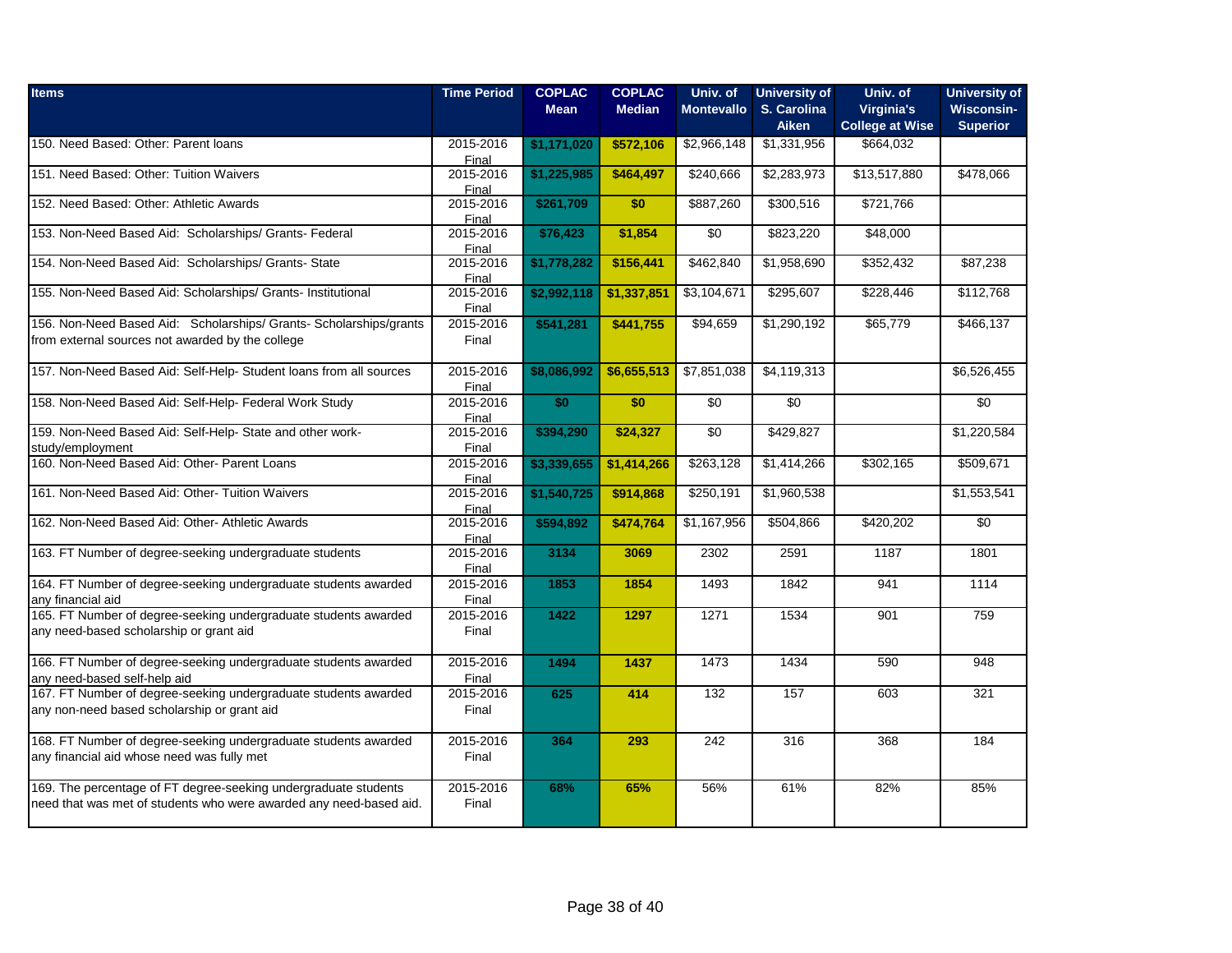| <b>Items</b>                                                                                                                          | <b>Time Period</b>          | <b>COPLAC</b><br><b>Mean</b> | <b>COPLAC</b><br><b>Median</b> | Univ. of<br><b>Montevallo</b> | <b>University of</b><br>S. Carolina<br><b>Aiken</b> | Univ. of<br><b>Virginia's</b><br><b>College at Wise</b> | <b>University of</b><br>Wisconsin-<br><b>Superior</b> |
|---------------------------------------------------------------------------------------------------------------------------------------|-----------------------------|------------------------------|--------------------------------|-------------------------------|-----------------------------------------------------|---------------------------------------------------------|-------------------------------------------------------|
| 150. Need Based: Other: Parent loans                                                                                                  | 2015-2016                   | \$1,171,020                  | \$572,106                      | \$2,966,148                   | \$1,331,956                                         | \$664,032                                               |                                                       |
| 151. Need Based: Other: Tuition Waivers                                                                                               | Final<br>2015-2016<br>Final | \$1,225,985                  | \$464,497                      | \$240,666                     | \$2,283,973                                         | \$13,517,880                                            | \$478,066                                             |
| 152. Need Based: Other: Athletic Awards                                                                                               | 2015-2016<br>Final          | \$261,709                    | \$0                            | \$887,260                     | \$300,516                                           | \$721,766                                               |                                                       |
| 153. Non-Need Based Aid: Scholarships/ Grants- Federal                                                                                | 2015-2016<br>Final          | \$76,423                     | \$1,854                        | $\sqrt{6}$                    | \$823,220                                           | \$48,000                                                |                                                       |
| 154. Non-Need Based Aid: Scholarships/ Grants- State                                                                                  | 2015-2016<br>Final          | \$1,778,282                  | \$156,441                      | \$462,840                     | \$1,958,690                                         | \$352,432                                               | \$87,238                                              |
| 155. Non-Need Based Aid: Scholarships/ Grants- Institutional                                                                          | 2015-2016<br>Final          | \$2,992,118                  | \$1,337,851                    | \$3,104,671                   | \$295,607                                           | \$228,446                                               | \$112,768                                             |
| 156. Non-Need Based Aid: Scholarships/ Grants- Scholarships/grants<br>from external sources not awarded by the college                | 2015-2016<br>Final          | \$541,281                    | \$441,755                      | \$94,659                      | \$1,290,192                                         | \$65,779                                                | \$466,137                                             |
| 157. Non-Need Based Aid: Self-Help- Student loans from all sources                                                                    | 2015-2016<br>Final          | \$8,086,992                  | \$6,655,513                    | \$7,851,038                   | \$4,119,313                                         |                                                         | \$6,526,455                                           |
| 158. Non-Need Based Aid: Self-Help- Federal Work Study                                                                                | 2015-2016<br>Final          | \$0                          | \$0                            | $\sqrt{6}$                    | $\overline{50}$                                     |                                                         | $\sqrt{50}$                                           |
| 159. Non-Need Based Aid: Self-Help- State and other work-<br>study/employment                                                         | 2015-2016<br>Final          | \$394,290                    | \$24,327                       | $\sqrt{6}$                    | \$429,827                                           |                                                         | \$1,220,584                                           |
| 160. Non-Need Based Aid: Other- Parent Loans                                                                                          | 2015-2016<br>Final          | \$3,339,655                  | \$1,414,266                    | \$263,128                     | \$1,414,266                                         | \$302,165                                               | $\overline{$}509,671$                                 |
| 161. Non-Need Based Aid: Other-Tuition Waivers                                                                                        | 2015-2016<br>Final          | \$1,540,725                  | \$914,868                      | \$250,191                     | \$1,960,538                                         |                                                         | \$1,553,541                                           |
| 162. Non-Need Based Aid: Other-Athletic Awards                                                                                        | 2015-2016<br>Final          | \$594,892                    | \$474,764                      | \$1,167,956                   | \$504,866                                           | \$420,202                                               | \$0                                                   |
| 163. FT Number of degree-seeking undergraduate students                                                                               | 2015-2016<br>Final          | 3134                         | 3069                           | 2302                          | 2591                                                | 1187                                                    | 1801                                                  |
| 164. FT Number of degree-seeking undergraduate students awarded<br>any financial aid                                                  | 2015-2016<br>Final          | 1853                         | 1854                           | 1493                          | 1842                                                | 941                                                     | 1114                                                  |
| 165. FT Number of degree-seeking undergraduate students awarded<br>any need-based scholarship or grant aid                            | 2015-2016<br>Final          | 1422                         | 1297                           | 1271                          | 1534                                                | 901                                                     | 759                                                   |
| 166. FT Number of degree-seeking undergraduate students awarded<br>any need-based self-help aid                                       | 2015-2016<br>Final          | 1494                         | 1437                           | 1473                          | 1434                                                | 590                                                     | 948                                                   |
| 167. FT Number of degree-seeking undergraduate students awarded<br>any non-need based scholarship or grant aid                        | 2015-2016<br>Final          | 625                          | 414                            | 132                           | 157                                                 | 603                                                     | 321                                                   |
| 168. FT Number of degree-seeking undergraduate students awarded<br>any financial aid whose need was fully met                         | 2015-2016<br>Final          | 364                          | 293                            | 242                           | 316                                                 | 368                                                     | 184                                                   |
| 169. The percentage of FT degree-seeking undergraduate students<br>need that was met of students who were awarded any need-based aid. | 2015-2016<br>Final          | 68%                          | 65%                            | 56%                           | 61%                                                 | 82%                                                     | 85%                                                   |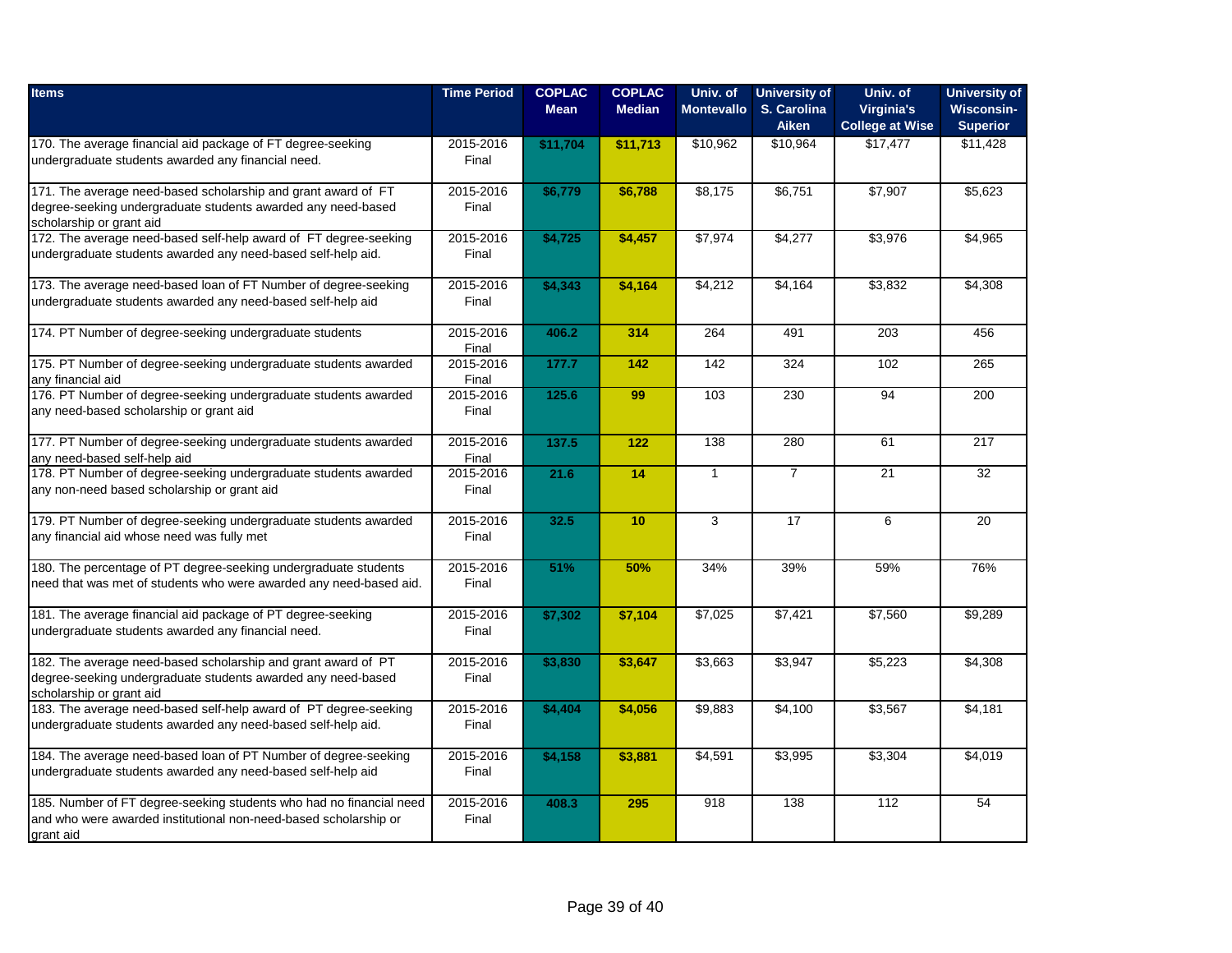| <b>Items</b>                                                                                                                                              | <b>Time Period</b> | <b>COPLAC</b><br><b>Mean</b> | <b>COPLAC</b><br><b>Median</b> | Univ. of<br><b>Montevallo</b> | <b>University of</b><br>S. Carolina<br><b>Aiken</b> | Univ. of<br>Virginia's<br><b>College at Wise</b> | <b>University of</b><br>Wisconsin-<br><b>Superior</b> |
|-----------------------------------------------------------------------------------------------------------------------------------------------------------|--------------------|------------------------------|--------------------------------|-------------------------------|-----------------------------------------------------|--------------------------------------------------|-------------------------------------------------------|
| 170. The average financial aid package of FT degree-seeking<br>undergraduate students awarded any financial need.                                         | 2015-2016<br>Final | \$11,704                     | \$11,713                       | \$10,962                      | \$10,964                                            | \$17,477                                         | \$11,428                                              |
| 171. The average need-based scholarship and grant award of FT<br>degree-seeking undergraduate students awarded any need-based<br>scholarship or grant aid | 2015-2016<br>Final | \$6,779                      | \$6,788                        | \$8,175                       | \$6,751                                             | \$7,907                                          | \$5,623                                               |
| 172. The average need-based self-help award of FT degree-seeking<br>undergraduate students awarded any need-based self-help aid.                          | 2015-2016<br>Final | \$4,725                      | \$4,457                        | \$7,974                       | \$4,277                                             | \$3,976                                          | \$4,965                                               |
| 173. The average need-based loan of FT Number of degree-seeking<br>undergraduate students awarded any need-based self-help aid                            | 2015-2016<br>Final | \$4,343                      | \$4,164                        | \$4,212                       | \$4,164                                             | \$3,832                                          | \$4,308                                               |
| 174. PT Number of degree-seeking undergraduate students                                                                                                   | 2015-2016<br>Final | 406.2                        | 314                            | 264                           | 491                                                 | 203                                              | 456                                                   |
| 175. PT Number of degree-seeking undergraduate students awarded<br>any financial aid                                                                      | 2015-2016<br>Final | 177.7                        | 142                            | 142                           | 324                                                 | 102                                              | 265                                                   |
| 176. PT Number of degree-seeking undergraduate students awarded<br>any need-based scholarship or grant aid                                                | 2015-2016<br>Final | 125.6                        | 99                             | 103                           | 230                                                 | 94                                               | 200                                                   |
| 177. PT Number of degree-seeking undergraduate students awarded<br>any need-based self-help aid                                                           | 2015-2016<br>Final | 137.5                        | $122$                          | 138                           | 280                                                 | 61                                               | 217                                                   |
| 178. PT Number of degree-seeking undergraduate students awarded<br>any non-need based scholarship or grant aid                                            | 2015-2016<br>Final | 21.6                         | 14                             | $\mathbf{1}$                  | $\overline{7}$                                      | 21                                               | 32                                                    |
| 179. PT Number of degree-seeking undergraduate students awarded<br>any financial aid whose need was fully met                                             | 2015-2016<br>Final | 32.5                         | 10                             | 3                             | 17                                                  | 6                                                | 20                                                    |
| 180. The percentage of PT degree-seeking undergraduate students<br>need that was met of students who were awarded any need-based aid.                     | 2015-2016<br>Final | 51%                          | 50%                            | 34%                           | 39%                                                 | 59%                                              | 76%                                                   |
| 181. The average financial aid package of PT degree-seeking<br>undergraduate students awarded any financial need.                                         | 2015-2016<br>Final | \$7,302                      | \$7,104                        | \$7,025                       | \$7,421                                             | \$7,560                                          | \$9,289                                               |
| 182. The average need-based scholarship and grant award of PT<br>degree-seeking undergraduate students awarded any need-based<br>scholarship or grant aid | 2015-2016<br>Final | \$3,830                      | \$3,647                        | \$3,663                       | \$3,947                                             | \$5,223                                          | \$4,308                                               |
| 183. The average need-based self-help award of PT degree-seeking<br>undergraduate students awarded any need-based self-help aid.                          | 2015-2016<br>Final | \$4,404                      | \$4,056                        | \$9,883                       | \$4,100                                             | \$3,567                                          | \$4,181                                               |
| 184. The average need-based loan of PT Number of degree-seeking<br>undergraduate students awarded any need-based self-help aid                            | 2015-2016<br>Final | \$4,158                      | \$3,881                        | \$4,591                       | \$3,995                                             | \$3,304                                          | \$4,019                                               |
| 185. Number of FT degree-seeking students who had no financial need<br>and who were awarded institutional non-need-based scholarship or<br>grant aid      | 2015-2016<br>Final | 408.3                        | 295                            | 918                           | 138                                                 | 112                                              | 54                                                    |